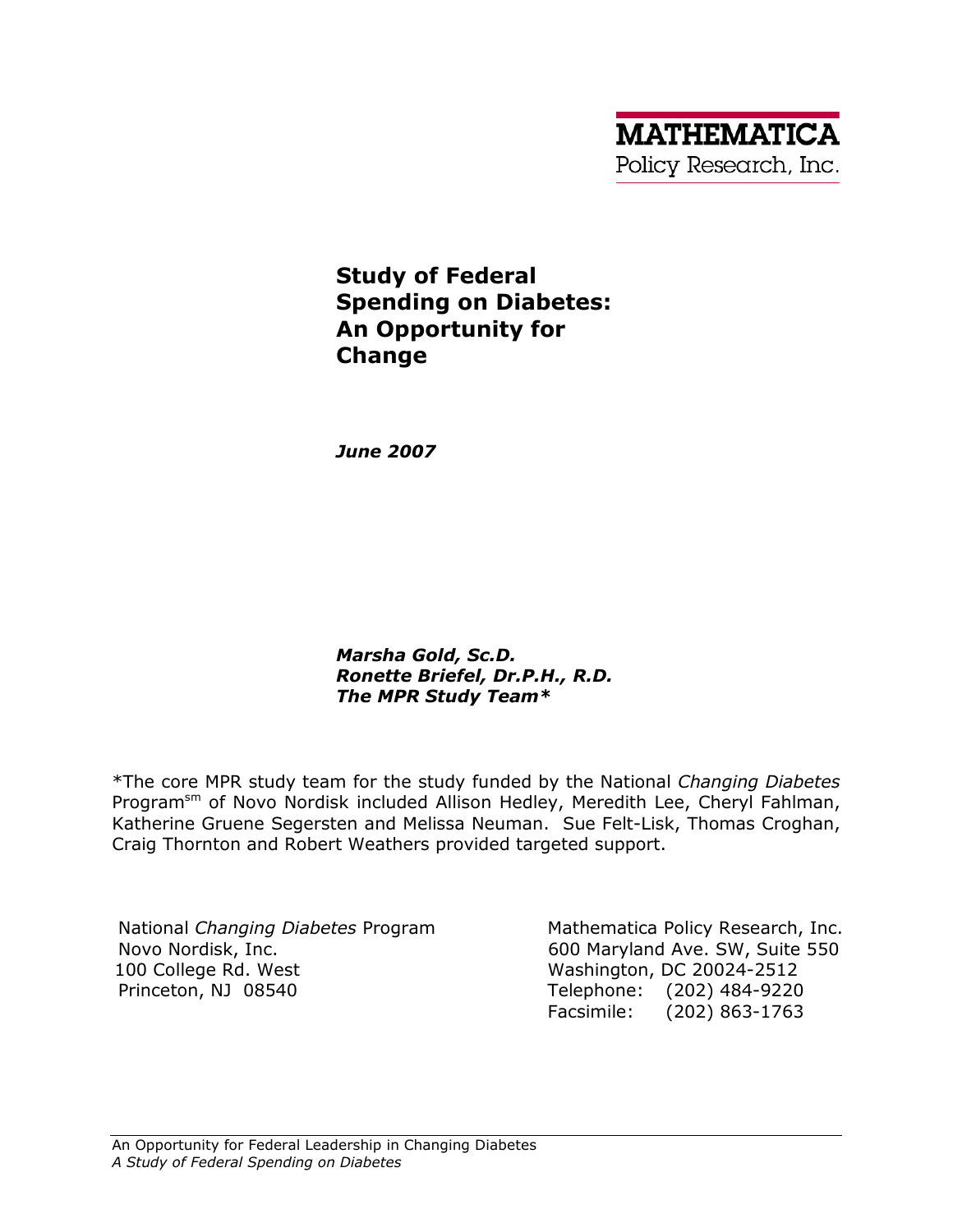# Study of Federal Spending on Diabetes: An Opportunity for Change

June 2007

Marsha Gold, Sc.D. Ronette Briefel, Dr.P.H., R.D. The MPR Study Team\*

\*The core MPR study team for the study funded by the National Changing Diabetes Program<sup>sm</sup> of Novo Nordisk included Allison Hedley, Meredith Lee, Cheryl Fahlman, Katherine Gruene Segersten and Melissa Neuman. Sue Felt-Lisk, Thomas Croghan, Craig Thornton and Robert Weathers provided targeted support.

National Changing Diabetes Program Novo Nordisk, Inc. 100 College Rd. West Princeton, NJ 08540

Mathematica Policy Research, Inc. 600 Maryland Ave. SW, Suite 550 Washington, DC 20024-2512 Telephone: (202) 484-9220 Facsimile: (202) 863-1763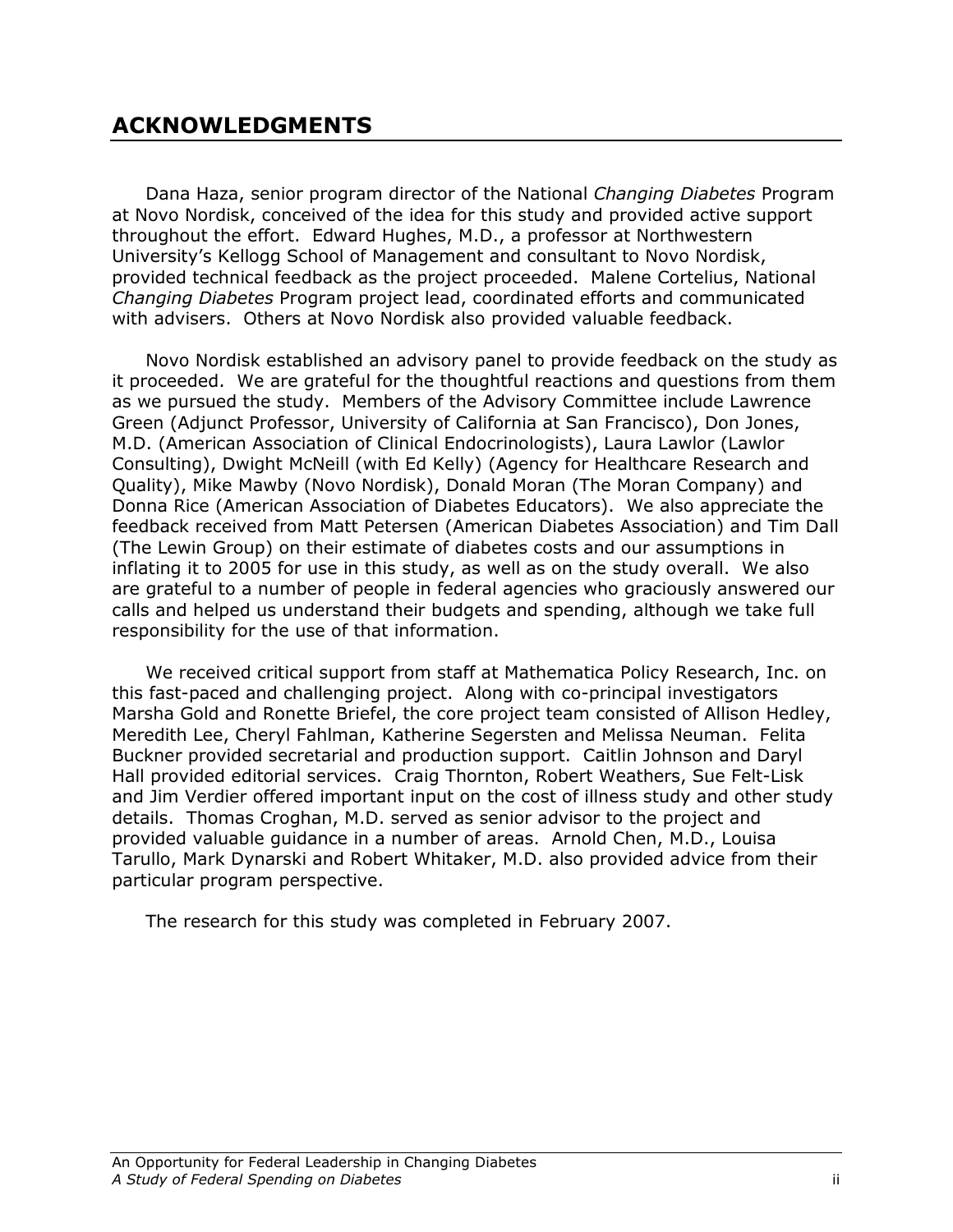# ACKNOWLEDGMENTS

Dana Haza, senior program director of the National Changing Diabetes Program at Novo Nordisk, conceived of the idea for this study and provided active support throughout the effort. Edward Hughes, M.D., a professor at Northwestern University's Kellogg School of Management and consultant to Novo Nordisk, provided technical feedback as the project proceeded. Malene Cortelius, National Changing Diabetes Program project lead, coordinated efforts and communicated with advisers. Others at Novo Nordisk also provided valuable feedback.

Novo Nordisk established an advisory panel to provide feedback on the study as it proceeded. We are grateful for the thoughtful reactions and questions from them as we pursued the study. Members of the Advisory Committee include Lawrence Green (Adjunct Professor, University of California at San Francisco), Don Jones, M.D. (American Association of Clinical Endocrinologists), Laura Lawlor (Lawlor Consulting), Dwight McNeill (with Ed Kelly) (Agency for Healthcare Research and Quality), Mike Mawby (Novo Nordisk), Donald Moran (The Moran Company) and Donna Rice (American Association of Diabetes Educators). We also appreciate the feedback received from Matt Petersen (American Diabetes Association) and Tim Dall (The Lewin Group) on their estimate of diabetes costs and our assumptions in inflating it to 2005 for use in this study, as well as on the study overall. We also are grateful to a number of people in federal agencies who graciously answered our calls and helped us understand their budgets and spending, although we take full responsibility for the use of that information.

We received critical support from staff at Mathematica Policy Research, Inc. on this fast-paced and challenging project. Along with co-principal investigators Marsha Gold and Ronette Briefel, the core project team consisted of Allison Hedley, Meredith Lee, Cheryl Fahlman, Katherine Segersten and Melissa Neuman. Felita Buckner provided secretarial and production support. Caitlin Johnson and Daryl Hall provided editorial services. Craig Thornton, Robert Weathers, Sue Felt-Lisk and Jim Verdier offered important input on the cost of illness study and other study details. Thomas Croghan, M.D. served as senior advisor to the project and provided valuable guidance in a number of areas. Arnold Chen, M.D., Louisa Tarullo, Mark Dynarski and Robert Whitaker, M.D. also provided advice from their particular program perspective.

The research for this study was completed in February 2007.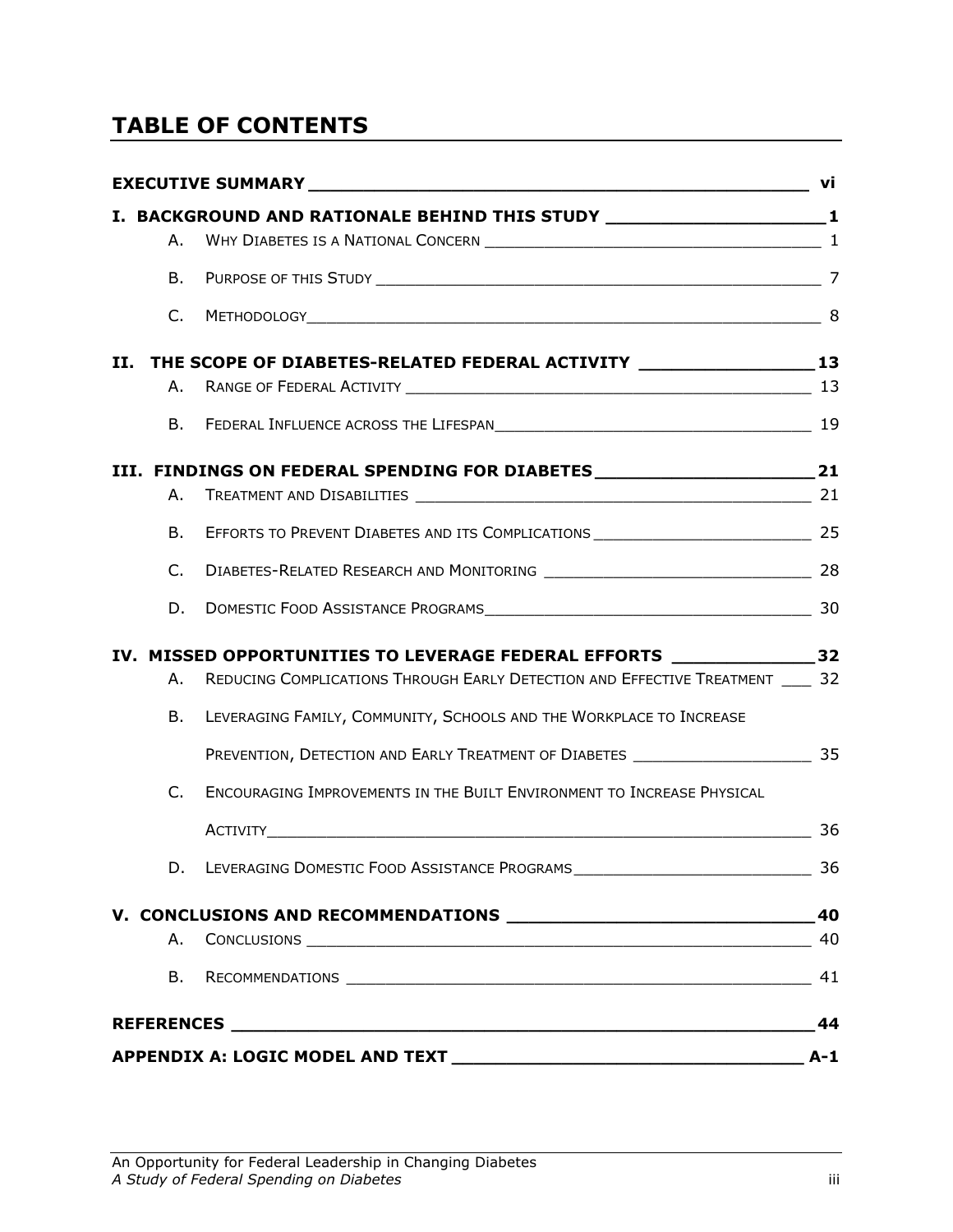# TABLE OF CONTENTS

|    |         | I. BACKGROUND AND RATIONALE BEHIND THIS STUDY __________________________________1    |       |
|----|---------|--------------------------------------------------------------------------------------|-------|
|    |         |                                                                                      |       |
|    | B.      |                                                                                      |       |
|    | $C_{1}$ |                                                                                      |       |
| Н. |         | THE SCOPE OF DIABETES-RELATED FEDERAL ACTIVITY __________________________________    |       |
|    |         |                                                                                      |       |
|    |         |                                                                                      |       |
|    |         | III. FINDINGS ON FEDERAL SPENDING FOR DIABETES _________________________________21   |       |
|    | А.      |                                                                                      |       |
|    | B.      |                                                                                      |       |
|    | C.      |                                                                                      |       |
|    | D.      |                                                                                      |       |
|    |         | IV. MISSED OPPORTUNITIES TO LEVERAGE FEDERAL EFFORTS _____________________32         |       |
|    | А.      | REDUCING COMPLICATIONS THROUGH EARLY DETECTION AND EFFECTIVE TREATMENT _____ 32      |       |
|    | В.      | LEVERAGING FAMILY, COMMUNITY, SCHOOLS AND THE WORKPLACE TO INCREASE                  |       |
|    |         | PREVENTION, DETECTION AND EARLY TREATMENT OF DIABETES ___________________________ 35 |       |
|    | C.      | ENCOURAGING IMPROVEMENTS IN THE BUILT ENVIRONMENT TO INCREASE PHYSICAL               |       |
|    |         |                                                                                      | 36    |
|    |         |                                                                                      |       |
|    |         |                                                                                      | 40    |
|    | А.      |                                                                                      | 40    |
|    | В.      |                                                                                      |       |
|    |         |                                                                                      | 44    |
|    |         |                                                                                      | $A-1$ |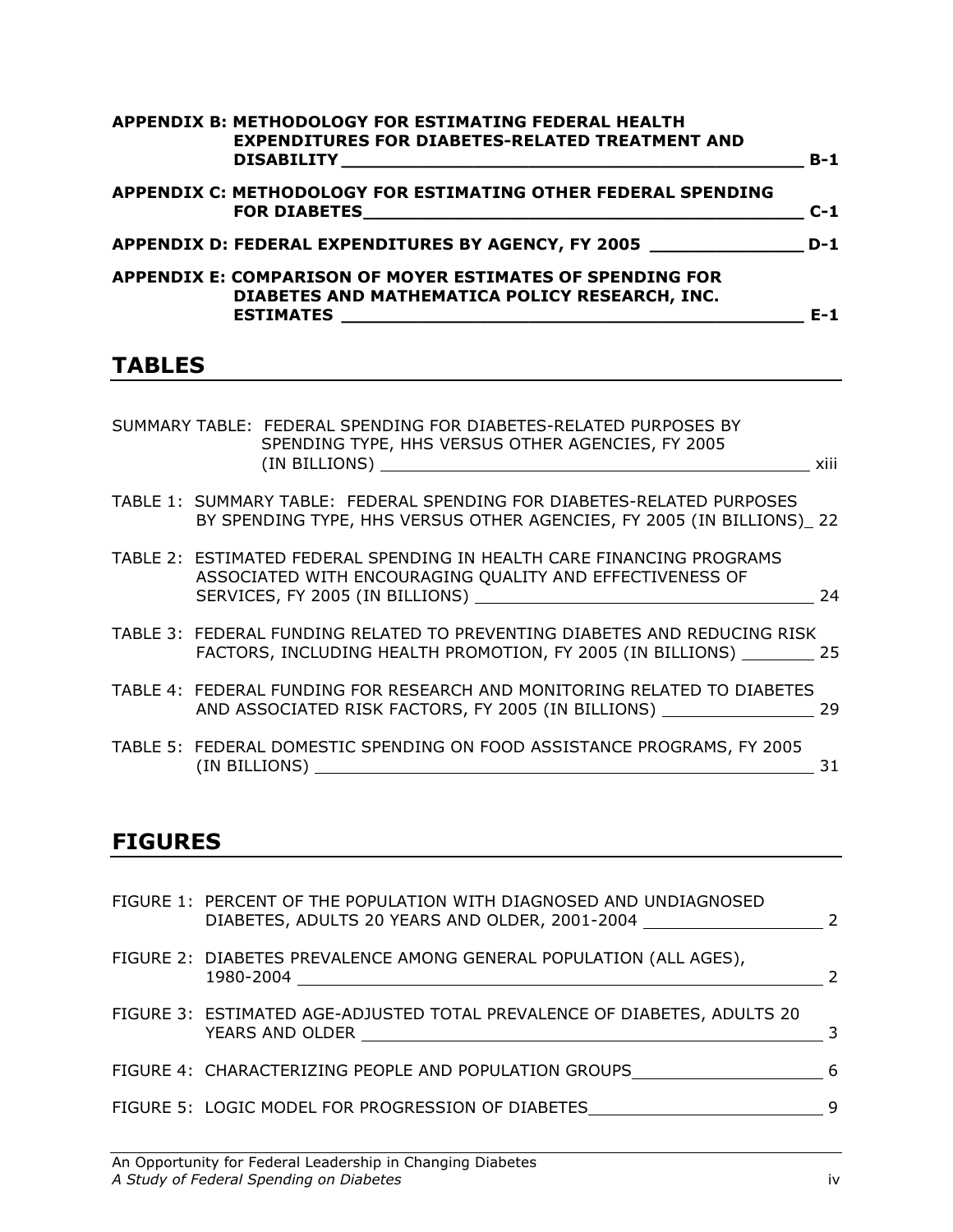| APPENDIX B: METHODOLOGY FOR ESTIMATING FEDERAL HEALTH<br><b>EXPENDITURES FOR DIABETES-RELATED TREATMENT AND</b>                                                                                                                                                                                              | $B-1$ |
|--------------------------------------------------------------------------------------------------------------------------------------------------------------------------------------------------------------------------------------------------------------------------------------------------------------|-------|
| <b>APPENDIX C: METHODOLOGY FOR ESTIMATING OTHER FEDERAL SPENDING</b><br>FOR DIABETES <b>And the Contract of the Contract of the Contract of the Contract of the Contract of the Contract of the Contract of the Contract of the Contract of the Contract of the Contract of the Contract of the Contract</b> | $C-1$ |
| APPENDIX D: FEDERAL EXPENDITURES BY AGENCY, FY 2005                                                                                                                                                                                                                                                          | $D-1$ |
| <b>APPENDIX E: COMPARISON OF MOYER ESTIMATES OF SPENDING FOR</b><br>DIABETES AND MATHEMATICA POLICY RESEARCH, INC.<br><b>ESTIMATES</b>                                                                                                                                                                       | $E-1$ |

# TABLES

| SUMMARY TABLE: FEDERAL SPENDING FOR DIABETES-RELATED PURPOSES BY<br>SPENDING TYPE, HHS VERSUS OTHER AGENCIES, FY 2005<br>(IN BILLIONS)                               | <b>XIII</b> |
|----------------------------------------------------------------------------------------------------------------------------------------------------------------------|-------------|
| TABLE 1: SUMMARY TABLE: FEDERAL SPENDING FOR DIABETES-RELATED PURPOSES<br>BY SPENDING TYPE, HHS VERSUS OTHER AGENCIES, FY 2005 (IN BILLIONS) 22                      |             |
| TABLE 2: ESTIMATED FEDERAL SPENDING IN HEALTH CARE FINANCING PROGRAMS<br>ASSOCIATED WITH ENCOURAGING QUALITY AND EFFECTIVENESS OF<br>SERVICES, FY 2005 (IN BILLIONS) | 24          |
| TABLE 3: FEDERAL FUNDING RELATED TO PREVENTING DIABETES AND REDUCING RISK<br>FACTORS, INCLUDING HEALTH PROMOTION, FY 2005 (IN BILLIONS) 25                           |             |
| TABLE 4: FEDERAL FUNDING FOR RESEARCH AND MONITORING RELATED TO DIABETES<br>AND ASSOCIATED RISK FACTORS, FY 2005 (IN BILLIONS)                                       | 29          |
| TABLE 5: FEDERAL DOMESTIC SPENDING ON FOOD ASSISTANCE PROGRAMS, FY 2005<br>(IN BILLIONS)                                                                             | 31          |

# FIGURES

| FIGURE 1: PERCENT OF THE POPULATION WITH DIAGNOSED AND UNDIAGNOSED<br>DIABETES, ADULTS 20 YEARS AND OLDER, 2001-2004                                                                              |    |
|---------------------------------------------------------------------------------------------------------------------------------------------------------------------------------------------------|----|
| FIGURE 2: DIABETES PREVALENCE AMONG GENERAL POPULATION (ALL AGES),<br>1980-2004                                                                                                                   |    |
| FIGURE 3: ESTIMATED AGE-ADJUSTED TOTAL PREVALENCE OF DIABETES, ADULTS 20<br><b>YEARS AND OLDER THE STATE OF A STATE OF A STATE OF A STATE OF A STATE OF A STATE OF A STATE OF A STATE OF A ST</b> |    |
| FIGURE 4: CHARACTERIZING PEOPLE AND POPULATION GROUPS                                                                                                                                             | -6 |
| FIGURE 5: LOGIC MODEL FOR PROGRESSION OF DIABETES                                                                                                                                                 |    |
|                                                                                                                                                                                                   |    |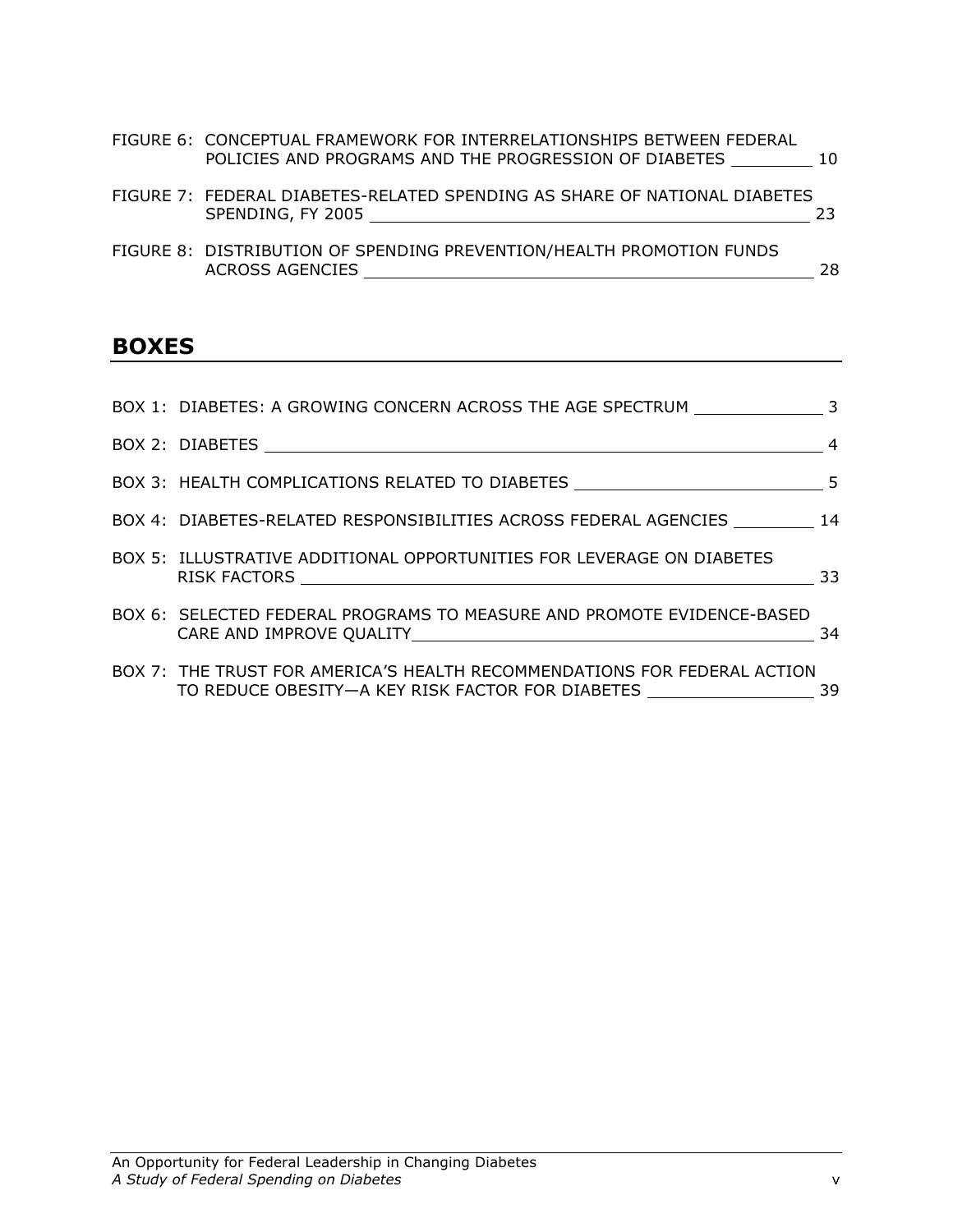| FIGURE 6: CONCEPTUAL FRAMEWORK FOR INTERRELATIONSHIPS BETWEEN FEDERAL<br>POLICIES AND PROGRAMS AND THE PROGRESSION OF DIABETES | 10 |
|--------------------------------------------------------------------------------------------------------------------------------|----|
| FIGURE 7: FEDERAL DIABETES-RELATED SPENDING AS SHARE OF NATIONAL DIABETES                                                      |    |

SPENDING, FY 2005 23

| FIGURE 8:        DISTRIBUTION OF SPENDING PREVENTION/HEALTH PROMOTION FUNDS |  |
|-----------------------------------------------------------------------------|--|
| ACROSS AGENCIES                                                             |  |

## BOXES

| BOX 1: DIABETES: A GROWING CONCERN ACROSS THE AGE SPECTRUM 3                                                                 |     |
|------------------------------------------------------------------------------------------------------------------------------|-----|
|                                                                                                                              | -4  |
|                                                                                                                              |     |
| BOX 4: DIABETES-RELATED RESPONSIBILITIES ACROSS FEDERAL AGENCIES 14                                                          |     |
| BOX 5: ILLUSTRATIVE ADDITIONAL OPPORTUNITIES FOR LEVERAGE ON DIABETES                                                        | 33  |
| BOX 6: SELECTED FEDERAL PROGRAMS TO MEASURE AND PROMOTE EVIDENCE-BASED                                                       | 34  |
| BOX 7: THE TRUST FOR AMERICA'S HEALTH RECOMMENDATIONS FOR FEDERAL ACTION<br>TO REDUCE OBESITY—A KEY RISK FACTOR FOR DIABETES | -39 |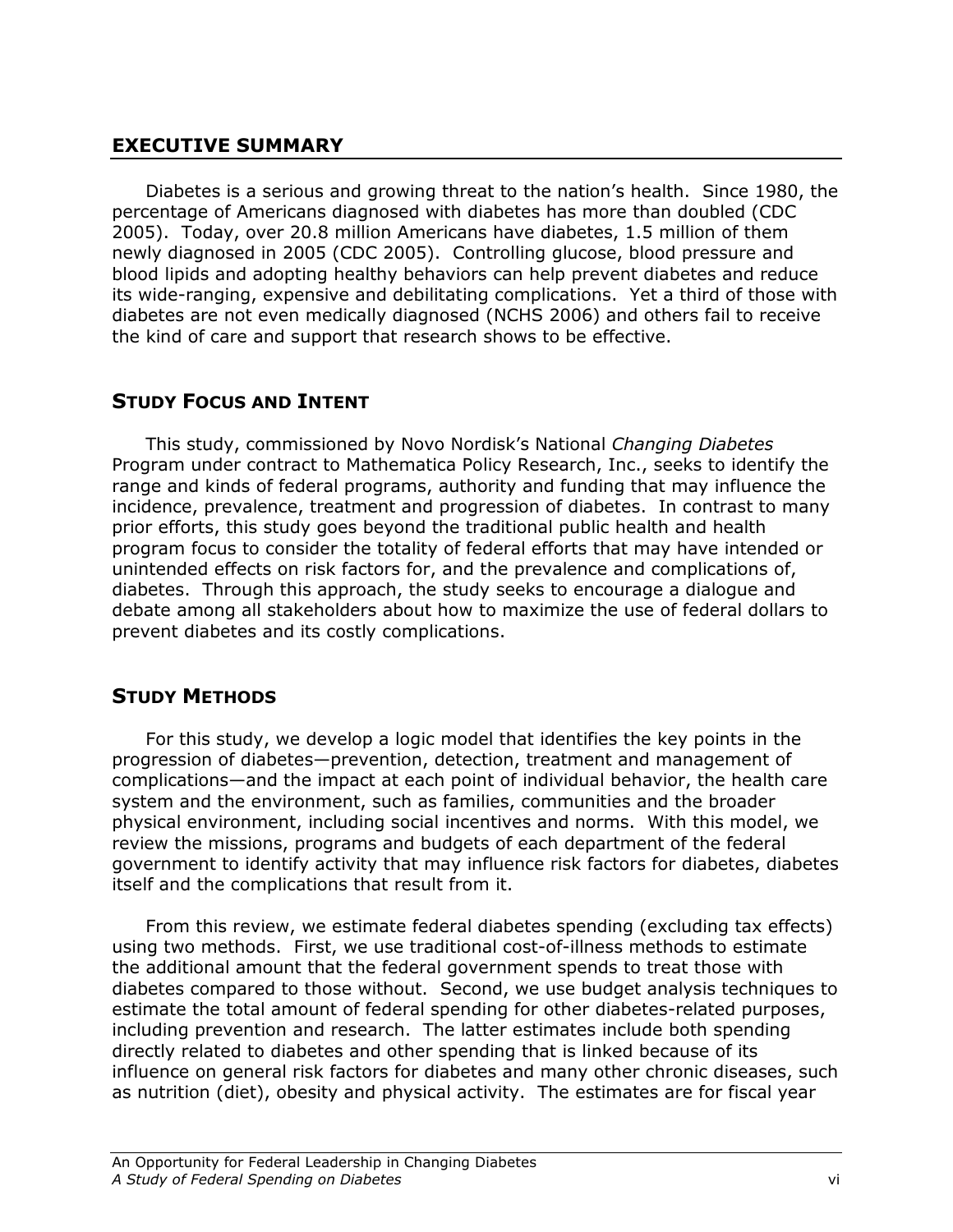## EXECUTIVE SUMMARY

Diabetes is a serious and growing threat to the nation's health. Since 1980, the percentage of Americans diagnosed with diabetes has more than doubled (CDC 2005). Today, over 20.8 million Americans have diabetes, 1.5 million of them newly diagnosed in 2005 (CDC 2005). Controlling glucose, blood pressure and blood lipids and adopting healthy behaviors can help prevent diabetes and reduce its wide-ranging, expensive and debilitating complications. Yet a third of those with diabetes are not even medically diagnosed (NCHS 2006) and others fail to receive the kind of care and support that research shows to be effective.

## STUDY FOCUS AND INTENT

This study, commissioned by Novo Nordisk's National Changing Diabetes Program under contract to Mathematica Policy Research, Inc., seeks to identify the range and kinds of federal programs, authority and funding that may influence the incidence, prevalence, treatment and progression of diabetes. In contrast to many prior efforts, this study goes beyond the traditional public health and health program focus to consider the totality of federal efforts that may have intended or unintended effects on risk factors for, and the prevalence and complications of, diabetes. Through this approach, the study seeks to encourage a dialogue and debate among all stakeholders about how to maximize the use of federal dollars to prevent diabetes and its costly complications.

## STUDY METHODS

For this study, we develop a logic model that identifies the key points in the progression of diabetes—prevention, detection, treatment and management of complications—and the impact at each point of individual behavior, the health care system and the environment, such as families, communities and the broader physical environment, including social incentives and norms. With this model, we review the missions, programs and budgets of each department of the federal government to identify activity that may influence risk factors for diabetes, diabetes itself and the complications that result from it.

From this review, we estimate federal diabetes spending (excluding tax effects) using two methods. First, we use traditional cost-of-illness methods to estimate the additional amount that the federal government spends to treat those with diabetes compared to those without. Second, we use budget analysis techniques to estimate the total amount of federal spending for other diabetes-related purposes, including prevention and research. The latter estimates include both spending directly related to diabetes and other spending that is linked because of its influence on general risk factors for diabetes and many other chronic diseases, such as nutrition (diet), obesity and physical activity. The estimates are for fiscal year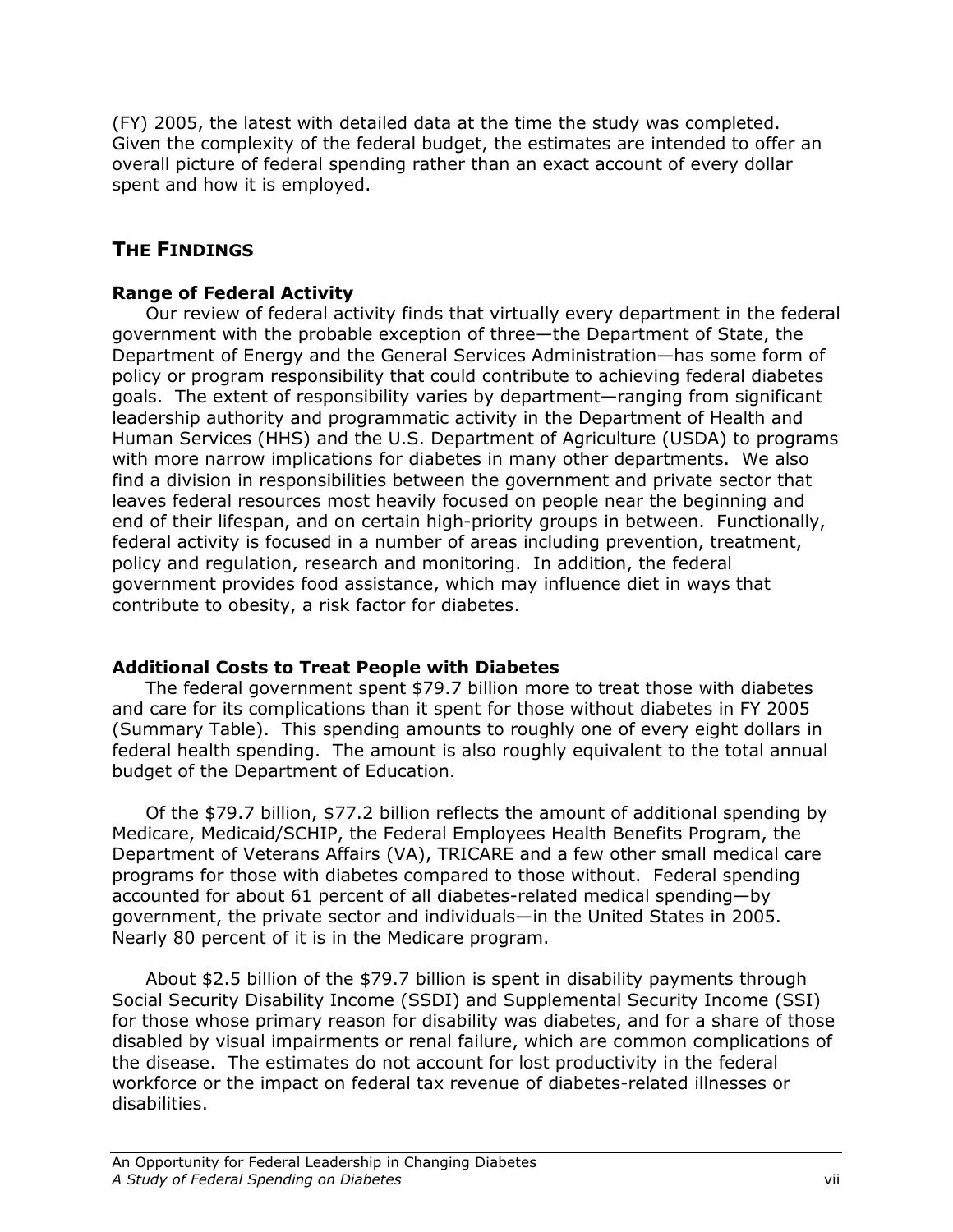(FY) 2005, the latest with detailed data at the time the study was completed. Given the complexity of the federal budget, the estimates are intended to offer an overall picture of federal spending rather than an exact account of every dollar spent and how it is employed.

## THE FINDINGS

## Range of Federal Activity

Our review of federal activity finds that virtually every department in the federal government with the probable exception of three—the Department of State, the Department of Energy and the General Services Administration—has some form of policy or program responsibility that could contribute to achieving federal diabetes goals. The extent of responsibility varies by department—ranging from significant leadership authority and programmatic activity in the Department of Health and Human Services (HHS) and the U.S. Department of Agriculture (USDA) to programs with more narrow implications for diabetes in many other departments. We also find a division in responsibilities between the government and private sector that leaves federal resources most heavily focused on people near the beginning and end of their lifespan, and on certain high-priority groups in between. Functionally, federal activity is focused in a number of areas including prevention, treatment, policy and regulation, research and monitoring. In addition, the federal government provides food assistance, which may influence diet in ways that contribute to obesity, a risk factor for diabetes.

## Additional Costs to Treat People with Diabetes

 The federal government spent \$79.7 billion more to treat those with diabetes and care for its complications than it spent for those without diabetes in FY 2005 (Summary Table). This spending amounts to roughly one of every eight dollars in federal health spending. The amount is also roughly equivalent to the total annual budget of the Department of Education.

Of the \$79.7 billion, \$77.2 billion reflects the amount of additional spending by Medicare, Medicaid/SCHIP, the Federal Employees Health Benefits Program, the Department of Veterans Affairs (VA), TRICARE and a few other small medical care programs for those with diabetes compared to those without. Federal spending accounted for about 61 percent of all diabetes-related medical spending—by government, the private sector and individuals—in the United States in 2005. Nearly 80 percent of it is in the Medicare program.

About \$2.5 billion of the \$79.7 billion is spent in disability payments through Social Security Disability Income (SSDI) and Supplemental Security Income (SSI) for those whose primary reason for disability was diabetes, and for a share of those disabled by visual impairments or renal failure, which are common complications of the disease. The estimates do not account for lost productivity in the federal workforce or the impact on federal tax revenue of diabetes-related illnesses or disabilities.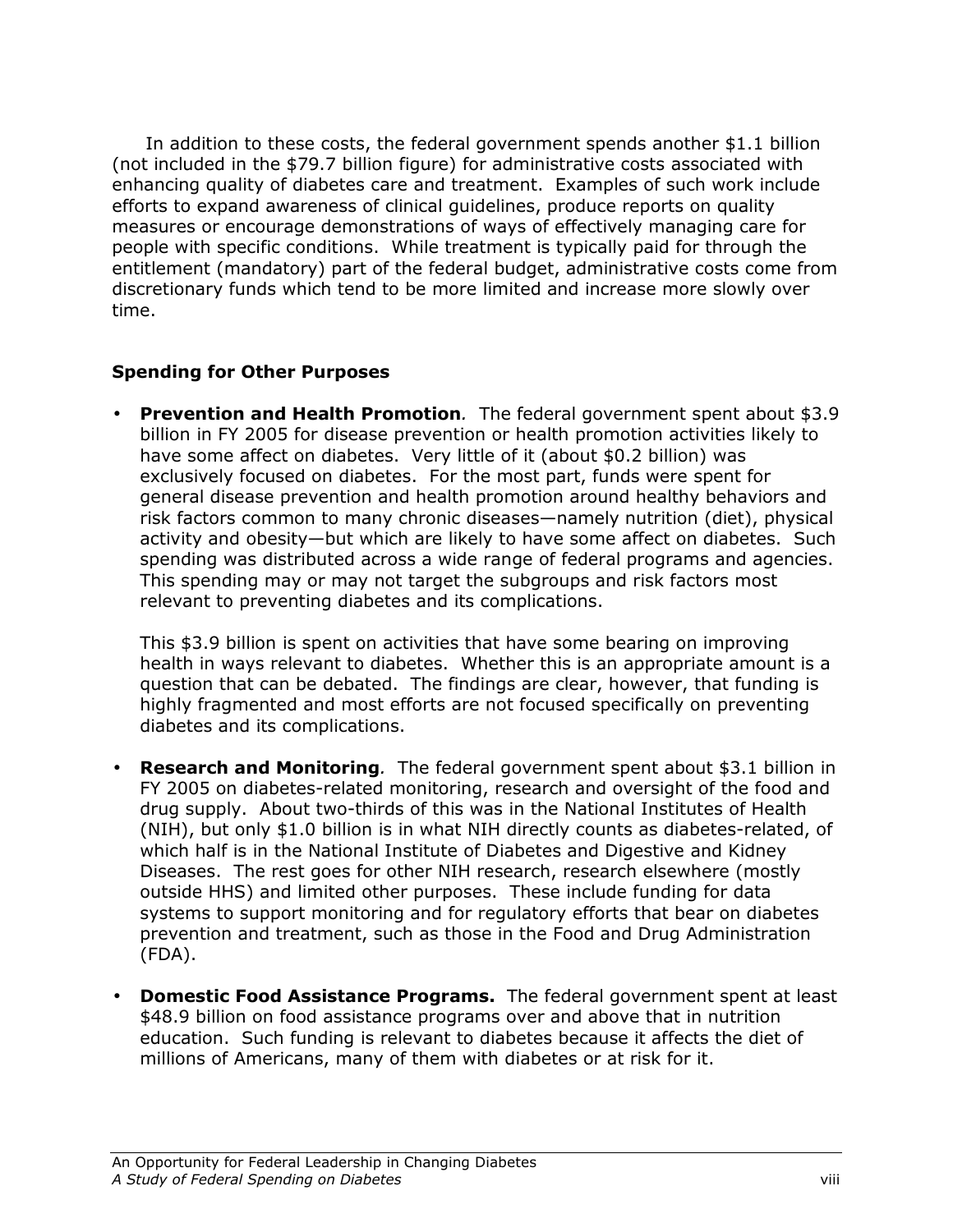In addition to these costs, the federal government spends another \$1.1 billion (not included in the \$79.7 billion figure) for administrative costs associated with enhancing quality of diabetes care and treatment. Examples of such work include efforts to expand awareness of clinical guidelines, produce reports on quality measures or encourage demonstrations of ways of effectively managing care for people with specific conditions. While treatment is typically paid for through the entitlement (mandatory) part of the federal budget, administrative costs come from discretionary funds which tend to be more limited and increase more slowly over time.

## Spending for Other Purposes

• Prevention and Health Promotion. The federal government spent about \$3.9 billion in FY 2005 for disease prevention or health promotion activities likely to have some affect on diabetes. Very little of it (about \$0.2 billion) was exclusively focused on diabetes. For the most part, funds were spent for general disease prevention and health promotion around healthy behaviors and risk factors common to many chronic diseases—namely nutrition (diet), physical activity and obesity—but which are likely to have some affect on diabetes. Such spending was distributed across a wide range of federal programs and agencies. This spending may or may not target the subgroups and risk factors most relevant to preventing diabetes and its complications.

This \$3.9 billion is spent on activities that have some bearing on improving health in ways relevant to diabetes. Whether this is an appropriate amount is a question that can be debated. The findings are clear, however, that funding is highly fragmented and most efforts are not focused specifically on preventing diabetes and its complications.

- **Research and Monitoring**. The federal government spent about \$3.1 billion in FY 2005 on diabetes-related monitoring, research and oversight of the food and drug supply. About two-thirds of this was in the National Institutes of Health (NIH), but only \$1.0 billion is in what NIH directly counts as diabetes-related, of which half is in the National Institute of Diabetes and Digestive and Kidney Diseases. The rest goes for other NIH research, research elsewhere (mostly outside HHS) and limited other purposes. These include funding for data systems to support monitoring and for regulatory efforts that bear on diabetes prevention and treatment, such as those in the Food and Drug Administration (FDA).
- Domestic Food Assistance Programs. The federal government spent at least \$48.9 billion on food assistance programs over and above that in nutrition education. Such funding is relevant to diabetes because it affects the diet of millions of Americans, many of them with diabetes or at risk for it.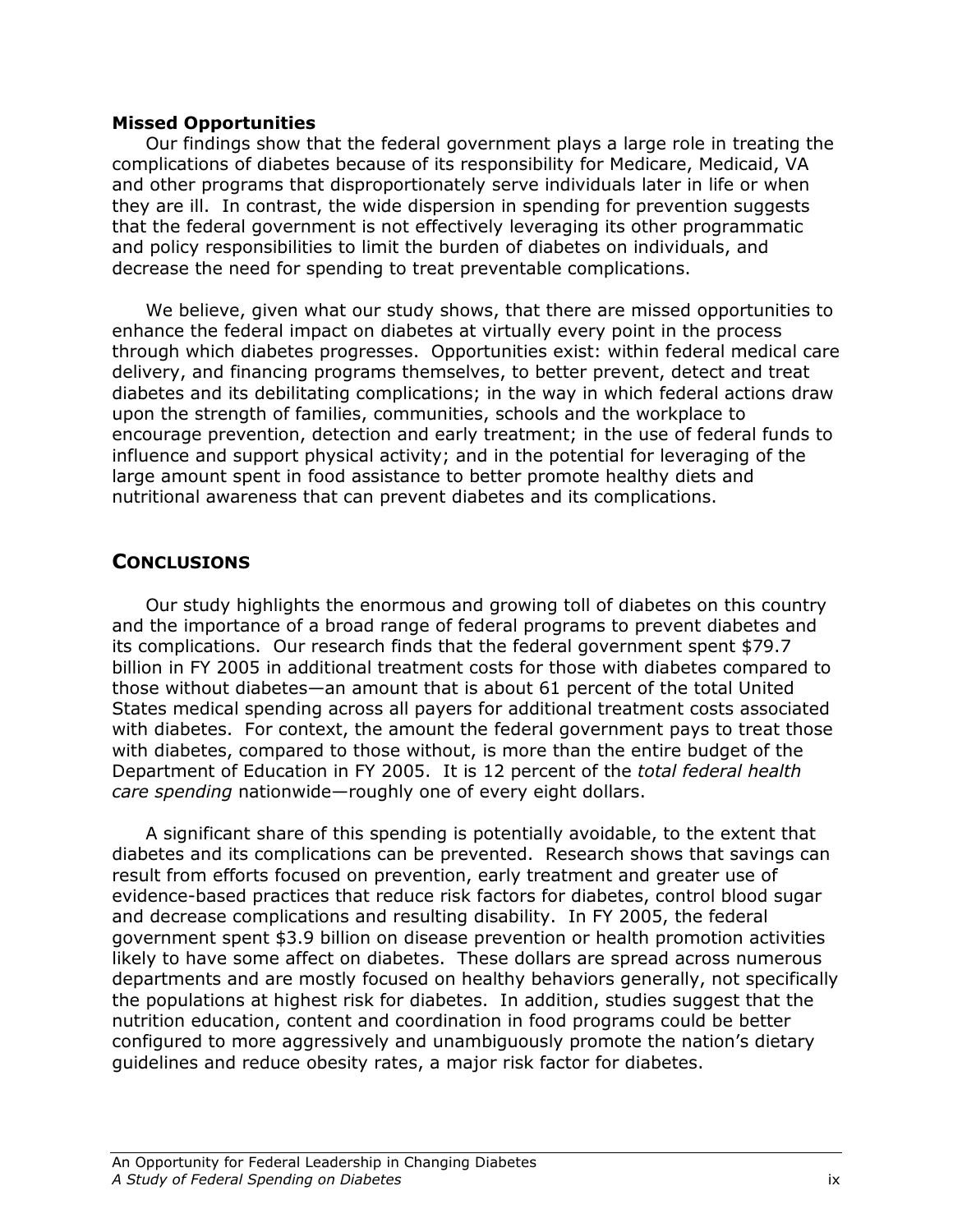### Missed Opportunities

Our findings show that the federal government plays a large role in treating the complications of diabetes because of its responsibility for Medicare, Medicaid, VA and other programs that disproportionately serve individuals later in life or when they are ill. In contrast, the wide dispersion in spending for prevention suggests that the federal government is not effectively leveraging its other programmatic and policy responsibilities to limit the burden of diabetes on individuals, and decrease the need for spending to treat preventable complications.

We believe, given what our study shows, that there are missed opportunities to enhance the federal impact on diabetes at virtually every point in the process through which diabetes progresses. Opportunities exist: within federal medical care delivery, and financing programs themselves, to better prevent, detect and treat diabetes and its debilitating complications; in the way in which federal actions draw upon the strength of families, communities, schools and the workplace to encourage prevention, detection and early treatment; in the use of federal funds to influence and support physical activity; and in the potential for leveraging of the large amount spent in food assistance to better promote healthy diets and nutritional awareness that can prevent diabetes and its complications.

## **CONCLUSIONS**

Our study highlights the enormous and growing toll of diabetes on this country and the importance of a broad range of federal programs to prevent diabetes and its complications. Our research finds that the federal government spent \$79.7 billion in FY 2005 in additional treatment costs for those with diabetes compared to those without diabetes—an amount that is about 61 percent of the total United States medical spending across all payers for additional treatment costs associated with diabetes. For context, the amount the federal government pays to treat those with diabetes, compared to those without, is more than the entire budget of the Department of Education in FY 2005. It is 12 percent of the total federal health care spending nationwide—roughly one of every eight dollars.

A significant share of this spending is potentially avoidable, to the extent that diabetes and its complications can be prevented. Research shows that savings can result from efforts focused on prevention, early treatment and greater use of evidence-based practices that reduce risk factors for diabetes, control blood sugar and decrease complications and resulting disability. In FY 2005, the federal government spent \$3.9 billion on disease prevention or health promotion activities likely to have some affect on diabetes. These dollars are spread across numerous departments and are mostly focused on healthy behaviors generally, not specifically the populations at highest risk for diabetes. In addition, studies suggest that the nutrition education, content and coordination in food programs could be better configured to more aggressively and unambiguously promote the nation's dietary guidelines and reduce obesity rates, a major risk factor for diabetes.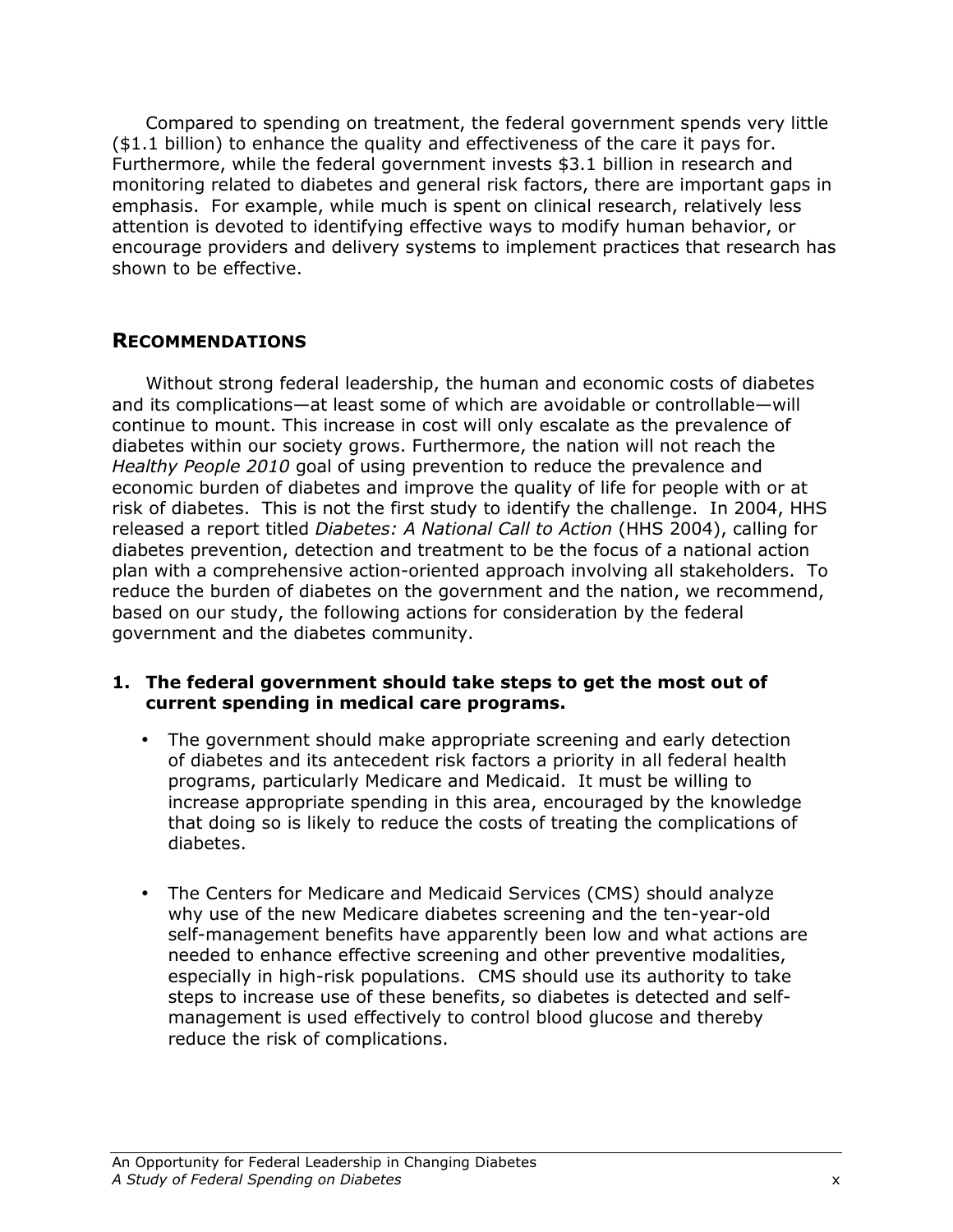Compared to spending on treatment, the federal government spends very little (\$1.1 billion) to enhance the quality and effectiveness of the care it pays for. Furthermore, while the federal government invests \$3.1 billion in research and monitoring related to diabetes and general risk factors, there are important gaps in emphasis. For example, while much is spent on clinical research, relatively less attention is devoted to identifying effective ways to modify human behavior, or encourage providers and delivery systems to implement practices that research has shown to be effective.

## RECOMMENDATIONS

Without strong federal leadership, the human and economic costs of diabetes and its complications—at least some of which are avoidable or controllable—will continue to mount. This increase in cost will only escalate as the prevalence of diabetes within our society grows. Furthermore, the nation will not reach the Healthy People 2010 goal of using prevention to reduce the prevalence and economic burden of diabetes and improve the quality of life for people with or at risk of diabetes. This is not the first study to identify the challenge. In 2004, HHS released a report titled Diabetes: A National Call to Action (HHS 2004), calling for diabetes prevention, detection and treatment to be the focus of a national action plan with a comprehensive action-oriented approach involving all stakeholders. To reduce the burden of diabetes on the government and the nation, we recommend, based on our study, the following actions for consideration by the federal government and the diabetes community.

### 1. The federal government should take steps to get the most out of current spending in medical care programs.

- The government should make appropriate screening and early detection of diabetes and its antecedent risk factors a priority in all federal health programs, particularly Medicare and Medicaid. It must be willing to increase appropriate spending in this area, encouraged by the knowledge that doing so is likely to reduce the costs of treating the complications of diabetes.
- The Centers for Medicare and Medicaid Services (CMS) should analyze why use of the new Medicare diabetes screening and the ten-year-old self-management benefits have apparently been low and what actions are needed to enhance effective screening and other preventive modalities, especially in high-risk populations. CMS should use its authority to take steps to increase use of these benefits, so diabetes is detected and selfmanagement is used effectively to control blood glucose and thereby reduce the risk of complications.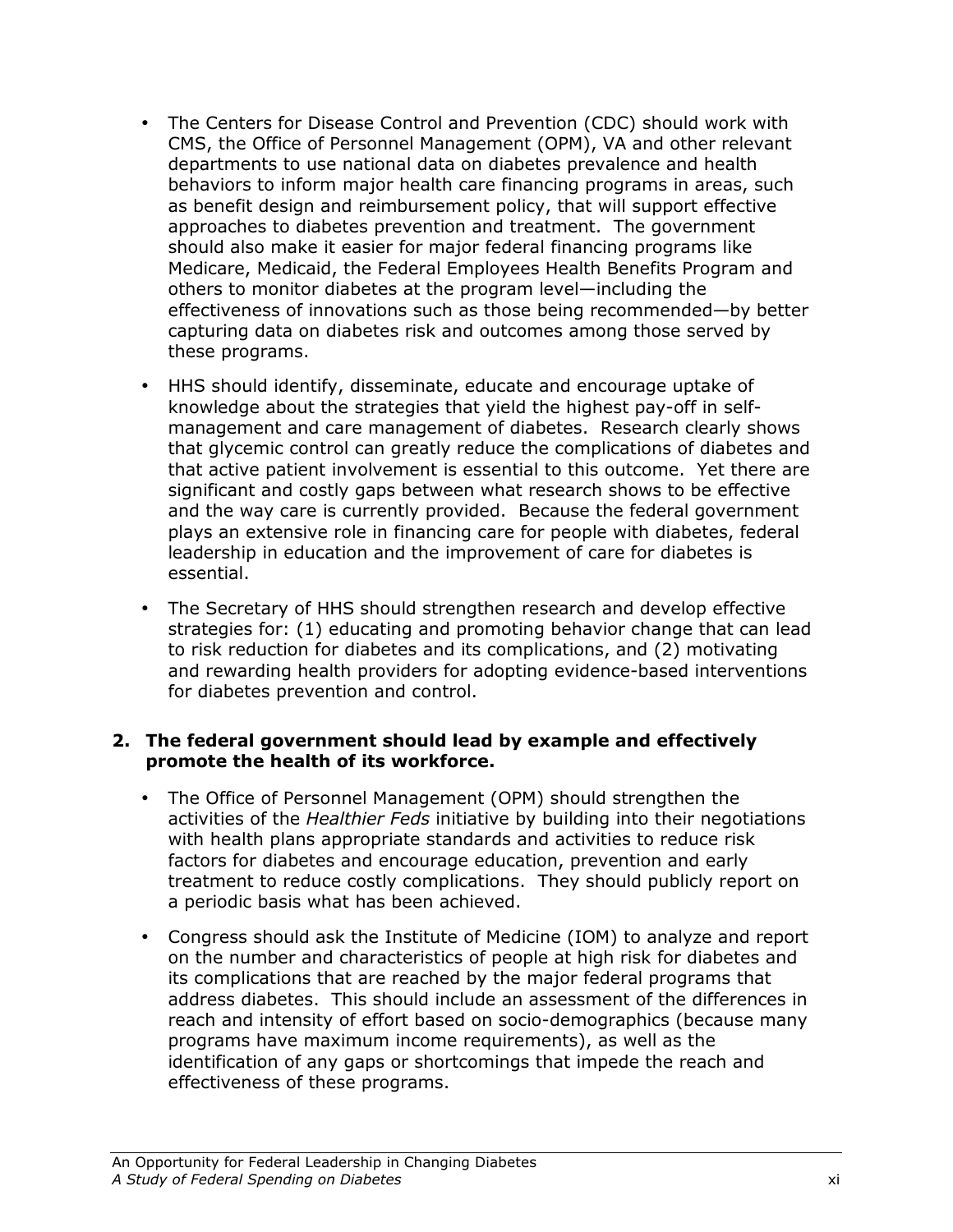- The Centers for Disease Control and Prevention (CDC) should work with CMS, the Office of Personnel Management (OPM), VA and other relevant departments to use national data on diabetes prevalence and health behaviors to inform major health care financing programs in areas, such as benefit design and reimbursement policy, that will support effective approaches to diabetes prevention and treatment. The government should also make it easier for major federal financing programs like Medicare, Medicaid, the Federal Employees Health Benefits Program and others to monitor diabetes at the program level—including the effectiveness of innovations such as those being recommended—by better capturing data on diabetes risk and outcomes among those served by these programs.
- HHS should identify, disseminate, educate and encourage uptake of knowledge about the strategies that yield the highest pay-off in selfmanagement and care management of diabetes. Research clearly shows that glycemic control can greatly reduce the complications of diabetes and that active patient involvement is essential to this outcome. Yet there are significant and costly gaps between what research shows to be effective and the way care is currently provided. Because the federal government plays an extensive role in financing care for people with diabetes, federal leadership in education and the improvement of care for diabetes is essential.
- The Secretary of HHS should strengthen research and develop effective strategies for: (1) educating and promoting behavior change that can lead to risk reduction for diabetes and its complications, and (2) motivating and rewarding health providers for adopting evidence-based interventions for diabetes prevention and control.

## 2. The federal government should lead by example and effectively promote the health of its workforce.

- The Office of Personnel Management (OPM) should strengthen the activities of the *Healthier Feds* initiative by building into their negotiations with health plans appropriate standards and activities to reduce risk factors for diabetes and encourage education, prevention and early treatment to reduce costly complications. They should publicly report on a periodic basis what has been achieved.
- Congress should ask the Institute of Medicine (IOM) to analyze and report on the number and characteristics of people at high risk for diabetes and its complications that are reached by the major federal programs that address diabetes. This should include an assessment of the differences in reach and intensity of effort based on socio-demographics (because many programs have maximum income requirements), as well as the identification of any gaps or shortcomings that impede the reach and effectiveness of these programs.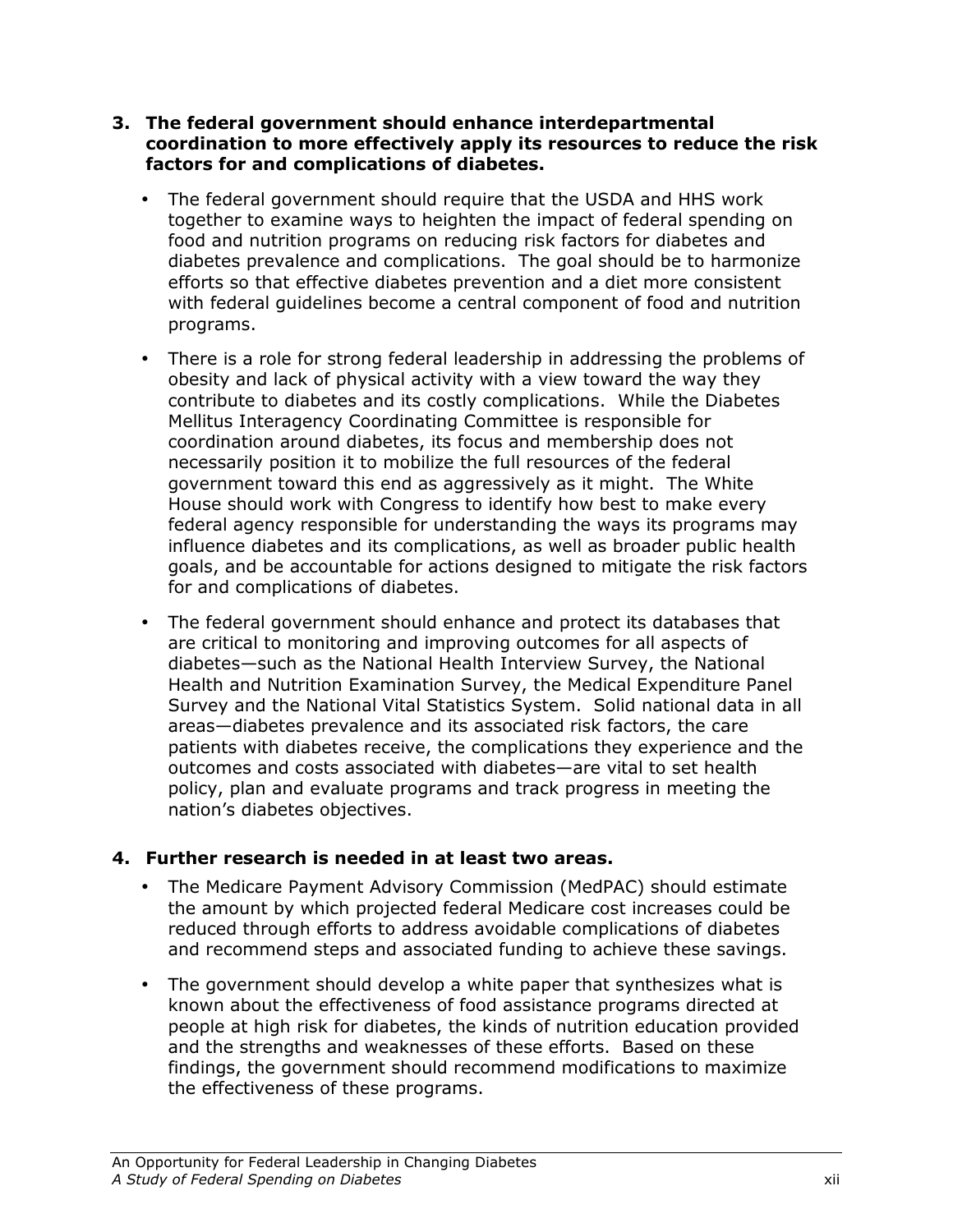- 3. The federal government should enhance interdepartmental coordination to more effectively apply its resources to reduce the risk factors for and complications of diabetes.
	- The federal government should require that the USDA and HHS work together to examine ways to heighten the impact of federal spending on food and nutrition programs on reducing risk factors for diabetes and diabetes prevalence and complications. The goal should be to harmonize efforts so that effective diabetes prevention and a diet more consistent with federal guidelines become a central component of food and nutrition programs.
	- There is a role for strong federal leadership in addressing the problems of obesity and lack of physical activity with a view toward the way they contribute to diabetes and its costly complications. While the Diabetes Mellitus Interagency Coordinating Committee is responsible for coordination around diabetes, its focus and membership does not necessarily position it to mobilize the full resources of the federal government toward this end as aggressively as it might. The White House should work with Congress to identify how best to make every federal agency responsible for understanding the ways its programs may influence diabetes and its complications, as well as broader public health goals, and be accountable for actions designed to mitigate the risk factors for and complications of diabetes.
	- The federal government should enhance and protect its databases that are critical to monitoring and improving outcomes for all aspects of diabetes—such as the National Health Interview Survey, the National Health and Nutrition Examination Survey, the Medical Expenditure Panel Survey and the National Vital Statistics System. Solid national data in all areas—diabetes prevalence and its associated risk factors, the care patients with diabetes receive, the complications they experience and the outcomes and costs associated with diabetes—are vital to set health policy, plan and evaluate programs and track progress in meeting the nation's diabetes objectives.

## 4. Further research is needed in at least two areas.

- The Medicare Payment Advisory Commission (MedPAC) should estimate the amount by which projected federal Medicare cost increases could be reduced through efforts to address avoidable complications of diabetes and recommend steps and associated funding to achieve these savings.
- The government should develop a white paper that synthesizes what is known about the effectiveness of food assistance programs directed at people at high risk for diabetes, the kinds of nutrition education provided and the strengths and weaknesses of these efforts. Based on these findings, the government should recommend modifications to maximize the effectiveness of these programs.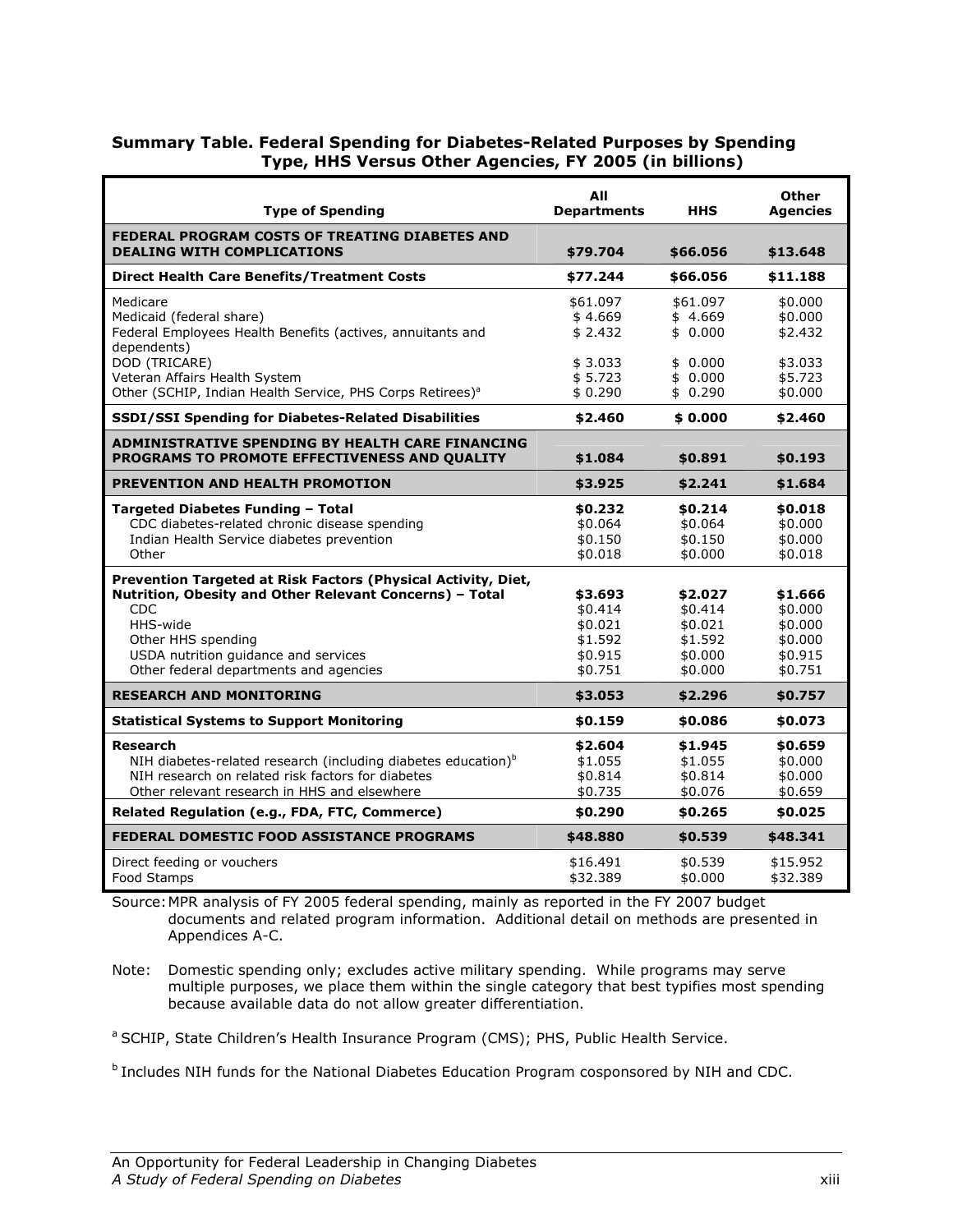### Summary Table. Federal Spending for Diabetes-Related Purposes by Spending Type, HHS Versus Other Agencies, FY 2005 (in billions)

| <b>Type of Spending</b>                                                                                                                                                                                                                              | All<br><b>Departments</b>                                       | <b>HHS</b>                                                      | Other<br><b>Agencies</b>                                       |
|------------------------------------------------------------------------------------------------------------------------------------------------------------------------------------------------------------------------------------------------------|-----------------------------------------------------------------|-----------------------------------------------------------------|----------------------------------------------------------------|
| FEDERAL PROGRAM COSTS OF TREATING DIABETES AND<br><b>DEALING WITH COMPLICATIONS</b>                                                                                                                                                                  | \$79.704                                                        | \$66.056                                                        | \$13.648                                                       |
| <b>Direct Health Care Benefits/Treatment Costs</b>                                                                                                                                                                                                   | \$77.244                                                        | \$66.056                                                        | \$11.188                                                       |
| Medicare<br>Medicaid (federal share)<br>Federal Employees Health Benefits (actives, annuitants and<br>dependents)<br>DOD (TRICARE)<br>Veteran Affairs Health System<br>Other (SCHIP, Indian Health Service, PHS Corps Retirees) <sup>a</sup>         | \$61.097<br>\$4.669<br>\$2.432<br>\$3.033<br>\$5.723<br>\$0.290 | \$61.097<br>\$4.669<br>\$0.000<br>\$0.000<br>\$0.000<br>\$0.290 | \$0.000<br>\$0.000<br>\$2.432<br>\$3.033<br>\$5.723<br>\$0.000 |
| SSDI/SSI Spending for Diabetes-Related Disabilities                                                                                                                                                                                                  | \$2.460                                                         | \$0.000                                                         | \$2.460                                                        |
| ADMINISTRATIVE SPENDING BY HEALTH CARE FINANCING<br><b>PROGRAMS TO PROMOTE EFFECTIVENESS AND OUALITY</b>                                                                                                                                             | \$1.084                                                         | \$0.891                                                         | \$0.193                                                        |
| <b>PREVENTION AND HEALTH PROMOTION</b>                                                                                                                                                                                                               | \$3.925                                                         | \$2.241                                                         | \$1.684                                                        |
| Targeted Diabetes Funding - Total<br>CDC diabetes-related chronic disease spending<br>Indian Health Service diabetes prevention<br>Other                                                                                                             | \$0.232<br>\$0.064<br>\$0.150<br>\$0.018                        | \$0.214<br>\$0.064<br>\$0.150<br>\$0.000                        | \$0.018<br>\$0.000<br>\$0.000<br>\$0.018                       |
| Prevention Targeted at Risk Factors (Physical Activity, Diet,<br>Nutrition, Obesity and Other Relevant Concerns) - Total<br>CDC.<br>HHS-wide<br>Other HHS spending<br>USDA nutrition guidance and services<br>Other federal departments and agencies | \$3.693<br>\$0.414<br>\$0.021<br>\$1.592<br>\$0.915<br>\$0.751  | \$2.027<br>\$0.414<br>\$0.021<br>\$1.592<br>\$0.000<br>\$0.000  | \$1.666<br>\$0.000<br>\$0.000<br>\$0.000<br>\$0.915<br>\$0.751 |
| <b>RESEARCH AND MONITORING</b>                                                                                                                                                                                                                       | \$3.053                                                         | \$2.296                                                         | \$0.757                                                        |
| <b>Statistical Systems to Support Monitoring</b>                                                                                                                                                                                                     | \$0.159                                                         | \$0.086                                                         | \$0.073                                                        |
| Research<br>NIH diabetes-related research (including diabetes education) <sup>b</sup><br>NIH research on related risk factors for diabetes<br>Other relevant research in HHS and elsewhere                                                           | \$2.604<br>\$1.055<br>\$0.814<br>\$0.735                        | \$1.945<br>\$1.055<br>\$0.814<br>\$0.076                        | \$0.659<br>\$0.000<br>\$0.000<br>\$0.659                       |
| Related Regulation (e.g., FDA, FTC, Commerce)                                                                                                                                                                                                        | \$0.290                                                         | \$0.265                                                         | \$0.025                                                        |
| FEDERAL DOMESTIC FOOD ASSISTANCE PROGRAMS                                                                                                                                                                                                            | \$48.880                                                        | \$0.539                                                         | \$48.341                                                       |
| Direct feeding or vouchers<br>Food Stamps                                                                                                                                                                                                            | \$16.491<br>\$32.389                                            | \$0.539<br>\$0.000                                              | \$15.952<br>\$32.389                                           |

Source: MPR analysis of FY 2005 federal spending, mainly as reported in the FY 2007 budget documents and related program information. Additional detail on methods are presented in Appendices A-C.

Note: Domestic spending only; excludes active military spending. While programs may serve multiple purposes, we place them within the single category that best typifies most spending because available data do not allow greater differentiation.

<sup>a</sup> SCHIP, State Children's Health Insurance Program (CMS); PHS, Public Health Service.

**b** Includes NIH funds for the National Diabetes Education Program cosponsored by NIH and CDC.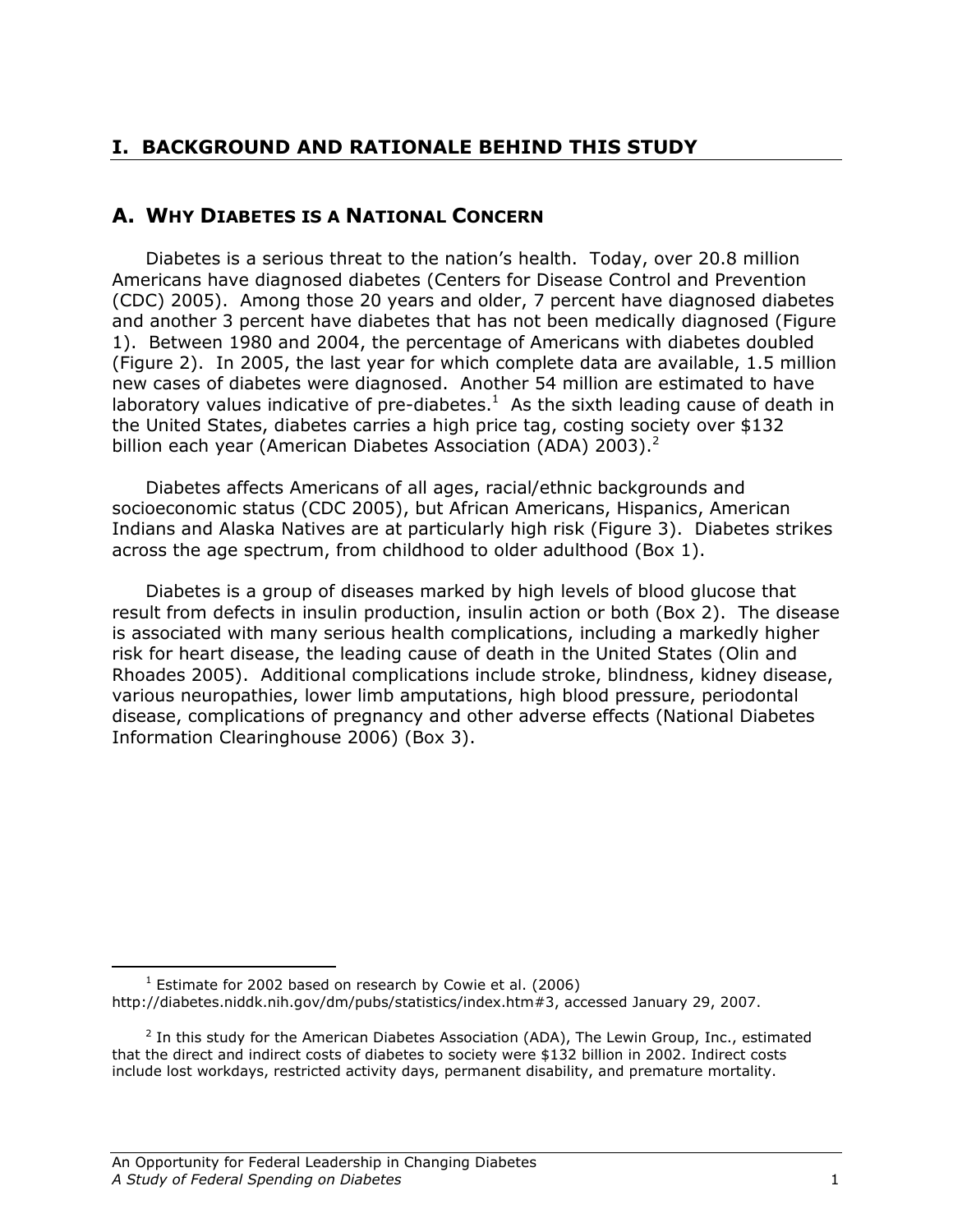## I. BACKGROUND AND RATIONALE BEHIND THIS STUDY

## A. WHY DIABETES IS A NATIONAL CONCERN

Diabetes is a serious threat to the nation's health. Today, over 20.8 million Americans have diagnosed diabetes (Centers for Disease Control and Prevention (CDC) 2005). Among those 20 years and older, 7 percent have diagnosed diabetes and another 3 percent have diabetes that has not been medically diagnosed (Figure 1). Between 1980 and 2004, the percentage of Americans with diabetes doubled (Figure 2). In 2005, the last year for which complete data are available, 1.5 million new cases of diabetes were diagnosed. Another 54 million are estimated to have laboratory values indicative of pre-diabetes.<sup>1</sup> As the sixth leading cause of death in the United States, diabetes carries a high price tag, costing society over \$132 billion each year (American Diabetes Association (ADA) 2003).<sup>2</sup>

Diabetes affects Americans of all ages, racial/ethnic backgrounds and socioeconomic status (CDC 2005), but African Americans, Hispanics, American Indians and Alaska Natives are at particularly high risk (Figure 3). Diabetes strikes across the age spectrum, from childhood to older adulthood (Box 1).

Diabetes is a group of diseases marked by high levels of blood glucose that result from defects in insulin production, insulin action or both (Box 2). The disease is associated with many serious health complications, including a markedly higher risk for heart disease, the leading cause of death in the United States (Olin and Rhoades 2005). Additional complications include stroke, blindness, kidney disease, various neuropathies, lower limb amputations, high blood pressure, periodontal disease, complications of pregnancy and other adverse effects (National Diabetes Information Clearinghouse 2006) (Box 3).

<u>.</u>

 $1$  Estimate for 2002 based on research by Cowie et al. (2006) http://diabetes.niddk.nih.gov/dm/pubs/statistics/index.htm#3, accessed January 29, 2007.

<sup>&</sup>lt;sup>2</sup> In this study for the American Diabetes Association (ADA), The Lewin Group, Inc., estimated that the direct and indirect costs of diabetes to society were \$132 billion in 2002. Indirect costs include lost workdays, restricted activity days, permanent disability, and premature mortality.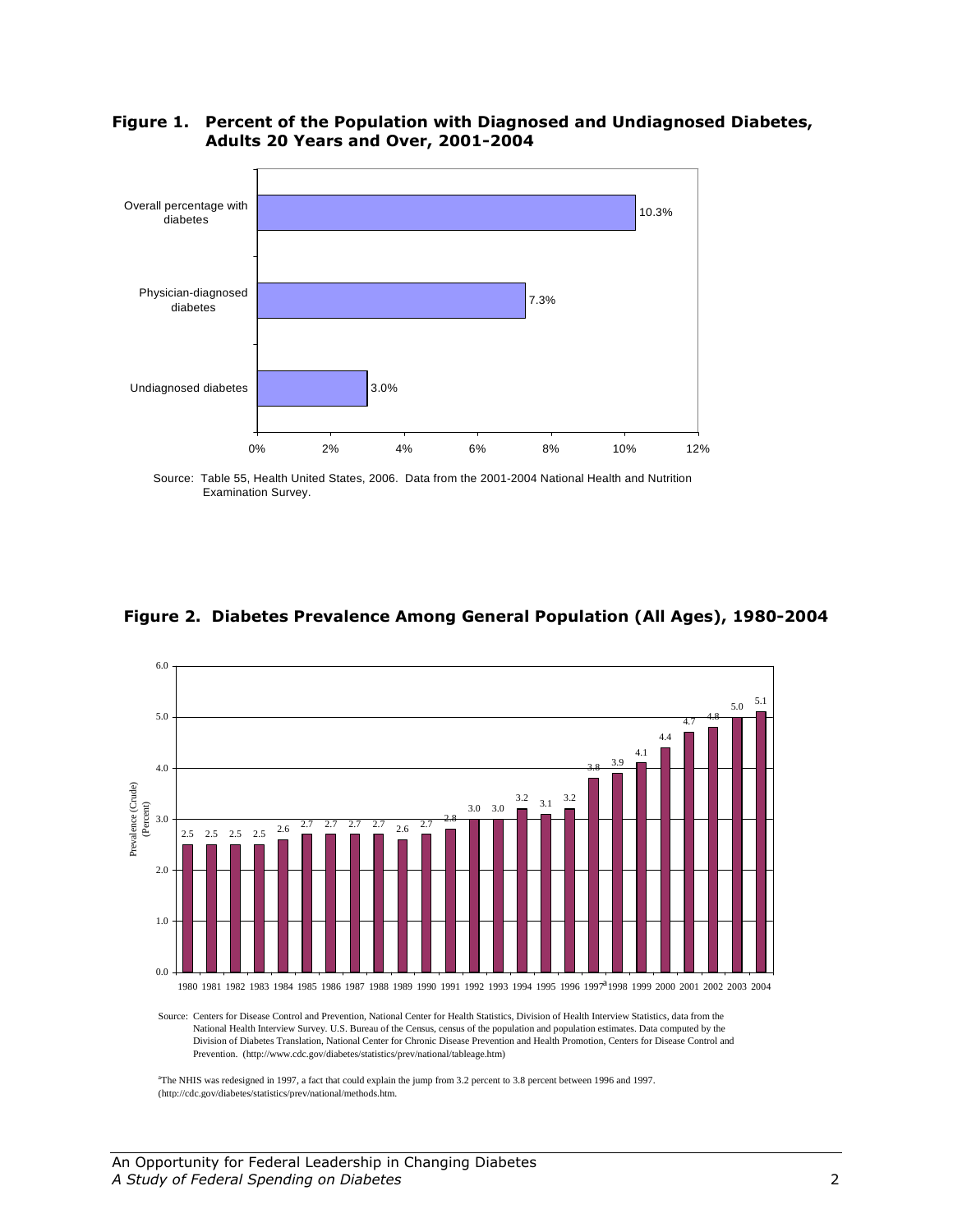

### Figure 1. Percent of the Population with Diagnosed and Undiagnosed Diabetes, Adults 20 Years and Over, 2001-2004

Source: Table 55, Health United States, 2006. Data from the 2001-2004 National Health and Nutrition Examination Survey.

### Figure 2. Diabetes Prevalence Among General Population (All Ages), 1980-2004



Source: Centers for Disease Control and Prevention, National Center for Health Statistics, Division of Health Interview Statistics, data from the National Health Interview Survey. U.S. Bureau of the Census, census of the population and population estimates. Data computed by the Division of Diabetes Translation, National Center for Chronic Disease Prevention and Health Promotion, Centers for Disease Control and Prevention. (http://www.cdc.gov/diabetes/statistics/prev/national/tableage.htm)

a The NHIS was redesigned in 1997, a fact that could explain the jump from 3.2 percent to 3.8 percent between 1996 and 1997. (http://cdc.gov/diabetes/statistics/prev/national/methods.htm.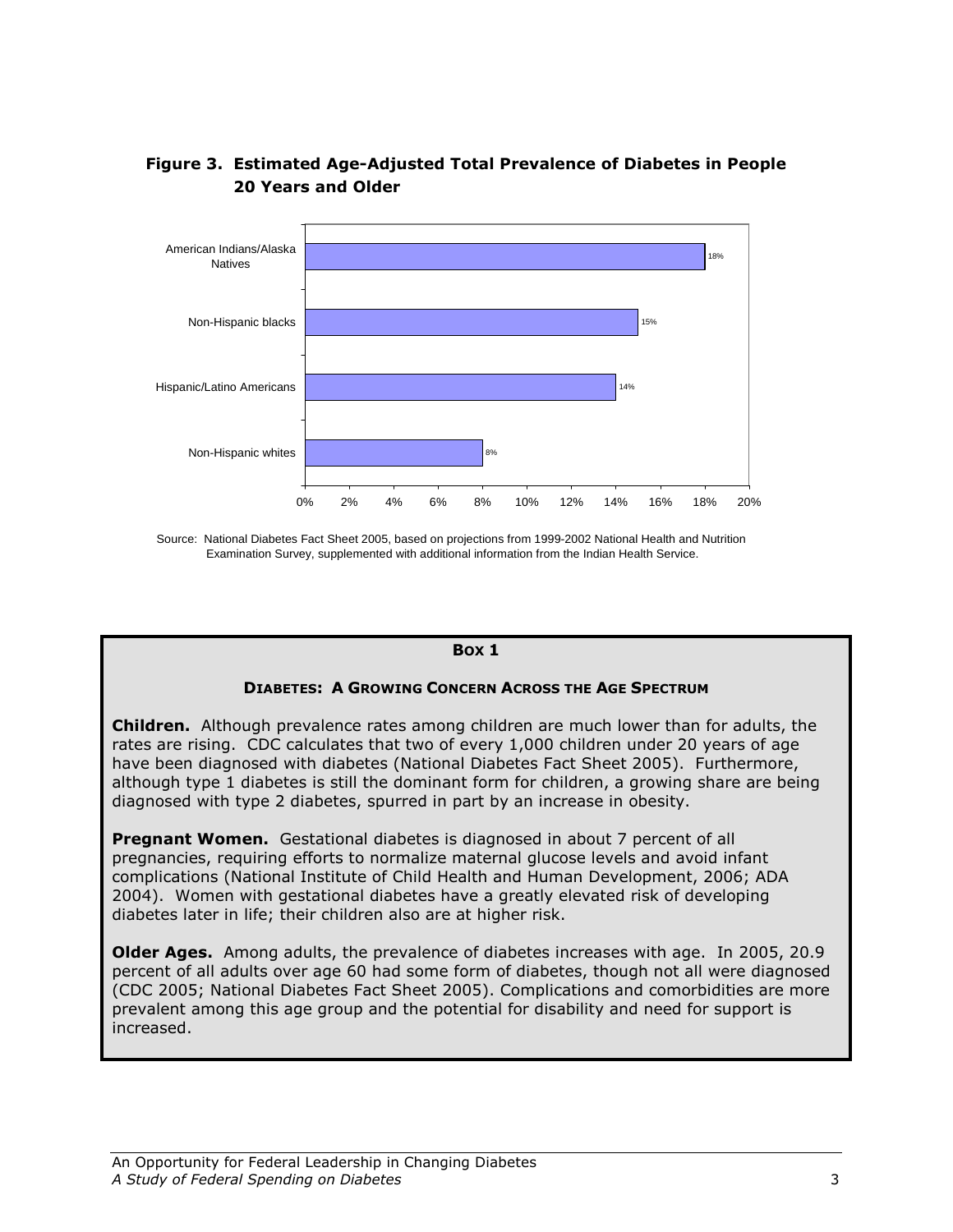

## Figure 3. Estimated Age-Adjusted Total Prevalence of Diabetes in People 20 Years and Older

Source: National Diabetes Fact Sheet 2005, based on projections from 1999-2002 National Health and Nutrition Examination Survey, supplemented with additional information from the Indian Health Service.

### BOX 1

### DIABETES: A GROWING CONCERN ACROSS THE AGE SPECTRUM

**Children.** Although prevalence rates among children are much lower than for adults, the rates are rising. CDC calculates that two of every 1,000 children under 20 years of age have been diagnosed with diabetes (National Diabetes Fact Sheet 2005). Furthermore, although type 1 diabetes is still the dominant form for children, a growing share are being diagnosed with type 2 diabetes, spurred in part by an increase in obesity.

**Pregnant Women.** Gestational diabetes is diagnosed in about 7 percent of all pregnancies, requiring efforts to normalize maternal glucose levels and avoid infant complications (National Institute of Child Health and Human Development, 2006; ADA 2004). Women with gestational diabetes have a greatly elevated risk of developing diabetes later in life; their children also are at higher risk.

**Older Ages.** Among adults, the prevalence of diabetes increases with age. In 2005, 20.9 percent of all adults over age 60 had some form of diabetes, though not all were diagnosed (CDC 2005; National Diabetes Fact Sheet 2005). Complications and comorbidities are more prevalent among this age group and the potential for disability and need for support is increased.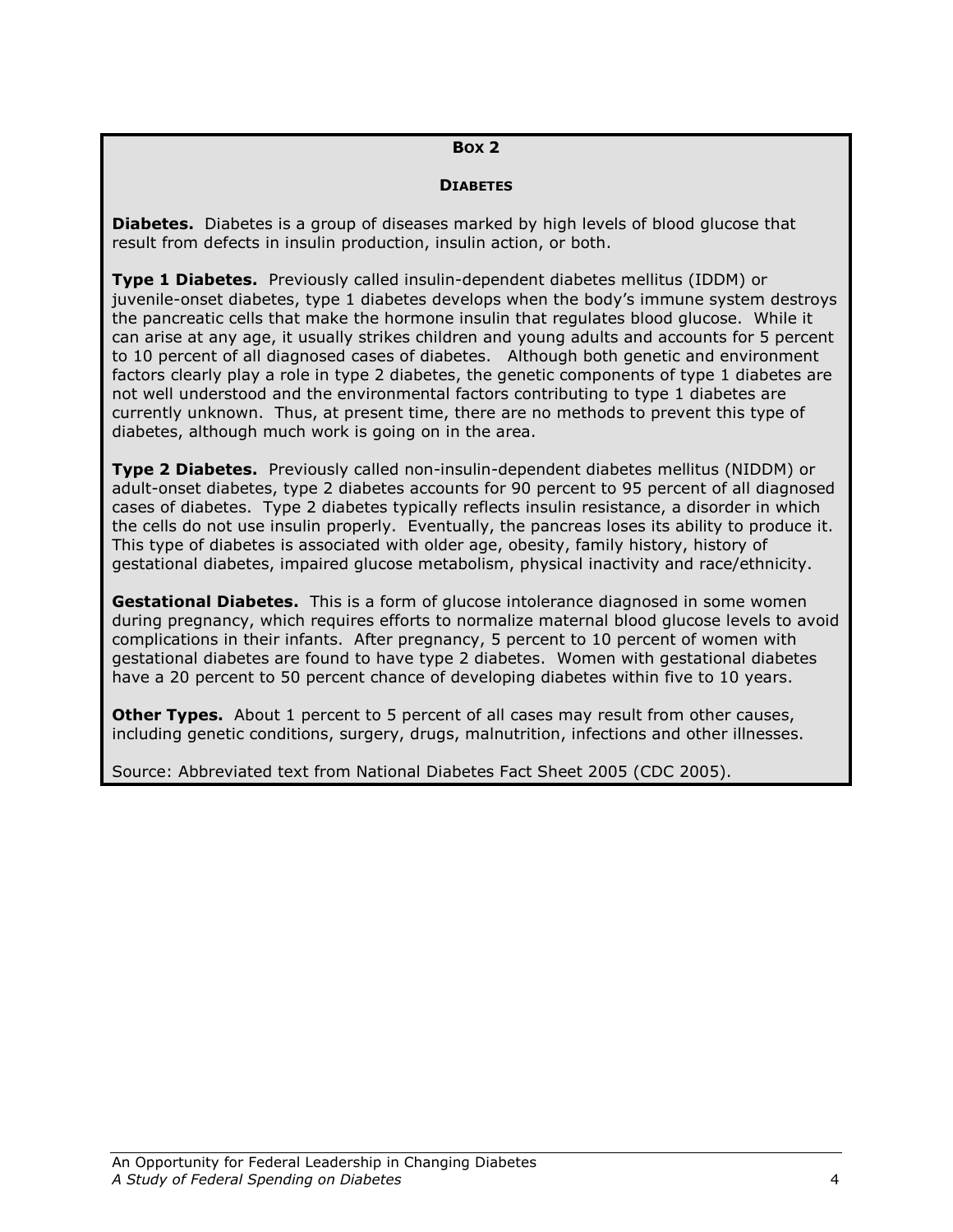### BOX 2

### **DIABETES**

**Diabetes.** Diabetes is a group of diseases marked by high levels of blood glucose that result from defects in insulin production, insulin action, or both.

Type 1 Diabetes. Previously called insulin-dependent diabetes mellitus (IDDM) or juvenile-onset diabetes, type 1 diabetes develops when the body's immune system destroys the pancreatic cells that make the hormone insulin that regulates blood glucose. While it can arise at any age, it usually strikes children and young adults and accounts for 5 percent to 10 percent of all diagnosed cases of diabetes. Although both genetic and environment factors clearly play a role in type 2 diabetes, the genetic components of type 1 diabetes are not well understood and the environmental factors contributing to type 1 diabetes are currently unknown. Thus, at present time, there are no methods to prevent this type of diabetes, although much work is going on in the area.

Type 2 Diabetes. Previously called non-insulin-dependent diabetes mellitus (NIDDM) or adult-onset diabetes, type 2 diabetes accounts for 90 percent to 95 percent of all diagnosed cases of diabetes. Type 2 diabetes typically reflects insulin resistance, a disorder in which the cells do not use insulin properly. Eventually, the pancreas loses its ability to produce it. This type of diabetes is associated with older age, obesity, family history, history of gestational diabetes, impaired glucose metabolism, physical inactivity and race/ethnicity.

**Gestational Diabetes.** This is a form of glucose intolerance diagnosed in some women during pregnancy, which requires efforts to normalize maternal blood glucose levels to avoid complications in their infants. After pregnancy, 5 percent to 10 percent of women with gestational diabetes are found to have type 2 diabetes. Women with gestational diabetes have a 20 percent to 50 percent chance of developing diabetes within five to 10 years.

**Other Types.** About 1 percent to 5 percent of all cases may result from other causes, including genetic conditions, surgery, drugs, malnutrition, infections and other illnesses.

Source: Abbreviated text from National Diabetes Fact Sheet 2005 (CDC 2005).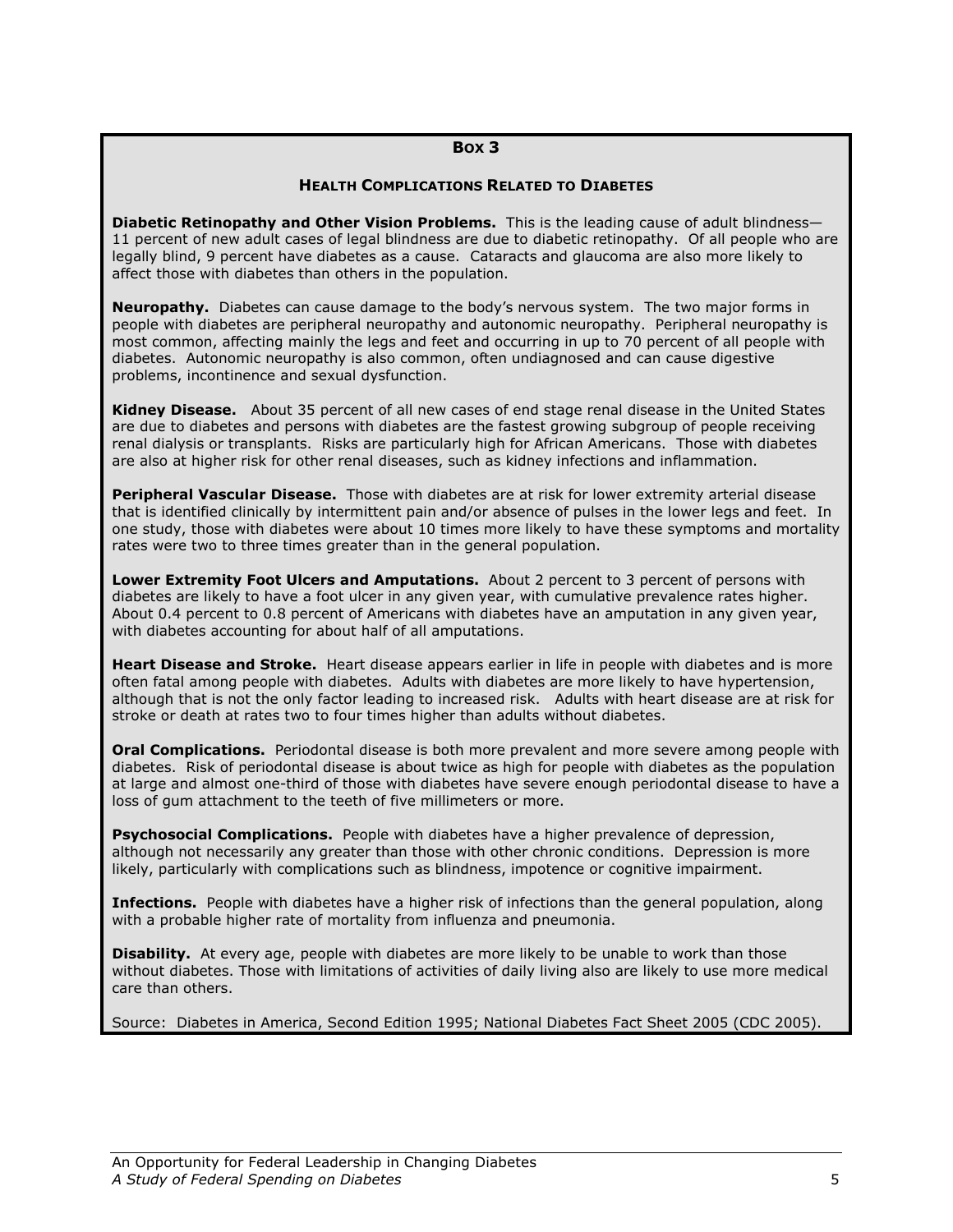#### BOX 3

#### HEALTH COMPLICATIONS RELATED TO DIABETES

Diabetic Retinopathy and Other Vision Problems. This is the leading cause of adult blindness-11 percent of new adult cases of legal blindness are due to diabetic retinopathy. Of all people who are legally blind, 9 percent have diabetes as a cause. Cataracts and glaucoma are also more likely to affect those with diabetes than others in the population.

**Neuropathy.** Diabetes can cause damage to the body's nervous system. The two major forms in people with diabetes are peripheral neuropathy and autonomic neuropathy. Peripheral neuropathy is most common, affecting mainly the legs and feet and occurring in up to 70 percent of all people with diabetes. Autonomic neuropathy is also common, often undiagnosed and can cause digestive problems, incontinence and sexual dysfunction.

Kidney Disease. About 35 percent of all new cases of end stage renal disease in the United States are due to diabetes and persons with diabetes are the fastest growing subgroup of people receiving renal dialysis or transplants. Risks are particularly high for African Americans. Those with diabetes are also at higher risk for other renal diseases, such as kidney infections and inflammation.

Peripheral Vascular Disease. Those with diabetes are at risk for lower extremity arterial disease that is identified clinically by intermittent pain and/or absence of pulses in the lower legs and feet. In one study, those with diabetes were about 10 times more likely to have these symptoms and mortality rates were two to three times greater than in the general population.

Lower Extremity Foot Ulcers and Amputations. About 2 percent to 3 percent of persons with diabetes are likely to have a foot ulcer in any given year, with cumulative prevalence rates higher. About 0.4 percent to 0.8 percent of Americans with diabetes have an amputation in any given year, with diabetes accounting for about half of all amputations.

Heart Disease and Stroke. Heart disease appears earlier in life in people with diabetes and is more often fatal among people with diabetes. Adults with diabetes are more likely to have hypertension, although that is not the only factor leading to increased risk. Adults with heart disease are at risk for stroke or death at rates two to four times higher than adults without diabetes.

**Oral Complications.** Periodontal disease is both more prevalent and more severe among people with diabetes. Risk of periodontal disease is about twice as high for people with diabetes as the population at large and almost one-third of those with diabetes have severe enough periodontal disease to have a loss of gum attachment to the teeth of five millimeters or more.

**Psychosocial Complications.** People with diabetes have a higher prevalence of depression, although not necessarily any greater than those with other chronic conditions. Depression is more likely, particularly with complications such as blindness, impotence or cognitive impairment.

Infections. People with diabetes have a higher risk of infections than the general population, along with a probable higher rate of mortality from influenza and pneumonia.

**Disability.** At every age, people with diabetes are more likely to be unable to work than those without diabetes. Those with limitations of activities of daily living also are likely to use more medical care than others.

Source: Diabetes in America, Second Edition 1995; National Diabetes Fact Sheet 2005 (CDC 2005).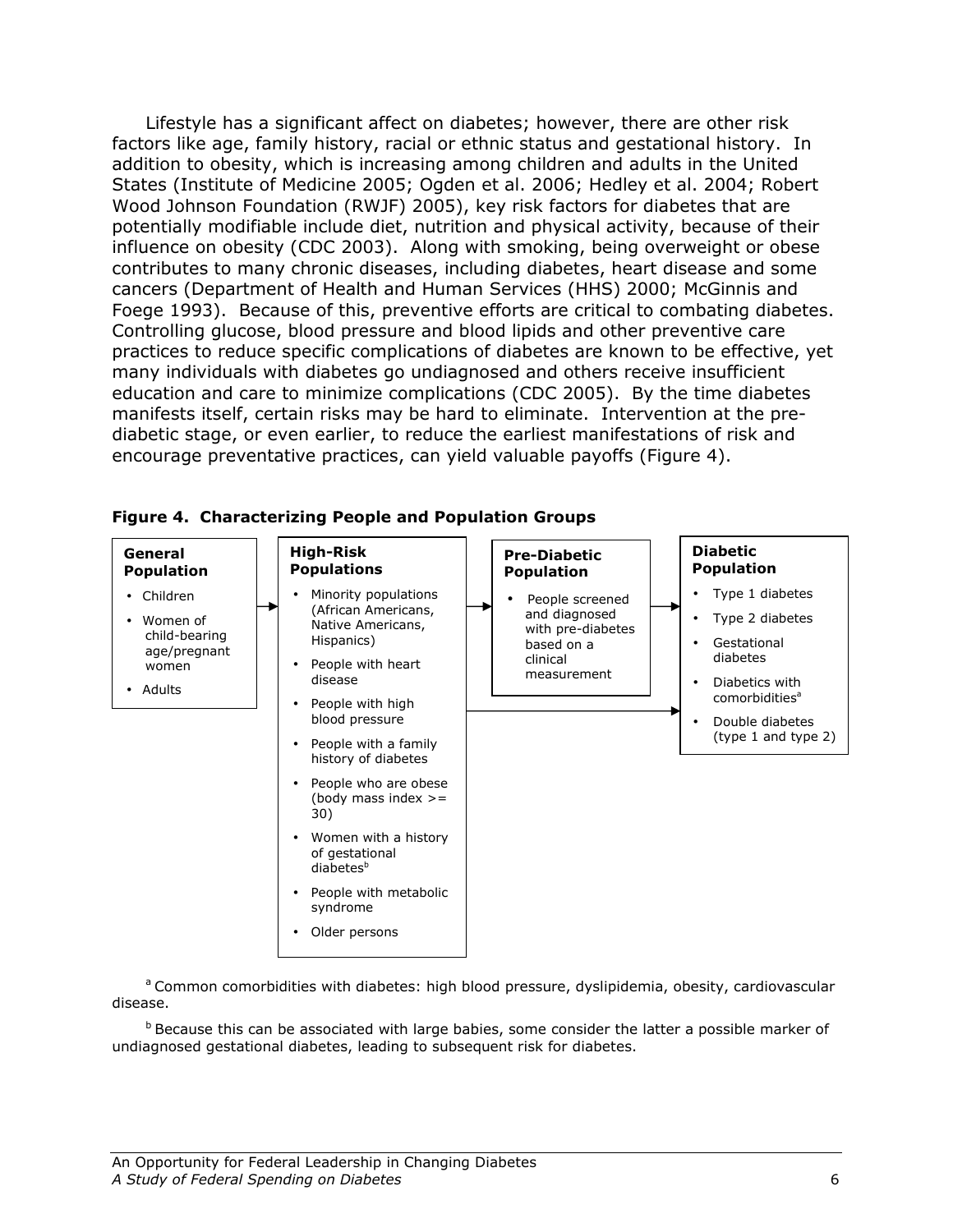Lifestyle has a significant affect on diabetes; however, there are other risk factors like age, family history, racial or ethnic status and gestational history. In addition to obesity, which is increasing among children and adults in the United States (Institute of Medicine 2005; Ogden et al. 2006; Hedley et al. 2004; Robert Wood Johnson Foundation (RWJF) 2005), key risk factors for diabetes that are potentially modifiable include diet, nutrition and physical activity, because of their influence on obesity (CDC 2003). Along with smoking, being overweight or obese contributes to many chronic diseases, including diabetes, heart disease and some cancers (Department of Health and Human Services (HHS) 2000; McGinnis and Foege 1993). Because of this, preventive efforts are critical to combating diabetes. Controlling glucose, blood pressure and blood lipids and other preventive care practices to reduce specific complications of diabetes are known to be effective, yet many individuals with diabetes go undiagnosed and others receive insufficient education and care to minimize complications (CDC 2005). By the time diabetes manifests itself, certain risks may be hard to eliminate. Intervention at the prediabetic stage, or even earlier, to reduce the earliest manifestations of risk and encourage preventative practices, can yield valuable payoffs (Figure 4).



Figure 4. Characterizing People and Population Groups

<sup>a</sup> Common comorbidities with diabetes: high blood pressure, dyslipidemia, obesity, cardiovascular disease.

 $<sup>b</sup>$  Because this can be associated with large babies, some consider the latter a possible marker of</sup> undiagnosed gestational diabetes, leading to subsequent risk for diabetes.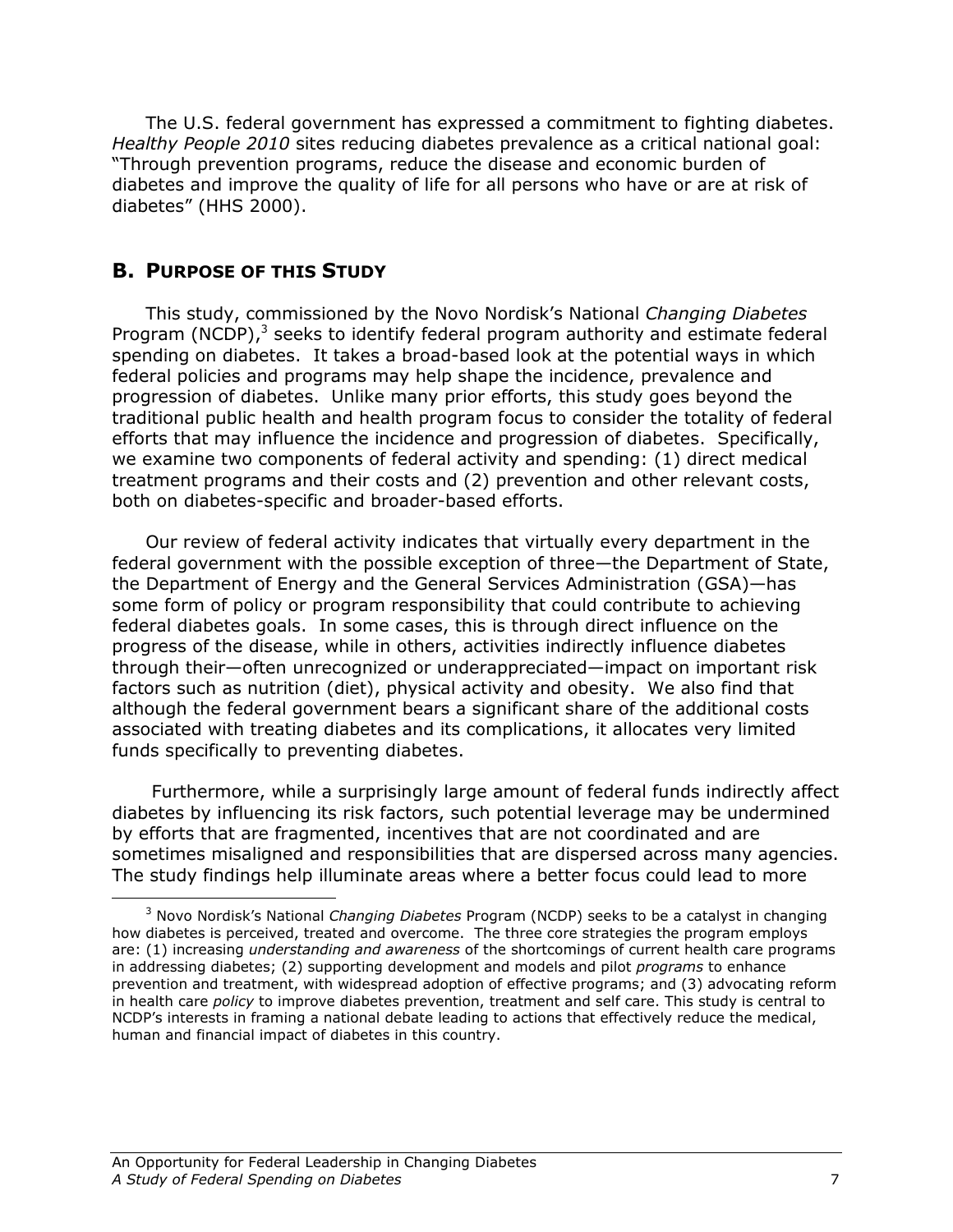The U.S. federal government has expressed a commitment to fighting diabetes. Healthy People 2010 sites reducing diabetes prevalence as a critical national goal: "Through prevention programs, reduce the disease and economic burden of diabetes and improve the quality of life for all persons who have or are at risk of diabetes" (HHS 2000).

### B. PURPOSE OF THIS STUDY

<u>.</u>

This study, commissioned by the Novo Nordisk's National Changing Diabetes Program (NCDP), $3$  seeks to identify federal program authority and estimate federal spending on diabetes. It takes a broad-based look at the potential ways in which federal policies and programs may help shape the incidence, prevalence and progression of diabetes. Unlike many prior efforts, this study goes beyond the traditional public health and health program focus to consider the totality of federal efforts that may influence the incidence and progression of diabetes. Specifically, we examine two components of federal activity and spending: (1) direct medical treatment programs and their costs and (2) prevention and other relevant costs, both on diabetes-specific and broader-based efforts.

Our review of federal activity indicates that virtually every department in the federal government with the possible exception of three—the Department of State, the Department of Energy and the General Services Administration (GSA)—has some form of policy or program responsibility that could contribute to achieving federal diabetes goals. In some cases, this is through direct influence on the progress of the disease, while in others, activities indirectly influence diabetes through their—often unrecognized or underappreciated—impact on important risk factors such as nutrition (diet), physical activity and obesity. We also find that although the federal government bears a significant share of the additional costs associated with treating diabetes and its complications, it allocates very limited funds specifically to preventing diabetes.

 Furthermore, while a surprisingly large amount of federal funds indirectly affect diabetes by influencing its risk factors, such potential leverage may be undermined by efforts that are fragmented, incentives that are not coordinated and are sometimes misaligned and responsibilities that are dispersed across many agencies. The study findings help illuminate areas where a better focus could lead to more

<sup>&</sup>lt;sup>3</sup> Novo Nordisk's National *Changing Diabetes* Program (NCDP) seeks to be a catalyst in changing how diabetes is perceived, treated and overcome. The three core strategies the program employs are: (1) increasing *understanding and awareness* of the shortcomings of current health care programs in addressing diabetes; (2) supporting development and models and pilot *programs* to enhance prevention and treatment, with widespread adoption of effective programs; and (3) advocating reform in health care policy to improve diabetes prevention, treatment and self care. This study is central to NCDP's interests in framing a national debate leading to actions that effectively reduce the medical, human and financial impact of diabetes in this country.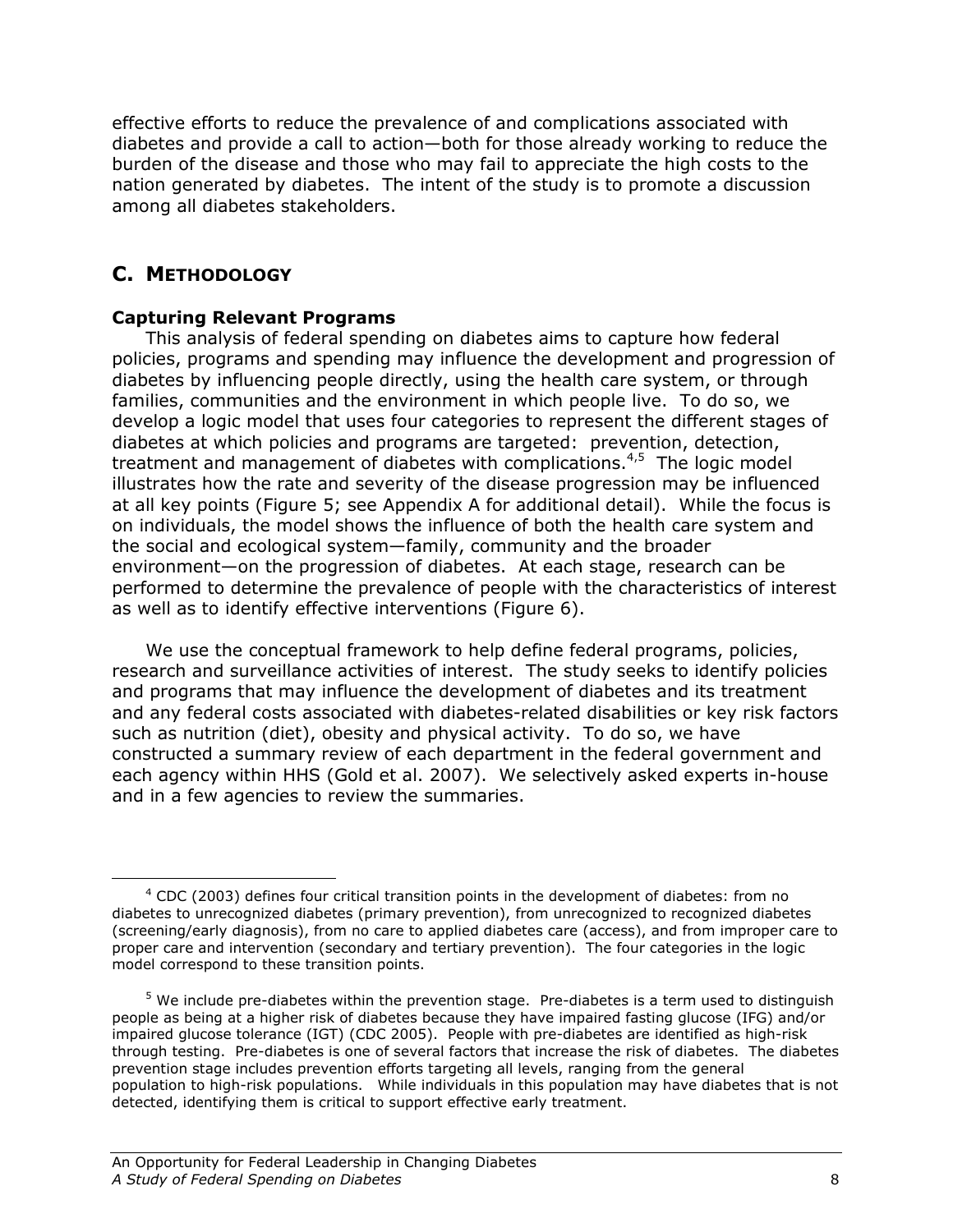effective efforts to reduce the prevalence of and complications associated with diabetes and provide a call to action—both for those already working to reduce the burden of the disease and those who may fail to appreciate the high costs to the nation generated by diabetes. The intent of the study is to promote a discussion among all diabetes stakeholders.

## C. METHODOLOGY

<u>.</u>

## Capturing Relevant Programs

 This analysis of federal spending on diabetes aims to capture how federal policies, programs and spending may influence the development and progression of diabetes by influencing people directly, using the health care system, or through families, communities and the environment in which people live. To do so, we develop a logic model that uses four categories to represent the different stages of diabetes at which policies and programs are targeted: prevention, detection, treatment and management of diabetes with complications. $4.5$  The logic model illustrates how the rate and severity of the disease progression may be influenced at all key points (Figure 5; see Appendix A for additional detail). While the focus is on individuals, the model shows the influence of both the health care system and the social and ecological system—family, community and the broader environment—on the progression of diabetes. At each stage, research can be performed to determine the prevalence of people with the characteristics of interest as well as to identify effective interventions (Figure 6).

We use the conceptual framework to help define federal programs, policies, research and surveillance activities of interest. The study seeks to identify policies and programs that may influence the development of diabetes and its treatment and any federal costs associated with diabetes-related disabilities or key risk factors such as nutrition (diet), obesity and physical activity. To do so, we have constructed a summary review of each department in the federal government and each agency within HHS (Gold et al. 2007). We selectively asked experts in-house and in a few agencies to review the summaries.

 $4$  CDC (2003) defines four critical transition points in the development of diabetes: from no diabetes to unrecognized diabetes (primary prevention), from unrecognized to recognized diabetes (screening/early diagnosis), from no care to applied diabetes care (access), and from improper care to proper care and intervention (secondary and tertiary prevention). The four categories in the logic model correspond to these transition points.

 $<sup>5</sup>$  We include pre-diabetes within the prevention stage. Pre-diabetes is a term used to distinguish</sup> people as being at a higher risk of diabetes because they have impaired fasting glucose (IFG) and/or impaired glucose tolerance (IGT) (CDC 2005). People with pre-diabetes are identified as high-risk through testing. Pre-diabetes is one of several factors that increase the risk of diabetes. The diabetes prevention stage includes prevention efforts targeting all levels, ranging from the general population to high-risk populations. While individuals in this population may have diabetes that is not detected, identifying them is critical to support effective early treatment.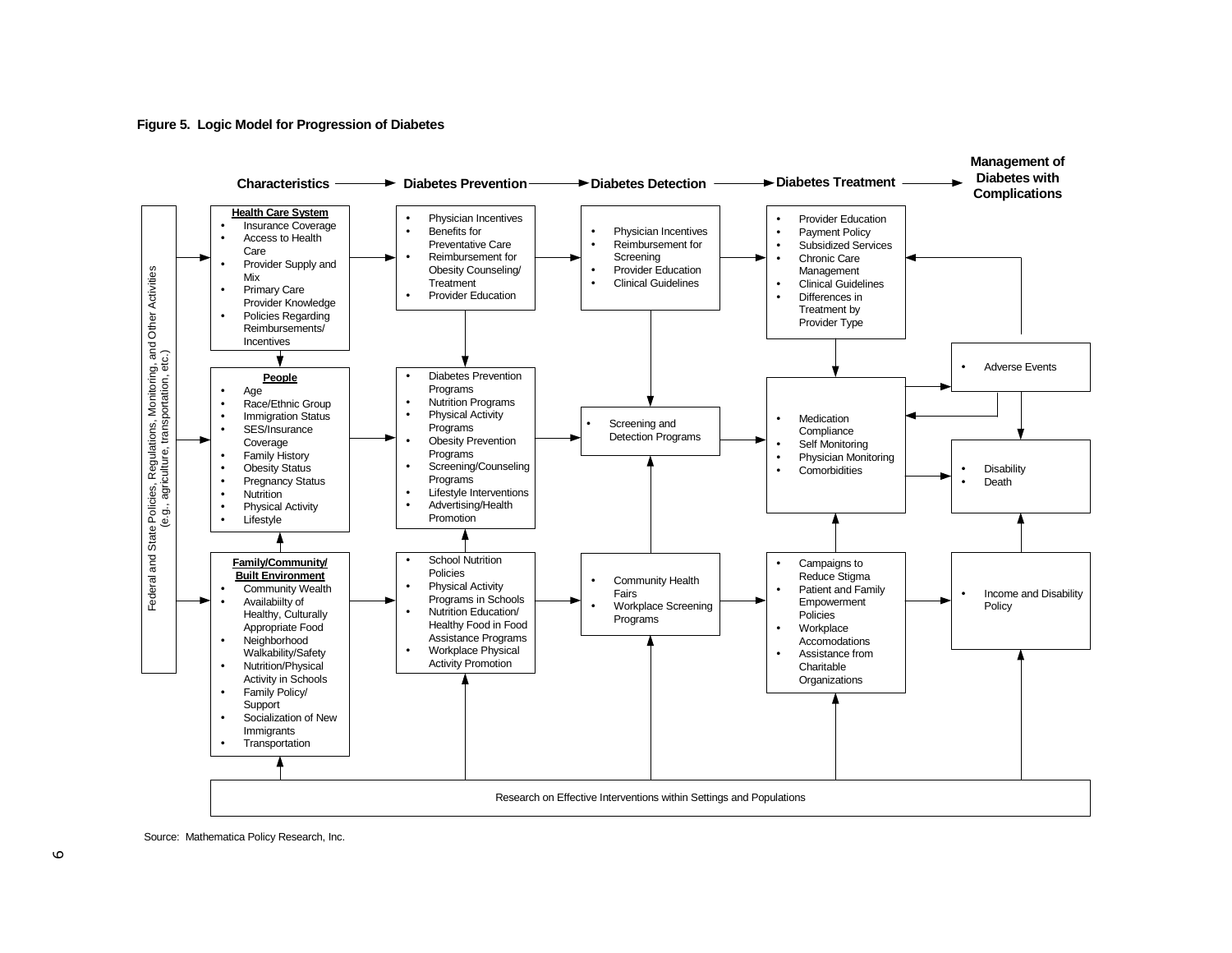#### **Figure 5. Logic Model for Progression of Diabetes**



Source: Mathematica Policy Research, Inc.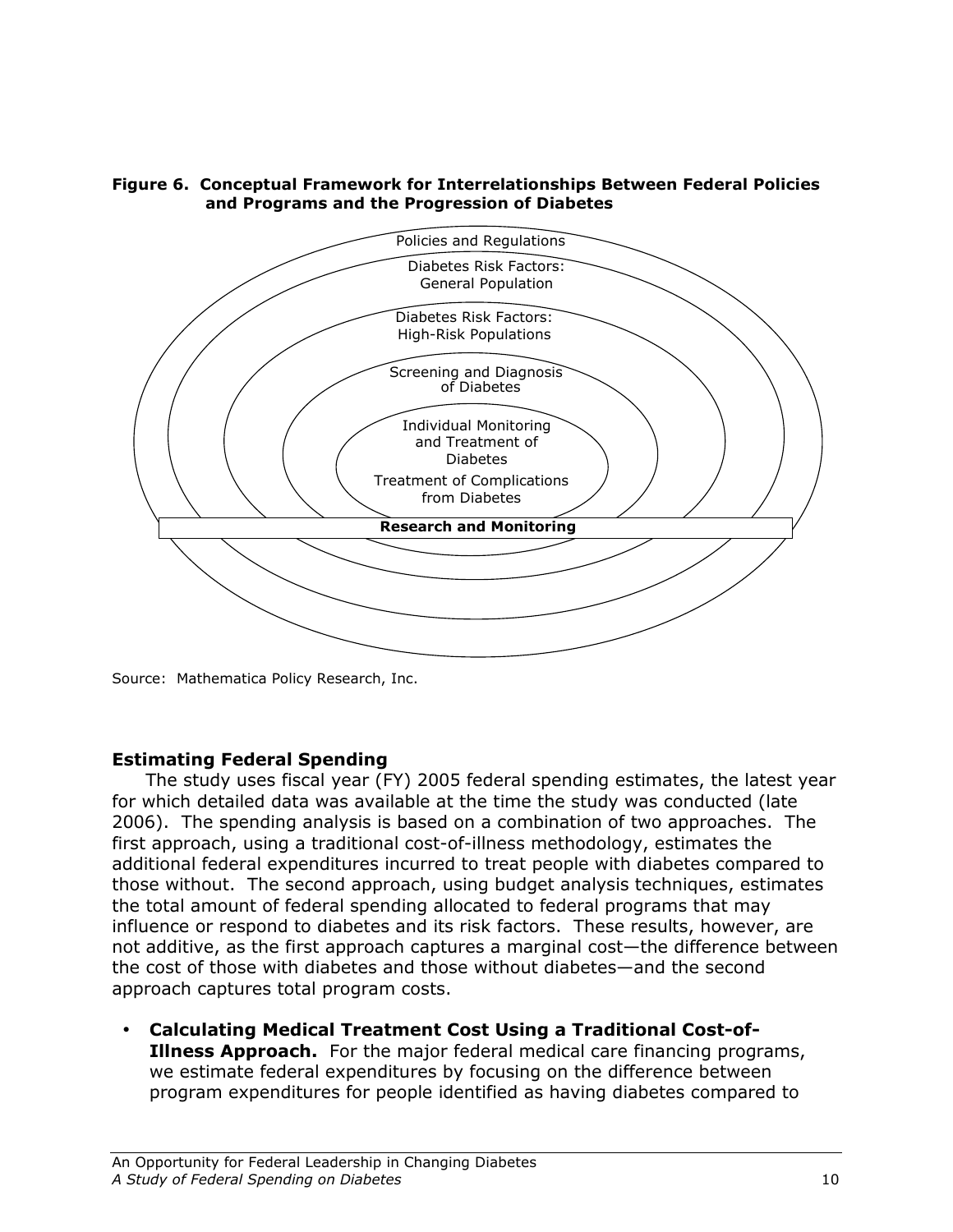

### Figure 6. Conceptual Framework for Interrelationships Between Federal Policies and Programs and the Progression of Diabetes

Source: Mathematica Policy Research, Inc.

## Estimating Federal Spending

 The study uses fiscal year (FY) 2005 federal spending estimates, the latest year for which detailed data was available at the time the study was conducted (late 2006). The spending analysis is based on a combination of two approaches. The first approach, using a traditional cost-of-illness methodology, estimates the additional federal expenditures incurred to treat people with diabetes compared to those without. The second approach, using budget analysis techniques, estimates the total amount of federal spending allocated to federal programs that may influence or respond to diabetes and its risk factors. These results, however, are not additive, as the first approach captures a marginal cost—the difference between the cost of those with diabetes and those without diabetes—and the second approach captures total program costs.

• Calculating Medical Treatment Cost Using a Traditional Cost-of-**Illness Approach.** For the major federal medical care financing programs, we estimate federal expenditures by focusing on the difference between program expenditures for people identified as having diabetes compared to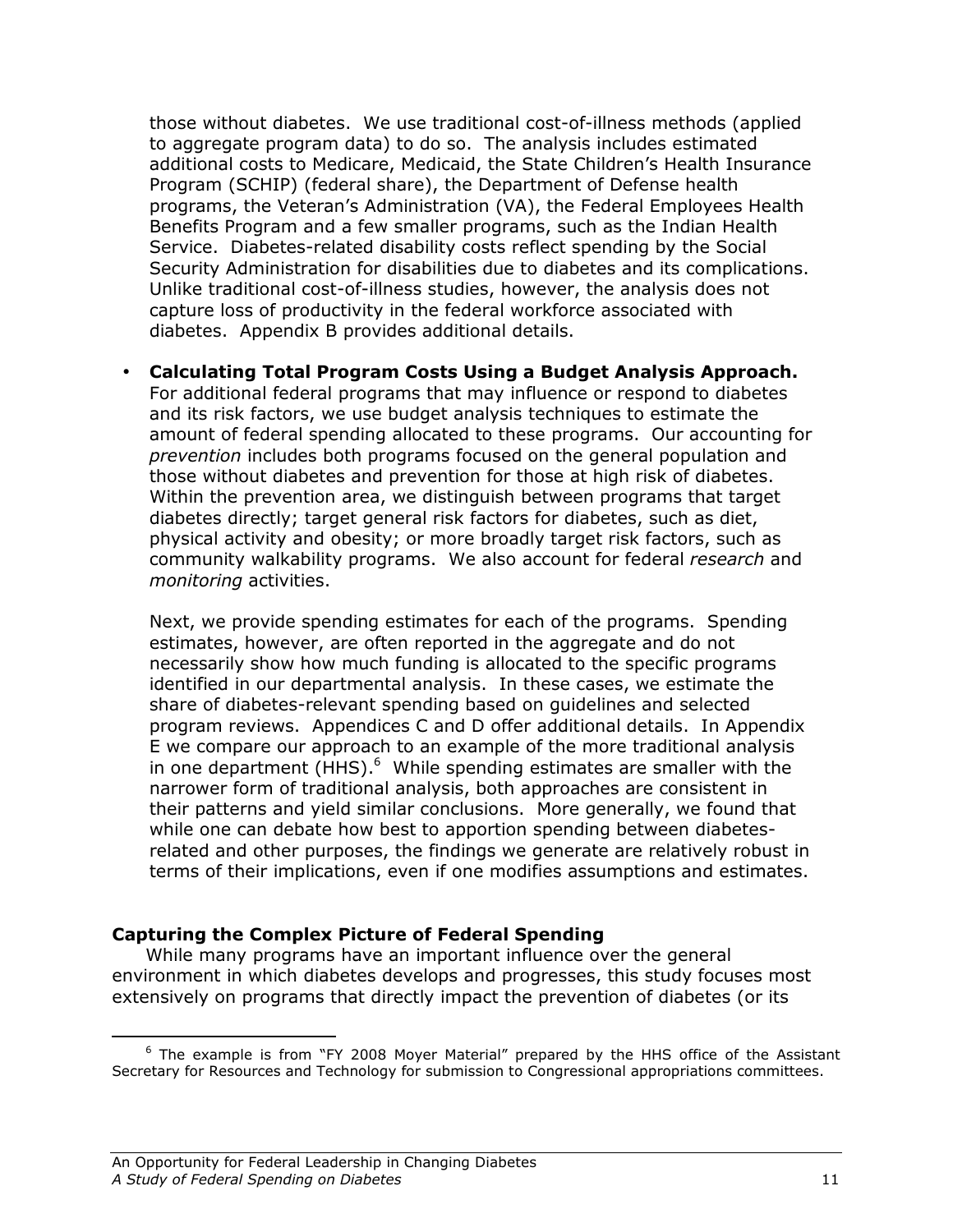those without diabetes. We use traditional cost-of-illness methods (applied to aggregate program data) to do so. The analysis includes estimated additional costs to Medicare, Medicaid, the State Children's Health Insurance Program (SCHIP) (federal share), the Department of Defense health programs, the Veteran's Administration (VA), the Federal Employees Health Benefits Program and a few smaller programs, such as the Indian Health Service. Diabetes-related disability costs reflect spending by the Social Security Administration for disabilities due to diabetes and its complications. Unlike traditional cost-of-illness studies, however, the analysis does not capture loss of productivity in the federal workforce associated with diabetes. Appendix B provides additional details.

• Calculating Total Program Costs Using a Budget Analysis Approach. For additional federal programs that may influence or respond to diabetes and its risk factors, we use budget analysis techniques to estimate the amount of federal spending allocated to these programs. Our accounting for prevention includes both programs focused on the general population and those without diabetes and prevention for those at high risk of diabetes. Within the prevention area, we distinguish between programs that target diabetes directly; target general risk factors for diabetes, such as diet, physical activity and obesity; or more broadly target risk factors, such as community walkability programs. We also account for federal research and monitoring activities.

Next, we provide spending estimates for each of the programs. Spending estimates, however, are often reported in the aggregate and do not necessarily show how much funding is allocated to the specific programs identified in our departmental analysis. In these cases, we estimate the share of diabetes-relevant spending based on guidelines and selected program reviews. Appendices C and D offer additional details. In Appendix E we compare our approach to an example of the more traditional analysis in one department (HHS). $<sup>6</sup>$  While spending estimates are smaller with the</sup> narrower form of traditional analysis, both approaches are consistent in their patterns and yield similar conclusions. More generally, we found that while one can debate how best to apportion spending between diabetesrelated and other purposes, the findings we generate are relatively robust in terms of their implications, even if one modifies assumptions and estimates.

## Capturing the Complex Picture of Federal Spending

While many programs have an important influence over the general environment in which diabetes develops and progresses, this study focuses most extensively on programs that directly impact the prevention of diabetes (or its

<sup>&</sup>lt;u>.</u> <sup>6</sup> The example is from "FY 2008 Moyer Material" prepared by the HHS office of the Assistant Secretary for Resources and Technology for submission to Congressional appropriations committees.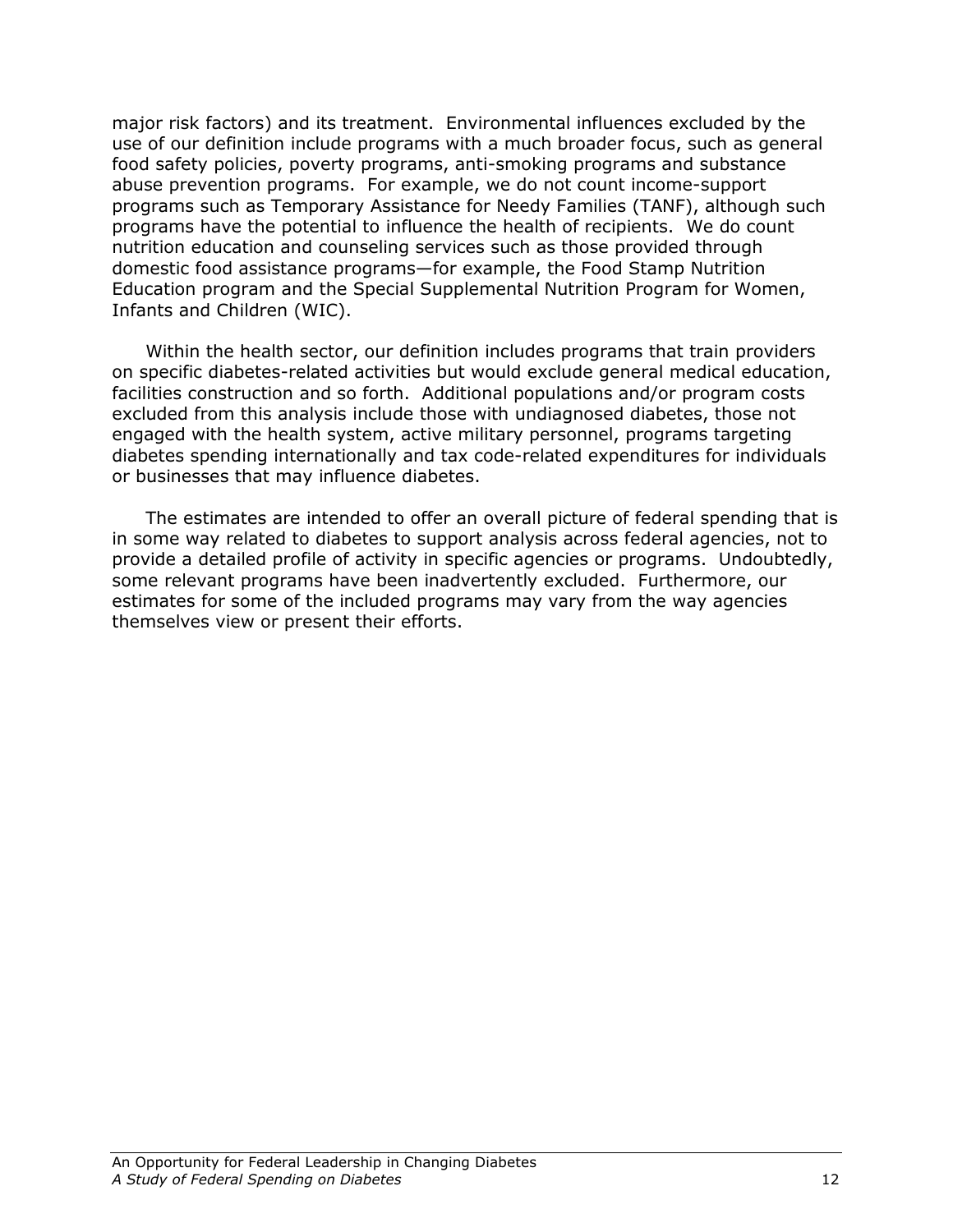major risk factors) and its treatment. Environmental influences excluded by the use of our definition include programs with a much broader focus, such as general food safety policies, poverty programs, anti-smoking programs and substance abuse prevention programs. For example, we do not count income-support programs such as Temporary Assistance for Needy Families (TANF), although such programs have the potential to influence the health of recipients. We do count nutrition education and counseling services such as those provided through domestic food assistance programs—for example, the Food Stamp Nutrition Education program and the Special Supplemental Nutrition Program for Women, Infants and Children (WIC).

Within the health sector, our definition includes programs that train providers on specific diabetes-related activities but would exclude general medical education, facilities construction and so forth. Additional populations and/or program costs excluded from this analysis include those with undiagnosed diabetes, those not engaged with the health system, active military personnel, programs targeting diabetes spending internationally and tax code-related expenditures for individuals or businesses that may influence diabetes.

The estimates are intended to offer an overall picture of federal spending that is in some way related to diabetes to support analysis across federal agencies, not to provide a detailed profile of activity in specific agencies or programs. Undoubtedly, some relevant programs have been inadvertently excluded. Furthermore, our estimates for some of the included programs may vary from the way agencies themselves view or present their efforts.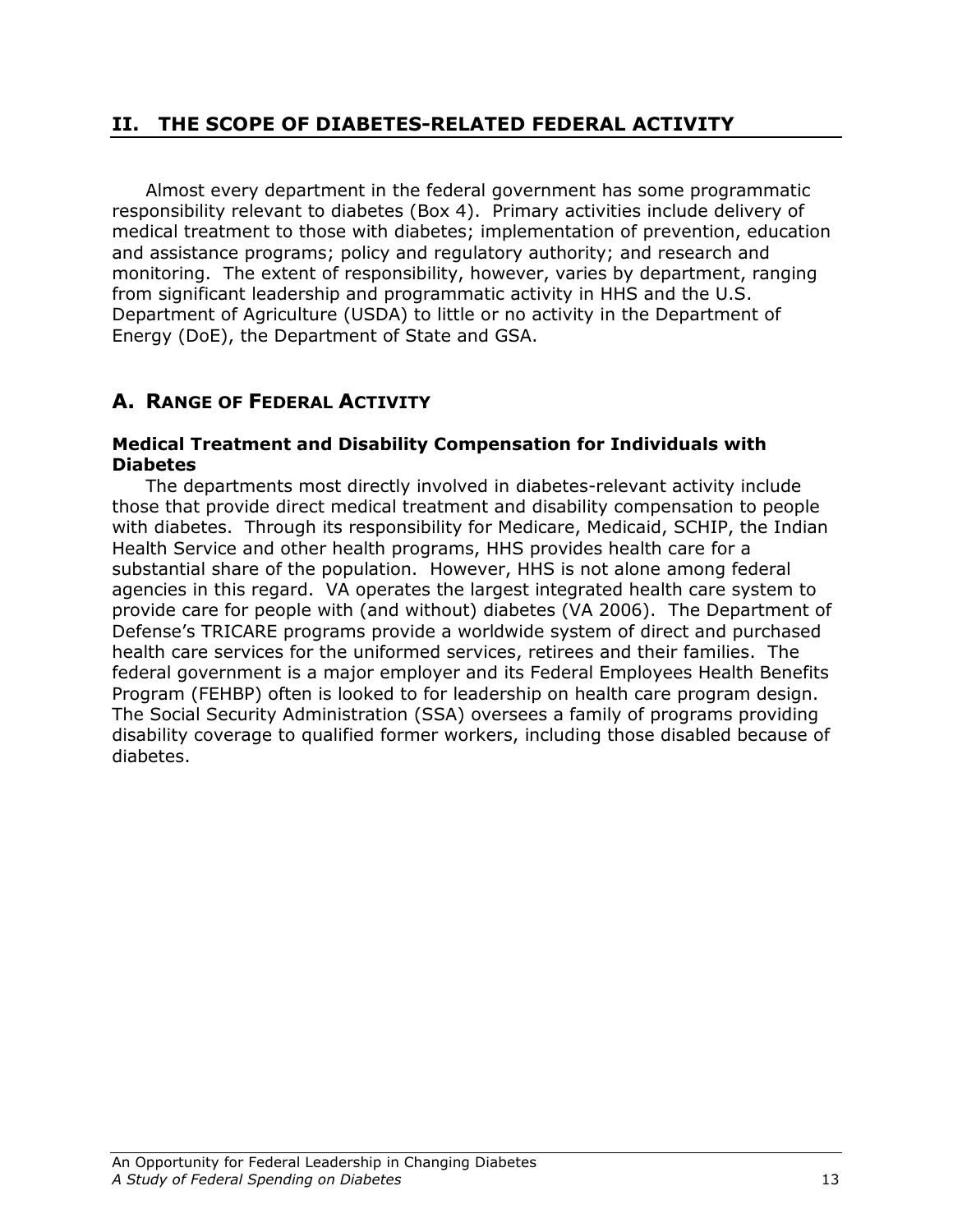## II. THE SCOPE OF DIABETES-RELATED FEDERAL ACTIVITY

Almost every department in the federal government has some programmatic responsibility relevant to diabetes (Box 4). Primary activities include delivery of medical treatment to those with diabetes; implementation of prevention, education and assistance programs; policy and regulatory authority; and research and monitoring. The extent of responsibility, however, varies by department, ranging from significant leadership and programmatic activity in HHS and the U.S. Department of Agriculture (USDA) to little or no activity in the Department of Energy (DoE), the Department of State and GSA.

## A. RANGE OF FEDERAL ACTIVITY

### Medical Treatment and Disability Compensation for Individuals with Diabetes

The departments most directly involved in diabetes-relevant activity include those that provide direct medical treatment and disability compensation to people with diabetes. Through its responsibility for Medicare, Medicaid, SCHIP, the Indian Health Service and other health programs, HHS provides health care for a substantial share of the population. However, HHS is not alone among federal agencies in this regard. VA operates the largest integrated health care system to provide care for people with (and without) diabetes (VA 2006). The Department of Defense's TRICARE programs provide a worldwide system of direct and purchased health care services for the uniformed services, retirees and their families. The federal government is a major employer and its Federal Employees Health Benefits Program (FEHBP) often is looked to for leadership on health care program design. The Social Security Administration (SSA) oversees a family of programs providing disability coverage to qualified former workers, including those disabled because of diabetes.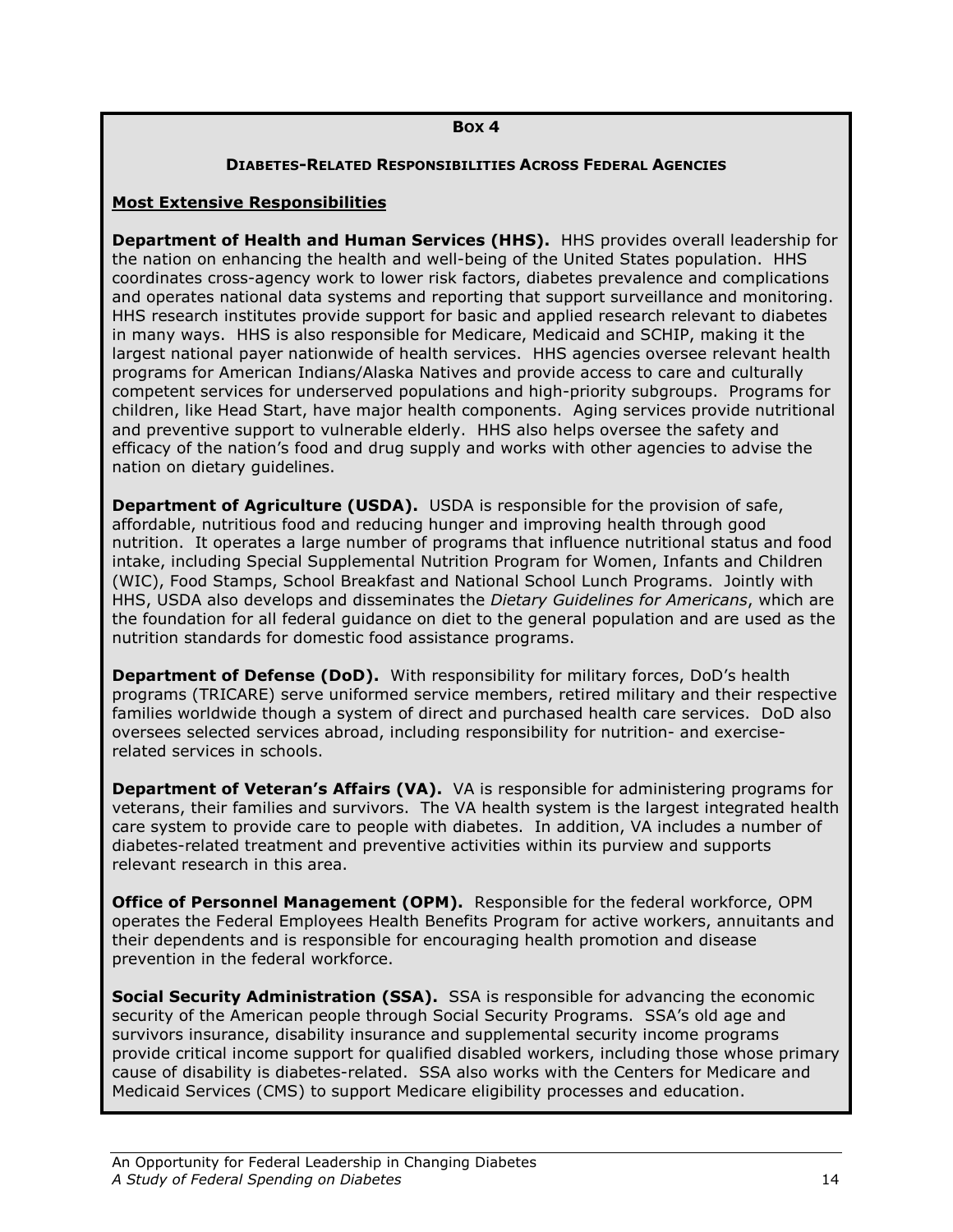### BOX 4

### DIABETES-RELATED RESPONSIBILITIES ACROSS FEDERAL AGENCIES

### Most Extensive Responsibilities

Department of Health and Human Services (HHS). HHS provides overall leadership for the nation on enhancing the health and well-being of the United States population. HHS coordinates cross-agency work to lower risk factors, diabetes prevalence and complications and operates national data systems and reporting that support surveillance and monitoring. HHS research institutes provide support for basic and applied research relevant to diabetes in many ways. HHS is also responsible for Medicare, Medicaid and SCHIP, making it the largest national payer nationwide of health services. HHS agencies oversee relevant health programs for American Indians/Alaska Natives and provide access to care and culturally competent services for underserved populations and high-priority subgroups. Programs for children, like Head Start, have major health components. Aging services provide nutritional and preventive support to vulnerable elderly. HHS also helps oversee the safety and efficacy of the nation's food and drug supply and works with other agencies to advise the nation on dietary guidelines.

**Department of Agriculture (USDA).** USDA is responsible for the provision of safe, affordable, nutritious food and reducing hunger and improving health through good nutrition. It operates a large number of programs that influence nutritional status and food intake, including Special Supplemental Nutrition Program for Women, Infants and Children (WIC), Food Stamps, School Breakfast and National School Lunch Programs. Jointly with HHS, USDA also develops and disseminates the Dietary Guidelines for Americans, which are the foundation for all federal guidance on diet to the general population and are used as the nutrition standards for domestic food assistance programs.

Department of Defense (DoD). With responsibility for military forces, DoD's health programs (TRICARE) serve uniformed service members, retired military and their respective families worldwide though a system of direct and purchased health care services. DoD also oversees selected services abroad, including responsibility for nutrition- and exerciserelated services in schools.

**Department of Veteran's Affairs (VA).** VA is responsible for administering programs for veterans, their families and survivors. The VA health system is the largest integrated health care system to provide care to people with diabetes. In addition, VA includes a number of diabetes-related treatment and preventive activities within its purview and supports relevant research in this area.

**Office of Personnel Management (OPM).** Responsible for the federal workforce, OPM operates the Federal Employees Health Benefits Program for active workers, annuitants and their dependents and is responsible for encouraging health promotion and disease prevention in the federal workforce.

**Social Security Administration (SSA).** SSA is responsible for advancing the economic security of the American people through Social Security Programs. SSA's old age and survivors insurance, disability insurance and supplemental security income programs provide critical income support for qualified disabled workers, including those whose primary cause of disability is diabetes-related. SSA also works with the Centers for Medicare and Medicaid Services (CMS) to support Medicare eligibility processes and education.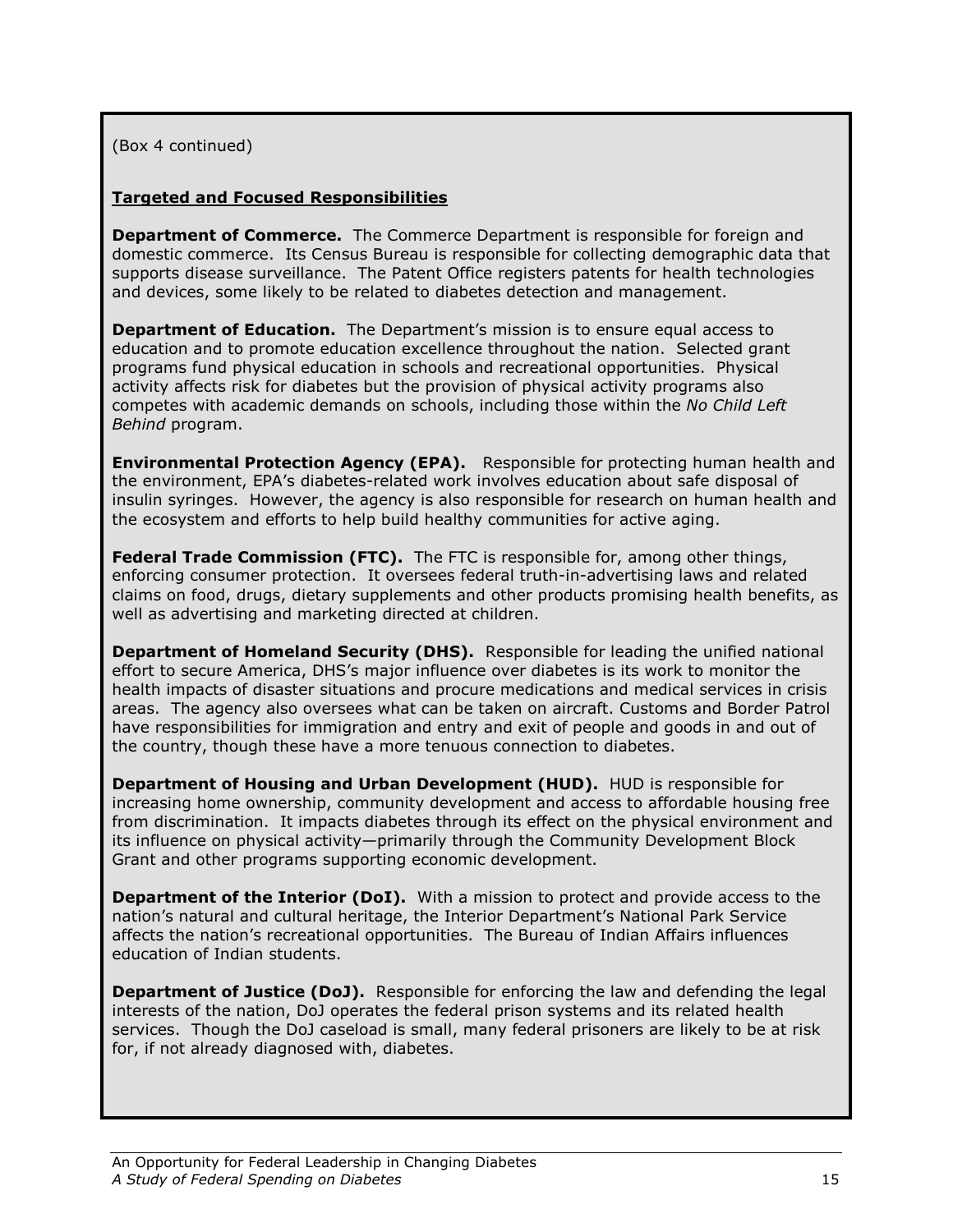(Box 4 continued)

### Targeted and Focused Responsibilities

**Department of Commerce.** The Commerce Department is responsible for foreign and domestic commerce. Its Census Bureau is responsible for collecting demographic data that supports disease surveillance. The Patent Office registers patents for health technologies and devices, some likely to be related to diabetes detection and management.

**Department of Education.** The Department's mission is to ensure equal access to education and to promote education excellence throughout the nation. Selected grant programs fund physical education in schools and recreational opportunities. Physical activity affects risk for diabetes but the provision of physical activity programs also competes with academic demands on schools, including those within the No Child Left Behind program.

Environmental Protection Agency (EPA). Responsible for protecting human health and the environment, EPA's diabetes-related work involves education about safe disposal of insulin syringes. However, the agency is also responsible for research on human health and the ecosystem and efforts to help build healthy communities for active aging.

**Federal Trade Commission (FTC).** The FTC is responsible for, among other things, enforcing consumer protection. It oversees federal truth-in-advertising laws and related claims on food, drugs, dietary supplements and other products promising health benefits, as well as advertising and marketing directed at children.

**Department of Homeland Security (DHS).** Responsible for leading the unified national effort to secure America, DHS's major influence over diabetes is its work to monitor the health impacts of disaster situations and procure medications and medical services in crisis areas. The agency also oversees what can be taken on aircraft. Customs and Border Patrol have responsibilities for immigration and entry and exit of people and goods in and out of the country, though these have a more tenuous connection to diabetes.

Department of Housing and Urban Development (HUD). HUD is responsible for increasing home ownership, community development and access to affordable housing free from discrimination. It impacts diabetes through its effect on the physical environment and its influence on physical activity—primarily through the Community Development Block Grant and other programs supporting economic development.

**Department of the Interior (DoI).** With a mission to protect and provide access to the nation's natural and cultural heritage, the Interior Department's National Park Service affects the nation's recreational opportunities. The Bureau of Indian Affairs influences education of Indian students.

**Department of Justice (DoJ).** Responsible for enforcing the law and defending the legal interests of the nation, DoJ operates the federal prison systems and its related health services. Though the DoJ caseload is small, many federal prisoners are likely to be at risk for, if not already diagnosed with, diabetes.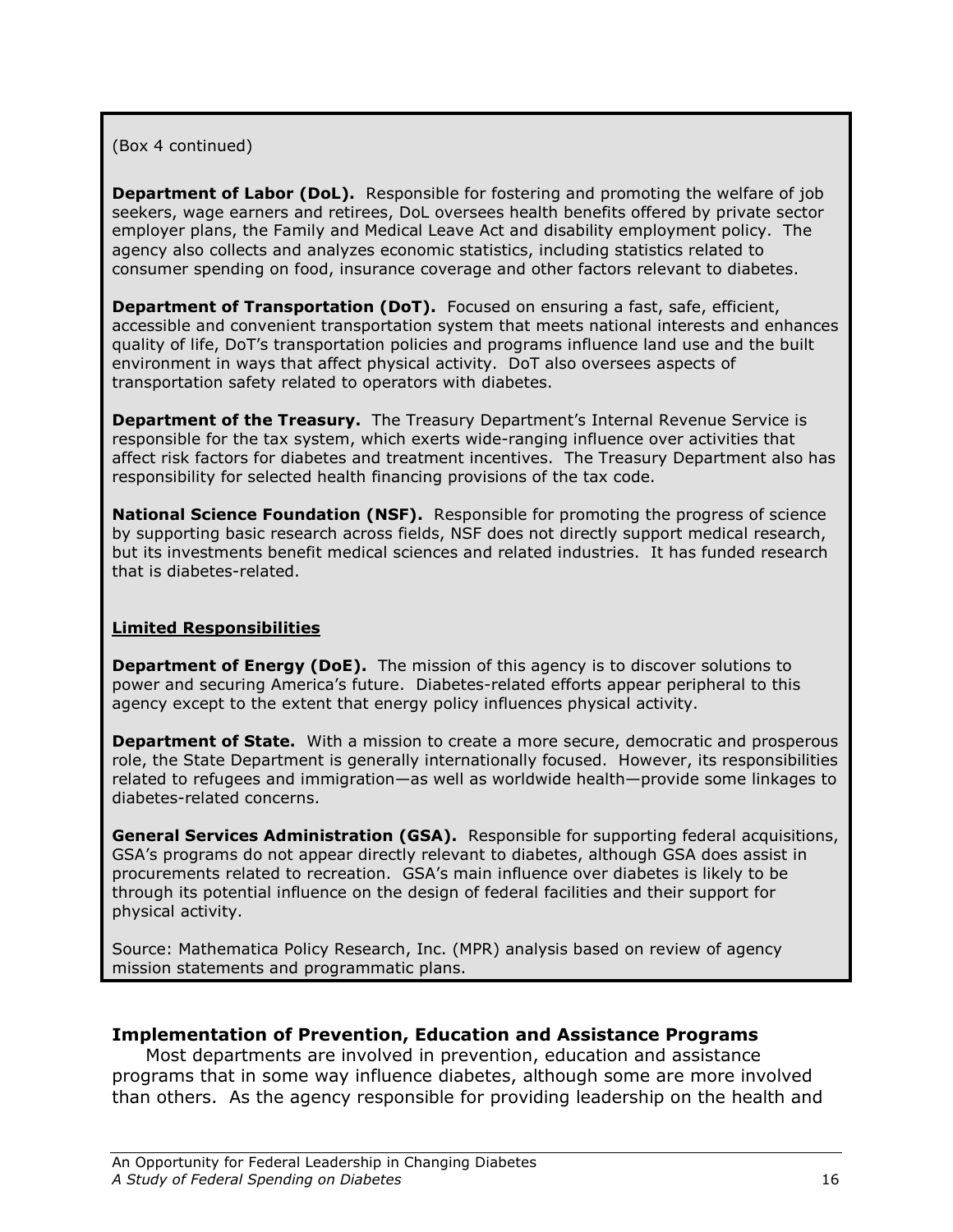## (Box 4 continued)

**Department of Labor (DoL).** Responsible for fostering and promoting the welfare of job seekers, wage earners and retirees, DoL oversees health benefits offered by private sector employer plans, the Family and Medical Leave Act and disability employment policy. The agency also collects and analyzes economic statistics, including statistics related to consumer spending on food, insurance coverage and other factors relevant to diabetes.

**Department of Transportation (DoT).** Focused on ensuring a fast, safe, efficient, accessible and convenient transportation system that meets national interests and enhances quality of life, DoT's transportation policies and programs influence land use and the built environment in ways that affect physical activity. DoT also oversees aspects of transportation safety related to operators with diabetes.

**Department of the Treasury.** The Treasury Department's Internal Revenue Service is responsible for the tax system, which exerts wide-ranging influence over activities that affect risk factors for diabetes and treatment incentives. The Treasury Department also has responsibility for selected health financing provisions of the tax code.

**National Science Foundation (NSF).** Responsible for promoting the progress of science by supporting basic research across fields, NSF does not directly support medical research, but its investments benefit medical sciences and related industries. It has funded research that is diabetes-related.

### Limited Responsibilities

Department of Energy (DoE). The mission of this agency is to discover solutions to power and securing America's future. Diabetes-related efforts appear peripheral to this agency except to the extent that energy policy influences physical activity.

**Department of State.** With a mission to create a more secure, democratic and prosperous role, the State Department is generally internationally focused. However, its responsibilities related to refugees and immigration—as well as worldwide health—provide some linkages to diabetes-related concerns.

General Services Administration (GSA). Responsible for supporting federal acquisitions, GSA's programs do not appear directly relevant to diabetes, although GSA does assist in procurements related to recreation. GSA's main influence over diabetes is likely to be through its potential influence on the design of federal facilities and their support for physical activity.

Source: Mathematica Policy Research, Inc. (MPR) analysis based on review of agency mission statements and programmatic plans.

### Implementation of Prevention, Education and Assistance Programs

Most departments are involved in prevention, education and assistance programs that in some way influence diabetes, although some are more involved than others. As the agency responsible for providing leadership on the health and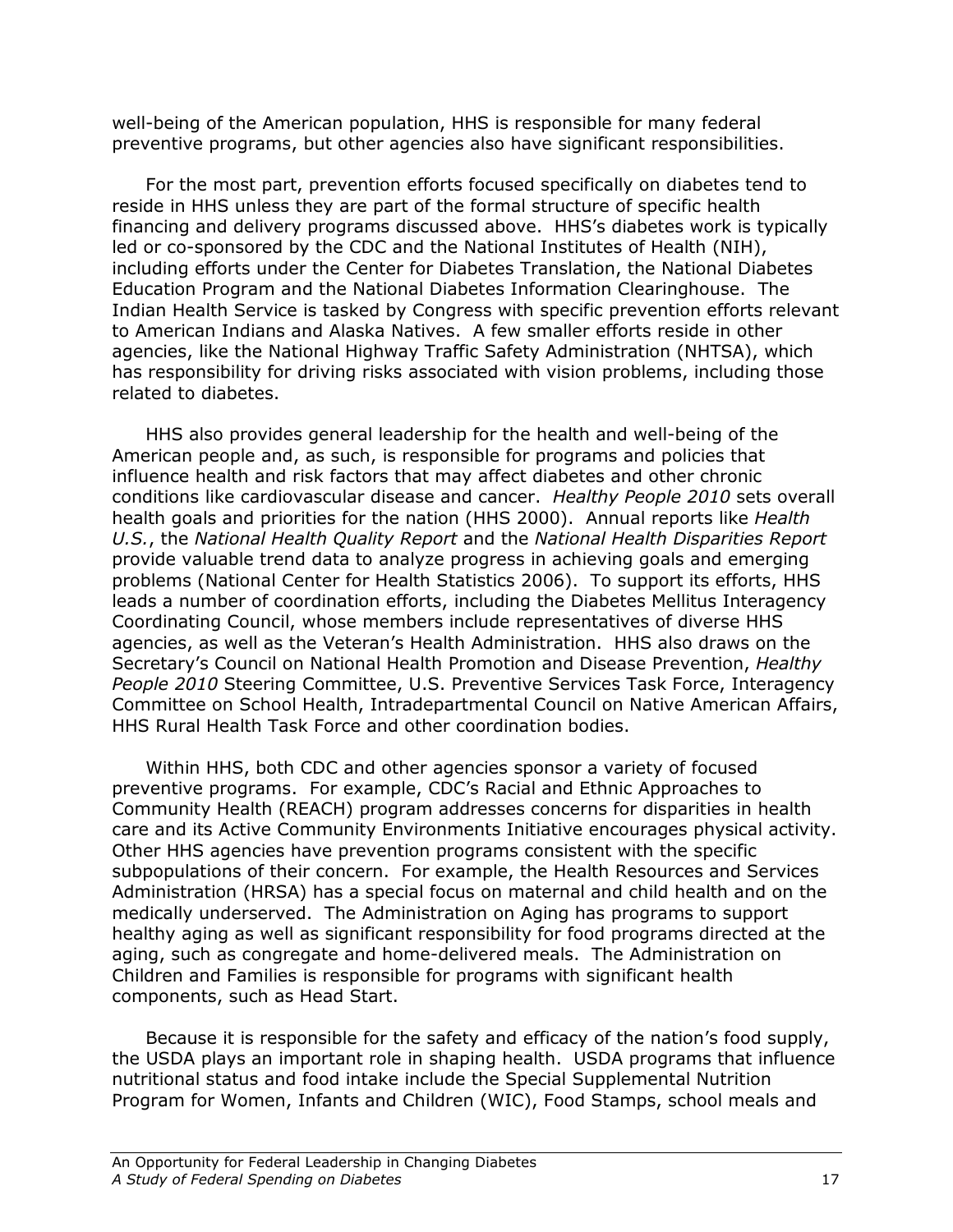well-being of the American population, HHS is responsible for many federal preventive programs, but other agencies also have significant responsibilities.

For the most part, prevention efforts focused specifically on diabetes tend to reside in HHS unless they are part of the formal structure of specific health financing and delivery programs discussed above. HHS's diabetes work is typically led or co-sponsored by the CDC and the National Institutes of Health (NIH), including efforts under the Center for Diabetes Translation, the National Diabetes Education Program and the National Diabetes Information Clearinghouse. The Indian Health Service is tasked by Congress with specific prevention efforts relevant to American Indians and Alaska Natives. A few smaller efforts reside in other agencies, like the National Highway Traffic Safety Administration (NHTSA), which has responsibility for driving risks associated with vision problems, including those related to diabetes.

HHS also provides general leadership for the health and well-being of the American people and, as such, is responsible for programs and policies that influence health and risk factors that may affect diabetes and other chronic conditions like cardiovascular disease and cancer. Healthy People 2010 sets overall health goals and priorities for the nation (HHS 2000). Annual reports like Health U.S., the National Health Quality Report and the National Health Disparities Report provide valuable trend data to analyze progress in achieving goals and emerging problems (National Center for Health Statistics 2006). To support its efforts, HHS leads a number of coordination efforts, including the Diabetes Mellitus Interagency Coordinating Council, whose members include representatives of diverse HHS agencies, as well as the Veteran's Health Administration. HHS also draws on the Secretary's Council on National Health Promotion and Disease Prevention, Healthy People 2010 Steering Committee, U.S. Preventive Services Task Force, Interagency Committee on School Health, Intradepartmental Council on Native American Affairs, HHS Rural Health Task Force and other coordination bodies.

Within HHS, both CDC and other agencies sponsor a variety of focused preventive programs. For example, CDC's Racial and Ethnic Approaches to Community Health (REACH) program addresses concerns for disparities in health care and its Active Community Environments Initiative encourages physical activity. Other HHS agencies have prevention programs consistent with the specific subpopulations of their concern. For example, the Health Resources and Services Administration (HRSA) has a special focus on maternal and child health and on the medically underserved. The Administration on Aging has programs to support healthy aging as well as significant responsibility for food programs directed at the aging, such as congregate and home-delivered meals. The Administration on Children and Families is responsible for programs with significant health components, such as Head Start.

Because it is responsible for the safety and efficacy of the nation's food supply, the USDA plays an important role in shaping health. USDA programs that influence nutritional status and food intake include the Special Supplemental Nutrition Program for Women, Infants and Children (WIC), Food Stamps, school meals and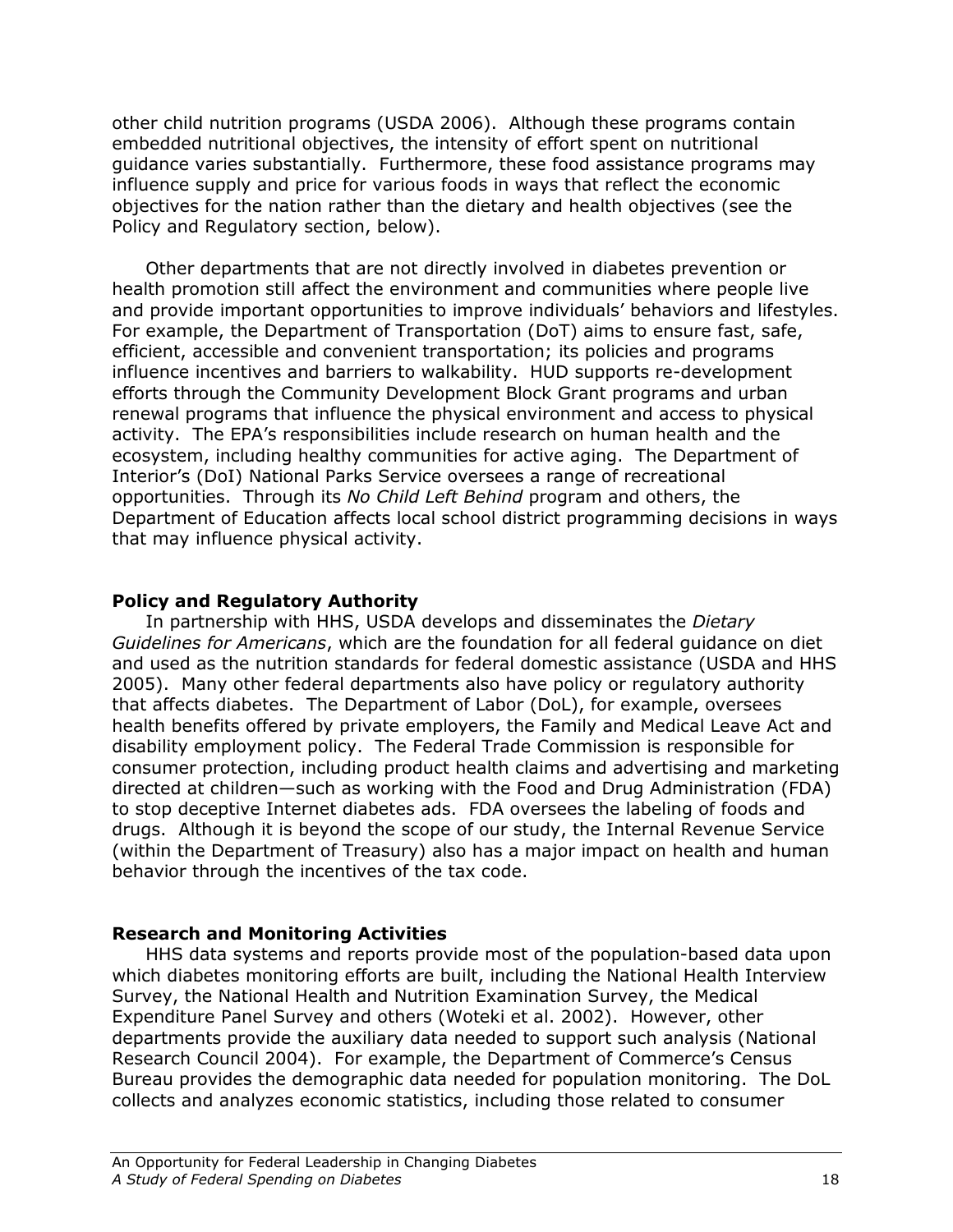other child nutrition programs (USDA 2006). Although these programs contain embedded nutritional objectives, the intensity of effort spent on nutritional guidance varies substantially. Furthermore, these food assistance programs may influence supply and price for various foods in ways that reflect the economic objectives for the nation rather than the dietary and health objectives (see the Policy and Regulatory section, below).

Other departments that are not directly involved in diabetes prevention or health promotion still affect the environment and communities where people live and provide important opportunities to improve individuals' behaviors and lifestyles. For example, the Department of Transportation (DoT) aims to ensure fast, safe, efficient, accessible and convenient transportation; its policies and programs influence incentives and barriers to walkability. HUD supports re-development efforts through the Community Development Block Grant programs and urban renewal programs that influence the physical environment and access to physical activity. The EPA's responsibilities include research on human health and the ecosystem, including healthy communities for active aging. The Department of Interior's (DoI) National Parks Service oversees a range of recreational opportunities. Through its No Child Left Behind program and others, the Department of Education affects local school district programming decisions in ways that may influence physical activity.

## Policy and Regulatory Authority

In partnership with HHS, USDA develops and disseminates the *Dietary* Guidelines for Americans, which are the foundation for all federal guidance on diet and used as the nutrition standards for federal domestic assistance (USDA and HHS 2005). Many other federal departments also have policy or regulatory authority that affects diabetes. The Department of Labor (DoL), for example, oversees health benefits offered by private employers, the Family and Medical Leave Act and disability employment policy. The Federal Trade Commission is responsible for consumer protection, including product health claims and advertising and marketing directed at children—such as working with the Food and Drug Administration (FDA) to stop deceptive Internet diabetes ads. FDA oversees the labeling of foods and drugs. Although it is beyond the scope of our study, the Internal Revenue Service (within the Department of Treasury) also has a major impact on health and human behavior through the incentives of the tax code.

## Research and Monitoring Activities

 HHS data systems and reports provide most of the population-based data upon which diabetes monitoring efforts are built, including the National Health Interview Survey, the National Health and Nutrition Examination Survey, the Medical Expenditure Panel Survey and others (Woteki et al. 2002). However, other departments provide the auxiliary data needed to support such analysis (National Research Council 2004). For example, the Department of Commerce's Census Bureau provides the demographic data needed for population monitoring. The DoL collects and analyzes economic statistics, including those related to consumer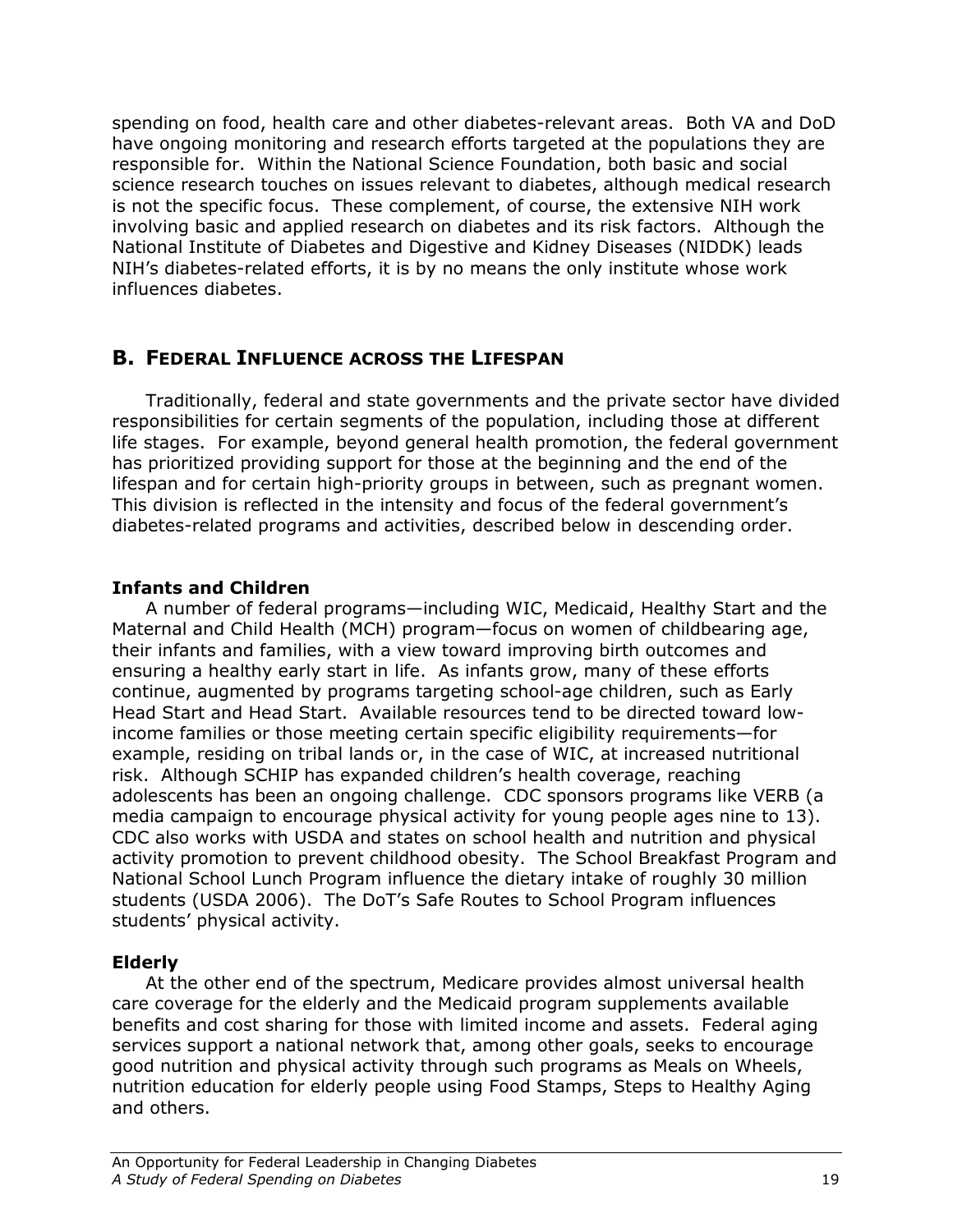spending on food, health care and other diabetes-relevant areas. Both VA and DoD have ongoing monitoring and research efforts targeted at the populations they are responsible for. Within the National Science Foundation, both basic and social science research touches on issues relevant to diabetes, although medical research is not the specific focus. These complement, of course, the extensive NIH work involving basic and applied research on diabetes and its risk factors. Although the National Institute of Diabetes and Digestive and Kidney Diseases (NIDDK) leads NIH's diabetes-related efforts, it is by no means the only institute whose work influences diabetes.

## B. FEDERAL INFLUENCE ACROSS THE LIFESPAN

Traditionally, federal and state governments and the private sector have divided responsibilities for certain segments of the population, including those at different life stages. For example, beyond general health promotion, the federal government has prioritized providing support for those at the beginning and the end of the lifespan and for certain high-priority groups in between, such as pregnant women. This division is reflected in the intensity and focus of the federal government's diabetes-related programs and activities, described below in descending order.

## Infants and Children

 A number of federal programs—including WIC, Medicaid, Healthy Start and the Maternal and Child Health (MCH) program—focus on women of childbearing age, their infants and families, with a view toward improving birth outcomes and ensuring a healthy early start in life. As infants grow, many of these efforts continue, augmented by programs targeting school-age children, such as Early Head Start and Head Start. Available resources tend to be directed toward lowincome families or those meeting certain specific eligibility requirements—for example, residing on tribal lands or, in the case of WIC, at increased nutritional risk. Although SCHIP has expanded children's health coverage, reaching adolescents has been an ongoing challenge. CDC sponsors programs like VERB (a media campaign to encourage physical activity for young people ages nine to 13). CDC also works with USDA and states on school health and nutrition and physical activity promotion to prevent childhood obesity. The School Breakfast Program and National School Lunch Program influence the dietary intake of roughly 30 million students (USDA 2006). The DoT's Safe Routes to School Program influences students' physical activity.

## Elderly

 At the other end of the spectrum, Medicare provides almost universal health care coverage for the elderly and the Medicaid program supplements available benefits and cost sharing for those with limited income and assets. Federal aging services support a national network that, among other goals, seeks to encourage good nutrition and physical activity through such programs as Meals on Wheels, nutrition education for elderly people using Food Stamps, Steps to Healthy Aging and others.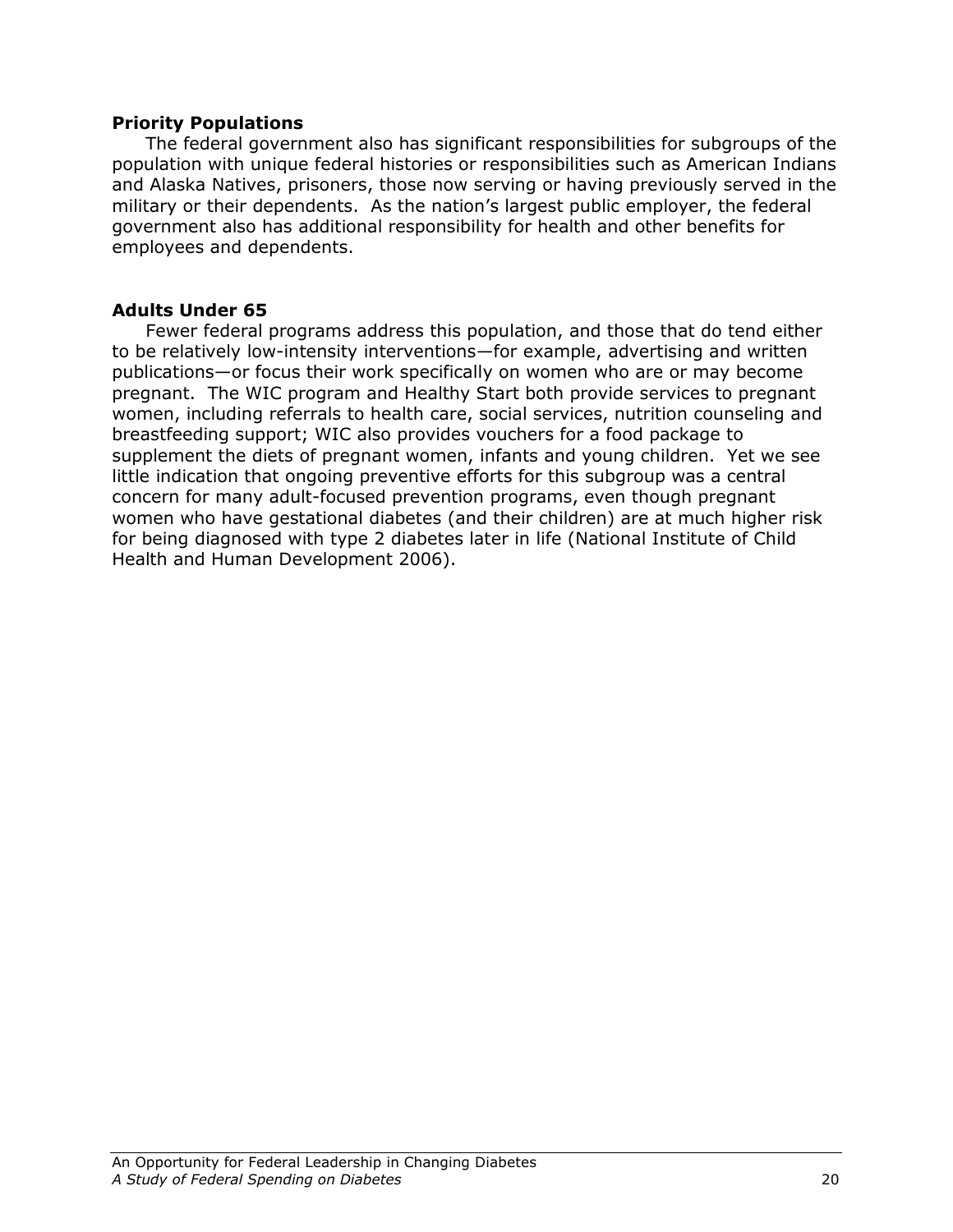### Priority Populations

The federal government also has significant responsibilities for subgroups of the population with unique federal histories or responsibilities such as American Indians and Alaska Natives, prisoners, those now serving or having previously served in the military or their dependents. As the nation's largest public employer, the federal government also has additional responsibility for health and other benefits for employees and dependents.

## Adults Under 65

 Fewer federal programs address this population, and those that do tend either to be relatively low-intensity interventions—for example, advertising and written publications—or focus their work specifically on women who are or may become pregnant. The WIC program and Healthy Start both provide services to pregnant women, including referrals to health care, social services, nutrition counseling and breastfeeding support; WIC also provides vouchers for a food package to supplement the diets of pregnant women, infants and young children. Yet we see little indication that ongoing preventive efforts for this subgroup was a central concern for many adult-focused prevention programs, even though pregnant women who have gestational diabetes (and their children) are at much higher risk for being diagnosed with type 2 diabetes later in life (National Institute of Child Health and Human Development 2006).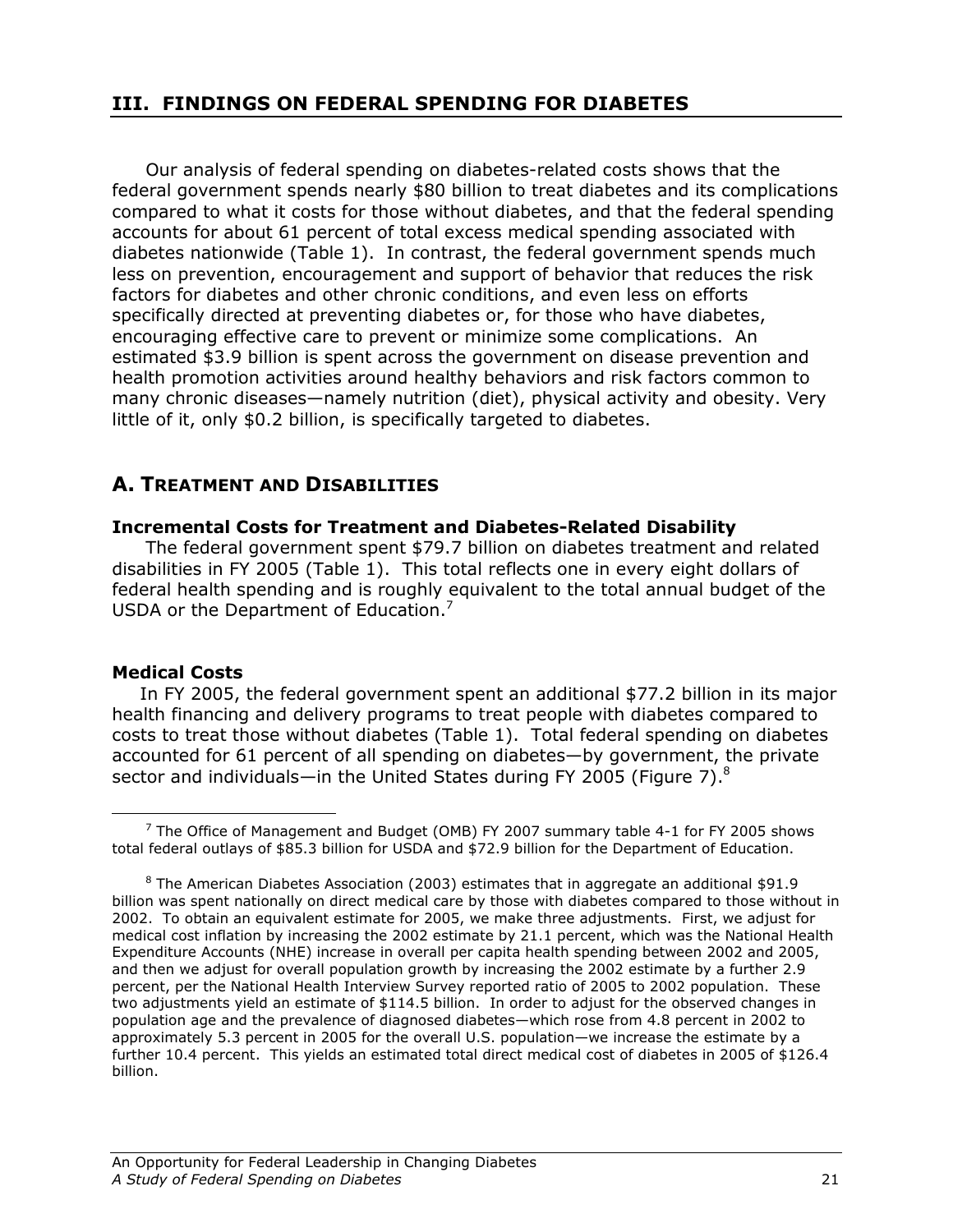## III. FINDINGS ON FEDERAL SPENDING FOR DIABETES

Our analysis of federal spending on diabetes-related costs shows that the federal government spends nearly \$80 billion to treat diabetes and its complications compared to what it costs for those without diabetes, and that the federal spending accounts for about 61 percent of total excess medical spending associated with diabetes nationwide (Table 1). In contrast, the federal government spends much less on prevention, encouragement and support of behavior that reduces the risk factors for diabetes and other chronic conditions, and even less on efforts specifically directed at preventing diabetes or, for those who have diabetes, encouraging effective care to prevent or minimize some complications. An estimated \$3.9 billion is spent across the government on disease prevention and health promotion activities around healthy behaviors and risk factors common to many chronic diseases—namely nutrition (diet), physical activity and obesity. Very little of it, only \$0.2 billion, is specifically targeted to diabetes.

## A. TREATMENT AND DISABILITIES

### Incremental Costs for Treatment and Diabetes-Related Disability

The federal government spent \$79.7 billion on diabetes treatment and related disabilities in FY 2005 (Table 1). This total reflects one in every eight dollars of federal health spending and is roughly equivalent to the total annual budget of the USDA or the Department of Education.<sup>7</sup>

### Medical Costs

<u>.</u>

In FY 2005, the federal government spent an additional \$77.2 billion in its major health financing and delivery programs to treat people with diabetes compared to costs to treat those without diabetes (Table 1). Total federal spending on diabetes accounted for 61 percent of all spending on diabetes—by government, the private sector and individuals—in the United States during FY 2005 (Figure 7). $^8$ 

 $^7$  The Office of Management and Budget (OMB) FY 2007 summary table 4-1 for FY 2005 shows total federal outlays of \$85.3 billion for USDA and \$72.9 billion for the Department of Education.

 $^8$  The American Diabetes Association (2003) estimates that in aggregate an additional \$91.9 billion was spent nationally on direct medical care by those with diabetes compared to those without in 2002. To obtain an equivalent estimate for 2005, we make three adjustments. First, we adjust for medical cost inflation by increasing the 2002 estimate by 21.1 percent, which was the National Health Expenditure Accounts (NHE) increase in overall per capita health spending between 2002 and 2005, and then we adjust for overall population growth by increasing the 2002 estimate by a further 2.9 percent, per the National Health Interview Survey reported ratio of 2005 to 2002 population. These two adjustments yield an estimate of \$114.5 billion. In order to adjust for the observed changes in population age and the prevalence of diagnosed diabetes—which rose from 4.8 percent in 2002 to approximately 5.3 percent in 2005 for the overall U.S. population—we increase the estimate by a further 10.4 percent. This yields an estimated total direct medical cost of diabetes in 2005 of \$126.4 billion.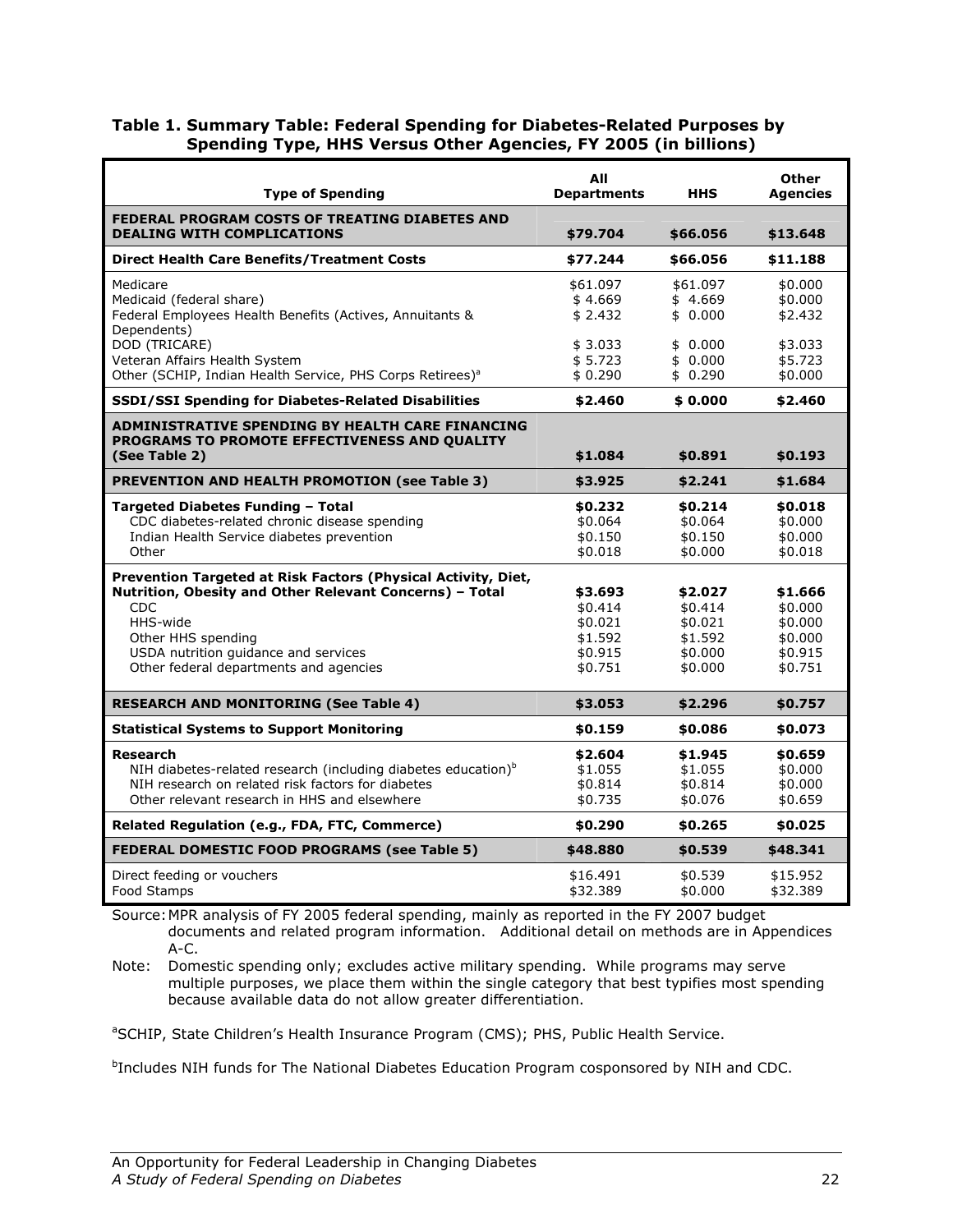| Table 1. Summary Table: Federal Spending for Diabetes-Related Purposes by |
|---------------------------------------------------------------------------|
| <b>Spending Type, HHS Versus Other Agencies, FY 2005 (in billions)</b>    |

| <b>Type of Spending</b>                                                             | All<br><b>Departments</b> | HHS                | <b>Other</b><br><b>Agencies</b> |
|-------------------------------------------------------------------------------------|---------------------------|--------------------|---------------------------------|
| FEDERAL PROGRAM COSTS OF TREATING DIABETES AND<br><b>DEALING WITH COMPLICATIONS</b> |                           |                    |                                 |
|                                                                                     | \$79.704                  | \$66.056           | \$13.648                        |
| <b>Direct Health Care Benefits/Treatment Costs</b>                                  | \$77.244                  | \$66.056           | \$11.188                        |
| Medicare                                                                            | \$61.097                  | \$61.097           | \$0.000                         |
| Medicaid (federal share)                                                            | \$4.669                   | \$4.669            | \$0.000                         |
| Federal Employees Health Benefits (Actives, Annuitants &<br>Dependents)             | \$2.432                   | \$0.000            | \$2.432                         |
| DOD (TRICARE)                                                                       | \$3.033                   | \$0.000            | \$3.033                         |
| Veteran Affairs Health System                                                       | \$5.723                   | \$0.000            | \$5.723                         |
| Other (SCHIP, Indian Health Service, PHS Corps Retirees) <sup>a</sup>               | \$0.290                   | \$0.290            | \$0.000                         |
| <b>SSDI/SSI Spending for Diabetes-Related Disabilities</b>                          | \$2.460                   | \$0.000            | \$2.460                         |
| ADMINISTRATIVE SPENDING BY HEALTH CARE FINANCING                                    |                           |                    |                                 |
| <b>PROGRAMS TO PROMOTE EFFECTIVENESS AND OUALITY</b><br>(See Table 2)               | \$1.084                   | \$0.891            | \$0.193                         |
|                                                                                     |                           |                    |                                 |
| PREVENTION AND HEALTH PROMOTION (see Table 3)                                       | \$3.925                   | \$2.241            | \$1.684                         |
| Targeted Diabetes Funding - Total                                                   | \$0.232                   | \$0.214            | \$0.018                         |
| CDC diabetes-related chronic disease spending                                       | \$0.064                   | \$0.064            | \$0.000                         |
| Indian Health Service diabetes prevention<br>Other                                  | \$0.150                   | \$0.150            | \$0.000                         |
|                                                                                     | \$0.018                   | \$0.000            | \$0.018                         |
| Prevention Targeted at Risk Factors (Physical Activity, Diet,                       |                           |                    |                                 |
| Nutrition, Obesity and Other Relevant Concerns) - Total<br><b>CDC</b>               | \$3.693                   | \$2.027            | \$1.666                         |
| HHS-wide                                                                            | \$0.414<br>\$0.021        | \$0.414<br>\$0.021 | \$0.000<br>\$0.000              |
| Other HHS spending                                                                  | \$1.592                   | \$1.592            | \$0.000                         |
| USDA nutrition guidance and services                                                | \$0.915                   | \$0.000            | \$0.915                         |
| Other federal departments and agencies                                              | \$0.751                   | \$0.000            | \$0.751                         |
|                                                                                     |                           |                    |                                 |
| <b>RESEARCH AND MONITORING (See Table 4)</b>                                        | \$3.053                   | \$2.296            | \$0.757                         |
| <b>Statistical Systems to Support Monitoring</b>                                    | \$0.159                   | \$0.086            | \$0.073                         |
| <b>Research</b>                                                                     | \$2.604                   | \$1.945            | \$0.659                         |
| NIH diabetes-related research (including diabetes education) <sup>b</sup>           | \$1.055                   | \$1.055            | \$0.000                         |
| NIH research on related risk factors for diabetes                                   | \$0.814                   | \$0.814            | \$0.000                         |
| Other relevant research in HHS and elsewhere                                        | \$0.735                   | \$0.076            | \$0.659                         |
| Related Regulation (e.g., FDA, FTC, Commerce)                                       | \$0.290                   | \$0.265            | \$0.025                         |
| <b>FEDERAL DOMESTIC FOOD PROGRAMS (see Table 5)</b>                                 | \$48.880                  | \$0.539            | \$48.341                        |
| Direct feeding or vouchers                                                          | \$16.491                  | \$0.539            | \$15.952                        |
| Food Stamps                                                                         | \$32.389                  | \$0.000            | \$32.389                        |

Source: MPR analysis of FY 2005 federal spending, mainly as reported in the FY 2007 budget documents and related program information. Additional detail on methods are in Appendices A-C.

Note: Domestic spending only; excludes active military spending. While programs may serve multiple purposes, we place them within the single category that best typifies most spending because available data do not allow greater differentiation.

<sup>a</sup>SCHIP, State Children's Health Insurance Program (CMS); PHS, Public Health Service.

<sup>b</sup>Includes NIH funds for The National Diabetes Education Program cosponsored by NIH and CDC.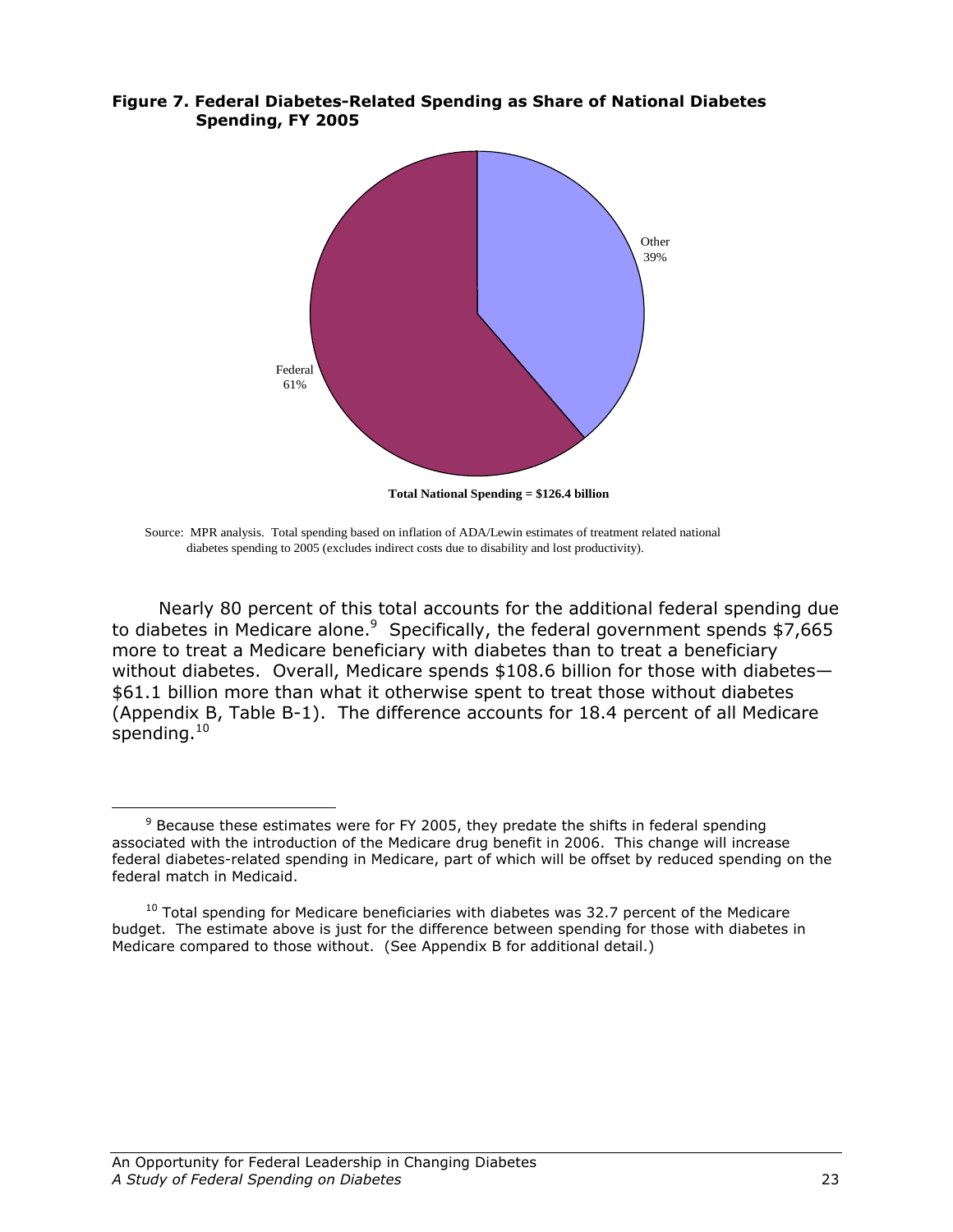#### Figure 7. Federal Diabetes-Related Spending as Share of National Diabetes Spending, FY 2005



Source: MPR analysis. Total spending based on inflation of ADA/Lewin estimates of treatment related national diabetes spending to 2005 (excludes indirect costs due to disability and lost productivity).

Nearly 80 percent of this total accounts for the additional federal spending due to diabetes in Medicare alone. $9$  Specifically, the federal government spends \$7,665 more to treat a Medicare beneficiary with diabetes than to treat a beneficiary without diabetes. Overall, Medicare spends \$108.6 billion for those with diabetes— \$61.1 billion more than what it otherwise spent to treat those without diabetes (Appendix B, Table B-1). The difference accounts for 18.4 percent of all Medicare spending. $^{\rm 10}$ 

-

 $9$  Because these estimates were for FY 2005, they predate the shifts in federal spending associated with the introduction of the Medicare drug benefit in 2006. This change will increase federal diabetes-related spending in Medicare, part of which will be offset by reduced spending on the federal match in Medicaid.

 $10$  Total spending for Medicare beneficiaries with diabetes was 32.7 percent of the Medicare budget. The estimate above is just for the difference between spending for those with diabetes in Medicare compared to those without. (See Appendix B for additional detail.)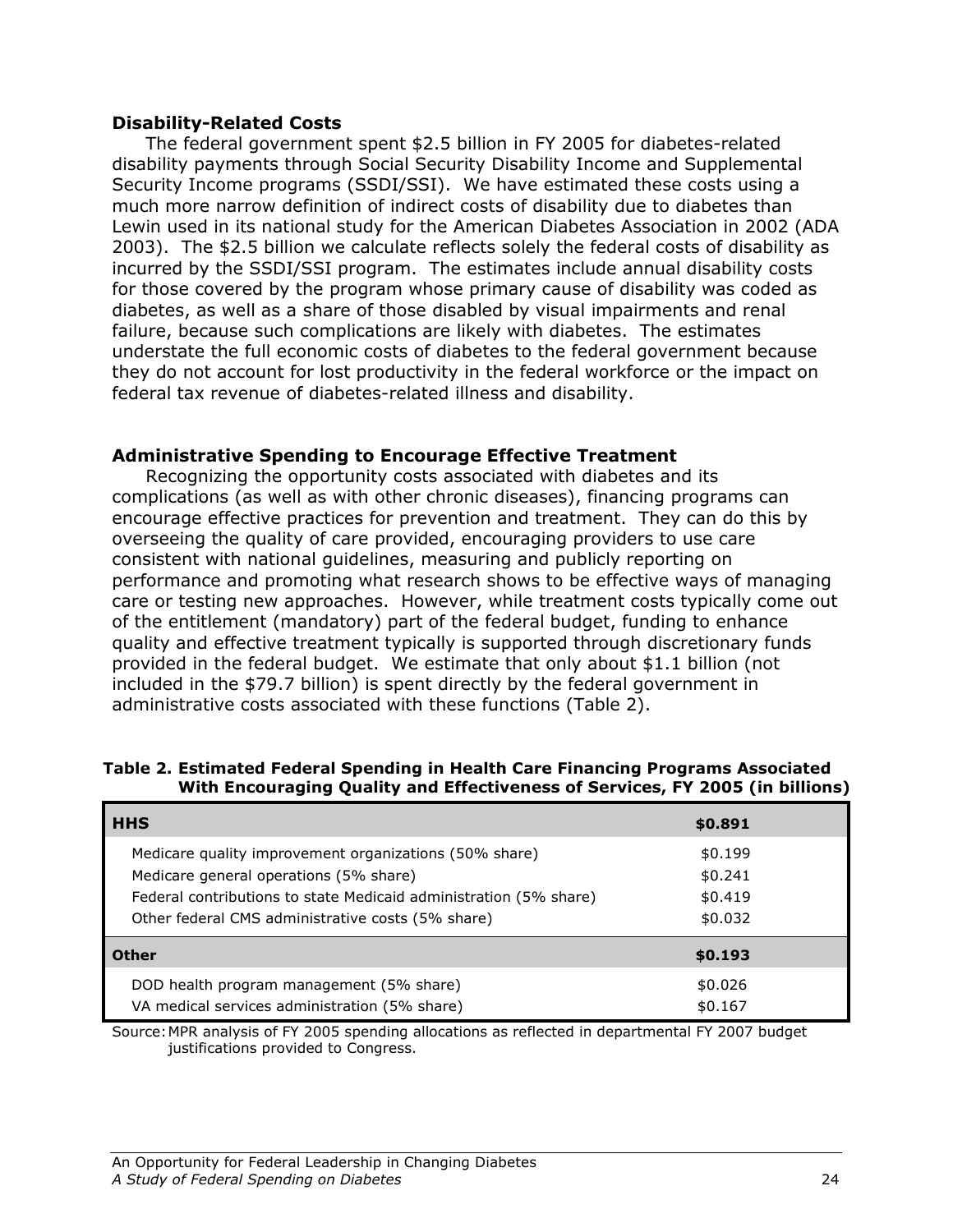#### Disability-Related Costs

The federal government spent \$2.5 billion in FY 2005 for diabetes-related disability payments through Social Security Disability Income and Supplemental Security Income programs (SSDI/SSI). We have estimated these costs using a much more narrow definition of indirect costs of disability due to diabetes than Lewin used in its national study for the American Diabetes Association in 2002 (ADA 2003). The \$2.5 billion we calculate reflects solely the federal costs of disability as incurred by the SSDI/SSI program. The estimates include annual disability costs for those covered by the program whose primary cause of disability was coded as diabetes, as well as a share of those disabled by visual impairments and renal failure, because such complications are likely with diabetes. The estimates understate the full economic costs of diabetes to the federal government because they do not account for lost productivity in the federal workforce or the impact on federal tax revenue of diabetes-related illness and disability.

### Administrative Spending to Encourage Effective Treatment

Recognizing the opportunity costs associated with diabetes and its complications (as well as with other chronic diseases), financing programs can encourage effective practices for prevention and treatment. They can do this by overseeing the quality of care provided, encouraging providers to use care consistent with national guidelines, measuring and publicly reporting on performance and promoting what research shows to be effective ways of managing care or testing new approaches. However, while treatment costs typically come out of the entitlement (mandatory) part of the federal budget, funding to enhance quality and effective treatment typically is supported through discretionary funds provided in the federal budget. We estimate that only about \$1.1 billion (not included in the \$79.7 billion) is spent directly by the federal government in administrative costs associated with these functions (Table 2).

| <b>HHS</b>                                                        | \$0.891 |  |
|-------------------------------------------------------------------|---------|--|
| Medicare quality improvement organizations (50% share)            | \$0.199 |  |
| Medicare general operations (5% share)                            | \$0.241 |  |
| Federal contributions to state Medicaid administration (5% share) | \$0.419 |  |
| Other federal CMS administrative costs (5% share)                 | \$0.032 |  |
| <b>Other</b>                                                      | \$0.193 |  |
| DOD health program management (5% share)                          | \$0.026 |  |
| VA medical services administration (5% share)                     | \$0.167 |  |

#### Table 2. Estimated Federal Spending in Health Care Financing Programs Associated With Encouraging Quality and Effectiveness of Services, FY 2005 (in billions)

Source: MPR analysis of FY 2005 spending allocations as reflected in departmental FY 2007 budget justifications provided to Congress.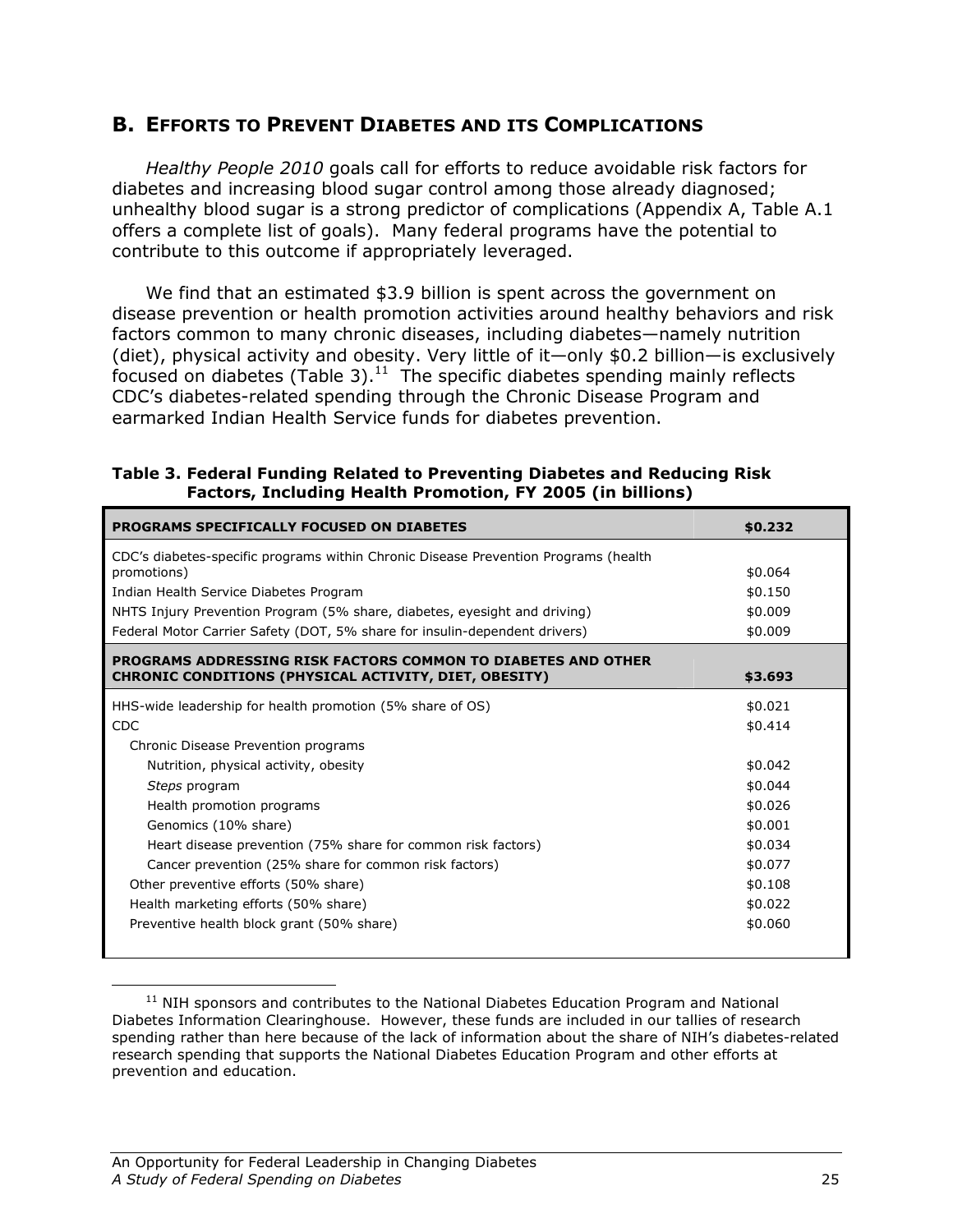## B. EFFORTS TO PREVENT DIABETES AND ITS COMPLICATIONS

Healthy People 2010 goals call for efforts to reduce avoidable risk factors for diabetes and increasing blood sugar control among those already diagnosed; unhealthy blood sugar is a strong predictor of complications (Appendix A, Table A.1 offers a complete list of goals). Many federal programs have the potential to contribute to this outcome if appropriately leveraged.

We find that an estimated \$3.9 billion is spent across the government on disease prevention or health promotion activities around healthy behaviors and risk factors common to many chronic diseases, including diabetes—namely nutrition (diet), physical activity and obesity. Very little of it—only \$0.2 billion—is exclusively focused on diabetes (Table 3). $11$  The specific diabetes spending mainly reflects CDC's diabetes-related spending through the Chronic Disease Program and earmarked Indian Health Service funds for diabetes prevention.

| Table 3. Federal Funding Related to Preventing Diabetes and Reducing Risk |                                         |
|---------------------------------------------------------------------------|-----------------------------------------|
| <b>Factors, Including Health Promotion, FY 2005 (in billions)</b>         |                                         |
| BBAABANA ABEATETAALI V FAAHAFB AN BTABETEA                                | $\lambda$ $\lambda$ $\lambda$ $\lambda$ |

| <b>PROGRAMS SPECIFICALLY FOCUSED ON DIABETES</b>                                                                                     | \$0.232 |
|--------------------------------------------------------------------------------------------------------------------------------------|---------|
| CDC's diabetes-specific programs within Chronic Disease Prevention Programs (health                                                  | \$0.064 |
| promotions)                                                                                                                          |         |
| Indian Health Service Diabetes Program                                                                                               | \$0.150 |
| NHTS Injury Prevention Program (5% share, diabetes, eyesight and driving)                                                            | \$0.009 |
| Federal Motor Carrier Safety (DOT, 5% share for insulin-dependent drivers)                                                           | \$0.009 |
| <b>PROGRAMS ADDRESSING RISK FACTORS COMMON TO DIABETES AND OTHER</b><br><b>CHRONIC CONDITIONS (PHYSICAL ACTIVITY, DIET, OBESITY)</b> | \$3.693 |
|                                                                                                                                      |         |
| HHS-wide leadership for health promotion (5% share of OS)                                                                            | \$0.021 |
| <b>CDC</b>                                                                                                                           | \$0.414 |
| Chronic Disease Prevention programs                                                                                                  |         |
| Nutrition, physical activity, obesity                                                                                                | \$0.042 |
| Steps program                                                                                                                        | \$0.044 |
| Health promotion programs                                                                                                            | \$0.026 |
| Genomics (10% share)                                                                                                                 | \$0.001 |
| Heart disease prevention (75% share for common risk factors)                                                                         | \$0.034 |
| Cancer prevention (25% share for common risk factors)                                                                                | \$0.077 |
| Other preventive efforts (50% share)                                                                                                 | \$0.108 |
| Health marketing efforts (50% share)                                                                                                 | \$0.022 |
| Preventive health block grant (50% share)                                                                                            | \$0.060 |

 $11$  NIH sponsors and contributes to the National Diabetes Education Program and National Diabetes Information Clearinghouse. However, these funds are included in our tallies of research spending rather than here because of the lack of information about the share of NIH's diabetes-related research spending that supports the National Diabetes Education Program and other efforts at prevention and education.

<u>.</u>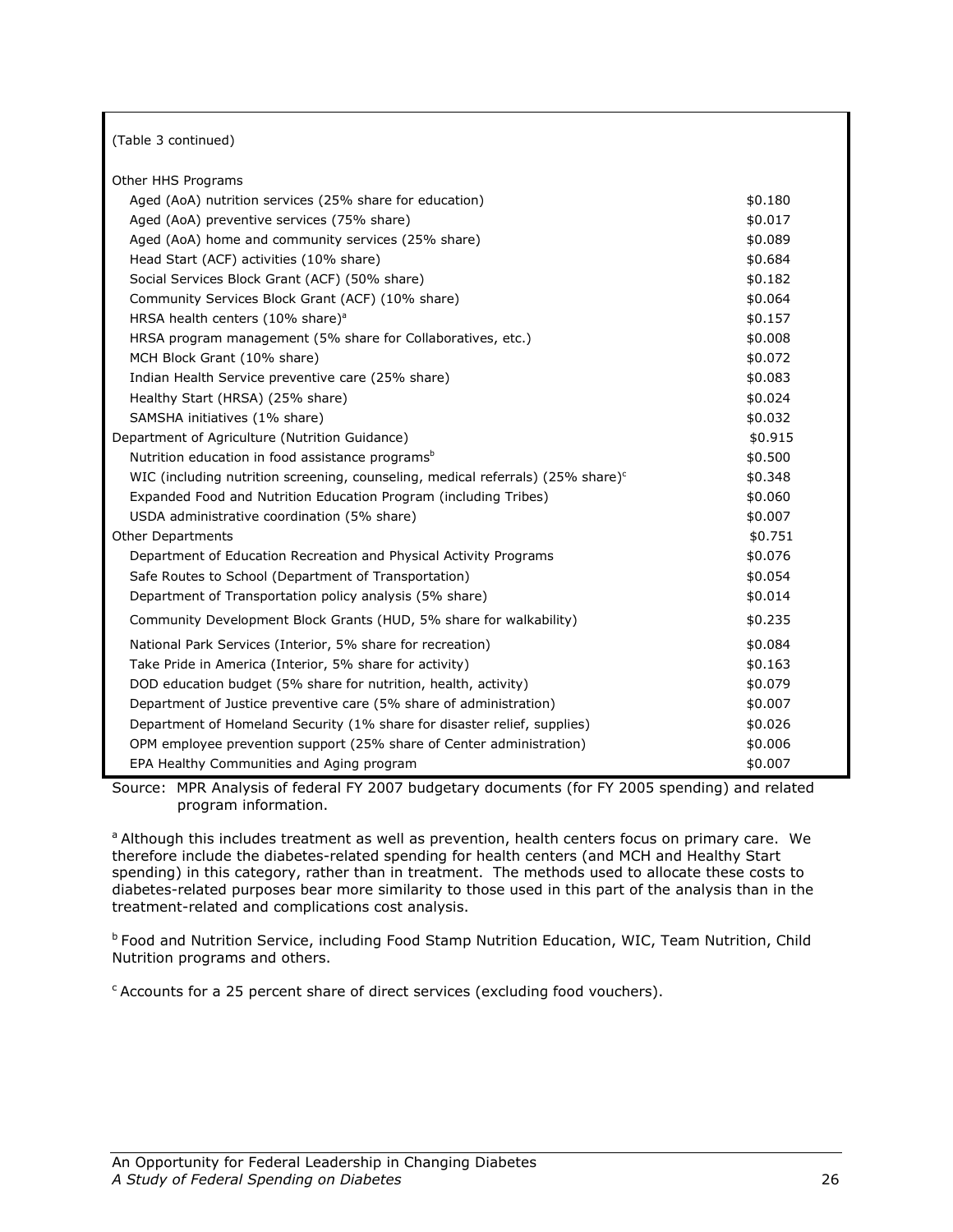| (Table 3 continued)                                                                       |         |
|-------------------------------------------------------------------------------------------|---------|
| Other HHS Programs                                                                        |         |
| Aged (AoA) nutrition services (25% share for education)                                   | \$0.180 |
| Aged (AoA) preventive services (75% share)                                                | \$0.017 |
| Aged (AoA) home and community services (25% share)                                        | \$0.089 |
| Head Start (ACF) activities (10% share)                                                   | \$0.684 |
| Social Services Block Grant (ACF) (50% share)                                             | \$0.182 |
| Community Services Block Grant (ACF) (10% share)                                          | \$0.064 |
| HRSA health centers (10% share) <sup>a</sup>                                              | \$0.157 |
| HRSA program management (5% share for Collaboratives, etc.)                               | \$0.008 |
| MCH Block Grant (10% share)                                                               | \$0.072 |
| Indian Health Service preventive care (25% share)                                         | \$0.083 |
| Healthy Start (HRSA) (25% share)                                                          | \$0.024 |
| SAMSHA initiatives (1% share)                                                             | \$0.032 |
| Department of Agriculture (Nutrition Guidance)                                            | \$0.915 |
| Nutrition education in food assistance programs <sup>b</sup>                              | \$0.500 |
| WIC (including nutrition screening, counseling, medical referrals) (25% share) $\text{c}$ | \$0.348 |
| Expanded Food and Nutrition Education Program (including Tribes)                          | \$0.060 |
| USDA administrative coordination (5% share)                                               | \$0.007 |
| Other Departments                                                                         | \$0.751 |
| Department of Education Recreation and Physical Activity Programs                         | \$0.076 |
| Safe Routes to School (Department of Transportation)                                      | \$0.054 |
| Department of Transportation policy analysis (5% share)                                   | \$0.014 |
| Community Development Block Grants (HUD, 5% share for walkability)                        | \$0.235 |
| National Park Services (Interior, 5% share for recreation)                                | \$0.084 |
| Take Pride in America (Interior, 5% share for activity)                                   | \$0.163 |
| DOD education budget (5% share for nutrition, health, activity)                           | \$0.079 |
| Department of Justice preventive care (5% share of administration)                        | \$0.007 |
| Department of Homeland Security (1% share for disaster relief, supplies)                  | \$0.026 |
| OPM employee prevention support (25% share of Center administration)                      | \$0.006 |
| EPA Healthy Communities and Aging program                                                 | \$0.007 |

Source: MPR Analysis of federal FY 2007 budgetary documents (for FY 2005 spending) and related program information.

<sup>a</sup> Although this includes treatment as well as prevention, health centers focus on primary care. We therefore include the diabetes-related spending for health centers (and MCH and Healthy Start spending) in this category, rather than in treatment. The methods used to allocate these costs to diabetes-related purposes bear more similarity to those used in this part of the analysis than in the treatment-related and complications cost analysis.

**b Food and Nutrition Service, including Food Stamp Nutrition Education, WIC, Team Nutrition, Child** Nutrition programs and others.

 $c$  Accounts for a 25 percent share of direct services (excluding food vouchers).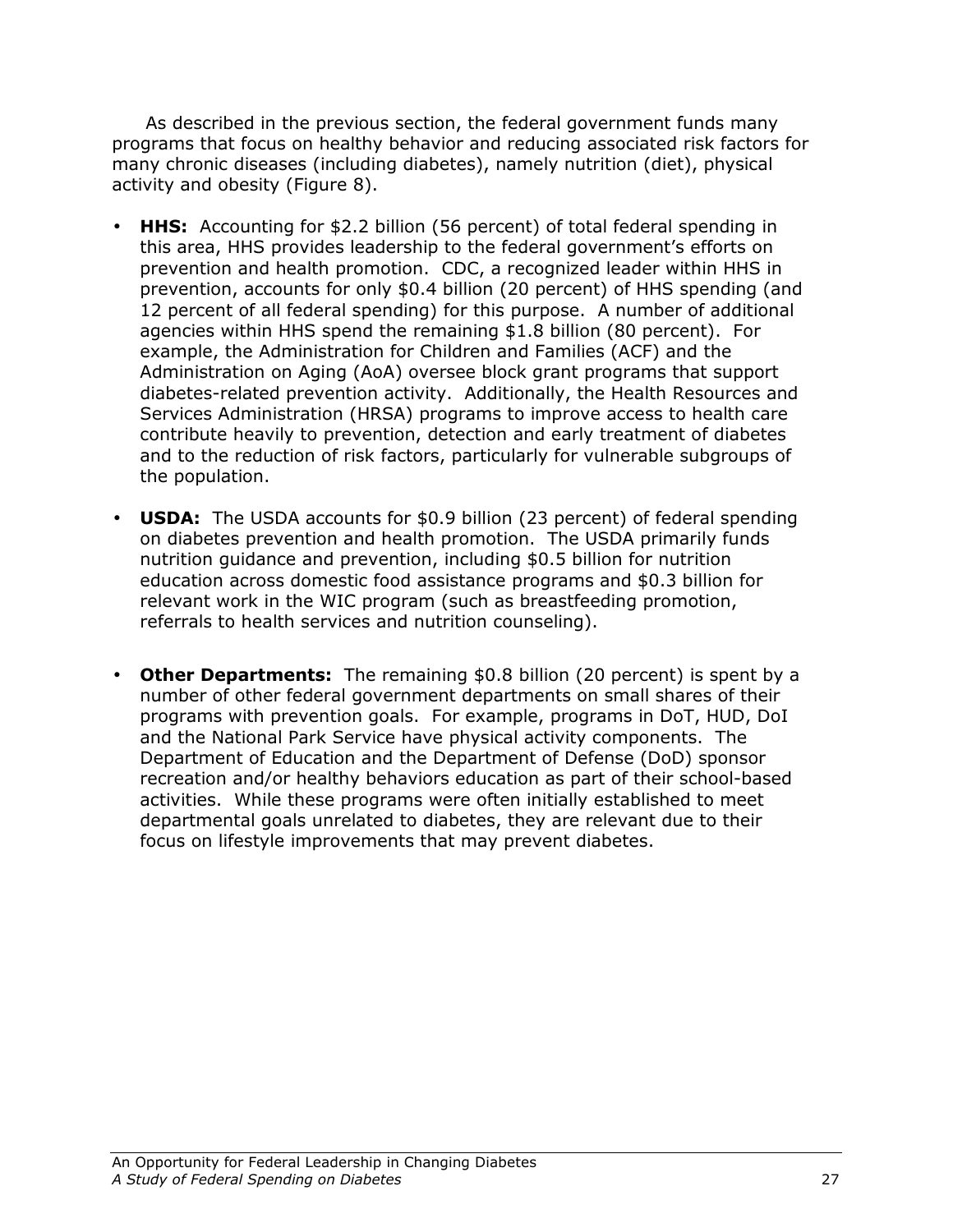As described in the previous section, the federal government funds many programs that focus on healthy behavior and reducing associated risk factors for many chronic diseases (including diabetes), namely nutrition (diet), physical activity and obesity (Figure 8).

- **HHS:** Accounting for \$2.2 billion (56 percent) of total federal spending in this area, HHS provides leadership to the federal government's efforts on prevention and health promotion. CDC, a recognized leader within HHS in prevention, accounts for only \$0.4 billion (20 percent) of HHS spending (and 12 percent of all federal spending) for this purpose. A number of additional agencies within HHS spend the remaining \$1.8 billion (80 percent). For example, the Administration for Children and Families (ACF) and the Administration on Aging (AoA) oversee block grant programs that support diabetes-related prevention activity. Additionally, the Health Resources and Services Administration (HRSA) programs to improve access to health care contribute heavily to prevention, detection and early treatment of diabetes and to the reduction of risk factors, particularly for vulnerable subgroups of the population.
- **USDA:** The USDA accounts for \$0.9 billion (23 percent) of federal spending on diabetes prevention and health promotion. The USDA primarily funds nutrition guidance and prevention, including \$0.5 billion for nutrition education across domestic food assistance programs and \$0.3 billion for relevant work in the WIC program (such as breastfeeding promotion, referrals to health services and nutrition counseling).
- Other Departments: The remaining \$0.8 billion (20 percent) is spent by a number of other federal government departments on small shares of their programs with prevention goals. For example, programs in DoT, HUD, DoI and the National Park Service have physical activity components. The Department of Education and the Department of Defense (DoD) sponsor recreation and/or healthy behaviors education as part of their school-based activities. While these programs were often initially established to meet departmental goals unrelated to diabetes, they are relevant due to their focus on lifestyle improvements that may prevent diabetes.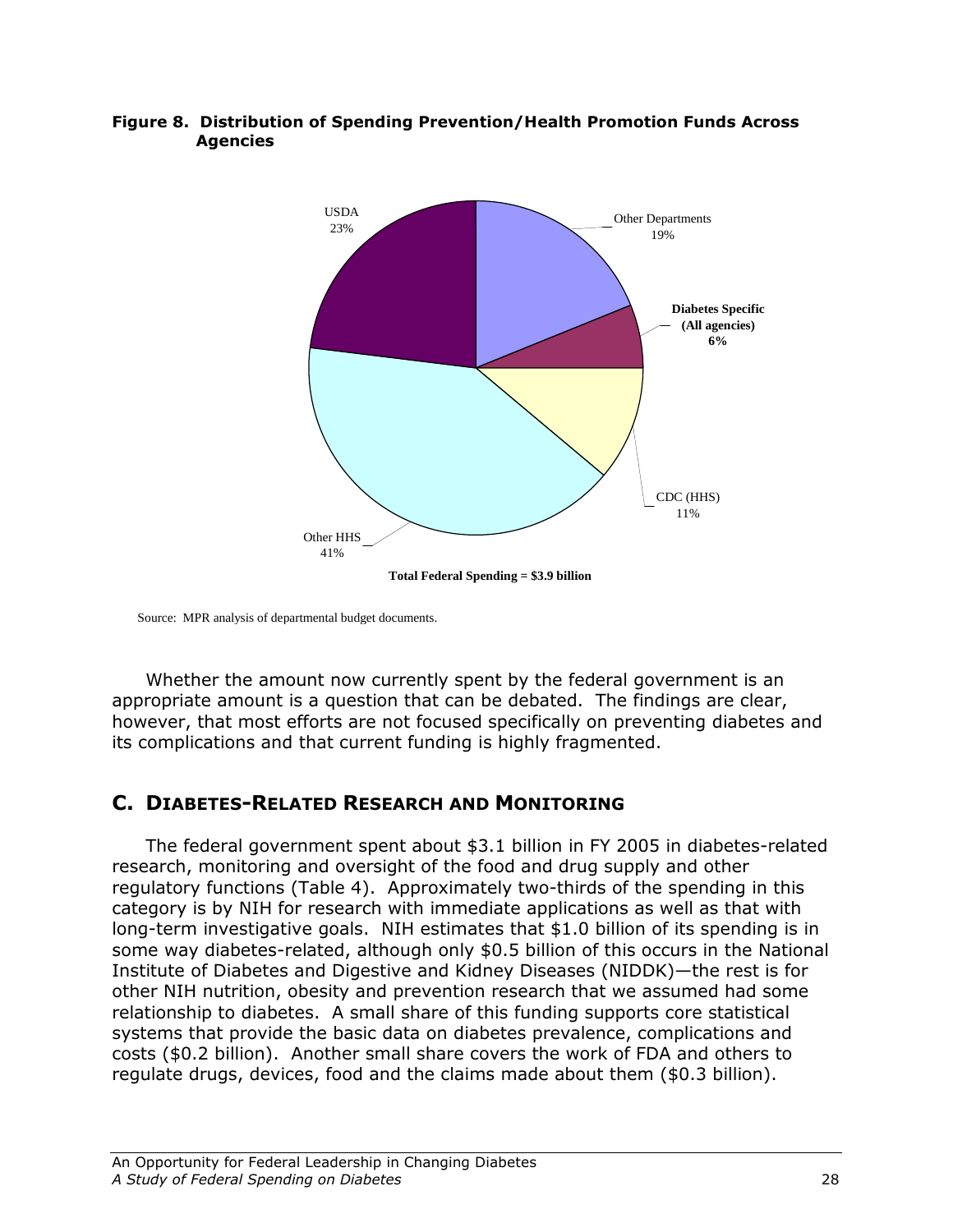

### Figure 8. Distribution of Spending Prevention/Health Promotion Funds Across Agencies

Source: MPR analysis of departmental budget documents.

 Whether the amount now currently spent by the federal government is an appropriate amount is a question that can be debated. The findings are clear, however, that most efforts are not focused specifically on preventing diabetes and its complications and that current funding is highly fragmented.

# C. DIABETES-RELATED RESEARCH AND MONITORING

The federal government spent about \$3.1 billion in FY 2005 in diabetes-related research, monitoring and oversight of the food and drug supply and other regulatory functions (Table 4). Approximately two-thirds of the spending in this category is by NIH for research with immediate applications as well as that with long-term investigative goals. NIH estimates that \$1.0 billion of its spending is in some way diabetes-related, although only \$0.5 billion of this occurs in the National Institute of Diabetes and Digestive and Kidney Diseases (NIDDK)—the rest is for other NIH nutrition, obesity and prevention research that we assumed had some relationship to diabetes. A small share of this funding supports core statistical systems that provide the basic data on diabetes prevalence, complications and costs (\$0.2 billion). Another small share covers the work of FDA and others to regulate drugs, devices, food and the claims made about them (\$0.3 billion).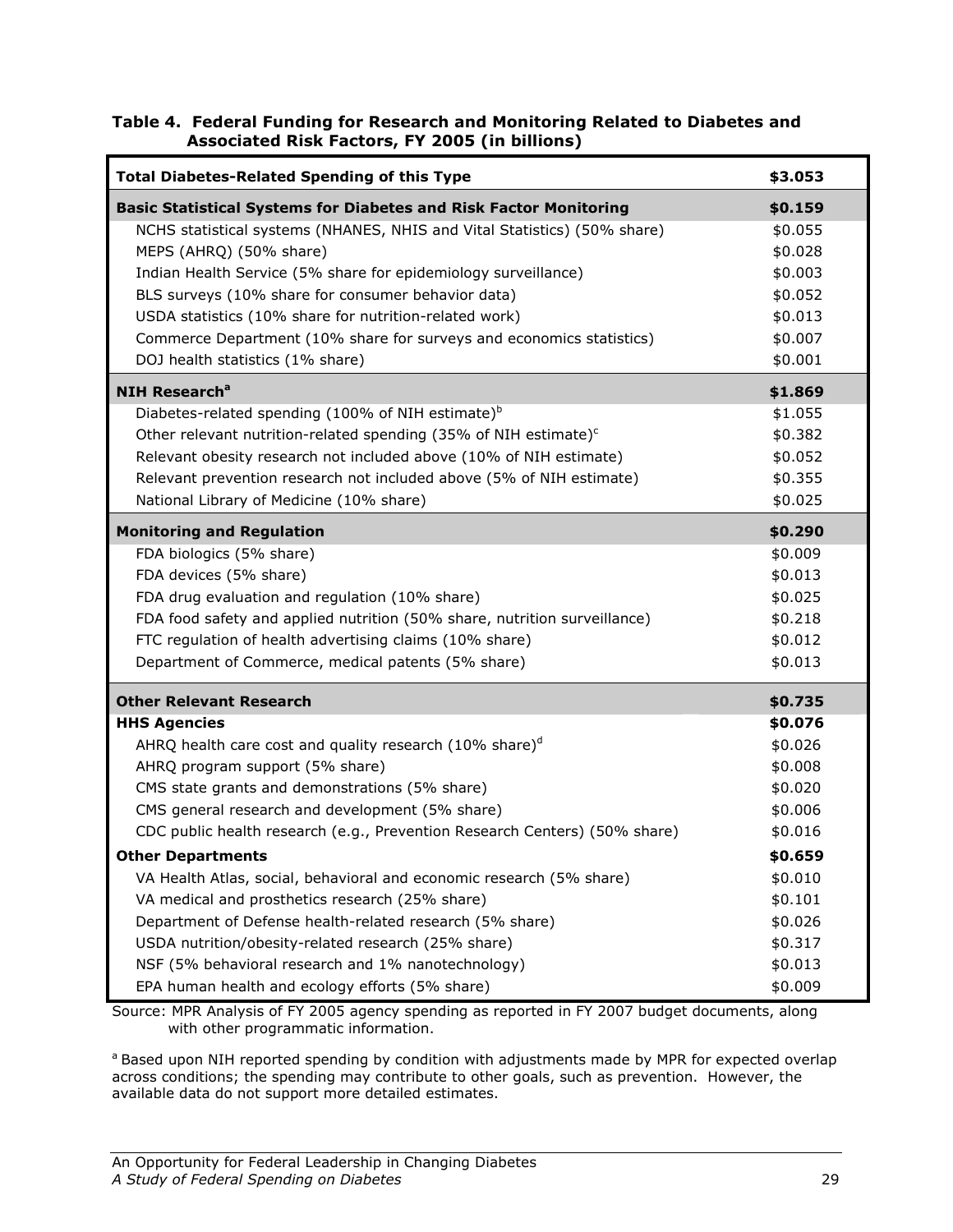#### Table 4. Federal Funding for Research and Monitoring Related to Diabetes and Associated Risk Factors, FY 2005 (in billions)

| <b>Total Diabetes-Related Spending of this Type</b>                          | \$3.053 |
|------------------------------------------------------------------------------|---------|
| <b>Basic Statistical Systems for Diabetes and Risk Factor Monitoring</b>     | \$0.159 |
| NCHS statistical systems (NHANES, NHIS and Vital Statistics) (50% share)     | \$0.055 |
| MEPS (AHRQ) (50% share)                                                      | \$0.028 |
| Indian Health Service (5% share for epidemiology surveillance)               | \$0.003 |
| BLS surveys (10% share for consumer behavior data)                           | \$0.052 |
| USDA statistics (10% share for nutrition-related work)                       | \$0.013 |
| Commerce Department (10% share for surveys and economics statistics)         | \$0.007 |
| DOJ health statistics (1% share)                                             | \$0.001 |
| <b>NIH Research<sup>a</sup></b>                                              | \$1.869 |
| Diabetes-related spending (100% of NIH estimate) $b$                         | \$1.055 |
| Other relevant nutrition-related spending (35% of NIH estimate) <sup>c</sup> | \$0.382 |
| Relevant obesity research not included above (10% of NIH estimate)           | \$0.052 |
| Relevant prevention research not included above (5% of NIH estimate)         | \$0.355 |
| National Library of Medicine (10% share)                                     | \$0.025 |
| <b>Monitoring and Regulation</b>                                             | \$0.290 |
| FDA biologics (5% share)                                                     | \$0.009 |
| FDA devices (5% share)                                                       | \$0.013 |
| FDA drug evaluation and regulation (10% share)                               | \$0.025 |
| FDA food safety and applied nutrition (50% share, nutrition surveillance)    | \$0.218 |
| FTC regulation of health advertising claims (10% share)                      | \$0.012 |
| Department of Commerce, medical patents (5% share)                           | \$0.013 |
| <b>Other Relevant Research</b>                                               | \$0.735 |
| <b>HHS Agencies</b>                                                          | \$0.076 |
| AHRQ health care cost and quality research (10% share) <sup>d</sup>          | \$0.026 |
| AHRQ program support (5% share)                                              | \$0.008 |
| CMS state grants and demonstrations (5% share)                               | \$0.020 |
| CMS general research and development (5% share)                              | \$0.006 |
| CDC public health research (e.g., Prevention Research Centers) (50% share)   | \$0.016 |
| <b>Other Departments</b>                                                     | \$0.659 |
| VA Health Atlas, social, behavioral and economic research (5% share)         | \$0.010 |
| VA medical and prosthetics research (25% share)                              | \$0.101 |
| Department of Defense health-related research (5% share)                     | \$0.026 |
| USDA nutrition/obesity-related research (25% share)                          | \$0.317 |
| NSF (5% behavioral research and 1% nanotechnology)                           | \$0.013 |
| EPA human health and ecology efforts (5% share)                              | \$0.009 |

Source: MPR Analysis of FY 2005 agency spending as reported in FY 2007 budget documents, along with other programmatic information.

<sup>a</sup> Based upon NIH reported spending by condition with adjustments made by MPR for expected overlap across conditions; the spending may contribute to other goals, such as prevention. However, the available data do not support more detailed estimates.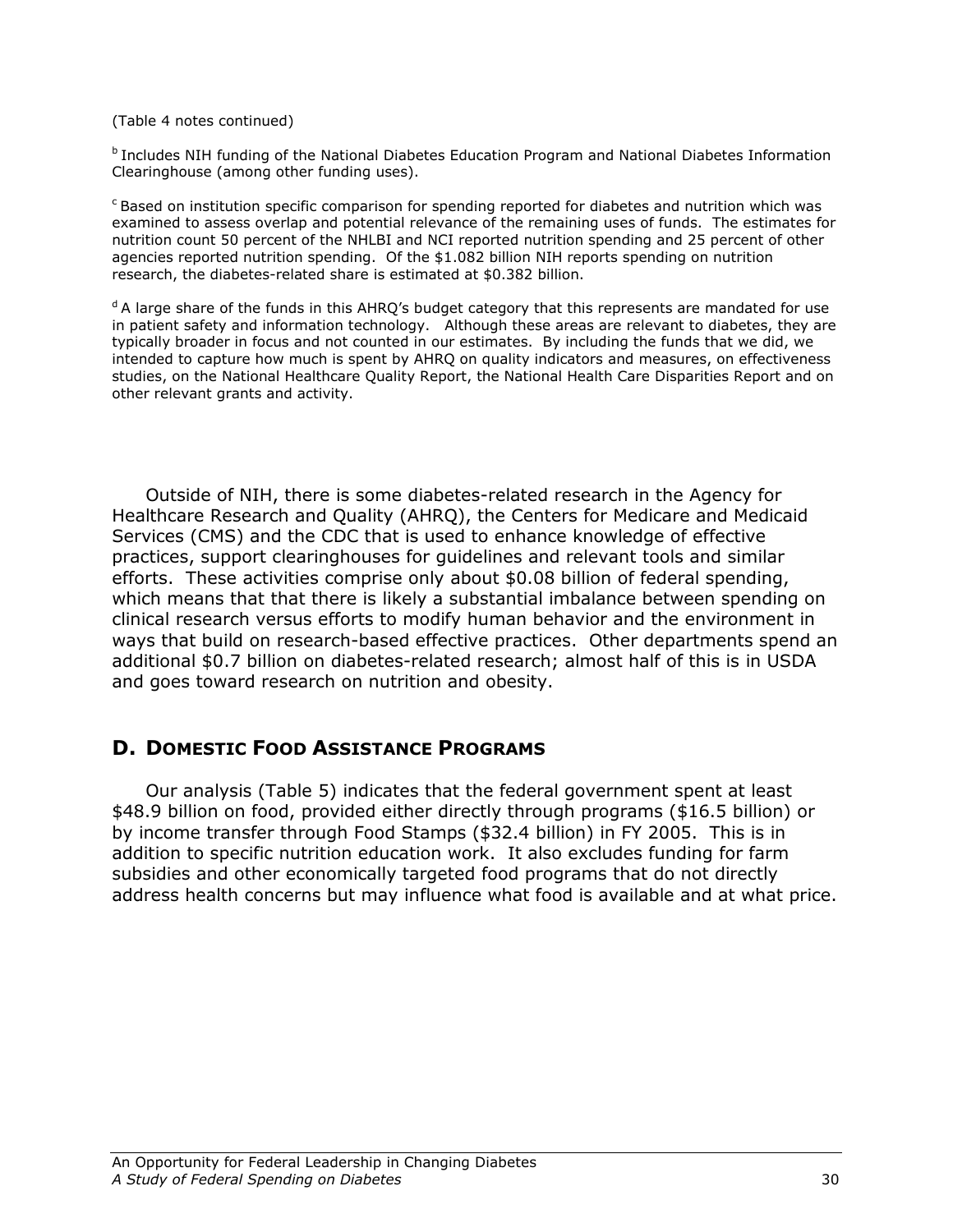(Table 4 notes continued)

<sup>b</sup> Includes NIH funding of the National Diabetes Education Program and National Diabetes Information Clearinghouse (among other funding uses).

 $c$ Based on institution specific comparison for spending reported for diabetes and nutrition which was examined to assess overlap and potential relevance of the remaining uses of funds. The estimates for nutrition count 50 percent of the NHLBI and NCI reported nutrition spending and 25 percent of other agencies reported nutrition spending. Of the \$1.082 billion NIH reports spending on nutrition research, the diabetes-related share is estimated at \$0.382 billion.

<sup>d</sup> A large share of the funds in this AHRQ's budget category that this represents are mandated for use in patient safety and information technology. Although these areas are relevant to diabetes, they are typically broader in focus and not counted in our estimates. By including the funds that we did, we intended to capture how much is spent by AHRQ on quality indicators and measures, on effectiveness studies, on the National Healthcare Quality Report, the National Health Care Disparities Report and on other relevant grants and activity.

Outside of NIH, there is some diabetes-related research in the Agency for Healthcare Research and Quality (AHRQ), the Centers for Medicare and Medicaid Services (CMS) and the CDC that is used to enhance knowledge of effective practices, support clearinghouses for guidelines and relevant tools and similar efforts. These activities comprise only about \$0.08 billion of federal spending, which means that that there is likely a substantial imbalance between spending on clinical research versus efforts to modify human behavior and the environment in ways that build on research-based effective practices. Other departments spend an additional \$0.7 billion on diabetes-related research; almost half of this is in USDA and goes toward research on nutrition and obesity.

## D. DOMESTIC FOOD ASSISTANCE PROGRAMS

Our analysis (Table 5) indicates that the federal government spent at least \$48.9 billion on food, provided either directly through programs (\$16.5 billion) or by income transfer through Food Stamps (\$32.4 billion) in FY 2005. This is in addition to specific nutrition education work. It also excludes funding for farm subsidies and other economically targeted food programs that do not directly address health concerns but may influence what food is available and at what price.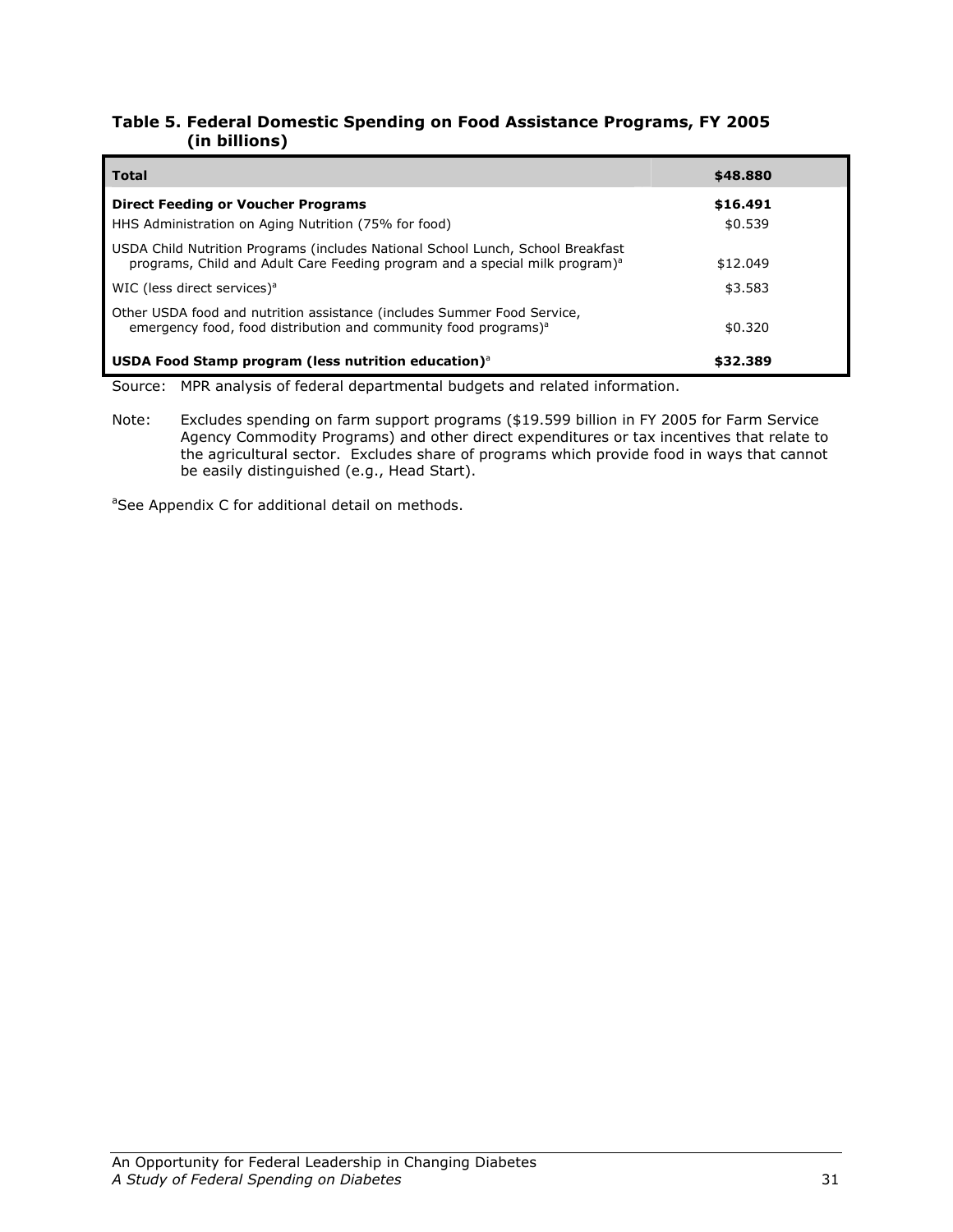#### Table 5. Federal Domestic Spending on Food Assistance Programs, FY 2005 (in billions)

| <b>Total</b>                                                                                                                                                               | \$48.880            |
|----------------------------------------------------------------------------------------------------------------------------------------------------------------------------|---------------------|
| <b>Direct Feeding or Voucher Programs</b><br>HHS Administration on Aging Nutrition (75% for food)                                                                          | \$16.491<br>\$0.539 |
| USDA Child Nutrition Programs (includes National School Lunch, School Breakfast<br>programs, Child and Adult Care Feeding program and a special milk program) <sup>a</sup> | \$12.049            |
| WIC (less direct services) <sup>a</sup>                                                                                                                                    | \$3.583             |
| Other USDA food and nutrition assistance (includes Summer Food Service,<br>emergency food, food distribution and community food programs) <sup>a</sup>                     | \$0.320             |
| USDA Food Stamp program (less nutrition education) $^{\circ}$                                                                                                              | \$32.389            |

Source: MPR analysis of federal departmental budgets and related information.

Note: Excludes spending on farm support programs (\$19.599 billion in FY 2005 for Farm Service Agency Commodity Programs) and other direct expenditures or tax incentives that relate to the agricultural sector. Excludes share of programs which provide food in ways that cannot be easily distinguished (e.g., Head Start).

<sup>a</sup>See Appendix C for additional detail on methods.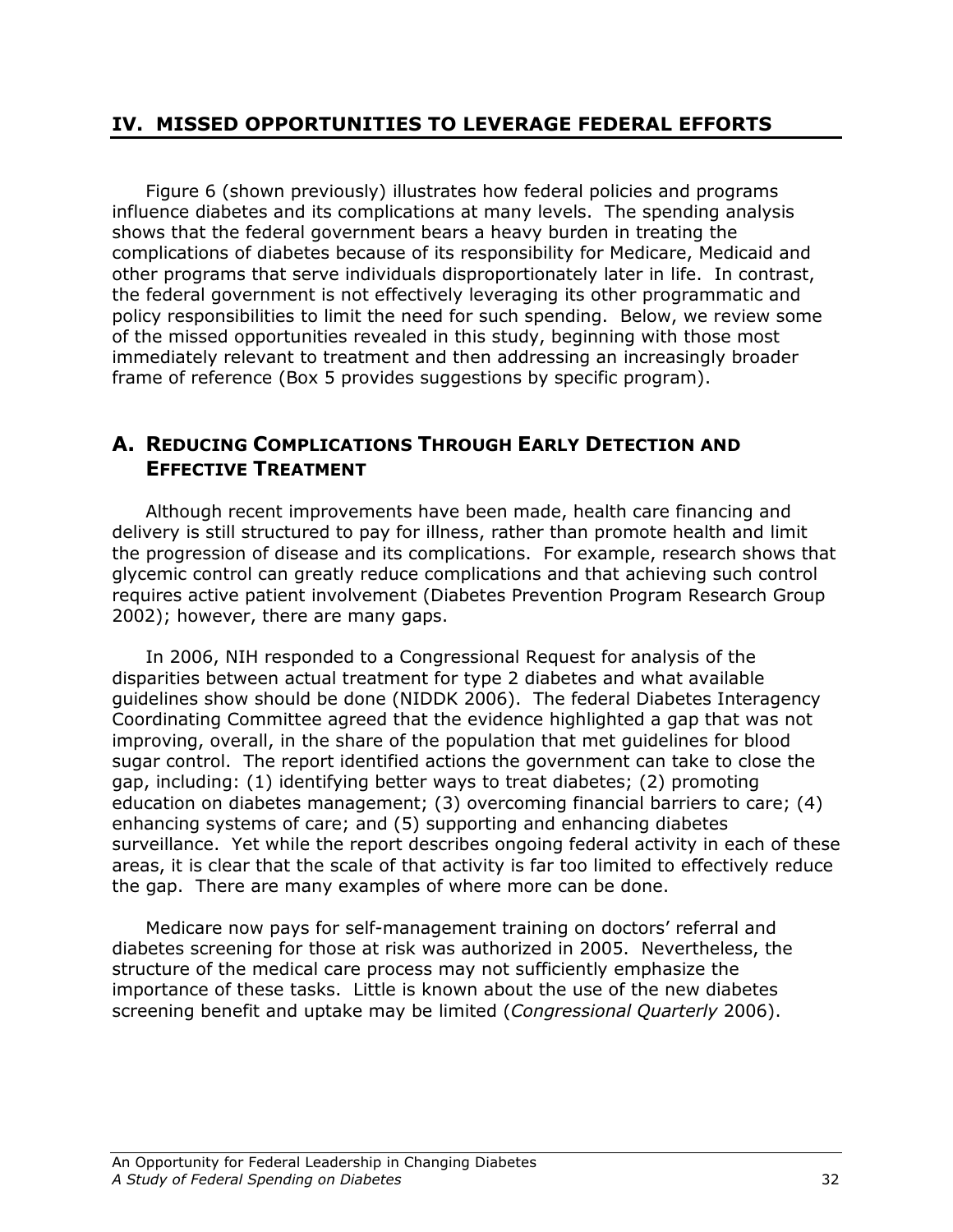## IV. MISSED OPPORTUNITIES TO LEVERAGE FEDERAL EFFORTS

Figure 6 (shown previously) illustrates how federal policies and programs influence diabetes and its complications at many levels. The spending analysis shows that the federal government bears a heavy burden in treating the complications of diabetes because of its responsibility for Medicare, Medicaid and other programs that serve individuals disproportionately later in life. In contrast, the federal government is not effectively leveraging its other programmatic and policy responsibilities to limit the need for such spending. Below, we review some of the missed opportunities revealed in this study, beginning with those most immediately relevant to treatment and then addressing an increasingly broader frame of reference (Box 5 provides suggestions by specific program).

# A. REDUCING COMPLICATIONS THROUGH EARLY DETECTION AND EFFECTIVE TREATMENT

Although recent improvements have been made, health care financing and delivery is still structured to pay for illness, rather than promote health and limit the progression of disease and its complications. For example, research shows that glycemic control can greatly reduce complications and that achieving such control requires active patient involvement (Diabetes Prevention Program Research Group 2002); however, there are many gaps.

In 2006, NIH responded to a Congressional Request for analysis of the disparities between actual treatment for type 2 diabetes and what available guidelines show should be done (NIDDK 2006). The federal Diabetes Interagency Coordinating Committee agreed that the evidence highlighted a gap that was not improving, overall, in the share of the population that met guidelines for blood sugar control. The report identified actions the government can take to close the gap, including: (1) identifying better ways to treat diabetes; (2) promoting education on diabetes management; (3) overcoming financial barriers to care; (4) enhancing systems of care; and (5) supporting and enhancing diabetes surveillance. Yet while the report describes ongoing federal activity in each of these areas, it is clear that the scale of that activity is far too limited to effectively reduce the gap. There are many examples of where more can be done.

Medicare now pays for self-management training on doctors' referral and diabetes screening for those at risk was authorized in 2005. Nevertheless, the structure of the medical care process may not sufficiently emphasize the importance of these tasks. Little is known about the use of the new diabetes screening benefit and uptake may be limited (Congressional Quarterly 2006).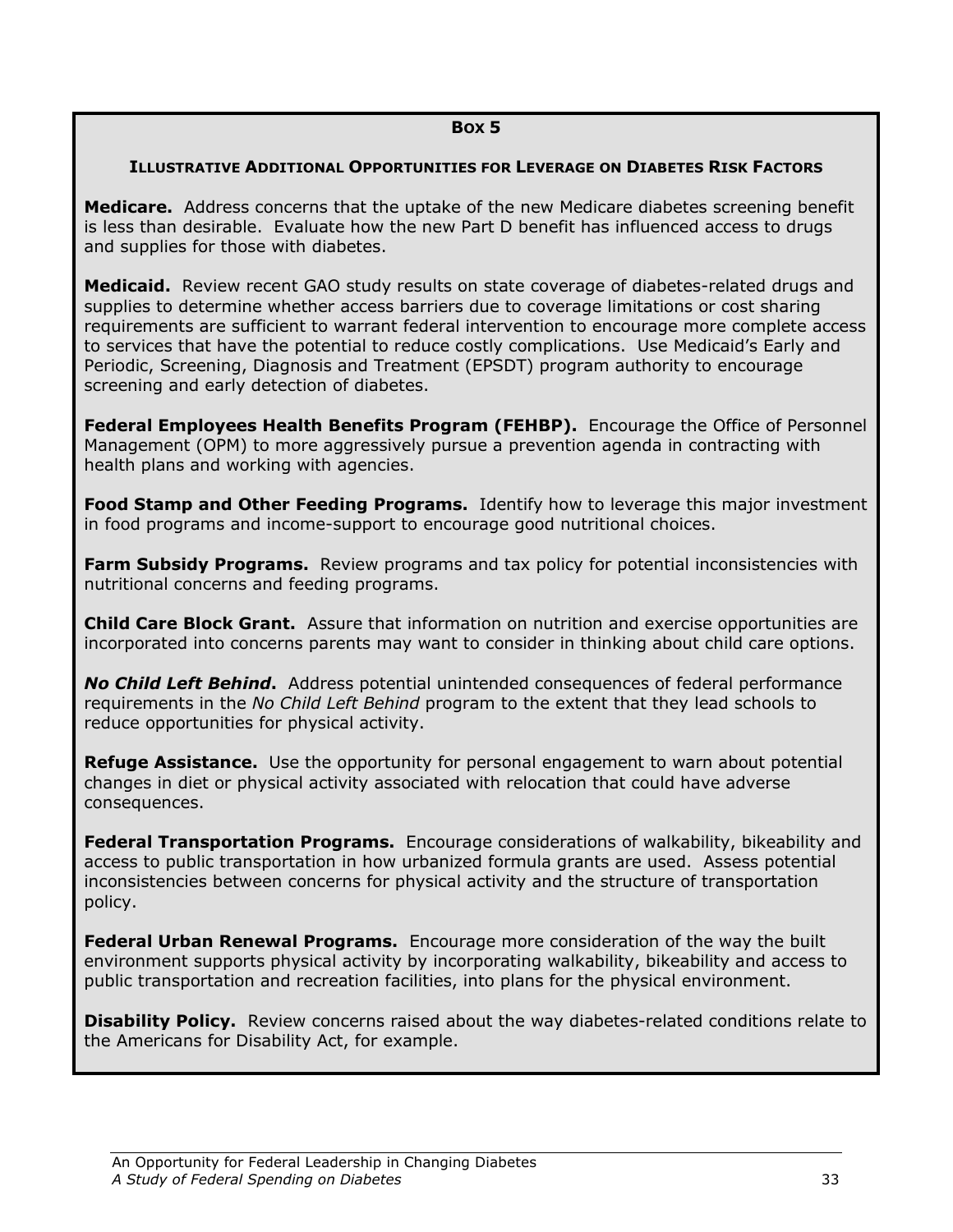#### BOX 5

#### ILLUSTRATIVE ADDITIONAL OPPORTUNITIES FOR LEVERAGE ON DIABETES RISK FACTORS

**Medicare.** Address concerns that the uptake of the new Medicare diabetes screening benefit is less than desirable. Evaluate how the new Part D benefit has influenced access to drugs and supplies for those with diabetes.

**Medicaid.** Review recent GAO study results on state coverage of diabetes-related drugs and supplies to determine whether access barriers due to coverage limitations or cost sharing requirements are sufficient to warrant federal intervention to encourage more complete access to services that have the potential to reduce costly complications. Use Medicaid's Early and Periodic, Screening, Diagnosis and Treatment (EPSDT) program authority to encourage screening and early detection of diabetes.

**Federal Employees Health Benefits Program (FEHBP).** Encourage the Office of Personnel Management (OPM) to more aggressively pursue a prevention agenda in contracting with health plans and working with agencies.

Food Stamp and Other Feeding Programs. Identify how to leverage this major investment in food programs and income-support to encourage good nutritional choices.

**Farm Subsidy Programs.** Review programs and tax policy for potential inconsistencies with nutritional concerns and feeding programs.

**Child Care Block Grant.** Assure that information on nutrition and exercise opportunities are incorporated into concerns parents may want to consider in thinking about child care options.

No Child Left Behind. Address potential unintended consequences of federal performance requirements in the No Child Left Behind program to the extent that they lead schools to reduce opportunities for physical activity.

**Refuge Assistance.** Use the opportunity for personal engagement to warn about potential changes in diet or physical activity associated with relocation that could have adverse consequences.

**Federal Transportation Programs.** Encourage considerations of walkability, bikeability and access to public transportation in how urbanized formula grants are used. Assess potential inconsistencies between concerns for physical activity and the structure of transportation policy.

Federal Urban Renewal Programs. Encourage more consideration of the way the built environment supports physical activity by incorporating walkability, bikeability and access to public transportation and recreation facilities, into plans for the physical environment.

**Disability Policy.** Review concerns raised about the way diabetes-related conditions relate to the Americans for Disability Act, for example.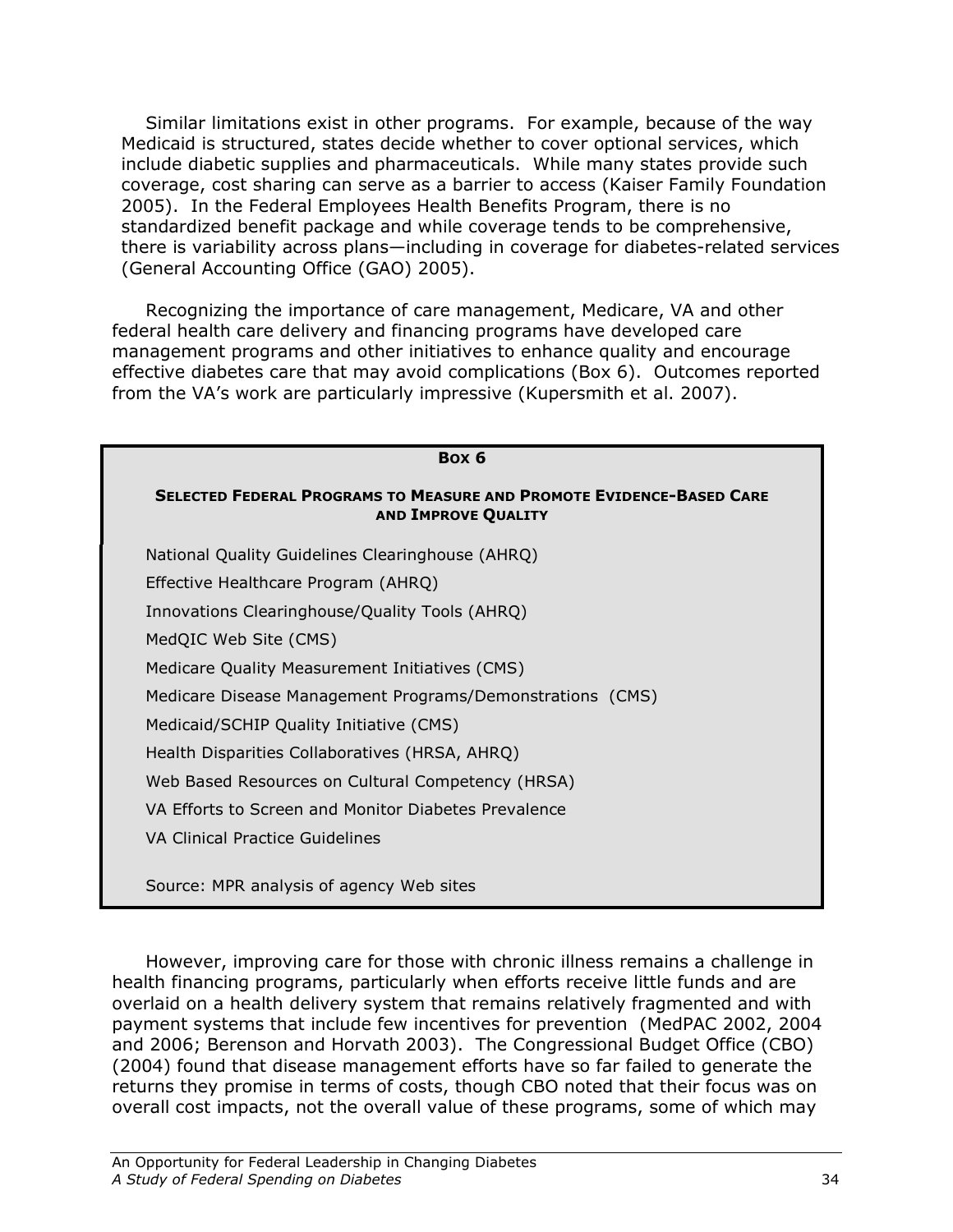Similar limitations exist in other programs. For example, because of the way Medicaid is structured, states decide whether to cover optional services, which include diabetic supplies and pharmaceuticals. While many states provide such coverage, cost sharing can serve as a barrier to access (Kaiser Family Foundation 2005). In the Federal Employees Health Benefits Program, there is no standardized benefit package and while coverage tends to be comprehensive, there is variability across plans—including in coverage for diabetes-related services (General Accounting Office (GAO) 2005).

 Recognizing the importance of care management, Medicare, VA and other federal health care delivery and financing programs have developed care management programs and other initiatives to enhance quality and encourage effective diabetes care that may avoid complications (Box 6). Outcomes reported from the VA's work are particularly impressive (Kupersmith et al. 2007).

| Box 6                                                                                                     |
|-----------------------------------------------------------------------------------------------------------|
| <b>SELECTED FEDERAL PROGRAMS TO MEASURE AND PROMOTE EVIDENCE-BASED CARE</b><br><b>AND IMPROVE QUALITY</b> |
| National Quality Guidelines Clearinghouse (AHRQ)                                                          |
| Effective Healthcare Program (AHRQ)                                                                       |
| Innovations Clearinghouse/Quality Tools (AHRQ)                                                            |
| MedQIC Web Site (CMS)                                                                                     |
| Medicare Quality Measurement Initiatives (CMS)                                                            |
| Medicare Disease Management Programs/Demonstrations (CMS)                                                 |
| Medicaid/SCHIP Quality Initiative (CMS)                                                                   |
| Health Disparities Collaboratives (HRSA, AHRQ)                                                            |
| Web Based Resources on Cultural Competency (HRSA)                                                         |
| VA Efforts to Screen and Monitor Diabetes Prevalence                                                      |
| VA Clinical Practice Guidelines                                                                           |
| Source: MPR analysis of agency Web sites                                                                  |

However, improving care for those with chronic illness remains a challenge in health financing programs, particularly when efforts receive little funds and are overlaid on a health delivery system that remains relatively fragmented and with payment systems that include few incentives for prevention (MedPAC 2002, 2004 and 2006; Berenson and Horvath 2003). The Congressional Budget Office (CBO) (2004) found that disease management efforts have so far failed to generate the returns they promise in terms of costs, though CBO noted that their focus was on overall cost impacts, not the overall value of these programs, some of which may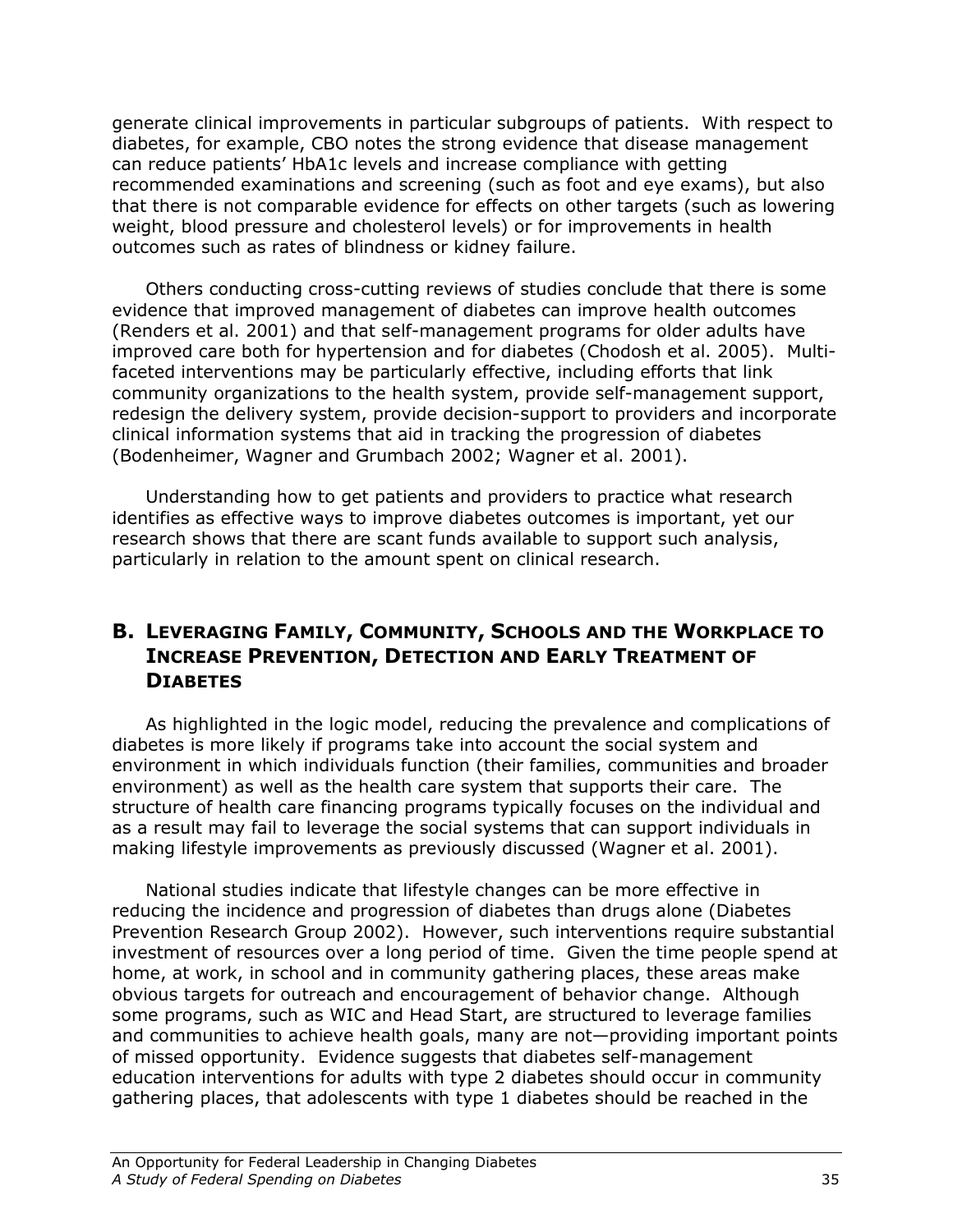generate clinical improvements in particular subgroups of patients. With respect to diabetes, for example, CBO notes the strong evidence that disease management can reduce patients' HbA1c levels and increase compliance with getting recommended examinations and screening (such as foot and eye exams), but also that there is not comparable evidence for effects on other targets (such as lowering weight, blood pressure and cholesterol levels) or for improvements in health outcomes such as rates of blindness or kidney failure.

Others conducting cross-cutting reviews of studies conclude that there is some evidence that improved management of diabetes can improve health outcomes (Renders et al. 2001) and that self-management programs for older adults have improved care both for hypertension and for diabetes (Chodosh et al. 2005). Multifaceted interventions may be particularly effective, including efforts that link community organizations to the health system, provide self-management support, redesign the delivery system, provide decision-support to providers and incorporate clinical information systems that aid in tracking the progression of diabetes (Bodenheimer, Wagner and Grumbach 2002; Wagner et al. 2001).

Understanding how to get patients and providers to practice what research identifies as effective ways to improve diabetes outcomes is important, yet our research shows that there are scant funds available to support such analysis, particularly in relation to the amount spent on clinical research.

# B. LEVERAGING FAMILY, COMMUNITY, SCHOOLS AND THE WORKPLACE TO INCREASE PREVENTION, DETECTION AND EARLY TREATMENT OF **DIABETES**

As highlighted in the logic model, reducing the prevalence and complications of diabetes is more likely if programs take into account the social system and environment in which individuals function (their families, communities and broader environment) as well as the health care system that supports their care. The structure of health care financing programs typically focuses on the individual and as a result may fail to leverage the social systems that can support individuals in making lifestyle improvements as previously discussed (Wagner et al. 2001).

National studies indicate that lifestyle changes can be more effective in reducing the incidence and progression of diabetes than drugs alone (Diabetes Prevention Research Group 2002). However, such interventions require substantial investment of resources over a long period of time. Given the time people spend at home, at work, in school and in community gathering places, these areas make obvious targets for outreach and encouragement of behavior change. Although some programs, such as WIC and Head Start, are structured to leverage families and communities to achieve health goals, many are not—providing important points of missed opportunity. Evidence suggests that diabetes self-management education interventions for adults with type 2 diabetes should occur in community gathering places, that adolescents with type 1 diabetes should be reached in the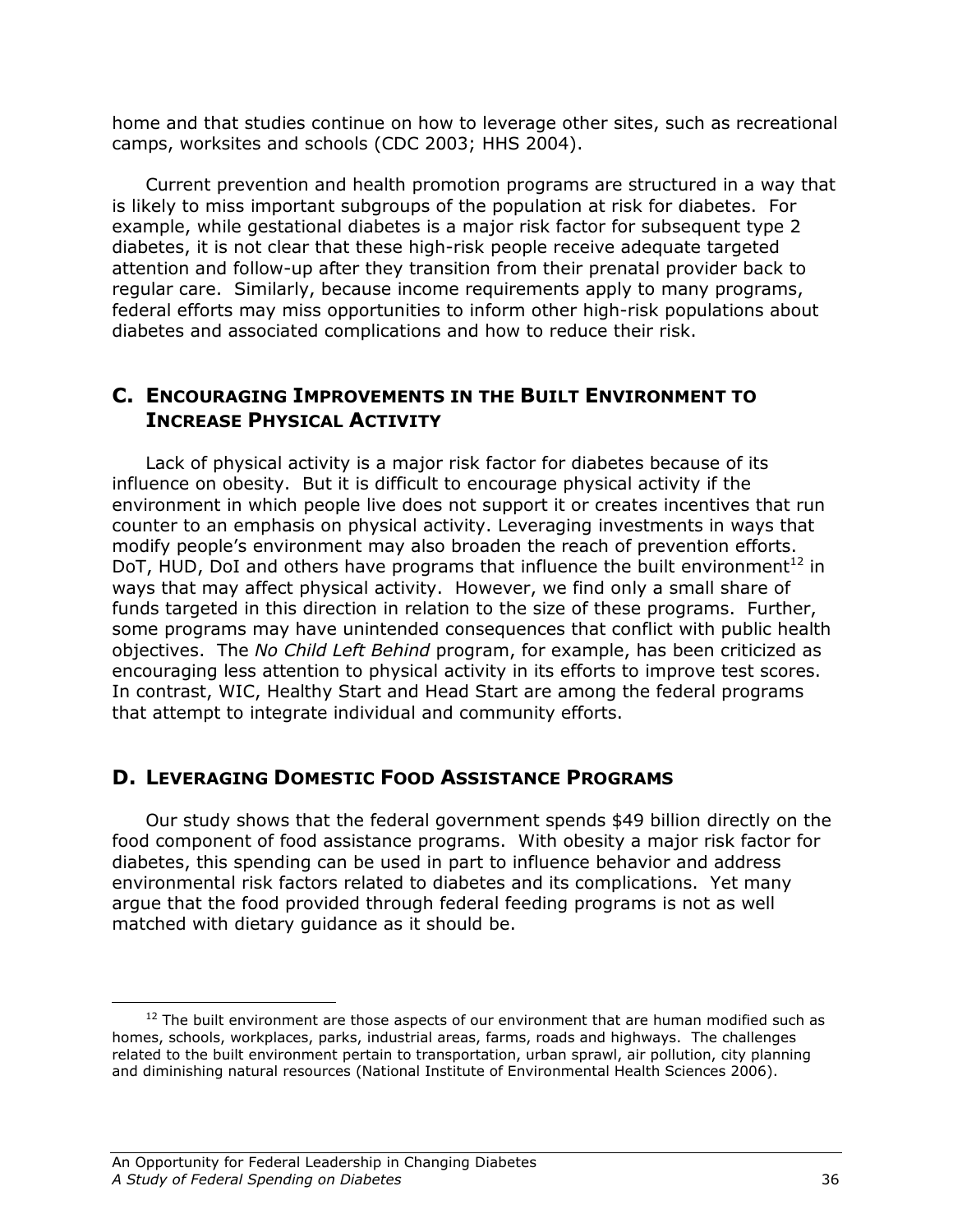home and that studies continue on how to leverage other sites, such as recreational camps, worksites and schools (CDC 2003; HHS 2004).

Current prevention and health promotion programs are structured in a way that is likely to miss important subgroups of the population at risk for diabetes. For example, while gestational diabetes is a major risk factor for subsequent type 2 diabetes, it is not clear that these high-risk people receive adequate targeted attention and follow-up after they transition from their prenatal provider back to regular care. Similarly, because income requirements apply to many programs, federal efforts may miss opportunities to inform other high-risk populations about diabetes and associated complications and how to reduce their risk.

## C. ENCOURAGING IMPROVEMENTS IN THE BUILT ENVIRONMENT TO INCREASE PHYSICAL ACTIVITY

Lack of physical activity is a major risk factor for diabetes because of its influence on obesity. But it is difficult to encourage physical activity if the environment in which people live does not support it or creates incentives that run counter to an emphasis on physical activity. Leveraging investments in ways that modify people's environment may also broaden the reach of prevention efforts. DoT, HUD, DoI and others have programs that influence the built environment<sup>12</sup> in ways that may affect physical activity. However, we find only a small share of funds targeted in this direction in relation to the size of these programs. Further, some programs may have unintended consequences that conflict with public health objectives. The No Child Left Behind program, for example, has been criticized as encouraging less attention to physical activity in its efforts to improve test scores. In contrast, WIC, Healthy Start and Head Start are among the federal programs that attempt to integrate individual and community efforts.

# D. LEVERAGING DOMESTIC FOOD ASSISTANCE PROGRAMS

Our study shows that the federal government spends \$49 billion directly on the food component of food assistance programs. With obesity a major risk factor for diabetes, this spending can be used in part to influence behavior and address environmental risk factors related to diabetes and its complications. Yet many argue that the food provided through federal feeding programs is not as well matched with dietary guidance as it should be.

<u>.</u>

 $12$  The built environment are those aspects of our environment that are human modified such as homes, schools, workplaces, parks, industrial areas, farms, roads and highways. The challenges related to the built environment pertain to transportation, urban sprawl, air pollution, city planning and diminishing natural resources (National Institute of Environmental Health Sciences 2006).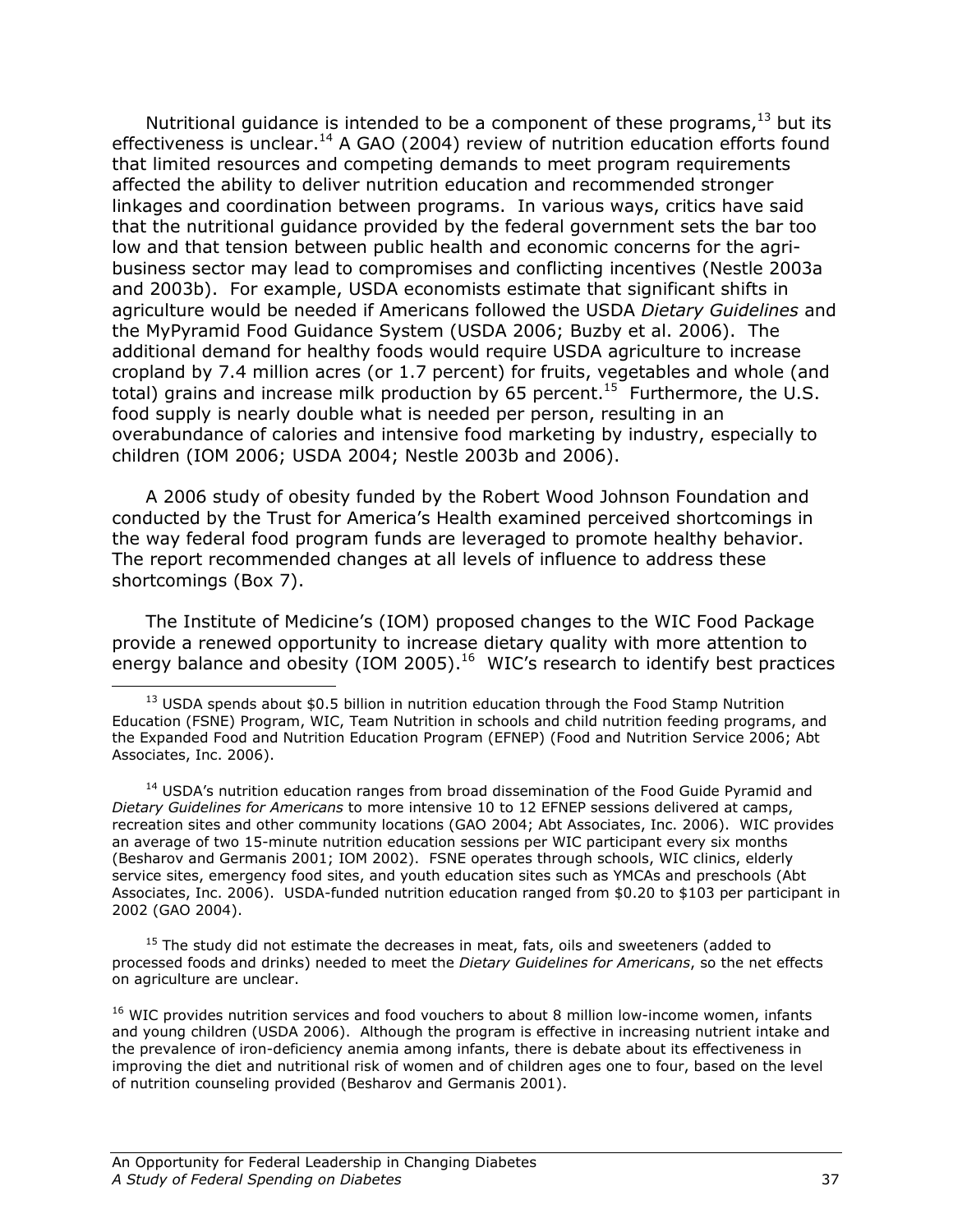Nutritional guidance is intended to be a component of these programs, $^{13}$  but its effectiveness is unclear. $^{14}$  A GAO (2004) review of nutrition education efforts found that limited resources and competing demands to meet program requirements affected the ability to deliver nutrition education and recommended stronger linkages and coordination between programs. In various ways, critics have said that the nutritional guidance provided by the federal government sets the bar too low and that tension between public health and economic concerns for the agribusiness sector may lead to compromises and conflicting incentives (Nestle 2003a and 2003b). For example, USDA economists estimate that significant shifts in agriculture would be needed if Americans followed the USDA Dietary Guidelines and the MyPyramid Food Guidance System (USDA 2006; Buzby et al. 2006). The additional demand for healthy foods would require USDA agriculture to increase cropland by 7.4 million acres (or 1.7 percent) for fruits, vegetables and whole (and total) grains and increase milk production by 65 percent.<sup>15</sup> Furthermore, the U.S. food supply is nearly double what is needed per person, resulting in an overabundance of calories and intensive food marketing by industry, especially to children (IOM 2006; USDA 2004; Nestle 2003b and 2006).

A 2006 study of obesity funded by the Robert Wood Johnson Foundation and conducted by the Trust for America's Health examined perceived shortcomings in the way federal food program funds are leveraged to promote healthy behavior. The report recommended changes at all levels of influence to address these shortcomings (Box 7).

The Institute of Medicine's (IOM) proposed changes to the WIC Food Package provide a renewed opportunity to increase dietary quality with more attention to energy balance and obesity (IOM 2005).<sup>16</sup> WIC's research to identify best practices

 $15$  The study did not estimate the decreases in meat, fats, oils and sweeteners (added to processed foods and drinks) needed to meet the Dietary Guidelines for Americans, so the net effects on agriculture are unclear.

<sup>16</sup> WIC provides nutrition services and food vouchers to about 8 million low-income women, infants and young children (USDA 2006). Although the program is effective in increasing nutrient intake and the prevalence of iron-deficiency anemia among infants, there is debate about its effectiveness in improving the diet and nutritional risk of women and of children ages one to four, based on the level of nutrition counseling provided (Besharov and Germanis 2001).

<u>.</u>

 $13$  USDA spends about \$0.5 billion in nutrition education through the Food Stamp Nutrition Education (FSNE) Program, WIC, Team Nutrition in schools and child nutrition feeding programs, and the Expanded Food and Nutrition Education Program (EFNEP) (Food and Nutrition Service 2006; Abt Associates, Inc. 2006).

<sup>&</sup>lt;sup>14</sup> USDA's nutrition education ranges from broad dissemination of the Food Guide Pyramid and Dietary Guidelines for Americans to more intensive 10 to 12 EFNEP sessions delivered at camps, recreation sites and other community locations (GAO 2004; Abt Associates, Inc. 2006). WIC provides an average of two 15-minute nutrition education sessions per WIC participant every six months (Besharov and Germanis 2001; IOM 2002). FSNE operates through schools, WIC clinics, elderly service sites, emergency food sites, and youth education sites such as YMCAs and preschools (Abt Associates, Inc. 2006). USDA-funded nutrition education ranged from \$0.20 to \$103 per participant in 2002 (GAO 2004).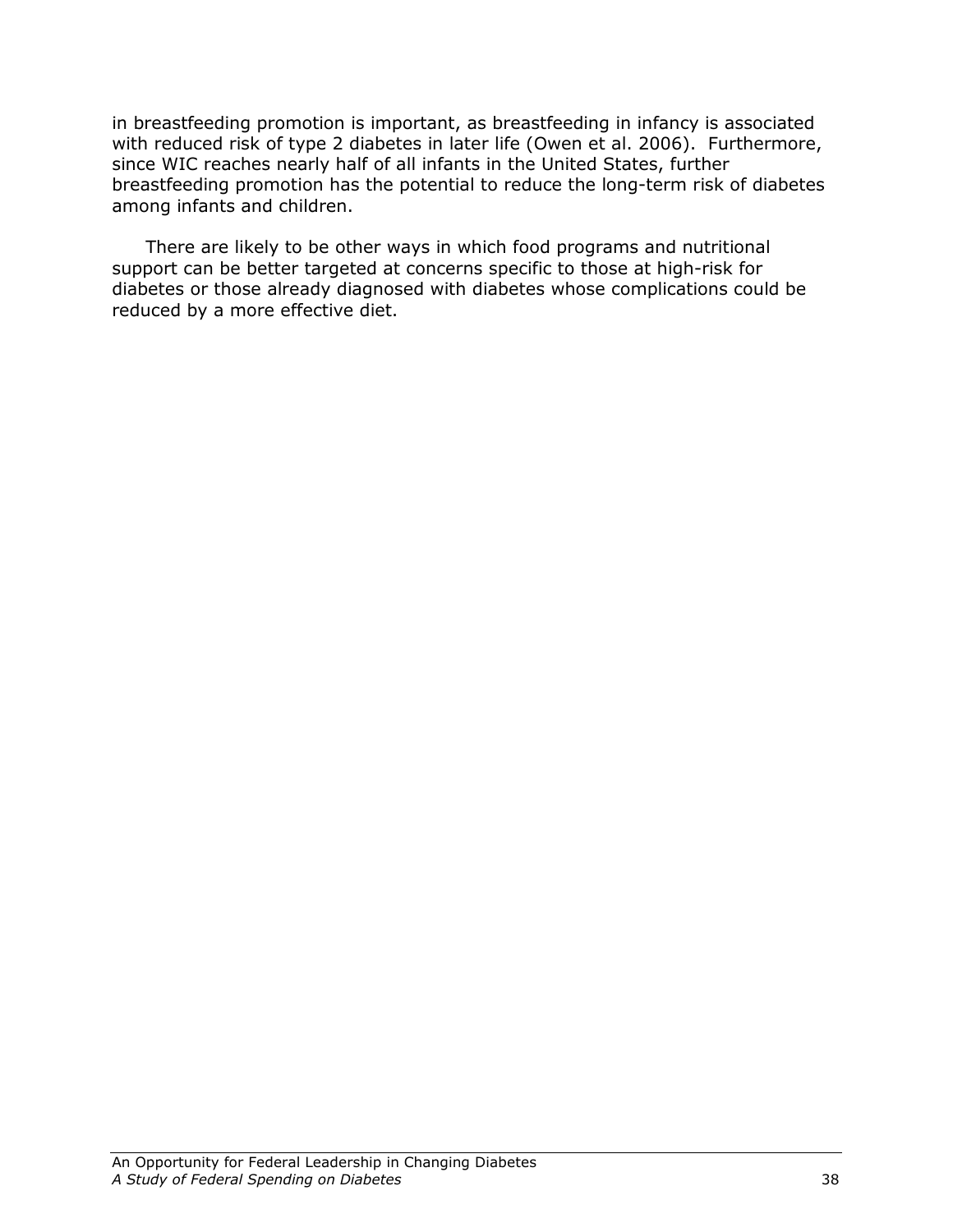in breastfeeding promotion is important, as breastfeeding in infancy is associated with reduced risk of type 2 diabetes in later life (Owen et al. 2006). Furthermore, since WIC reaches nearly half of all infants in the United States, further breastfeeding promotion has the potential to reduce the long-term risk of diabetes among infants and children.

There are likely to be other ways in which food programs and nutritional support can be better targeted at concerns specific to those at high-risk for diabetes or those already diagnosed with diabetes whose complications could be reduced by a more effective diet.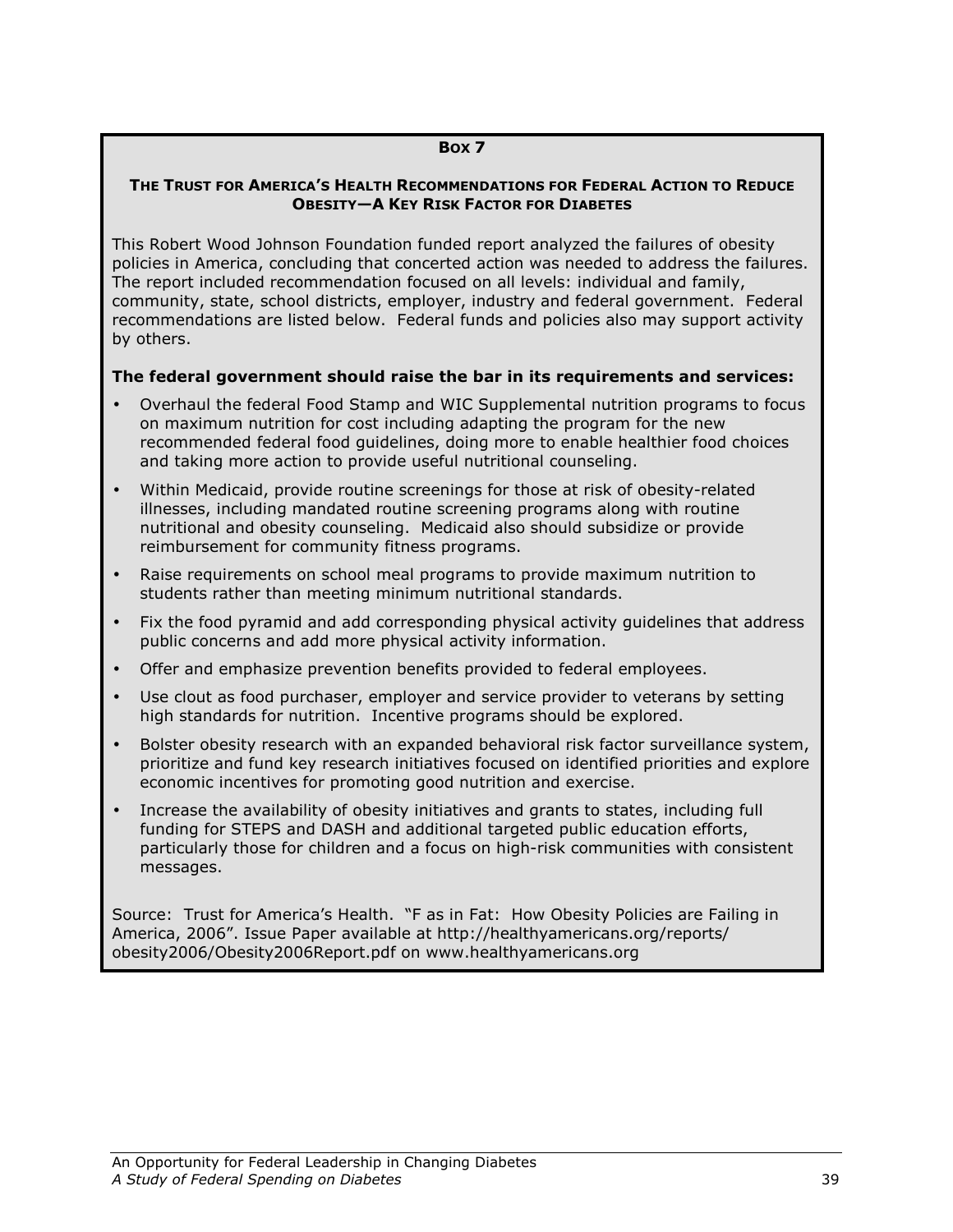#### BOX 7

#### THE TRUST FOR AMERICA'S HEALTH RECOMMENDATIONS FOR FEDERAL ACTION TO REDUCE OBESITY—A KEY RISK FACTOR FOR DIABETES

This Robert Wood Johnson Foundation funded report analyzed the failures of obesity policies in America, concluding that concerted action was needed to address the failures. The report included recommendation focused on all levels: individual and family, community, state, school districts, employer, industry and federal government. Federal recommendations are listed below. Federal funds and policies also may support activity by others.

#### The federal government should raise the bar in its requirements and services:

- Overhaul the federal Food Stamp and WIC Supplemental nutrition programs to focus on maximum nutrition for cost including adapting the program for the new recommended federal food guidelines, doing more to enable healthier food choices and taking more action to provide useful nutritional counseling.
- Within Medicaid, provide routine screenings for those at risk of obesity-related illnesses, including mandated routine screening programs along with routine nutritional and obesity counseling. Medicaid also should subsidize or provide reimbursement for community fitness programs.
- Raise requirements on school meal programs to provide maximum nutrition to students rather than meeting minimum nutritional standards.
- Fix the food pyramid and add corresponding physical activity guidelines that address public concerns and add more physical activity information.
- Offer and emphasize prevention benefits provided to federal employees.
- Use clout as food purchaser, employer and service provider to veterans by setting high standards for nutrition. Incentive programs should be explored.
- Bolster obesity research with an expanded behavioral risk factor surveillance system, prioritize and fund key research initiatives focused on identified priorities and explore economic incentives for promoting good nutrition and exercise.
- Increase the availability of obesity initiatives and grants to states, including full funding for STEPS and DASH and additional targeted public education efforts, particularly those for children and a focus on high-risk communities with consistent messages.

Source: Trust for America's Health. "F as in Fat: How Obesity Policies are Failing in America, 2006". Issue Paper available at http://healthyamericans.org/reports/ obesity2006/Obesity2006Report.pdf on www.healthyamericans.org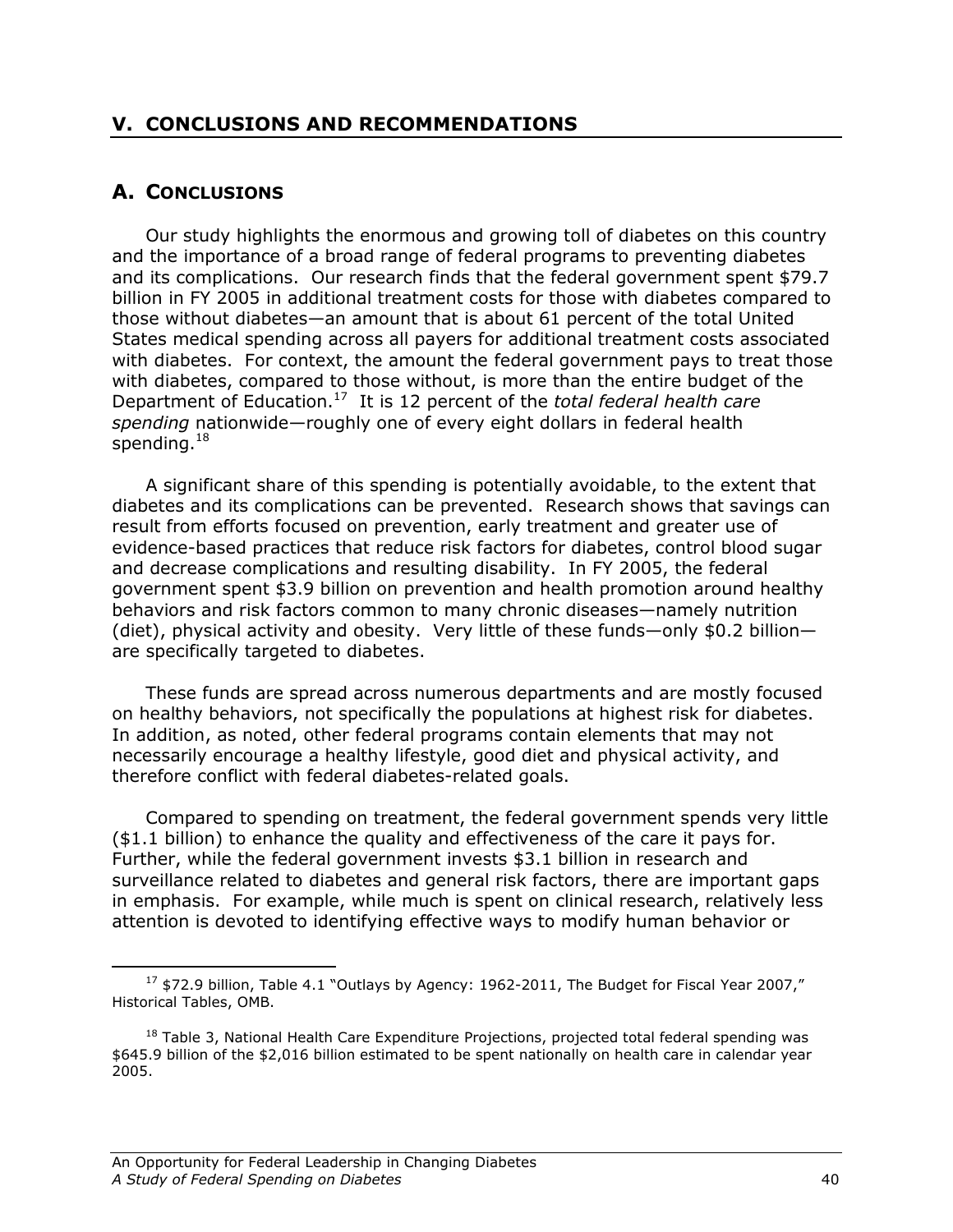## V. CONCLUSIONS AND RECOMMENDATIONS

# A. CONCLUSIONS

 Our study highlights the enormous and growing toll of diabetes on this country and the importance of a broad range of federal programs to preventing diabetes and its complications. Our research finds that the federal government spent \$79.7 billion in FY 2005 in additional treatment costs for those with diabetes compared to those without diabetes—an amount that is about 61 percent of the total United States medical spending across all payers for additional treatment costs associated with diabetes. For context, the amount the federal government pays to treat those with diabetes, compared to those without, is more than the entire budget of the Department of Education.<sup>17</sup> It is 12 percent of the total federal health care spending nationwide—roughly one of every eight dollars in federal health spending. $18$ 

A significant share of this spending is potentially avoidable, to the extent that diabetes and its complications can be prevented. Research shows that savings can result from efforts focused on prevention, early treatment and greater use of evidence-based practices that reduce risk factors for diabetes, control blood sugar and decrease complications and resulting disability. In FY 2005, the federal government spent \$3.9 billion on prevention and health promotion around healthy behaviors and risk factors common to many chronic diseases—namely nutrition (diet), physical activity and obesity. Very little of these funds—only \$0.2 billion are specifically targeted to diabetes.

These funds are spread across numerous departments and are mostly focused on healthy behaviors, not specifically the populations at highest risk for diabetes. In addition, as noted, other federal programs contain elements that may not necessarily encourage a healthy lifestyle, good diet and physical activity, and therefore conflict with federal diabetes-related goals.

Compared to spending on treatment, the federal government spends very little (\$1.1 billion) to enhance the quality and effectiveness of the care it pays for. Further, while the federal government invests \$3.1 billion in research and surveillance related to diabetes and general risk factors, there are important gaps in emphasis. For example, while much is spent on clinical research, relatively less attention is devoted to identifying effective ways to modify human behavior or

<sup>&</sup>lt;u>.</u>  $17$  \$72.9 billion, Table 4.1 "Outlays by Agency: 1962-2011, The Budget for Fiscal Year 2007," Historical Tables, OMB.

<sup>&</sup>lt;sup>18</sup> Table 3, National Health Care Expenditure Projections, projected total federal spending was \$645.9 billion of the \$2,016 billion estimated to be spent nationally on health care in calendar year 2005.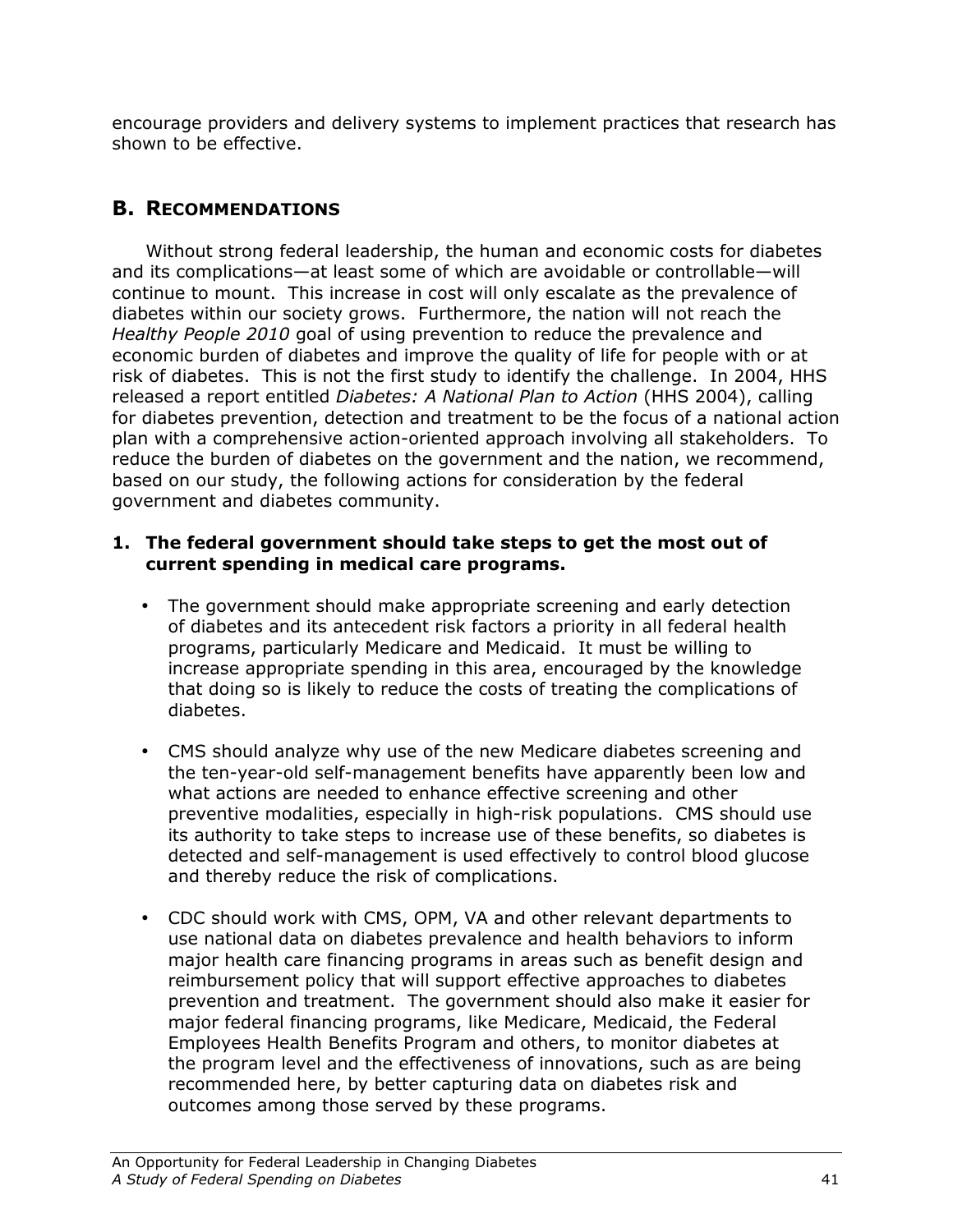encourage providers and delivery systems to implement practices that research has shown to be effective.

# B. RECOMMENDATIONS

Without strong federal leadership, the human and economic costs for diabetes and its complications—at least some of which are avoidable or controllable—will continue to mount. This increase in cost will only escalate as the prevalence of diabetes within our society grows. Furthermore, the nation will not reach the Healthy People 2010 goal of using prevention to reduce the prevalence and economic burden of diabetes and improve the quality of life for people with or at risk of diabetes. This is not the first study to identify the challenge. In 2004, HHS released a report entitled *Diabetes: A National Plan to Action* (HHS 2004), calling for diabetes prevention, detection and treatment to be the focus of a national action plan with a comprehensive action-oriented approach involving all stakeholders. To reduce the burden of diabetes on the government and the nation, we recommend, based on our study, the following actions for consideration by the federal government and diabetes community.

### 1. The federal government should take steps to get the most out of current spending in medical care programs.

- The government should make appropriate screening and early detection of diabetes and its antecedent risk factors a priority in all federal health programs, particularly Medicare and Medicaid. It must be willing to increase appropriate spending in this area, encouraged by the knowledge that doing so is likely to reduce the costs of treating the complications of diabetes.
- CMS should analyze why use of the new Medicare diabetes screening and the ten-year-old self-management benefits have apparently been low and what actions are needed to enhance effective screening and other preventive modalities, especially in high-risk populations. CMS should use its authority to take steps to increase use of these benefits, so diabetes is detected and self-management is used effectively to control blood glucose and thereby reduce the risk of complications.
- CDC should work with CMS, OPM, VA and other relevant departments to use national data on diabetes prevalence and health behaviors to inform major health care financing programs in areas such as benefit design and reimbursement policy that will support effective approaches to diabetes prevention and treatment. The government should also make it easier for major federal financing programs, like Medicare, Medicaid, the Federal Employees Health Benefits Program and others, to monitor diabetes at the program level and the effectiveness of innovations, such as are being recommended here, by better capturing data on diabetes risk and outcomes among those served by these programs.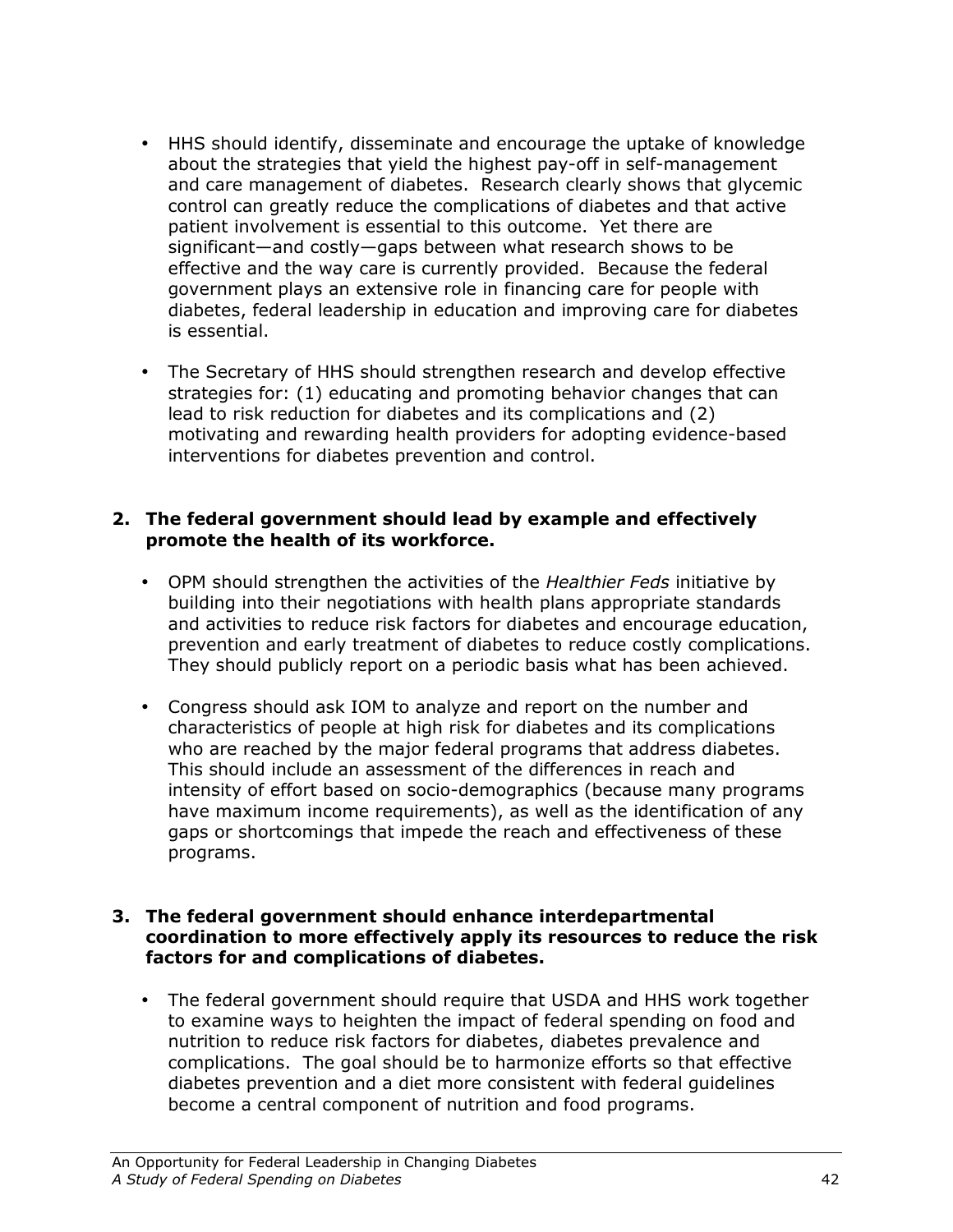- HHS should identify, disseminate and encourage the uptake of knowledge about the strategies that yield the highest pay-off in self-management and care management of diabetes. Research clearly shows that glycemic control can greatly reduce the complications of diabetes and that active patient involvement is essential to this outcome. Yet there are significant—and costly—gaps between what research shows to be effective and the way care is currently provided. Because the federal government plays an extensive role in financing care for people with diabetes, federal leadership in education and improving care for diabetes is essential.
- The Secretary of HHS should strengthen research and develop effective strategies for: (1) educating and promoting behavior changes that can lead to risk reduction for diabetes and its complications and (2) motivating and rewarding health providers for adopting evidence-based interventions for diabetes prevention and control.

## 2. The federal government should lead by example and effectively promote the health of its workforce.

- OPM should strengthen the activities of the Healthier Feds initiative by building into their negotiations with health plans appropriate standards and activities to reduce risk factors for diabetes and encourage education, prevention and early treatment of diabetes to reduce costly complications. They should publicly report on a periodic basis what has been achieved.
- Congress should ask IOM to analyze and report on the number and characteristics of people at high risk for diabetes and its complications who are reached by the major federal programs that address diabetes. This should include an assessment of the differences in reach and intensity of effort based on socio-demographics (because many programs have maximum income requirements), as well as the identification of any gaps or shortcomings that impede the reach and effectiveness of these programs.

### 3. The federal government should enhance interdepartmental coordination to more effectively apply its resources to reduce the risk factors for and complications of diabetes.

• The federal government should require that USDA and HHS work together to examine ways to heighten the impact of federal spending on food and nutrition to reduce risk factors for diabetes, diabetes prevalence and complications. The goal should be to harmonize efforts so that effective diabetes prevention and a diet more consistent with federal guidelines become a central component of nutrition and food programs.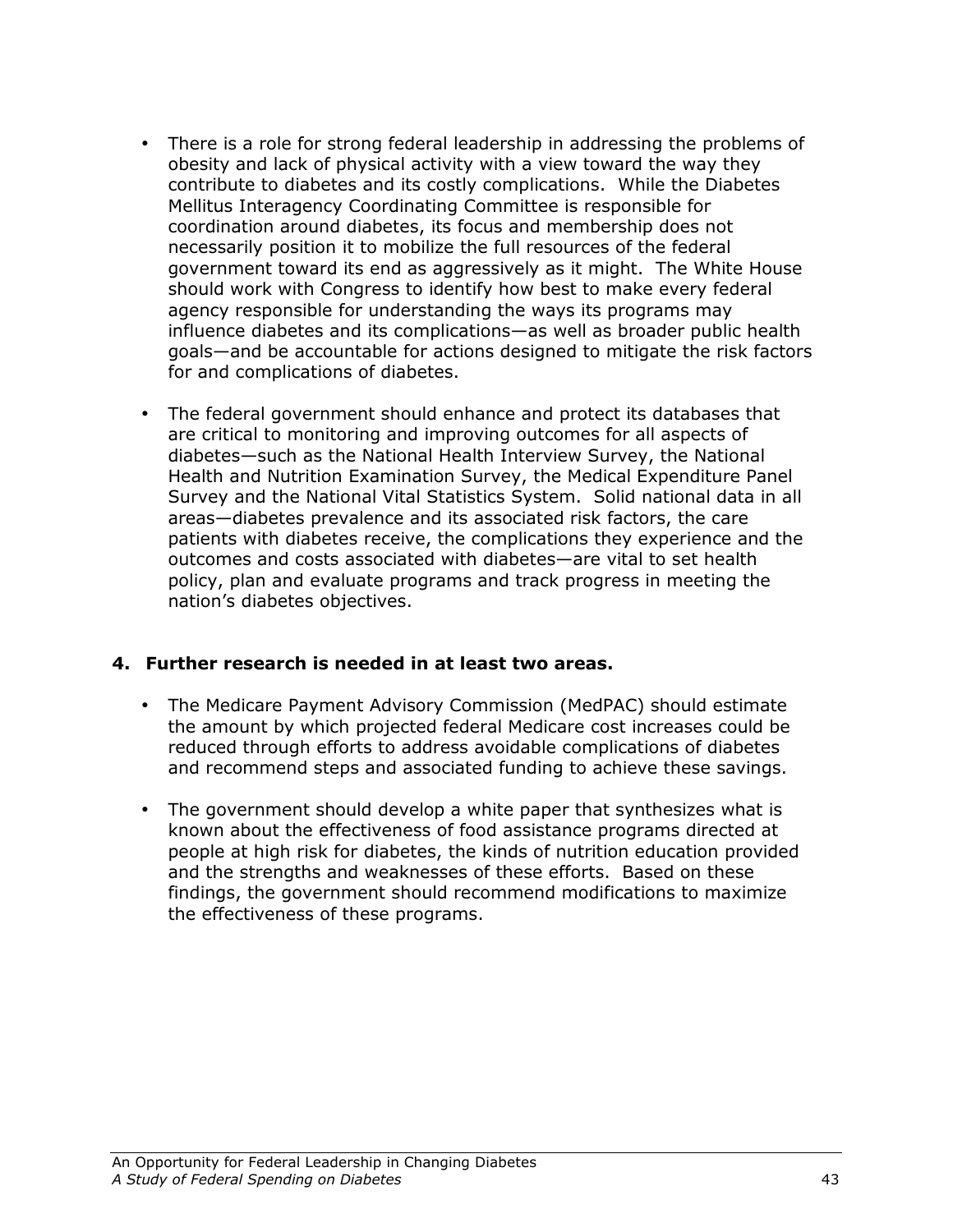- There is a role for strong federal leadership in addressing the problems of obesity and lack of physical activity with a view toward the way they contribute to diabetes and its costly complications. While the Diabetes Mellitus Interagency Coordinating Committee is responsible for coordination around diabetes, its focus and membership does not necessarily position it to mobilize the full resources of the federal government toward its end as aggressively as it might. The White House should work with Congress to identify how best to make every federal agency responsible for understanding the ways its programs may influence diabetes and its complications—as well as broader public health goals—and be accountable for actions designed to mitigate the risk factors for and complications of diabetes.
- The federal government should enhance and protect its databases that are critical to monitoring and improving outcomes for all aspects of diabetes—such as the National Health Interview Survey, the National Health and Nutrition Examination Survey, the Medical Expenditure Panel Survey and the National Vital Statistics System. Solid national data in all areas—diabetes prevalence and its associated risk factors, the care patients with diabetes receive, the complications they experience and the outcomes and costs associated with diabetes—are vital to set health policy, plan and evaluate programs and track progress in meeting the nation's diabetes objectives.

## 4. Further research is needed in at least two areas.

- The Medicare Payment Advisory Commission (MedPAC) should estimate the amount by which projected federal Medicare cost increases could be reduced through efforts to address avoidable complications of diabetes and recommend steps and associated funding to achieve these savings.
- The government should develop a white paper that synthesizes what is known about the effectiveness of food assistance programs directed at people at high risk for diabetes, the kinds of nutrition education provided and the strengths and weaknesses of these efforts. Based on these findings, the government should recommend modifications to maximize the effectiveness of these programs.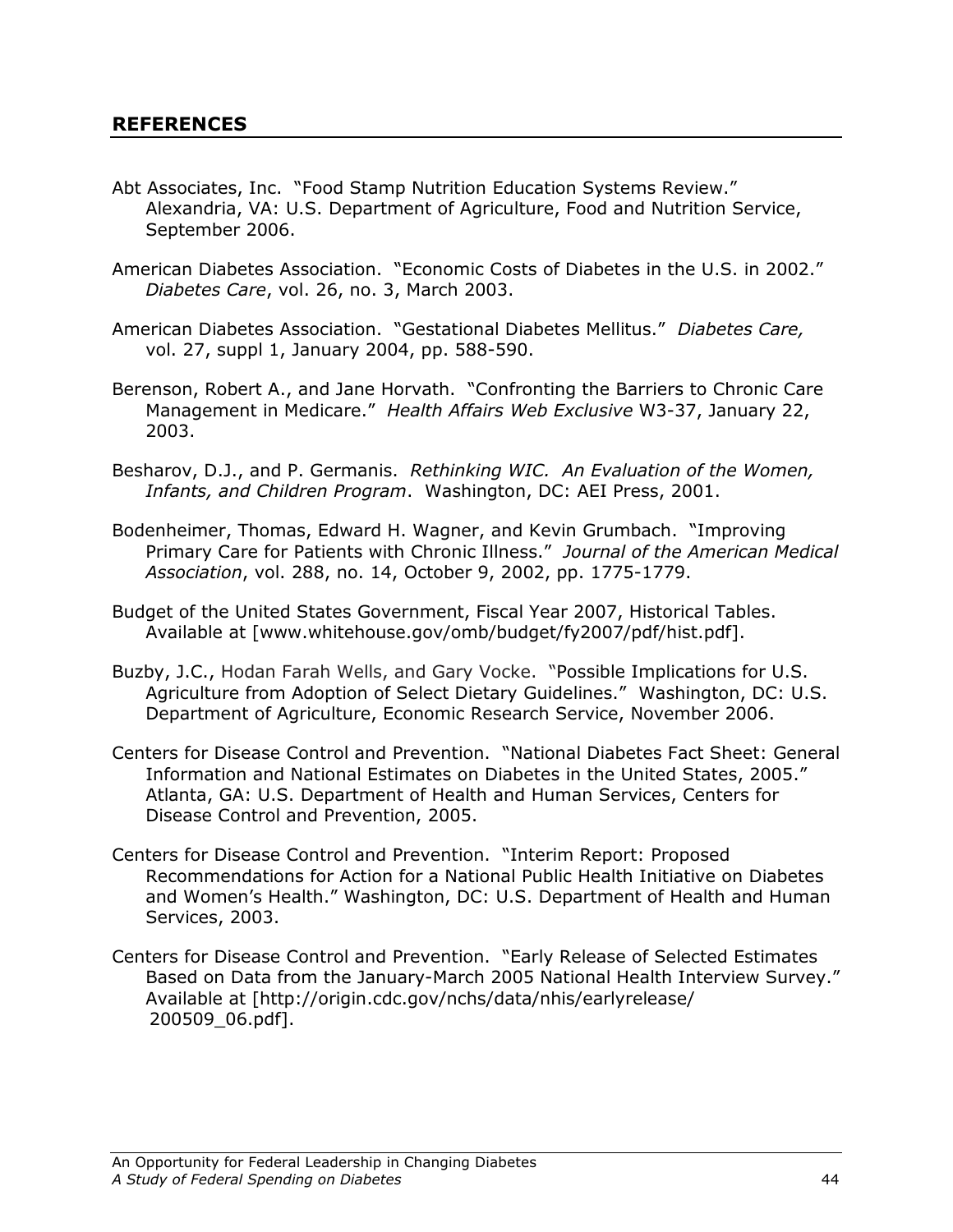- Abt Associates, Inc. "Food Stamp Nutrition Education Systems Review." Alexandria, VA: U.S. Department of Agriculture, Food and Nutrition Service, September 2006.
- American Diabetes Association. "Economic Costs of Diabetes in the U.S. in 2002." Diabetes Care, vol. 26, no. 3, March 2003.
- American Diabetes Association. "Gestational Diabetes Mellitus." Diabetes Care, vol. 27, suppl 1, January 2004, pp. 588-590.
- Berenson, Robert A., and Jane Horvath. "Confronting the Barriers to Chronic Care Management in Medicare." Health Affairs Web Exclusive W3-37, January 22, 2003.
- Besharov, D.J., and P. Germanis. Rethinking WIC. An Evaluation of the Women, Infants, and Children Program. Washington, DC: AEI Press, 2001.
- Bodenheimer, Thomas, Edward H. Wagner, and Kevin Grumbach. "Improving Primary Care for Patients with Chronic Illness." Journal of the American Medical Association, vol. 288, no. 14, October 9, 2002, pp. 1775-1779.
- Budget of the United States Government, Fiscal Year 2007, Historical Tables. Available at [www.whitehouse.gov/omb/budget/fy2007/pdf/hist.pdf].
- Buzby, J.C., Hodan Farah Wells, and Gary Vocke. "Possible Implications for U.S. Agriculture from Adoption of Select Dietary Guidelines." Washington, DC: U.S. Department of Agriculture, Economic Research Service, November 2006.
- Centers for Disease Control and Prevention. "National Diabetes Fact Sheet: General Information and National Estimates on Diabetes in the United States, 2005." Atlanta, GA: U.S. Department of Health and Human Services, Centers for Disease Control and Prevention, 2005.
- Centers for Disease Control and Prevention. "Interim Report: Proposed Recommendations for Action for a National Public Health Initiative on Diabetes and Women's Health." Washington, DC: U.S. Department of Health and Human Services, 2003.
- Centers for Disease Control and Prevention. "Early Release of Selected Estimates Based on Data from the January-March 2005 National Health Interview Survey." Available at [http://origin.cdc.gov/nchs/data/nhis/earlyrelease/ 200509\_06.pdf].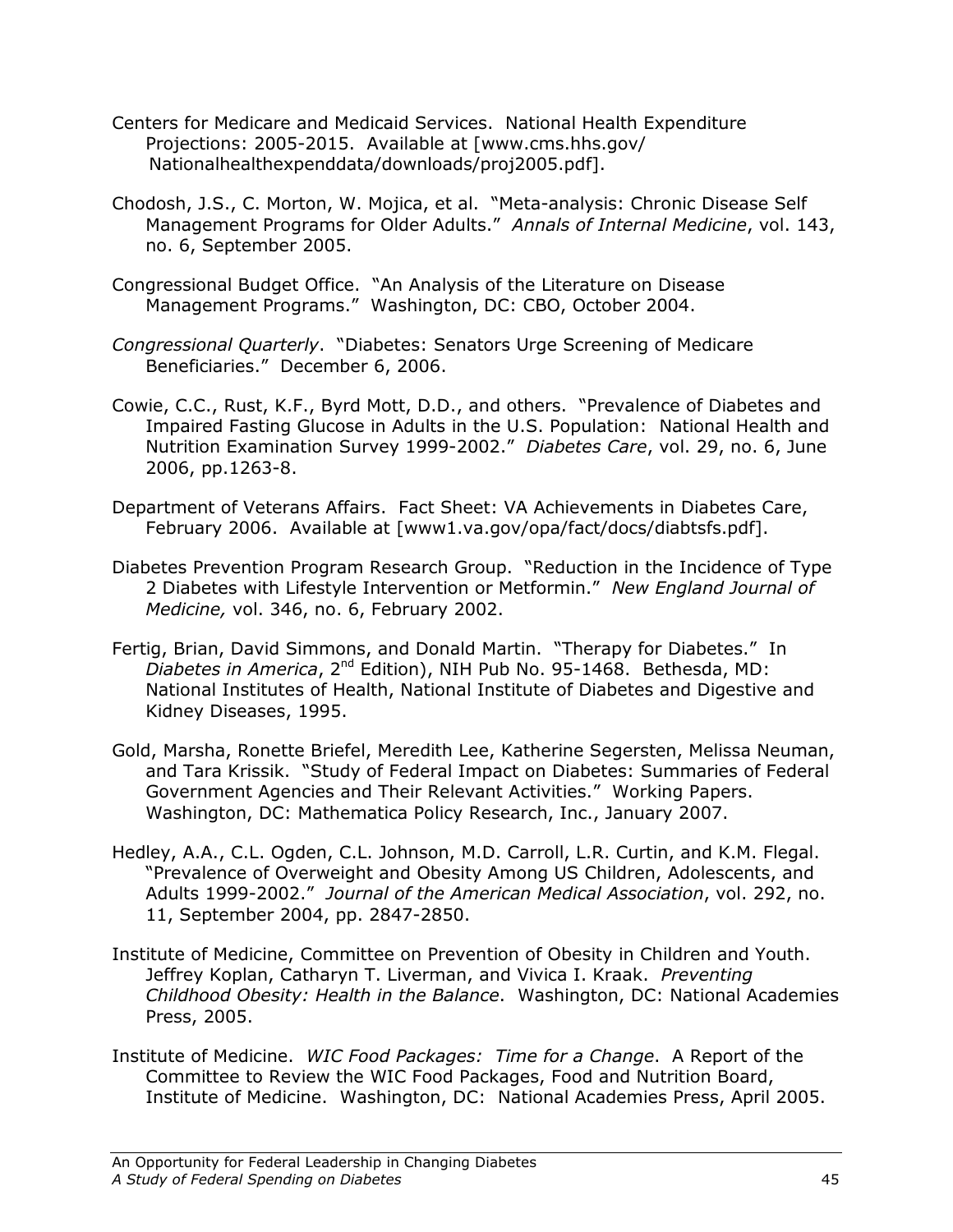- Centers for Medicare and Medicaid Services. National Health Expenditure Projections: 2005-2015. Available at [www.cms.hhs.gov/ Nationalhealthexpenddata/downloads/proj2005.pdf].
- Chodosh, J.S., C. Morton, W. Mojica, et al. "Meta-analysis: Chronic Disease Self Management Programs for Older Adults." Annals of Internal Medicine, vol. 143, no. 6, September 2005.
- Congressional Budget Office. "An Analysis of the Literature on Disease Management Programs." Washington, DC: CBO, October 2004.
- Congressional Quarterly. "Diabetes: Senators Urge Screening of Medicare Beneficiaries." December 6, 2006.
- Cowie, C.C., Rust, K.F., Byrd Mott, D.D., and others. "Prevalence of Diabetes and Impaired Fasting Glucose in Adults in the U.S. Population: National Health and Nutrition Examination Survey 1999-2002." Diabetes Care, vol. 29, no. 6, June 2006, pp.1263-8.
- Department of Veterans Affairs. Fact Sheet: VA Achievements in Diabetes Care, February 2006. Available at [www1.va.gov/opa/fact/docs/diabtsfs.pdf].
- Diabetes Prevention Program Research Group. "Reduction in the Incidence of Type 2 Diabetes with Lifestyle Intervention or Metformin." New England Journal of Medicine, vol. 346, no. 6, February 2002.
- Fertig, Brian, David Simmons, and Donald Martin. "Therapy for Diabetes." In  $Di$ abetes in America,  $2^{nd}$  Edition), NIH Pub No. 95-1468. Bethesda, MD: National Institutes of Health, National Institute of Diabetes and Digestive and Kidney Diseases, 1995.
- Gold, Marsha, Ronette Briefel, Meredith Lee, Katherine Segersten, Melissa Neuman, and Tara Krissik. "Study of Federal Impact on Diabetes: Summaries of Federal Government Agencies and Their Relevant Activities." Working Papers. Washington, DC: Mathematica Policy Research, Inc., January 2007.
- Hedley, A.A., C.L. Ogden, C.L. Johnson, M.D. Carroll, L.R. Curtin, and K.M. Flegal. "Prevalence of Overweight and Obesity Among US Children, Adolescents, and Adults 1999-2002." Journal of the American Medical Association, vol. 292, no. 11, September 2004, pp. 2847-2850.
- Institute of Medicine, Committee on Prevention of Obesity in Children and Youth. Jeffrey Koplan, Catharyn T. Liverman, and Vivica I. Kraak. Preventing Childhood Obesity: Health in the Balance. Washington, DC: National Academies Press, 2005.
- Institute of Medicine. WIC Food Packages: Time for a Change. A Report of the Committee to Review the WIC Food Packages, Food and Nutrition Board, Institute of Medicine. Washington, DC: National Academies Press, April 2005.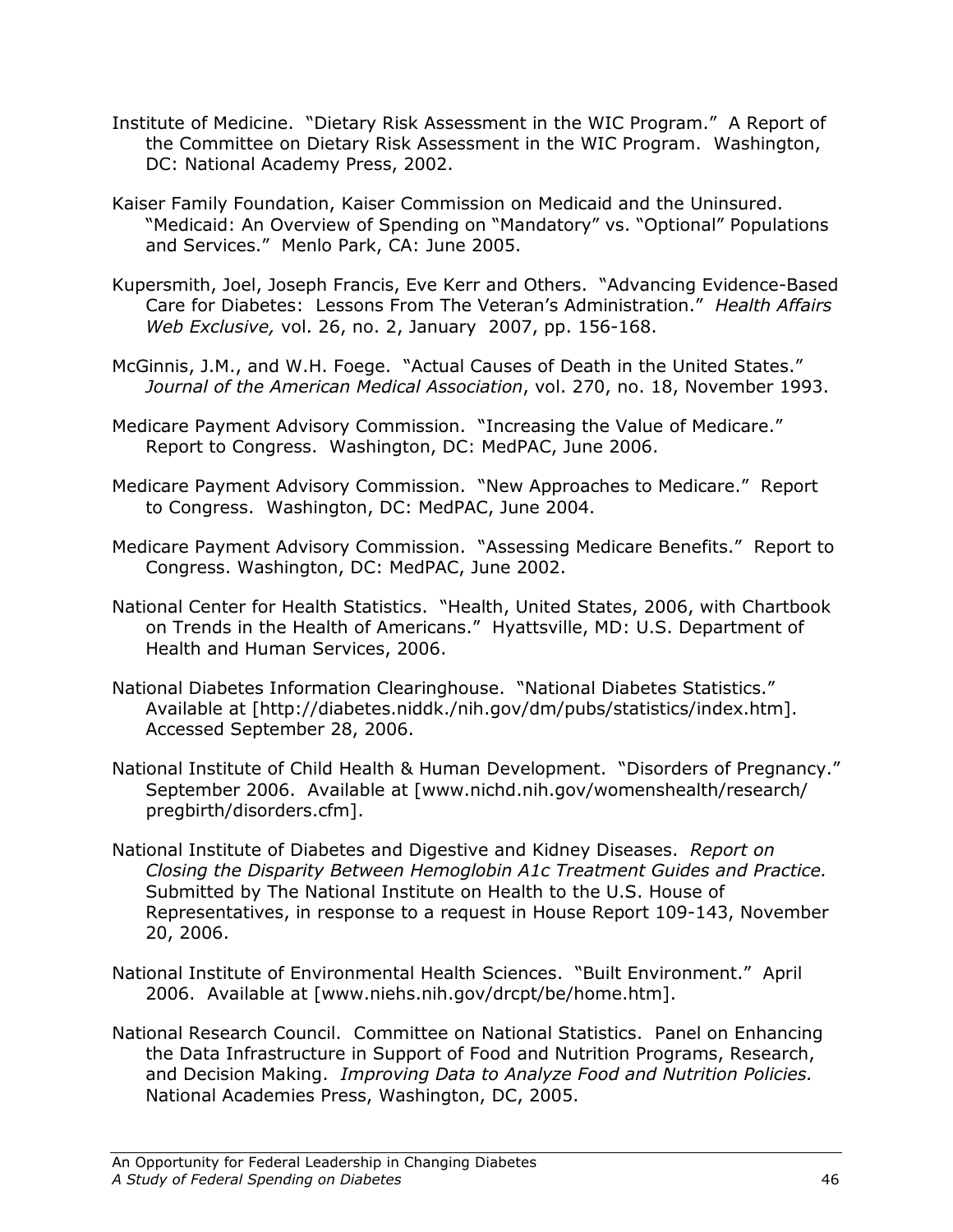- Institute of Medicine. "Dietary Risk Assessment in the WIC Program." A Report of the Committee on Dietary Risk Assessment in the WIC Program. Washington, DC: National Academy Press, 2002.
- Kaiser Family Foundation, Kaiser Commission on Medicaid and the Uninsured. "Medicaid: An Overview of Spending on "Mandatory" vs. "Optional" Populations and Services." Menlo Park, CA: June 2005.
- Kupersmith, Joel, Joseph Francis, Eve Kerr and Others. "Advancing Evidence-Based Care for Diabetes: Lessons From The Veteran's Administration." Health Affairs Web Exclusive, vol. 26, no. 2, January 2007, pp. 156-168.
- McGinnis, J.M., and W.H. Foege. "Actual Causes of Death in the United States." Journal of the American Medical Association, vol. 270, no. 18, November 1993.
- Medicare Payment Advisory Commission. "Increasing the Value of Medicare." Report to Congress. Washington, DC: MedPAC, June 2006.
- Medicare Payment Advisory Commission. "New Approaches to Medicare." Report to Congress. Washington, DC: MedPAC, June 2004.
- Medicare Payment Advisory Commission. "Assessing Medicare Benefits." Report to Congress. Washington, DC: MedPAC, June 2002.
- National Center for Health Statistics. "Health, United States, 2006, with Chartbook on Trends in the Health of Americans." Hyattsville, MD: U.S. Department of Health and Human Services, 2006.
- National Diabetes Information Clearinghouse. "National Diabetes Statistics." Available at [http://diabetes.niddk./nih.gov/dm/pubs/statistics/index.htm]. Accessed September 28, 2006.
- National Institute of Child Health & Human Development. "Disorders of Pregnancy." September 2006. Available at [www.nichd.nih.gov/womenshealth/research/ pregbirth/disorders.cfm].
- National Institute of Diabetes and Digestive and Kidney Diseases. Report on Closing the Disparity Between Hemoglobin A1c Treatment Guides and Practice. Submitted by The National Institute on Health to the U.S. House of Representatives, in response to a request in House Report 109-143, November 20, 2006.
- National Institute of Environmental Health Sciences. "Built Environment." April 2006. Available at [www.niehs.nih.gov/drcpt/be/home.htm].
- National Research Council. Committee on National Statistics. Panel on Enhancing the Data Infrastructure in Support of Food and Nutrition Programs, Research, and Decision Making. Improving Data to Analyze Food and Nutrition Policies. National Academies Press, Washington, DC, 2005.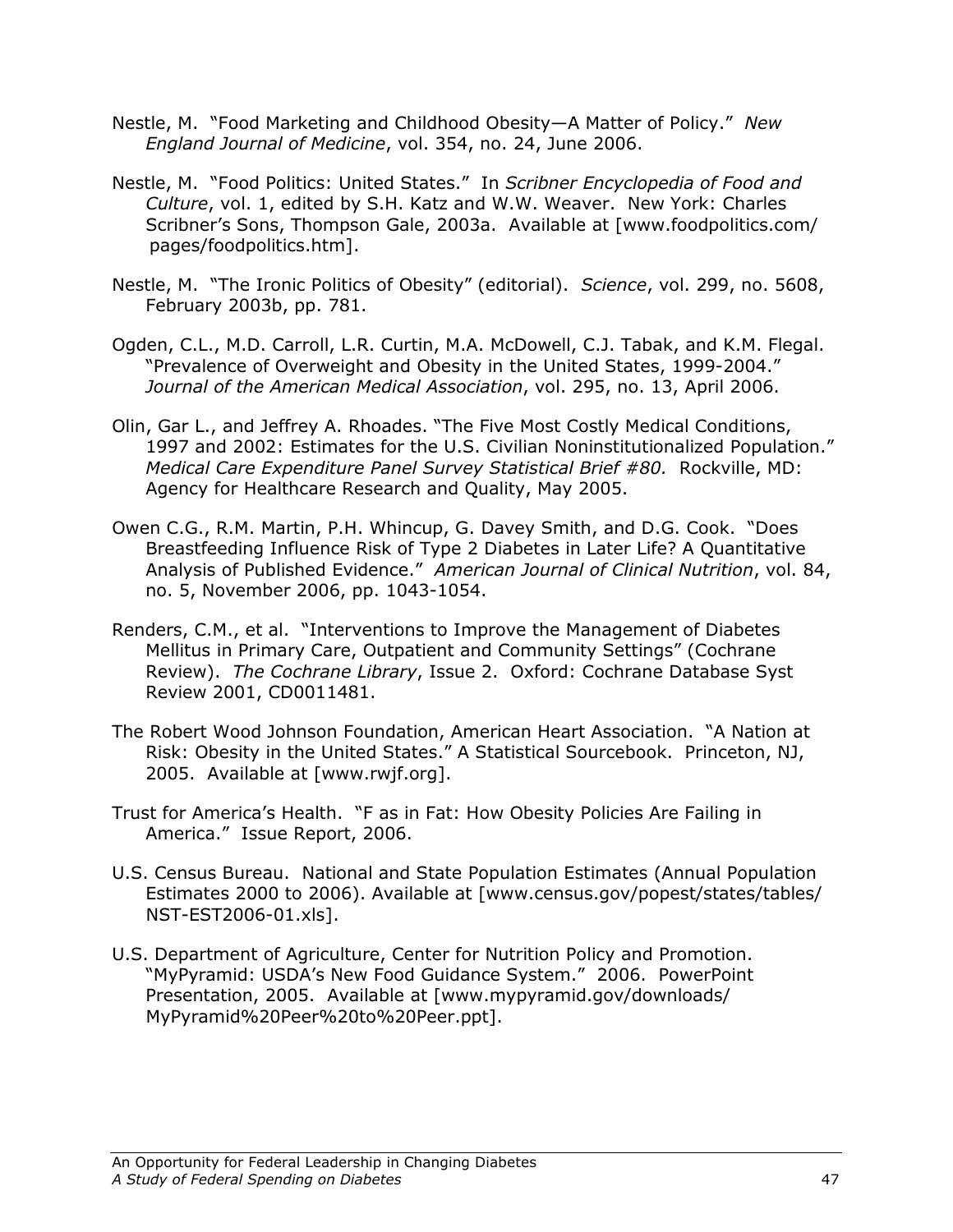- Nestle, M. "Food Marketing and Childhood Obesity—A Matter of Policy." New England Journal of Medicine, vol. 354, no. 24, June 2006.
- Nestle, M. "Food Politics: United States." In Scribner Encyclopedia of Food and Culture, vol. 1, edited by S.H. Katz and W.W. Weaver. New York: Charles Scribner's Sons, Thompson Gale, 2003a. Available at [www.foodpolitics.com/ pages/foodpolitics.htm].
- Nestle, M. "The Ironic Politics of Obesity" (editorial). Science, vol. 299, no. 5608, February 2003b, pp. 781.
- Ogden, C.L., M.D. Carroll, L.R. Curtin, M.A. McDowell, C.J. Tabak, and K.M. Flegal. "Prevalence of Overweight and Obesity in the United States, 1999-2004." Journal of the American Medical Association, vol. 295, no. 13, April 2006.
- Olin, Gar L., and Jeffrey A. Rhoades. "The Five Most Costly Medical Conditions, 1997 and 2002: Estimates for the U.S. Civilian Noninstitutionalized Population." Medical Care Expenditure Panel Survey Statistical Brief #80. Rockville, MD: Agency for Healthcare Research and Quality, May 2005.
- Owen C.G., R.M. Martin, P.H. Whincup, G. Davey Smith, and D.G. Cook. "Does Breastfeeding Influence Risk of Type 2 Diabetes in Later Life? A Quantitative Analysis of Published Evidence." American Journal of Clinical Nutrition, vol. 84, no. 5, November 2006, pp. 1043-1054.
- Renders, C.M., et al. "Interventions to Improve the Management of Diabetes Mellitus in Primary Care, Outpatient and Community Settings" (Cochrane Review). The Cochrane Library, Issue 2. Oxford: Cochrane Database Syst Review 2001, CD0011481.
- The Robert Wood Johnson Foundation, American Heart Association. "A Nation at Risk: Obesity in the United States." A Statistical Sourcebook. Princeton, NJ, 2005. Available at [www.rwjf.org].
- Trust for America's Health. "F as in Fat: How Obesity Policies Are Failing in America." Issue Report, 2006.
- U.S. Census Bureau. National and State Population Estimates (Annual Population Estimates 2000 to 2006). Available at [www.census.gov/popest/states/tables/ NST-EST2006-01.xls].
- U.S. Department of Agriculture, Center for Nutrition Policy and Promotion. "MyPyramid: USDA's New Food Guidance System." 2006. PowerPoint Presentation, 2005. Available at [www.mypyramid.gov/downloads/ MyPyramid%20Peer%20to%20Peer.ppt].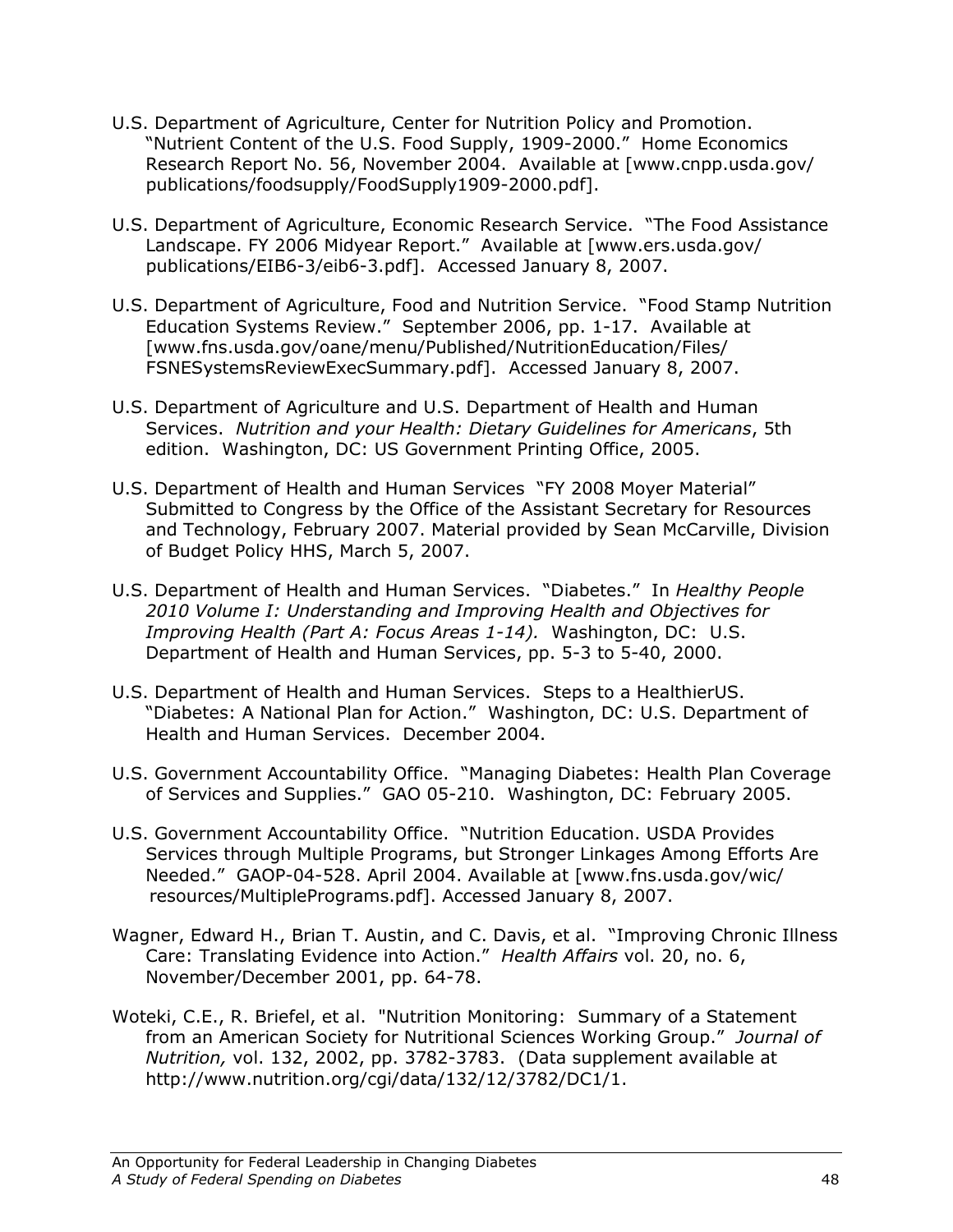- U.S. Department of Agriculture, Center for Nutrition Policy and Promotion. "Nutrient Content of the U.S. Food Supply, 1909-2000." Home Economics Research Report No. 56, November 2004. Available at [www.cnpp.usda.gov/ publications/foodsupply/FoodSupply1909-2000.pdf].
- U.S. Department of Agriculture, Economic Research Service. "The Food Assistance Landscape. FY 2006 Midyear Report." Available at [www.ers.usda.gov/ publications/EIB6-3/eib6-3.pdf]. Accessed January 8, 2007.
- U.S. Department of Agriculture, Food and Nutrition Service. "Food Stamp Nutrition Education Systems Review." September 2006, pp. 1-17. Available at [www.fns.usda.gov/oane/menu/Published/NutritionEducation/Files/ FSNESystemsReviewExecSummary.pdf]. Accessed January 8, 2007.
- U.S. Department of Agriculture and U.S. Department of Health and Human Services. Nutrition and your Health: Dietary Guidelines for Americans, 5th edition. Washington, DC: US Government Printing Office, 2005.
- U.S. Department of Health and Human Services "FY 2008 Moyer Material" Submitted to Congress by the Office of the Assistant Secretary for Resources and Technology, February 2007. Material provided by Sean McCarville, Division of Budget Policy HHS, March 5, 2007.
- U.S. Department of Health and Human Services. "Diabetes." In Healthy People 2010 Volume I: Understanding and Improving Health and Objectives for Improving Health (Part A: Focus Areas 1-14). Washington, DC: U.S. Department of Health and Human Services, pp. 5-3 to 5-40, 2000.
- U.S. Department of Health and Human Services. Steps to a HealthierUS. "Diabetes: A National Plan for Action." Washington, DC: U.S. Department of Health and Human Services. December 2004.
- U.S. Government Accountability Office. "Managing Diabetes: Health Plan Coverage of Services and Supplies." GAO 05-210. Washington, DC: February 2005.
- U.S. Government Accountability Office. "Nutrition Education. USDA Provides Services through Multiple Programs, but Stronger Linkages Among Efforts Are Needed." GAOP-04-528. April 2004. Available at [www.fns.usda.gov/wic/ resources/MultiplePrograms.pdf]. Accessed January 8, 2007.
- Wagner, Edward H., Brian T. Austin, and C. Davis, et al. "Improving Chronic Illness Care: Translating Evidence into Action." Health Affairs vol. 20, no. 6, November/December 2001, pp. 64-78.
- Woteki, C.E., R. Briefel, et al. "Nutrition Monitoring: Summary of a Statement from an American Society for Nutritional Sciences Working Group." Journal of Nutrition, vol. 132, 2002, pp. 3782-3783. (Data supplement available at http://www.nutrition.org/cgi/data/132/12/3782/DC1/1.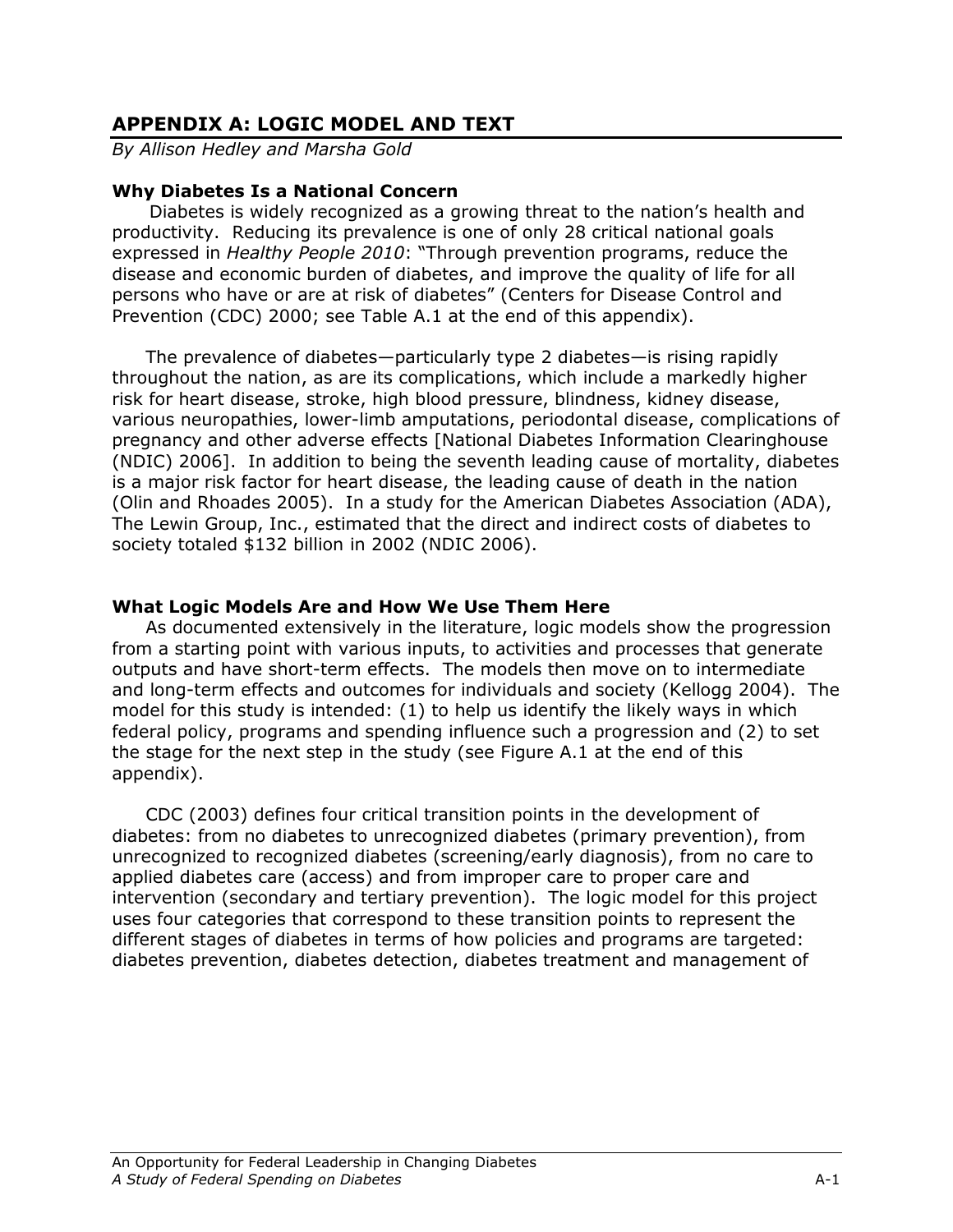# APPENDIX A: LOGIC MODEL AND TEXT

By Allison Hedley and Marsha Gold

## Why Diabetes Is a National Concern

Diabetes is widely recognized as a growing threat to the nation's health and productivity. Reducing its prevalence is one of only 28 critical national goals expressed in Healthy People 2010: "Through prevention programs, reduce the disease and economic burden of diabetes, and improve the quality of life for all persons who have or are at risk of diabetes" (Centers for Disease Control and Prevention (CDC) 2000; see Table A.1 at the end of this appendix).

The prevalence of diabetes—particularly type 2 diabetes—is rising rapidly throughout the nation, as are its complications, which include a markedly higher risk for heart disease, stroke, high blood pressure, blindness, kidney disease, various neuropathies, lower-limb amputations, periodontal disease, complications of pregnancy and other adverse effects [National Diabetes Information Clearinghouse (NDIC) 2006]. In addition to being the seventh leading cause of mortality, diabetes is a major risk factor for heart disease, the leading cause of death in the nation (Olin and Rhoades 2005). In a study for the American Diabetes Association (ADA), The Lewin Group, Inc., estimated that the direct and indirect costs of diabetes to society totaled \$132 billion in 2002 (NDIC 2006).

### What Logic Models Are and How We Use Them Here

As documented extensively in the literature, logic models show the progression from a starting point with various inputs, to activities and processes that generate outputs and have short-term effects. The models then move on to intermediate and long-term effects and outcomes for individuals and society (Kellogg 2004). The model for this study is intended: (1) to help us identify the likely ways in which federal policy, programs and spending influence such a progression and (2) to set the stage for the next step in the study (see Figure A.1 at the end of this appendix).

CDC (2003) defines four critical transition points in the development of diabetes: from no diabetes to unrecognized diabetes (primary prevention), from unrecognized to recognized diabetes (screening/early diagnosis), from no care to applied diabetes care (access) and from improper care to proper care and intervention (secondary and tertiary prevention). The logic model for this project uses four categories that correspond to these transition points to represent the different stages of diabetes in terms of how policies and programs are targeted: diabetes prevention, diabetes detection, diabetes treatment and management of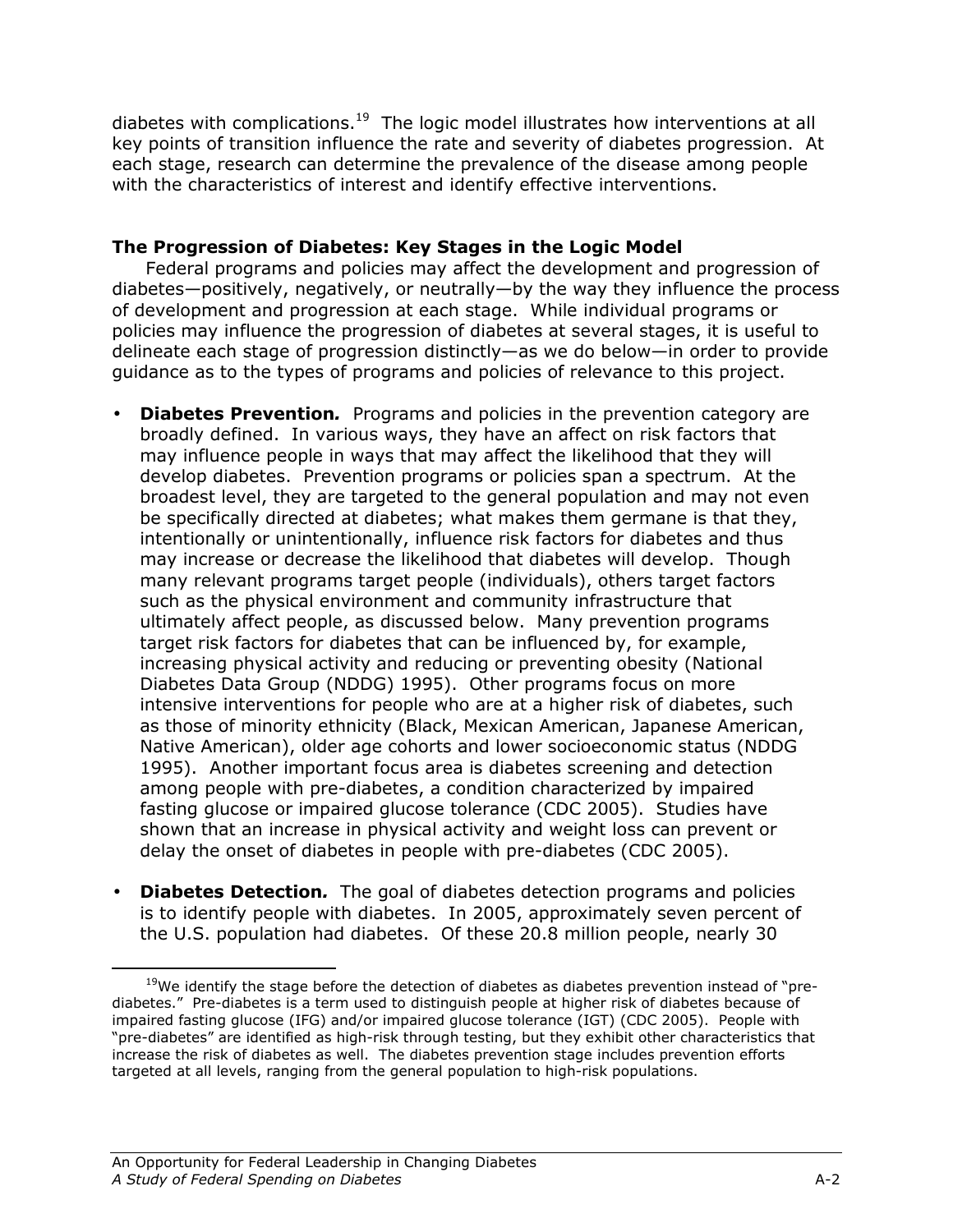diabetes with complications. $19$  The logic model illustrates how interventions at all key points of transition influence the rate and severity of diabetes progression. At each stage, research can determine the prevalence of the disease among people with the characteristics of interest and identify effective interventions.

## The Progression of Diabetes: Key Stages in the Logic Model

 Federal programs and policies may affect the development and progression of diabetes—positively, negatively, or neutrally—by the way they influence the process of development and progression at each stage. While individual programs or policies may influence the progression of diabetes at several stages, it is useful to delineate each stage of progression distinctly—as we do below—in order to provide guidance as to the types of programs and policies of relevance to this project.

- Diabetes Prevention. Programs and policies in the prevention category are broadly defined. In various ways, they have an affect on risk factors that may influence people in ways that may affect the likelihood that they will develop diabetes. Prevention programs or policies span a spectrum. At the broadest level, they are targeted to the general population and may not even be specifically directed at diabetes; what makes them germane is that they, intentionally or unintentionally, influence risk factors for diabetes and thus may increase or decrease the likelihood that diabetes will develop. Though many relevant programs target people (individuals), others target factors such as the physical environment and community infrastructure that ultimately affect people, as discussed below. Many prevention programs target risk factors for diabetes that can be influenced by, for example, increasing physical activity and reducing or preventing obesity (National Diabetes Data Group (NDDG) 1995). Other programs focus on more intensive interventions for people who are at a higher risk of diabetes, such as those of minority ethnicity (Black, Mexican American, Japanese American, Native American), older age cohorts and lower socioeconomic status (NDDG 1995). Another important focus area is diabetes screening and detection among people with pre-diabetes, a condition characterized by impaired fasting glucose or impaired glucose tolerance (CDC 2005). Studies have shown that an increase in physical activity and weight loss can prevent or delay the onset of diabetes in people with pre-diabetes (CDC 2005).
- **Diabetes Detection.** The goal of diabetes detection programs and policies is to identify people with diabetes. In 2005, approximately seven percent of the U.S. population had diabetes. Of these 20.8 million people, nearly 30

<u>.</u>

 $19$ We identify the stage before the detection of diabetes as diabetes prevention instead of "prediabetes." Pre-diabetes is a term used to distinguish people at higher risk of diabetes because of impaired fasting glucose (IFG) and/or impaired glucose tolerance (IGT) (CDC 2005). People with "pre-diabetes" are identified as high-risk through testing, but they exhibit other characteristics that increase the risk of diabetes as well. The diabetes prevention stage includes prevention efforts targeted at all levels, ranging from the general population to high-risk populations.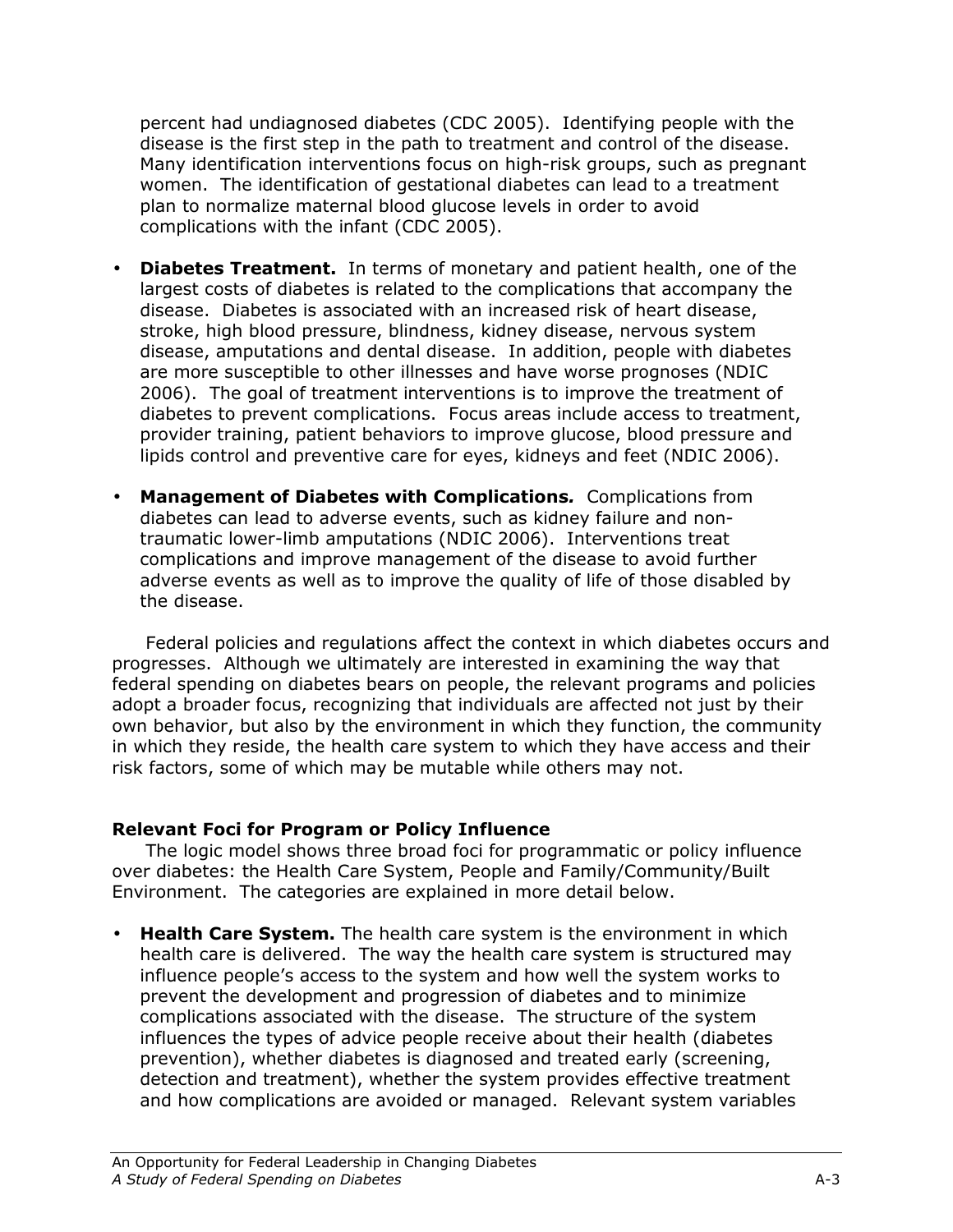percent had undiagnosed diabetes (CDC 2005). Identifying people with the disease is the first step in the path to treatment and control of the disease. Many identification interventions focus on high-risk groups, such as pregnant women. The identification of gestational diabetes can lead to a treatment plan to normalize maternal blood glucose levels in order to avoid complications with the infant (CDC 2005).

- **Diabetes Treatment.** In terms of monetary and patient health, one of the largest costs of diabetes is related to the complications that accompany the disease. Diabetes is associated with an increased risk of heart disease, stroke, high blood pressure, blindness, kidney disease, nervous system disease, amputations and dental disease. In addition, people with diabetes are more susceptible to other illnesses and have worse prognoses (NDIC 2006). The goal of treatment interventions is to improve the treatment of diabetes to prevent complications. Focus areas include access to treatment, provider training, patient behaviors to improve glucose, blood pressure and lipids control and preventive care for eyes, kidneys and feet (NDIC 2006).
- Management of Diabetes with Complications. Complications from diabetes can lead to adverse events, such as kidney failure and nontraumatic lower-limb amputations (NDIC 2006). Interventions treat complications and improve management of the disease to avoid further adverse events as well as to improve the quality of life of those disabled by the disease.

Federal policies and regulations affect the context in which diabetes occurs and progresses. Although we ultimately are interested in examining the way that federal spending on diabetes bears on people, the relevant programs and policies adopt a broader focus, recognizing that individuals are affected not just by their own behavior, but also by the environment in which they function, the community in which they reside, the health care system to which they have access and their risk factors, some of which may be mutable while others may not.

## Relevant Foci for Program or Policy Influence

The logic model shows three broad foci for programmatic or policy influence over diabetes: the Health Care System, People and Family/Community/Built Environment. The categories are explained in more detail below.

• Health Care System. The health care system is the environment in which health care is delivered. The way the health care system is structured may influence people's access to the system and how well the system works to prevent the development and progression of diabetes and to minimize complications associated with the disease. The structure of the system influences the types of advice people receive about their health (diabetes prevention), whether diabetes is diagnosed and treated early (screening, detection and treatment), whether the system provides effective treatment and how complications are avoided or managed. Relevant system variables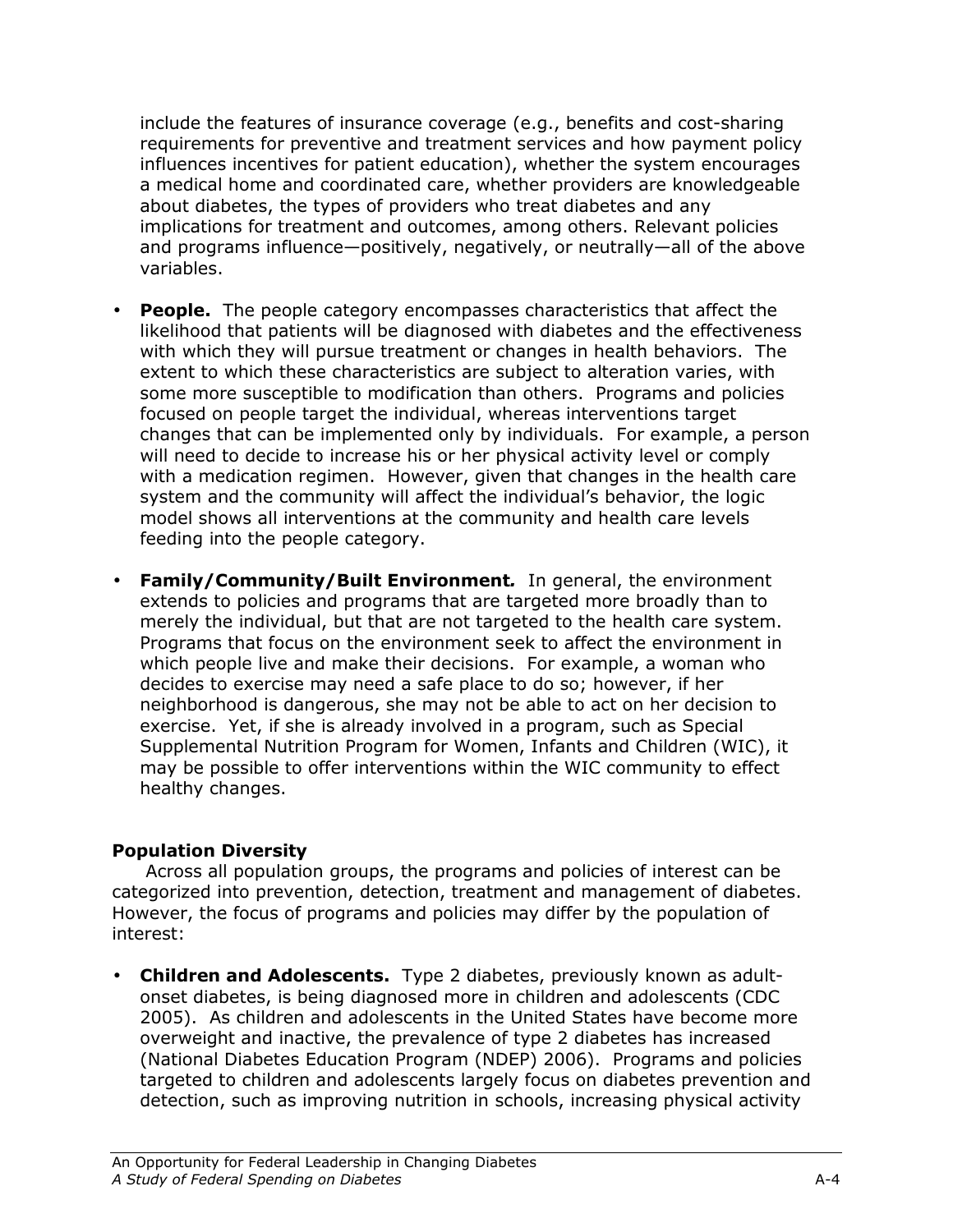include the features of insurance coverage (e.g., benefits and cost-sharing requirements for preventive and treatment services and how payment policy influences incentives for patient education), whether the system encourages a medical home and coordinated care, whether providers are knowledgeable about diabetes, the types of providers who treat diabetes and any implications for treatment and outcomes, among others. Relevant policies and programs influence—positively, negatively, or neutrally—all of the above variables.

- People. The people category encompasses characteristics that affect the likelihood that patients will be diagnosed with diabetes and the effectiveness with which they will pursue treatment or changes in health behaviors. The extent to which these characteristics are subject to alteration varies, with some more susceptible to modification than others. Programs and policies focused on people target the individual, whereas interventions target changes that can be implemented only by individuals. For example, a person will need to decide to increase his or her physical activity level or comply with a medication regimen. However, given that changes in the health care system and the community will affect the individual's behavior, the logic model shows all interventions at the community and health care levels feeding into the people category.
- Family/Community/Built Environment. In general, the environment extends to policies and programs that are targeted more broadly than to merely the individual, but that are not targeted to the health care system. Programs that focus on the environment seek to affect the environment in which people live and make their decisions. For example, a woman who decides to exercise may need a safe place to do so; however, if her neighborhood is dangerous, she may not be able to act on her decision to exercise. Yet, if she is already involved in a program, such as Special Supplemental Nutrition Program for Women, Infants and Children (WIC), it may be possible to offer interventions within the WIC community to effect healthy changes.

## Population Diversity

Across all population groups, the programs and policies of interest can be categorized into prevention, detection, treatment and management of diabetes. However, the focus of programs and policies may differ by the population of interest:

• Children and Adolescents. Type 2 diabetes, previously known as adultonset diabetes, is being diagnosed more in children and adolescents (CDC 2005). As children and adolescents in the United States have become more overweight and inactive, the prevalence of type 2 diabetes has increased (National Diabetes Education Program (NDEP) 2006). Programs and policies targeted to children and adolescents largely focus on diabetes prevention and detection, such as improving nutrition in schools, increasing physical activity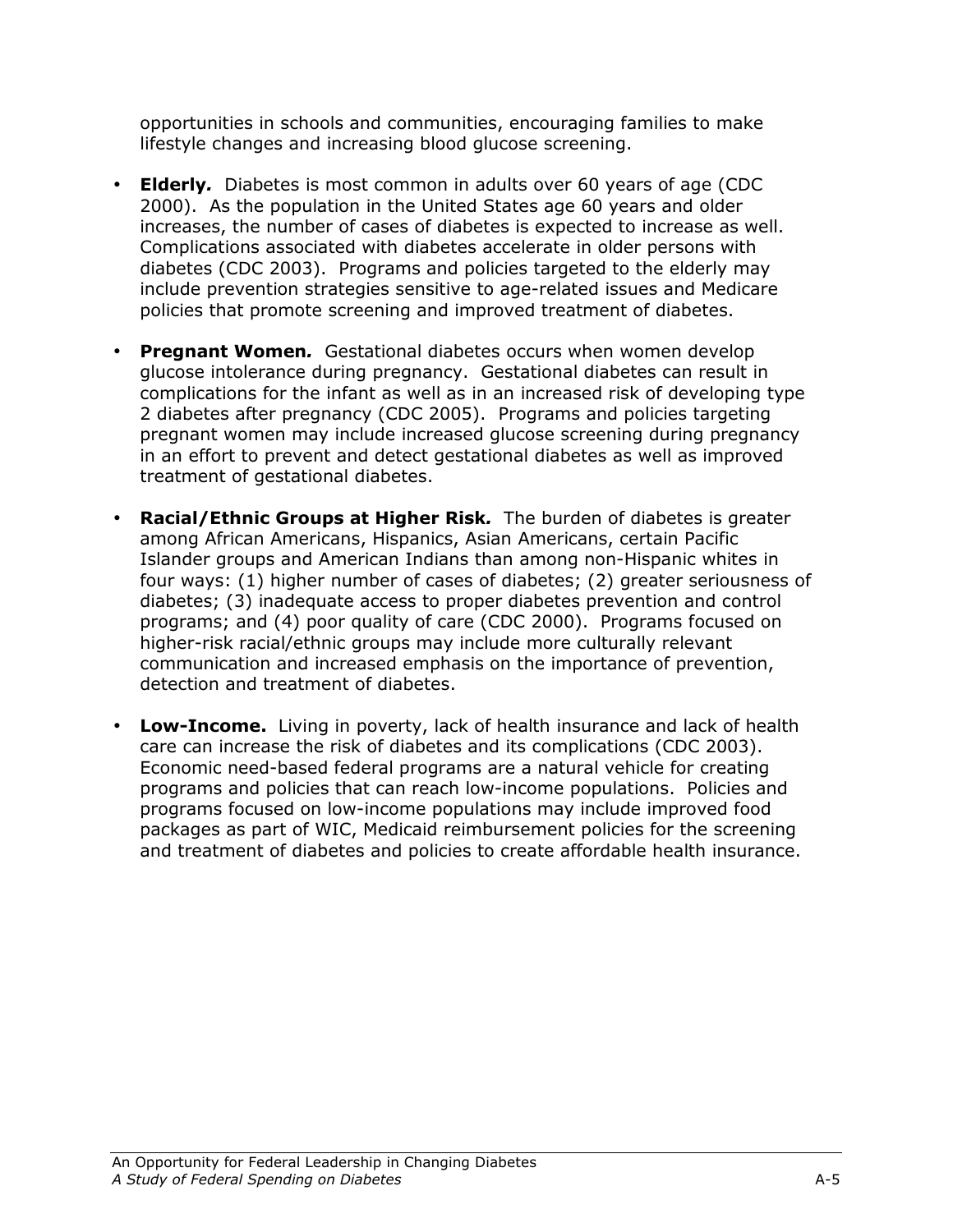opportunities in schools and communities, encouraging families to make lifestyle changes and increasing blood glucose screening.

- **Elderly.** Diabetes is most common in adults over 60 years of age (CDC 2000). As the population in the United States age 60 years and older increases, the number of cases of diabetes is expected to increase as well. Complications associated with diabetes accelerate in older persons with diabetes (CDC 2003). Programs and policies targeted to the elderly may include prevention strategies sensitive to age-related issues and Medicare policies that promote screening and improved treatment of diabetes.
- Pregnant Women. Gestational diabetes occurs when women develop glucose intolerance during pregnancy. Gestational diabetes can result in complications for the infant as well as in an increased risk of developing type 2 diabetes after pregnancy (CDC 2005). Programs and policies targeting pregnant women may include increased glucose screening during pregnancy in an effort to prevent and detect gestational diabetes as well as improved treatment of gestational diabetes.
- Racial/Ethnic Groups at Higher Risk. The burden of diabetes is greater among African Americans, Hispanics, Asian Americans, certain Pacific Islander groups and American Indians than among non-Hispanic whites in four ways: (1) higher number of cases of diabetes; (2) greater seriousness of diabetes; (3) inadequate access to proper diabetes prevention and control programs; and (4) poor quality of care (CDC 2000). Programs focused on higher-risk racial/ethnic groups may include more culturally relevant communication and increased emphasis on the importance of prevention, detection and treatment of diabetes.
- Low-Income. Living in poverty, lack of health insurance and lack of health care can increase the risk of diabetes and its complications (CDC 2003). Economic need-based federal programs are a natural vehicle for creating programs and policies that can reach low-income populations. Policies and programs focused on low-income populations may include improved food packages as part of WIC, Medicaid reimbursement policies for the screening and treatment of diabetes and policies to create affordable health insurance.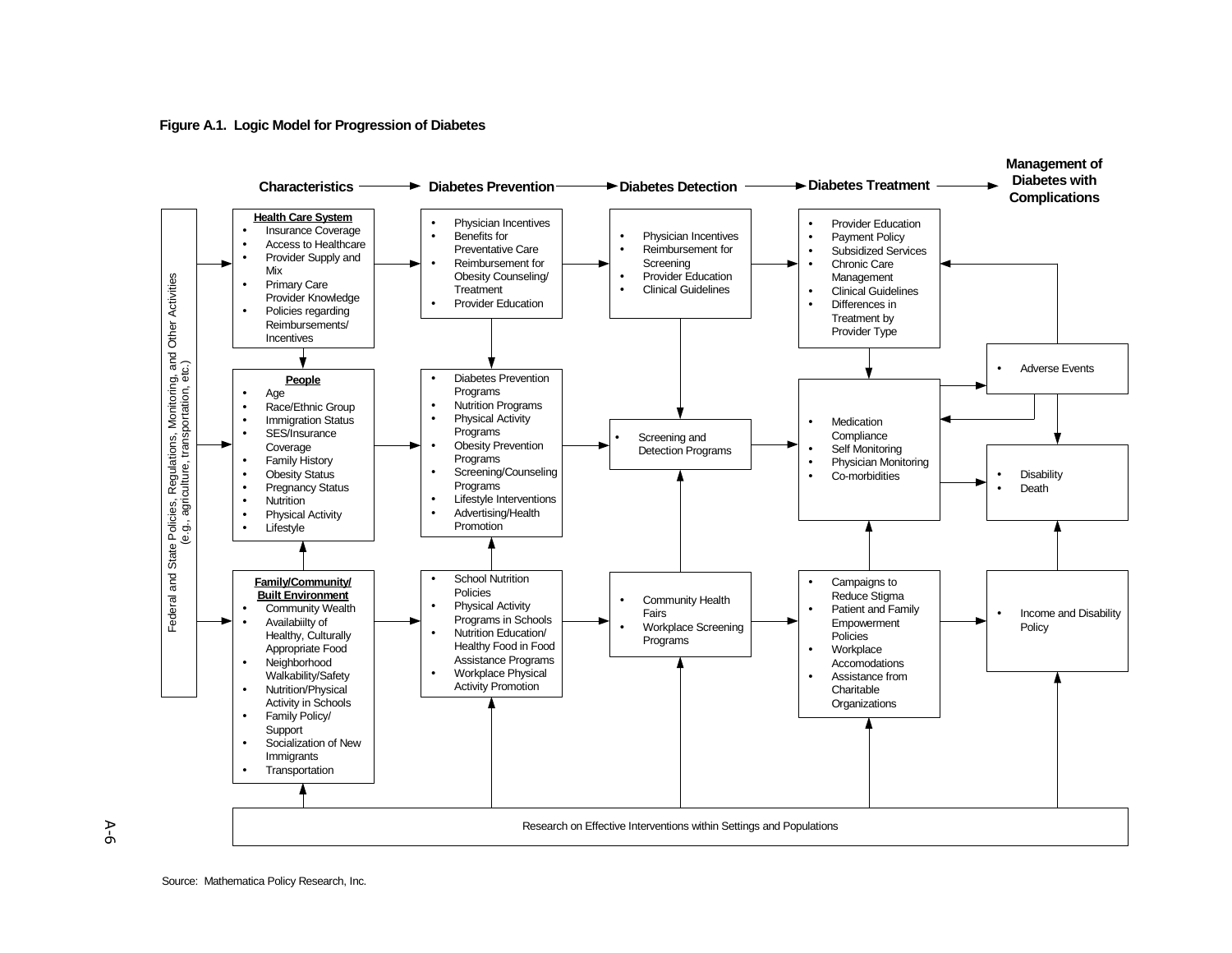**Figure A.1. Logic Model for Progression of Diabetes**



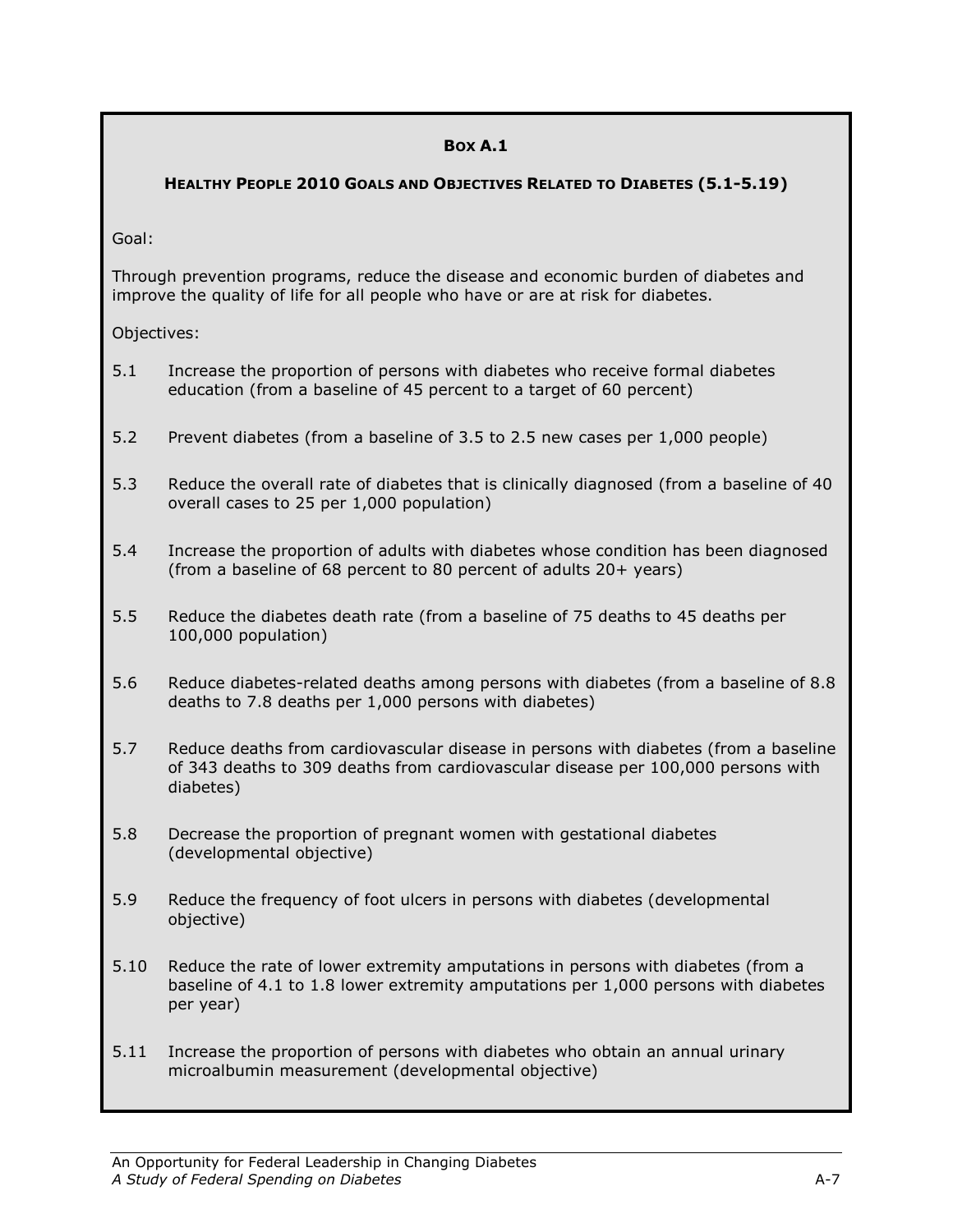### BOX A.1

HEALTHY PEOPLE 2010 GOALS AND OBJECTIVES RELATED TO DIABETES (5.1-5.19)

Goal:

Through prevention programs, reduce the disease and economic burden of diabetes and improve the quality of life for all people who have or are at risk for diabetes.

Objectives:

- 5.1 Increase the proportion of persons with diabetes who receive formal diabetes education (from a baseline of 45 percent to a target of 60 percent)
- 5.2 Prevent diabetes (from a baseline of 3.5 to 2.5 new cases per 1,000 people)
- 5.3 Reduce the overall rate of diabetes that is clinically diagnosed (from a baseline of 40 overall cases to 25 per 1,000 population)
- 5.4 Increase the proportion of adults with diabetes whose condition has been diagnosed (from a baseline of 68 percent to 80 percent of adults 20+ years)
- 5.5 Reduce the diabetes death rate (from a baseline of 75 deaths to 45 deaths per 100,000 population)
- 5.6 Reduce diabetes-related deaths among persons with diabetes (from a baseline of 8.8 deaths to 7.8 deaths per 1,000 persons with diabetes)
- 5.7 Reduce deaths from cardiovascular disease in persons with diabetes (from a baseline of 343 deaths to 309 deaths from cardiovascular disease per 100,000 persons with diabetes)
- 5.8 Decrease the proportion of pregnant women with gestational diabetes (developmental objective)
- 5.9 Reduce the frequency of foot ulcers in persons with diabetes (developmental objective)
- 5.10 Reduce the rate of lower extremity amputations in persons with diabetes (from a baseline of 4.1 to 1.8 lower extremity amputations per 1,000 persons with diabetes per year)
- 5.11 Increase the proportion of persons with diabetes who obtain an annual urinary microalbumin measurement (developmental objective)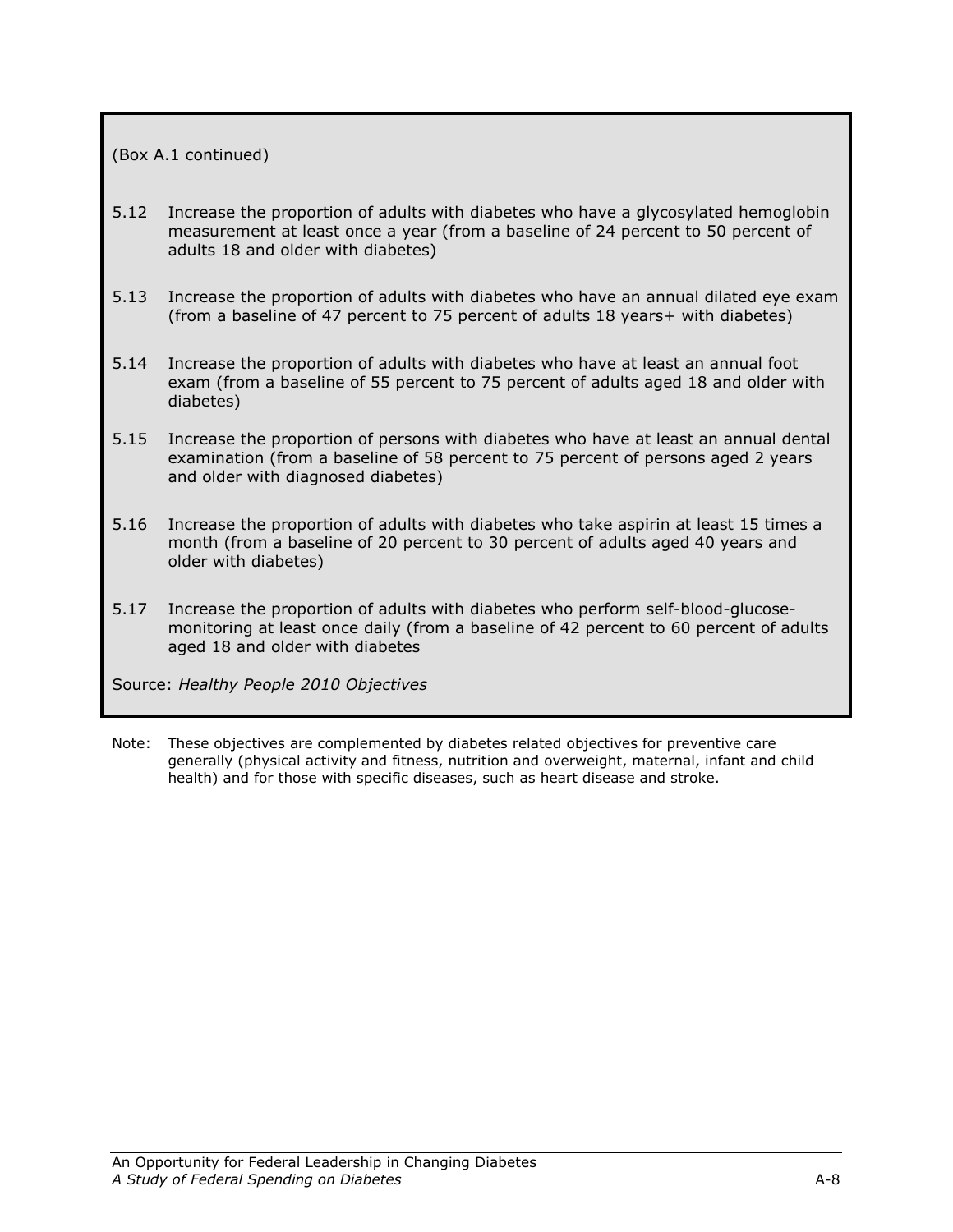#### (Box A.1 continued)

- 5.12 Increase the proportion of adults with diabetes who have a glycosylated hemoglobin measurement at least once a year (from a baseline of 24 percent to 50 percent of adults 18 and older with diabetes)
- 5.13 Increase the proportion of adults with diabetes who have an annual dilated eye exam (from a baseline of 47 percent to 75 percent of adults 18 years+ with diabetes)
- 5.14 Increase the proportion of adults with diabetes who have at least an annual foot exam (from a baseline of 55 percent to 75 percent of adults aged 18 and older with diabetes)
- 5.15 Increase the proportion of persons with diabetes who have at least an annual dental examination (from a baseline of 58 percent to 75 percent of persons aged 2 years and older with diagnosed diabetes)
- 5.16 Increase the proportion of adults with diabetes who take aspirin at least 15 times a month (from a baseline of 20 percent to 30 percent of adults aged 40 years and older with diabetes)
- 5.17 Increase the proportion of adults with diabetes who perform self-blood-glucosemonitoring at least once daily (from a baseline of 42 percent to 60 percent of adults aged 18 and older with diabetes

Source: Healthy People 2010 Objectives

Note: These objectives are complemented by diabetes related objectives for preventive care generally (physical activity and fitness, nutrition and overweight, maternal, infant and child health) and for those with specific diseases, such as heart disease and stroke.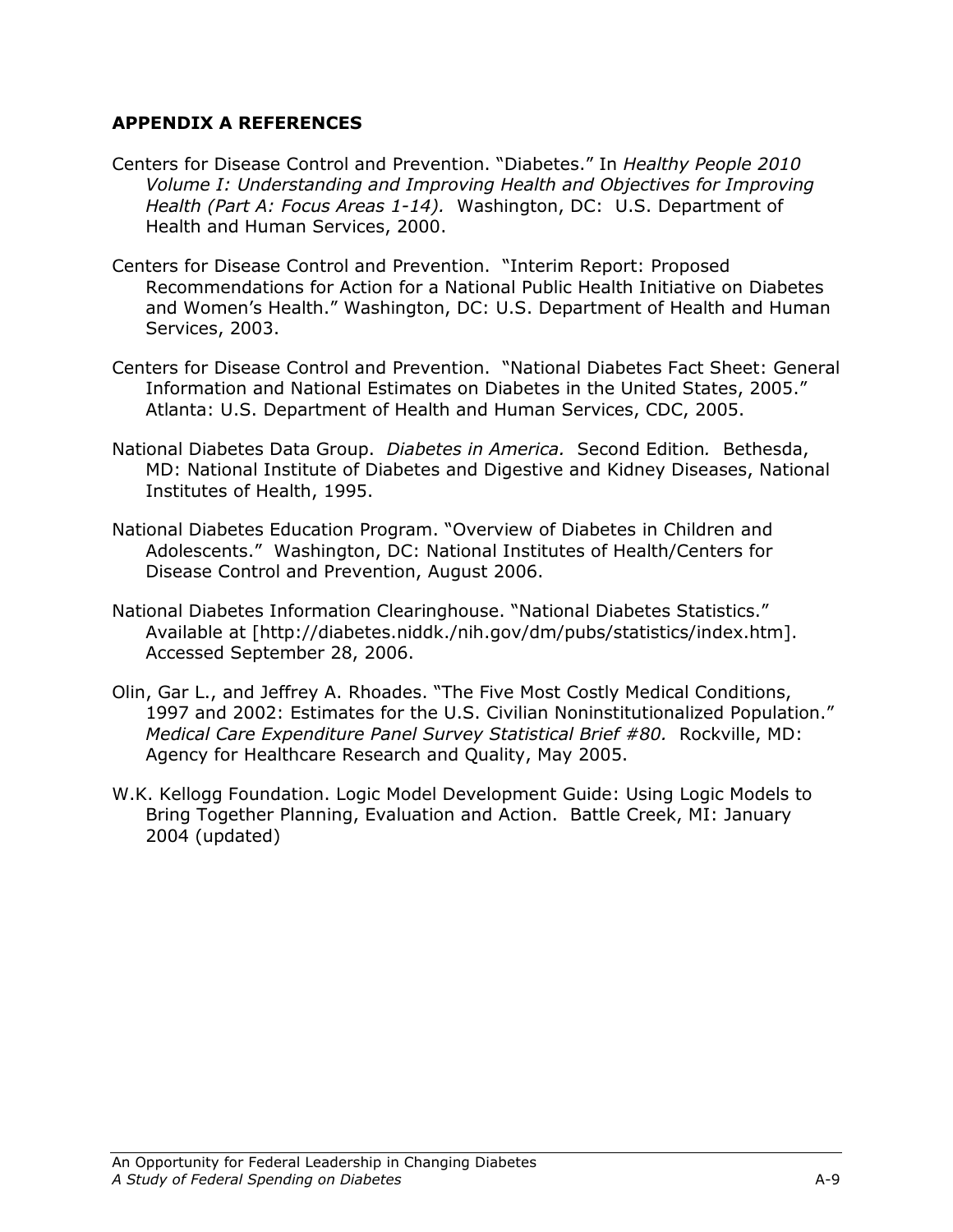## APPENDIX A REFERENCES

- Centers for Disease Control and Prevention. "Diabetes." In Healthy People 2010 Volume I: Understanding and Improving Health and Objectives for Improving Health (Part A: Focus Areas 1-14). Washington, DC: U.S. Department of Health and Human Services, 2000.
- Centers for Disease Control and Prevention. "Interim Report: Proposed Recommendations for Action for a National Public Health Initiative on Diabetes and Women's Health." Washington, DC: U.S. Department of Health and Human Services, 2003.
- Centers for Disease Control and Prevention. "National Diabetes Fact Sheet: General Information and National Estimates on Diabetes in the United States, 2005." Atlanta: U.S. Department of Health and Human Services, CDC, 2005.
- National Diabetes Data Group. Diabetes in America. Second Edition. Bethesda, MD: National Institute of Diabetes and Digestive and Kidney Diseases, National Institutes of Health, 1995.
- National Diabetes Education Program. "Overview of Diabetes in Children and Adolescents." Washington, DC: National Institutes of Health/Centers for Disease Control and Prevention, August 2006.
- National Diabetes Information Clearinghouse. "National Diabetes Statistics." Available at [http://diabetes.niddk./nih.gov/dm/pubs/statistics/index.htm]. Accessed September 28, 2006.
- Olin, Gar L., and Jeffrey A. Rhoades. "The Five Most Costly Medical Conditions, 1997 and 2002: Estimates for the U.S. Civilian Noninstitutionalized Population." Medical Care Expenditure Panel Survey Statistical Brief #80. Rockville, MD: Agency for Healthcare Research and Quality, May 2005.
- W.K. Kellogg Foundation. Logic Model Development Guide: Using Logic Models to Bring Together Planning, Evaluation and Action. Battle Creek, MI: January 2004 (updated)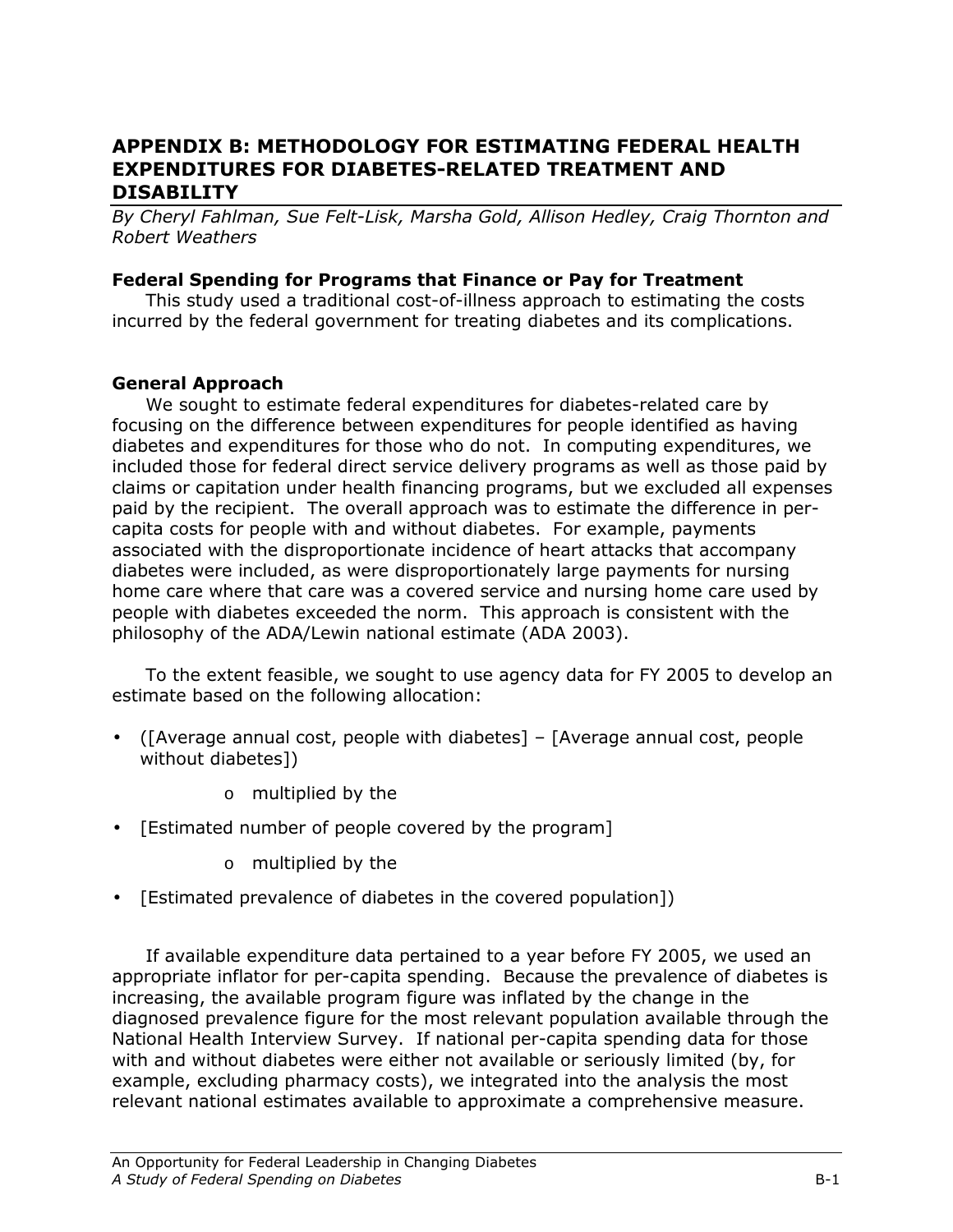# APPENDIX B: METHODOLOGY FOR ESTIMATING FEDERAL HEALTH EXPENDITURES FOR DIABETES-RELATED TREATMENT AND DISABILITY

By Cheryl Fahlman, Sue Felt-Lisk, Marsha Gold, Allison Hedley, Craig Thornton and Robert Weathers

## Federal Spending for Programs that Finance or Pay for Treatment

This study used a traditional cost-of-illness approach to estimating the costs incurred by the federal government for treating diabetes and its complications.

## General Approach

 We sought to estimate federal expenditures for diabetes-related care by focusing on the difference between expenditures for people identified as having diabetes and expenditures for those who do not. In computing expenditures, we included those for federal direct service delivery programs as well as those paid by claims or capitation under health financing programs, but we excluded all expenses paid by the recipient. The overall approach was to estimate the difference in percapita costs for people with and without diabetes. For example, payments associated with the disproportionate incidence of heart attacks that accompany diabetes were included, as were disproportionately large payments for nursing home care where that care was a covered service and nursing home care used by people with diabetes exceeded the norm. This approach is consistent with the philosophy of the ADA/Lewin national estimate (ADA 2003).

To the extent feasible, we sought to use agency data for FY 2005 to develop an estimate based on the following allocation:

- ([Average annual cost, people with diabetes] [Average annual cost, people without diabetes])
	- o multiplied by the
- [Estimated number of people covered by the program]
	- o multiplied by the
- [Estimated prevalence of diabetes in the covered population])

 If available expenditure data pertained to a year before FY 2005, we used an appropriate inflator for per-capita spending. Because the prevalence of diabetes is increasing, the available program figure was inflated by the change in the diagnosed prevalence figure for the most relevant population available through the National Health Interview Survey. If national per-capita spending data for those with and without diabetes were either not available or seriously limited (by, for example, excluding pharmacy costs), we integrated into the analysis the most relevant national estimates available to approximate a comprehensive measure.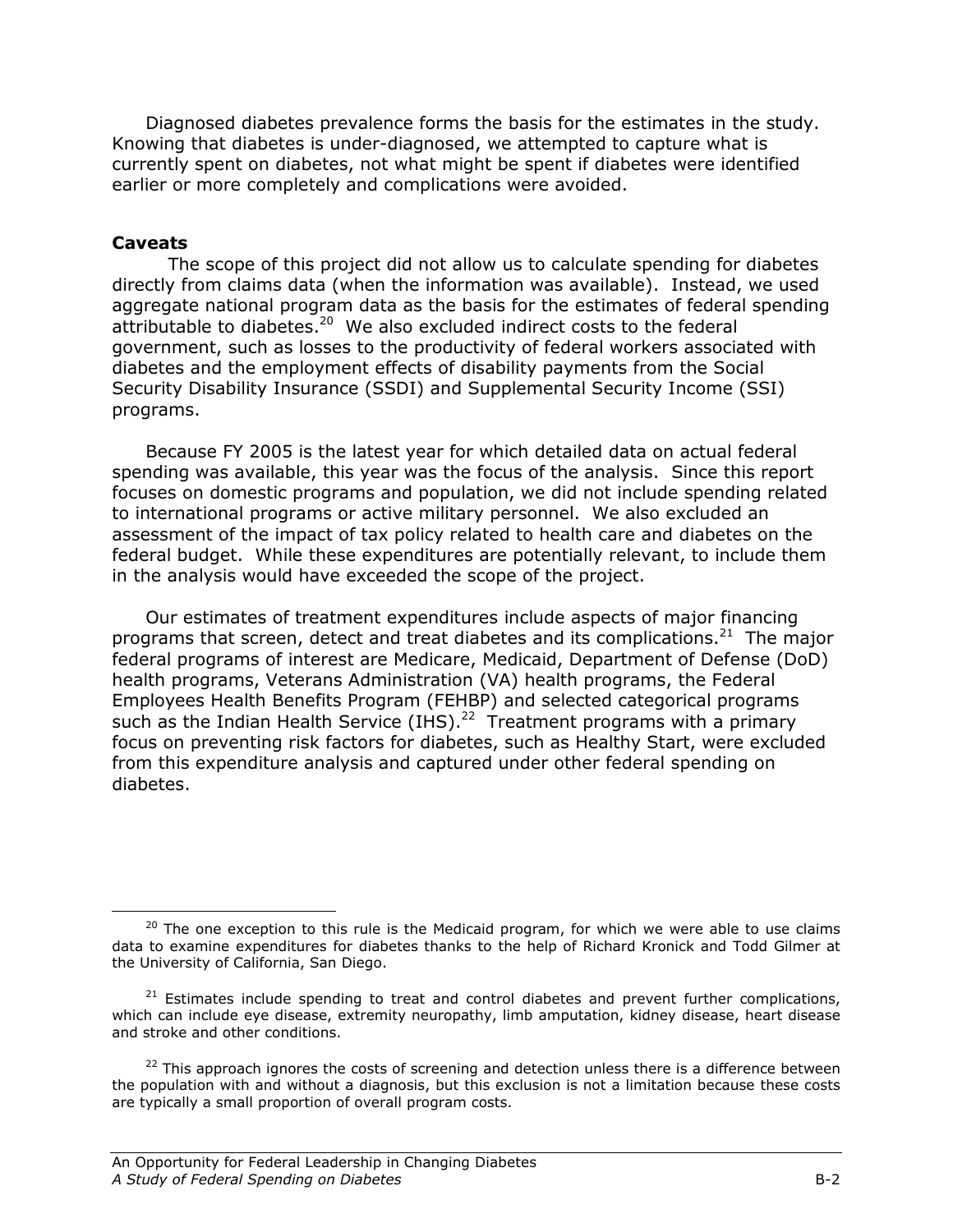Diagnosed diabetes prevalence forms the basis for the estimates in the study. Knowing that diabetes is under-diagnosed, we attempted to capture what is currently spent on diabetes, not what might be spent if diabetes were identified earlier or more completely and complications were avoided.

### Caveats

<u>.</u>

 The scope of this project did not allow us to calculate spending for diabetes directly from claims data (when the information was available). Instead, we used aggregate national program data as the basis for the estimates of federal spending attributable to diabetes.<sup>20</sup> We also excluded indirect costs to the federal government, such as losses to the productivity of federal workers associated with diabetes and the employment effects of disability payments from the Social Security Disability Insurance (SSDI) and Supplemental Security Income (SSI) programs.

Because FY 2005 is the latest year for which detailed data on actual federal spending was available, this year was the focus of the analysis. Since this report focuses on domestic programs and population, we did not include spending related to international programs or active military personnel. We also excluded an assessment of the impact of tax policy related to health care and diabetes on the federal budget. While these expenditures are potentially relevant, to include them in the analysis would have exceeded the scope of the project.

Our estimates of treatment expenditures include aspects of major financing programs that screen, detect and treat diabetes and its complications.<sup>21</sup> The major federal programs of interest are Medicare, Medicaid, Department of Defense (DoD) health programs, Veterans Administration (VA) health programs, the Federal Employees Health Benefits Program (FEHBP) and selected categorical programs such as the Indian Health Service (IHS).<sup>22</sup> Treatment programs with a primary focus on preventing risk factors for diabetes, such as Healthy Start, were excluded from this expenditure analysis and captured under other federal spending on diabetes.

 $20$  The one exception to this rule is the Medicaid program, for which we were able to use claims data to examine expenditures for diabetes thanks to the help of Richard Kronick and Todd Gilmer at the University of California, San Diego.

 $21$  Estimates include spending to treat and control diabetes and prevent further complications, which can include eye disease, extremity neuropathy, limb amputation, kidney disease, heart disease and stroke and other conditions.

 $22$  This approach ignores the costs of screening and detection unless there is a difference between the population with and without a diagnosis, but this exclusion is not a limitation because these costs are typically a small proportion of overall program costs.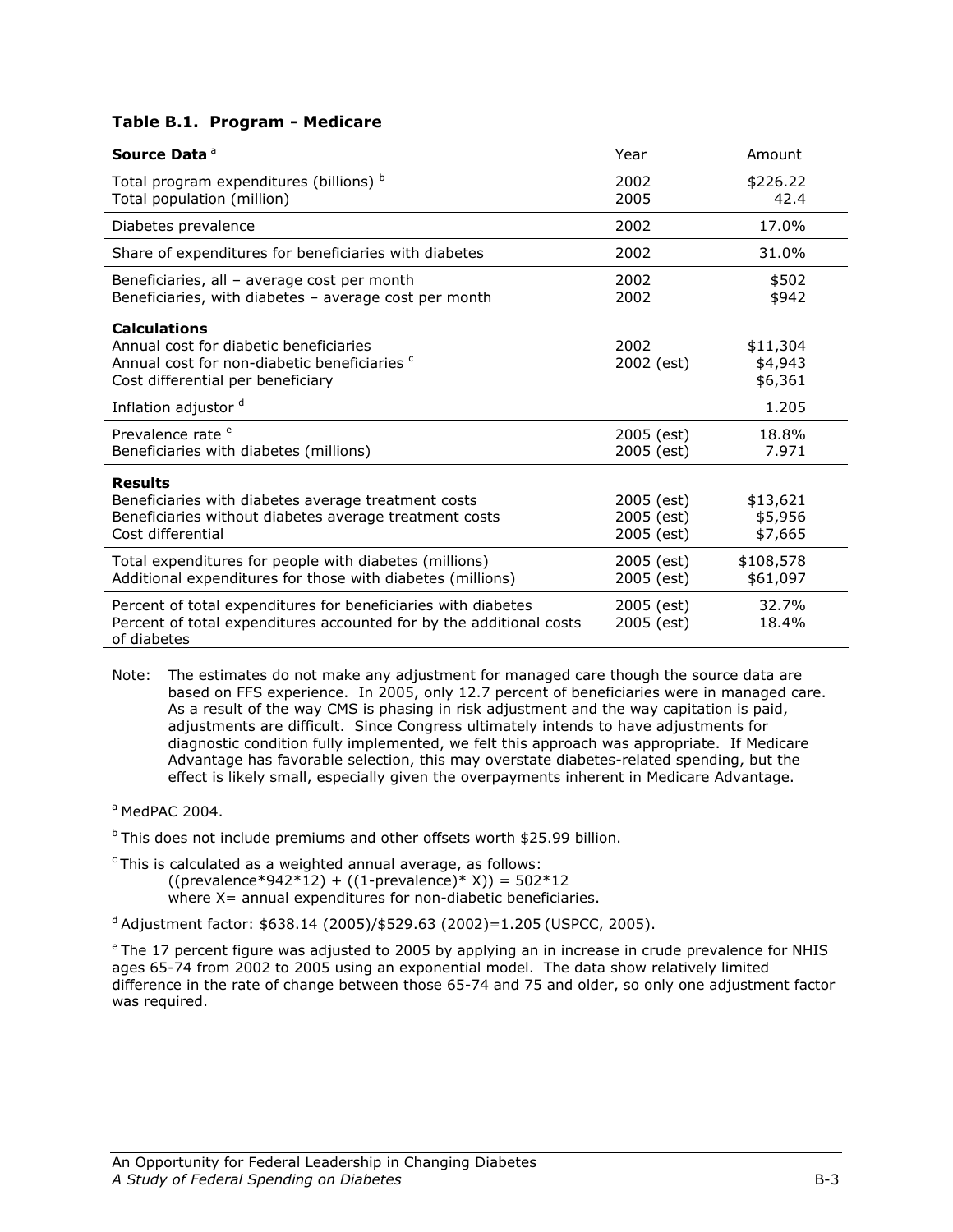#### Table B.1. Program - Medicare

| Source Data <sup>a</sup>                                                                                                                                      | Year                                   | Amount                         |
|---------------------------------------------------------------------------------------------------------------------------------------------------------------|----------------------------------------|--------------------------------|
| Total program expenditures (billions) b<br>Total population (million)                                                                                         | 2002<br>2005                           | \$226.22<br>42.4               |
| Diabetes prevalence                                                                                                                                           | 2002                                   | 17.0%                          |
| Share of expenditures for beneficiaries with diabetes                                                                                                         | 2002                                   | 31.0%                          |
| Beneficiaries, all - average cost per month<br>Beneficiaries, with diabetes - average cost per month                                                          | 2002<br>2002                           | \$502<br>\$942                 |
| <b>Calculations</b><br>Annual cost for diabetic beneficiaries<br>Annual cost for non-diabetic beneficiaries <sup>c</sup><br>Cost differential per beneficiary | 2002<br>2002 (est)                     | \$11,304<br>\$4,943<br>\$6,361 |
| Inflation adjustor <sup>d</sup>                                                                                                                               |                                        | 1.205                          |
| Prevalence rate <sup>e</sup><br>Beneficiaries with diabetes (millions)                                                                                        | 2005 (est)<br>2005 (est)               | 18.8%<br>7.971                 |
| <b>Results</b><br>Beneficiaries with diabetes average treatment costs<br>Beneficiaries without diabetes average treatment costs<br>Cost differential          | 2005 (est)<br>2005 (est)<br>2005 (est) | \$13,621<br>\$5,956<br>\$7,665 |
| Total expenditures for people with diabetes (millions)<br>Additional expenditures for those with diabetes (millions)                                          | 2005 (est)<br>2005 (est)               | \$108,578<br>\$61,097          |
| Percent of total expenditures for beneficiaries with diabetes<br>Percent of total expenditures accounted for by the additional costs<br>of diabetes           | 2005 (est)<br>2005 (est)               | 32.7%<br>18.4%                 |

- Note: The estimates do not make any adjustment for managed care though the source data are based on FFS experience. In 2005, only 12.7 percent of beneficiaries were in managed care. As a result of the way CMS is phasing in risk adjustment and the way capitation is paid, adjustments are difficult. Since Congress ultimately intends to have adjustments for diagnostic condition fully implemented, we felt this approach was appropriate. If Medicare Advantage has favorable selection, this may overstate diabetes-related spending, but the effect is likely small, especially given the overpayments inherent in Medicare Advantage.
- $a$  MedPAC 2004.

 $b$  This does not include premiums and other offsets worth \$25.99 billion.

 $c$ This is calculated as a weighted annual average, as follows:  $((\text{prevalence*942*12}) + ((1-\text{prevalence})^* X)) = 502*12$ where X= annual expenditures for non-diabetic beneficiaries.

d Adjustment factor: \$638.14 (2005)/\$529.63 (2002)=1.205 (USPCC, 2005).

<sup>e</sup> The 17 percent figure was adjusted to 2005 by applying an in increase in crude prevalence for NHIS ages 65-74 from 2002 to 2005 using an exponential model. The data show relatively limited difference in the rate of change between those 65-74 and 75 and older, so only one adjustment factor was required.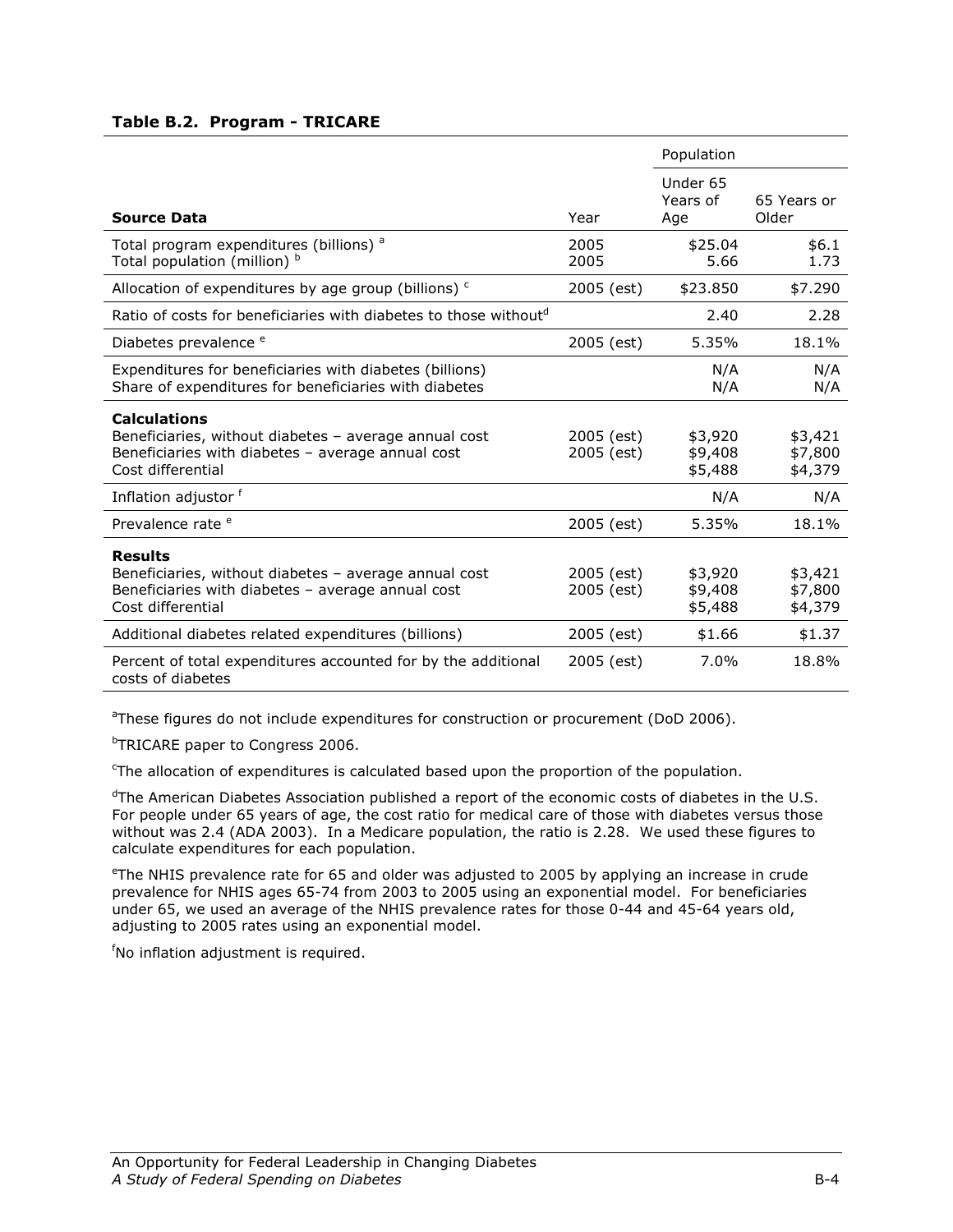#### Table B.2. Program - TRICARE

|                                                                                                                                                        |                          | Population                    |                               |
|--------------------------------------------------------------------------------------------------------------------------------------------------------|--------------------------|-------------------------------|-------------------------------|
| <b>Source Data</b>                                                                                                                                     | Year                     | Under 65<br>Years of<br>Age   | 65 Years or<br>Older          |
| Total program expenditures (billions) <sup>a</sup><br>Total population (million) b                                                                     | 2005<br>2005             | \$25.04<br>5.66               | \$6.1<br>1.73                 |
| Allocation of expenditures by age group (billions) <sup>c</sup>                                                                                        | 2005 (est)               | \$23.850                      | \$7.290                       |
| Ratio of costs for beneficiaries with diabetes to those without <sup>d</sup>                                                                           |                          | 2.40                          | 2.28                          |
| Diabetes prevalence <sup>e</sup>                                                                                                                       | 2005 (est)               | 5.35%                         | 18.1%                         |
| Expenditures for beneficiaries with diabetes (billions)<br>Share of expenditures for beneficiaries with diabetes                                       |                          | N/A<br>N/A                    | N/A<br>N/A                    |
| <b>Calculations</b><br>Beneficiaries, without diabetes - average annual cost<br>Beneficiaries with diabetes - average annual cost<br>Cost differential | 2005 (est)<br>2005 (est) | \$3,920<br>\$9,408<br>\$5,488 | \$3,421<br>\$7,800<br>\$4,379 |
| Inflation adjustor f                                                                                                                                   |                          | N/A                           | N/A                           |
| Prevalence rate <sup>e</sup>                                                                                                                           | 2005 (est)               | 5.35%                         | 18.1%                         |
| <b>Results</b><br>Beneficiaries, without diabetes - average annual cost<br>Beneficiaries with diabetes - average annual cost<br>Cost differential      | 2005 (est)<br>2005 (est) | \$3,920<br>\$9,408<br>\$5,488 | \$3,421<br>\$7,800<br>\$4,379 |
| Additional diabetes related expenditures (billions)                                                                                                    | 2005 (est)               | \$1.66                        | \$1.37                        |
| Percent of total expenditures accounted for by the additional<br>costs of diabetes                                                                     | 2005 (est)               | 7.0%                          | 18.8%                         |

<sup>a</sup>These figures do not include expenditures for construction or procurement (DoD 2006).

**bTRICARE paper to Congress 2006.** 

<sup>c</sup>The allocation of expenditures is calculated based upon the proportion of the population.

 $d$ The American Diabetes Association published a report of the economic costs of diabetes in the U.S. For people under 65 years of age, the cost ratio for medical care of those with diabetes versus those without was 2.4 (ADA 2003). In a Medicare population, the ratio is 2.28. We used these figures to calculate expenditures for each population.

<sup>e</sup>The NHIS prevalence rate for 65 and older was adjusted to 2005 by applying an increase in crude prevalence for NHIS ages 65-74 from 2003 to 2005 using an exponential model. For beneficiaries under 65, we used an average of the NHIS prevalence rates for those 0-44 and 45-64 years old, adjusting to 2005 rates using an exponential model.

<sup>f</sup>No inflation adjustment is required.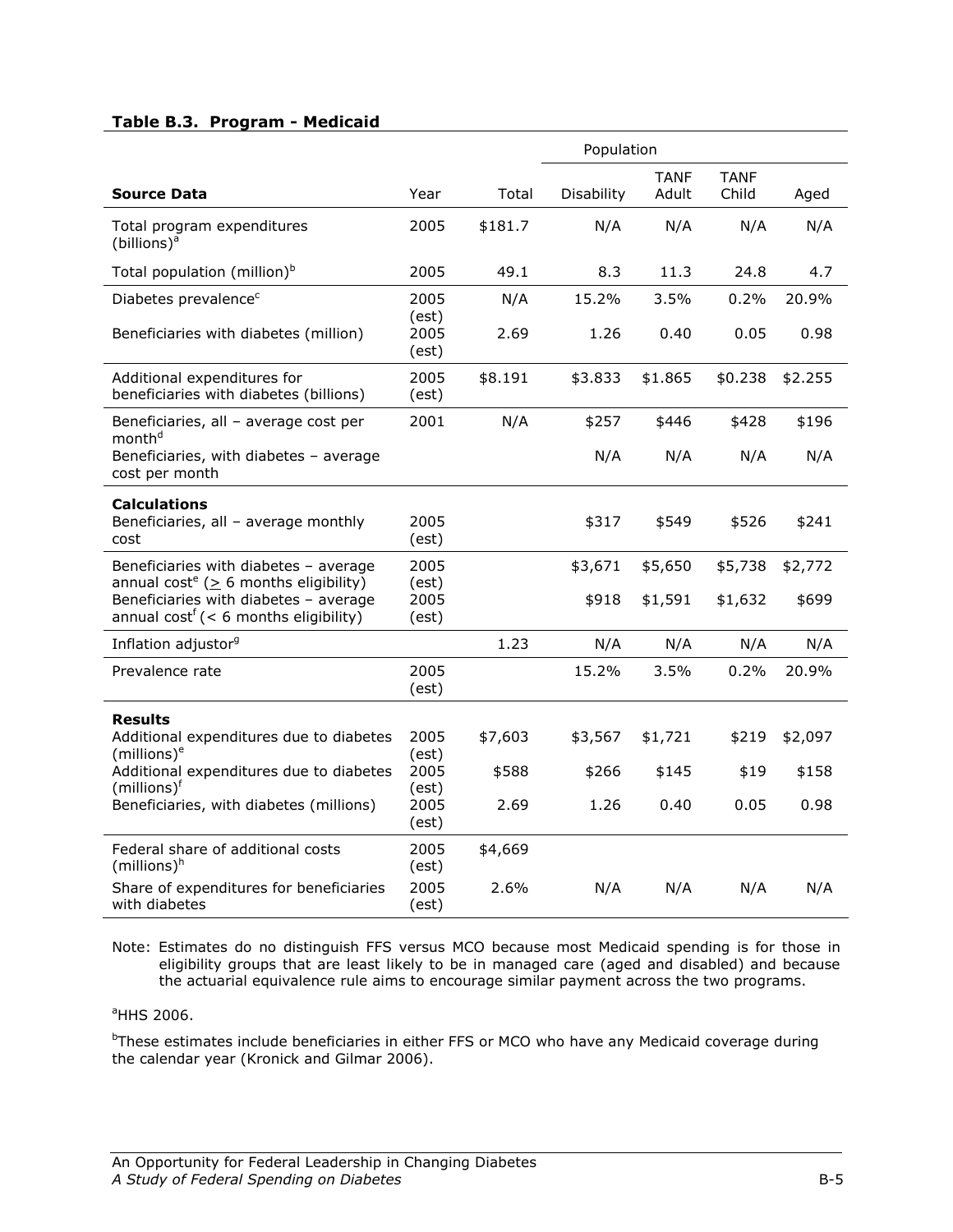#### Table B.3. Program - Medicaid

|                                                                                                  |                        | Population |            |                      |                      |         |  |
|--------------------------------------------------------------------------------------------------|------------------------|------------|------------|----------------------|----------------------|---------|--|
| <b>Source Data</b>                                                                               | Year                   | Total      | Disability | <b>TANF</b><br>Adult | <b>TANF</b><br>Child | Aged    |  |
| Total program expenditures<br>(billions) <sup>a</sup>                                            | 2005                   | \$181.7    | N/A        | N/A                  | N/A                  | N/A     |  |
| Total population (million) <sup>b</sup>                                                          | 2005                   | 49.1       | 8.3        | 11.3                 | 24.8                 | 4.7     |  |
| Diabetes prevalence <sup>c</sup>                                                                 | 2005                   | N/A        | 15.2%      | 3.5%                 | 0.2%                 | 20.9%   |  |
| Beneficiaries with diabetes (million)                                                            | (est)<br>2005<br>(est) | 2.69       | 1.26       | 0.40                 | 0.05                 | 0.98    |  |
| Additional expenditures for<br>beneficiaries with diabetes (billions)                            | 2005<br>(est)          | \$8.191    | \$3.833    | \$1.865              | \$0.238              | \$2.255 |  |
| Beneficiaries, all - average cost per<br>month <sup>d</sup>                                      | 2001                   | N/A        | \$257      | \$446                | \$428                | \$196   |  |
| Beneficiaries, with diabetes - average<br>cost per month                                         |                        |            | N/A        | N/A                  | N/A                  | N/A     |  |
| <b>Calculations</b><br>Beneficiaries, all - average monthly<br>cost                              | 2005<br>(est)          |            | \$317      | \$549                | \$526                | \$241   |  |
| Beneficiaries with diabetes - average<br>annual cost <sup>e</sup> ( $\geq$ 6 months eligibility) | 2005<br>(est)          |            | \$3,671    | \$5,650              | \$5,738              | \$2,772 |  |
| Beneficiaries with diabetes - average<br>annual cost <sup>f</sup> (< 6 months eligibility)       | 2005<br>(est)          |            | \$918      | \$1,591              | \$1,632              | \$699   |  |
| Inflation adjustor <sup>9</sup>                                                                  |                        | 1.23       | N/A        | N/A                  | N/A                  | N/A     |  |
| Prevalence rate                                                                                  | 2005<br>(est)          |            | 15.2%      | 3.5%                 | 0.2%                 | 20.9%   |  |
| <b>Results</b>                                                                                   |                        |            |            |                      |                      |         |  |
| Additional expenditures due to diabetes<br>$(millions)^e$                                        | 2005<br>(est)          | \$7,603    | \$3,567    | \$1,721              | \$219                | \$2,097 |  |
| Additional expenditures due to diabetes<br>$(millions)$ <sup>f</sup>                             | 2005<br>(est)          | \$588      | \$266      | \$145                | \$19                 | \$158   |  |
| Beneficiaries, with diabetes (millions)                                                          | 2005<br>(est)          | 2.69       | 1.26       | 0.40                 | 0.05                 | 0.98    |  |
| Federal share of additional costs<br>$(millions)^h$                                              | 2005<br>(est)          | \$4,669    |            |                      |                      |         |  |
| Share of expenditures for beneficiaries<br>with diabetes                                         | 2005<br>(est)          | 2.6%       | N/A        | N/A                  | N/A                  | N/A     |  |

Note: Estimates do no distinguish FFS versus MCO because most Medicaid spending is for those in eligibility groups that are least likely to be in managed care (aged and disabled) and because the actuarial equivalence rule aims to encourage similar payment across the two programs.

#### <sup>a</sup>HHS 2006.

<sup>b</sup>These estimates include beneficiaries in either FFS or MCO who have any Medicaid coverage during the calendar year (Kronick and Gilmar 2006).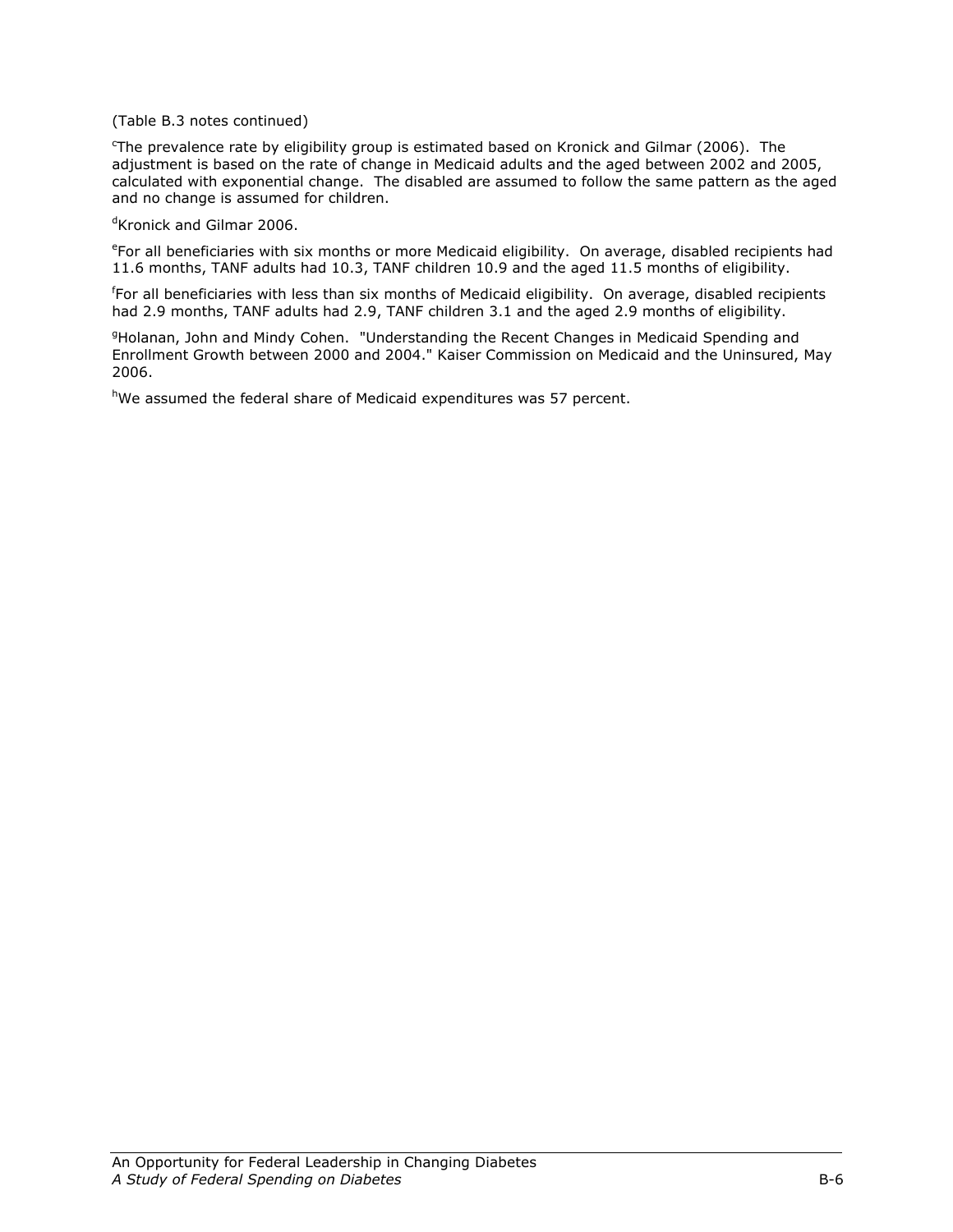#### (Table B.3 notes continued)

<sup>c</sup>The prevalence rate by eligibility group is estimated based on Kronick and Gilmar (2006). The adjustment is based on the rate of change in Medicaid adults and the aged between 2002 and 2005, calculated with exponential change. The disabled are assumed to follow the same pattern as the aged and no change is assumed for children.

<sup>d</sup>Kronick and Gilmar 2006.

e For all beneficiaries with six months or more Medicaid eligibility. On average, disabled recipients had 11.6 months, TANF adults had 10.3, TANF children 10.9 and the aged 11.5 months of eligibility.

f For all beneficiaries with less than six months of Medicaid eligibility. On average, disabled recipients had 2.9 months, TANF adults had 2.9, TANF children 3.1 and the aged 2.9 months of eligibility.

<sup>9</sup>Holanan, John and Mindy Cohen. "Understanding the Recent Changes in Medicaid Spending and Enrollment Growth between 2000 and 2004." Kaiser Commission on Medicaid and the Uninsured, May 2006.

hWe assumed the federal share of Medicaid expenditures was 57 percent.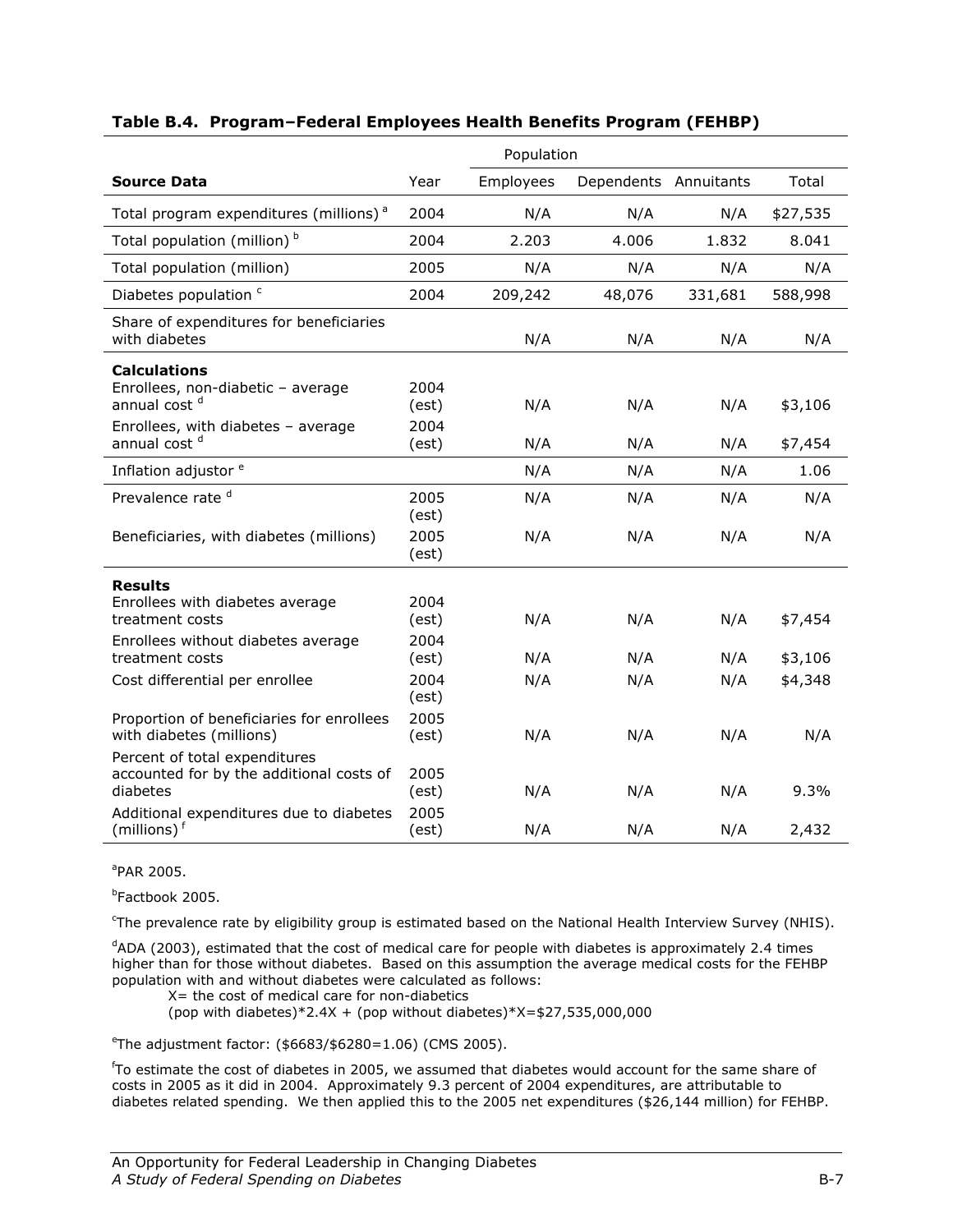|                                                                                                                                                        | Population                     |            |                       |            |                    |  |  |
|--------------------------------------------------------------------------------------------------------------------------------------------------------|--------------------------------|------------|-----------------------|------------|--------------------|--|--|
| <b>Source Data</b>                                                                                                                                     | Year                           | Employees  | Dependents Annuitants |            | Total              |  |  |
| Total program expenditures (millions) <sup>a</sup>                                                                                                     | 2004                           | N/A        | N/A                   | N/A        | \$27,535           |  |  |
| Total population (million) <sup>b</sup>                                                                                                                | 2004                           | 2.203      | 4.006                 | 1.832      | 8.041              |  |  |
| Total population (million)                                                                                                                             | 2005                           | N/A        | N/A                   | N/A        | N/A                |  |  |
| Diabetes population c                                                                                                                                  | 2004                           | 209,242    | 48,076                | 331,681    | 588,998            |  |  |
| Share of expenditures for beneficiaries<br>with diabetes                                                                                               |                                | N/A        | N/A                   | N/A        | N/A                |  |  |
| <b>Calculations</b><br>Enrollees, non-diabetic - average<br>annual cost <sup>d</sup><br>Enrollees, with diabetes - average<br>annual cost <sup>d</sup> | 2004<br>(est)<br>2004<br>(est) | N/A<br>N/A | N/A<br>N/A            | N/A<br>N/A | \$3,106<br>\$7,454 |  |  |
| Inflation adjustor <sup>e</sup>                                                                                                                        |                                | N/A        | N/A                   | N/A        | 1.06               |  |  |
| Prevalence rate <sup>d</sup>                                                                                                                           | 2005<br>(est)                  | N/A        | N/A                   | N/A        | N/A                |  |  |
| Beneficiaries, with diabetes (millions)                                                                                                                | 2005<br>(est)                  | N/A        | N/A                   | N/A        | N/A                |  |  |
| <b>Results</b><br>Enrollees with diabetes average<br>treatment costs<br>Enrollees without diabetes average                                             | 2004<br>(est)<br>2004          | N/A        | N/A                   | N/A        | \$7,454            |  |  |
| treatment costs                                                                                                                                        | (est)                          | N/A        | N/A                   | N/A        | \$3,106            |  |  |
| Cost differential per enrollee                                                                                                                         | 2004<br>(est)                  | N/A        | N/A                   | N/A        | \$4,348            |  |  |
| Proportion of beneficiaries for enrollees<br>with diabetes (millions)                                                                                  | 2005<br>(est)                  | N/A        | N/A                   | N/A        | N/A                |  |  |
| Percent of total expenditures<br>accounted for by the additional costs of<br>diabetes                                                                  | 2005<br>(est)                  | N/A        | N/A                   | N/A        | 9.3%               |  |  |
| Additional expenditures due to diabetes<br>(millions) <sup>f</sup>                                                                                     | 2005<br>(est)                  | N/A        | N/A                   | N/A        | 2,432              |  |  |

## Table B.4. Program–Federal Employees Health Benefits Program (FEHBP)

#### a PAR 2005.

b Factbook 2005.

c The prevalence rate by eligibility group is estimated based on the National Health Interview Survey (NHIS).

<sup>d</sup>ADA (2003), estimated that the cost of medical care for people with diabetes is approximately 2.4 times higher than for those without diabetes. Based on this assumption the average medical costs for the FEHBP population with and without diabetes were calculated as follows:

 $X=$  the cost of medical care for non-diabetics

(pop with diabetes) $*2.4X +$  (pop without diabetes) $*X = $27,535,000,000$ 

e The adjustment factor: (\$6683/\$6280=1.06) (CMS 2005).

f To estimate the cost of diabetes in 2005, we assumed that diabetes would account for the same share of costs in 2005 as it did in 2004. Approximately 9.3 percent of 2004 expenditures, are attributable to diabetes related spending. We then applied this to the 2005 net expenditures (\$26,144 million) for FEHBP.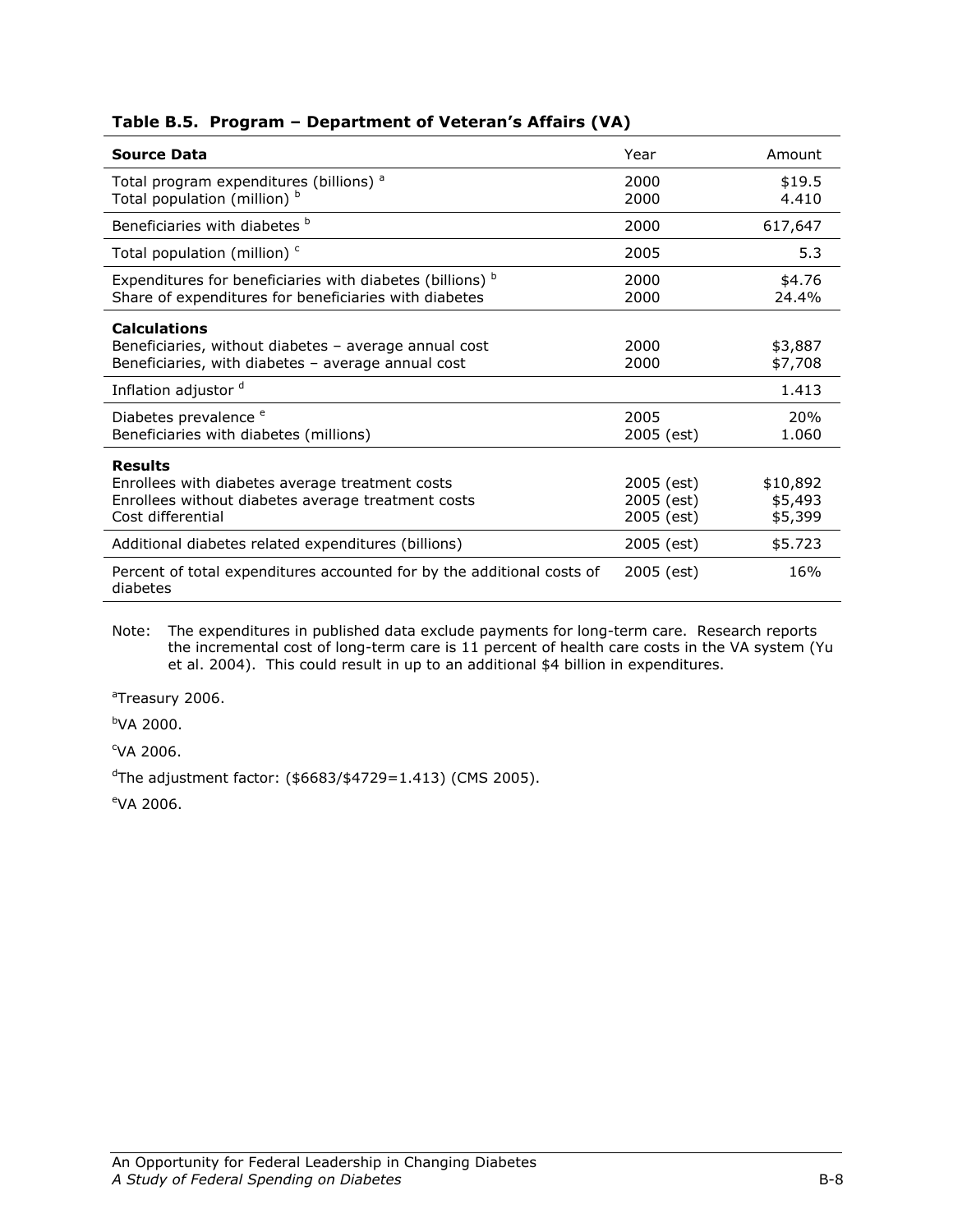| <b>Source Data</b>                                                                                                                           | Year                                   | Amount                         |
|----------------------------------------------------------------------------------------------------------------------------------------------|----------------------------------------|--------------------------------|
| Total program expenditures (billions) <sup>a</sup><br>Total population (million) b                                                           | 2000<br>2000                           | \$19.5<br>4.410                |
| Beneficiaries with diabetes b                                                                                                                | 2000                                   | 617,647                        |
| Total population (million) <sup>c</sup>                                                                                                      | 2005                                   | 5.3                            |
| Expenditures for beneficiaries with diabetes (billions) b<br>Share of expenditures for beneficiaries with diabetes                           | 2000<br>2000                           | \$4.76<br>24.4%                |
| <b>Calculations</b><br>Beneficiaries, without diabetes - average annual cost<br>Beneficiaries, with diabetes - average annual cost           | 2000<br>2000                           | \$3,887<br>\$7,708             |
| Inflation adjustor <sup>d</sup>                                                                                                              |                                        | 1.413                          |
| Diabetes prevalence <sup>e</sup><br>Beneficiaries with diabetes (millions)                                                                   | 2005<br>2005 (est)                     | 20%<br>1.060                   |
| <b>Results</b><br>Enrollees with diabetes average treatment costs<br>Enrollees without diabetes average treatment costs<br>Cost differential | 2005 (est)<br>2005 (est)<br>2005 (est) | \$10,892<br>\$5,493<br>\$5,399 |
| Additional diabetes related expenditures (billions)                                                                                          | 2005 (est)                             | \$5.723                        |
| Percent of total expenditures accounted for by the additional costs of<br>diabetes                                                           | 2005 (est)                             | 16%                            |

## Table B.5. Program – Department of Veteran's Affairs (VA)

Note: The expenditures in published data exclude payments for long-term care. Research reports the incremental cost of long-term care is 11 percent of health care costs in the VA system (Yu et al. 2004). This could result in up to an additional \$4 billion in expenditures.

<sup>a</sup>Treasury 2006.

<sup>b</sup>VA 2000.

<sup>c</sup>VA 2006.

 $d$ The adjustment factor: (\$6683/\$4729=1.413) (CMS 2005).

<sup>e</sup>VA 2006.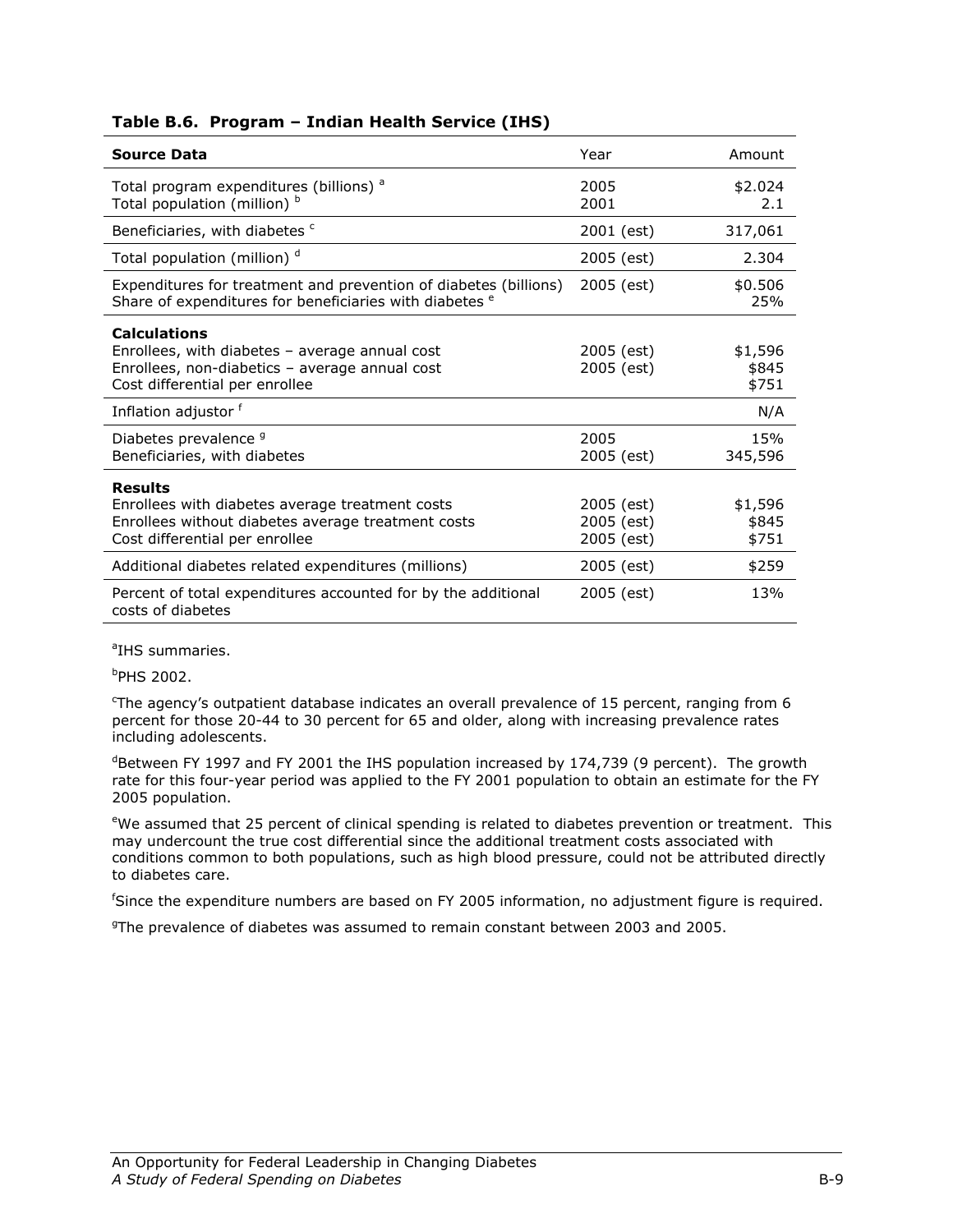| <b>Source Data</b>                                                                                                                                          | Year                                   | Amount                    |
|-------------------------------------------------------------------------------------------------------------------------------------------------------------|----------------------------------------|---------------------------|
| Total program expenditures (billions) <sup>a</sup><br>Total population (million) b                                                                          | 2005<br>2001                           | \$2.024<br>2.1            |
| Beneficiaries, with diabetes c                                                                                                                              | 2001 (est)                             | 317,061                   |
| Total population (million) <sup>d</sup>                                                                                                                     | 2005 (est)                             | 2.304                     |
| Expenditures for treatment and prevention of diabetes (billions)<br>Share of expenditures for beneficiaries with diabetes <sup>e</sup>                      | 2005 (est)                             | \$0.506<br>25%            |
| <b>Calculations</b><br>Enrollees, with diabetes $-$ average annual cost<br>Enrollees, non-diabetics - average annual cost<br>Cost differential per enrollee | 2005 (est)<br>2005 (est)               | \$1,596<br>\$845<br>\$751 |
| Inflation adjustor f                                                                                                                                        |                                        | N/A                       |
| Diabetes prevalence <sup>9</sup><br>Beneficiaries, with diabetes                                                                                            | 2005<br>2005 (est)                     | 15%<br>345,596            |
| <b>Results</b><br>Enrollees with diabetes average treatment costs<br>Enrollees without diabetes average treatment costs<br>Cost differential per enrollee   | 2005 (est)<br>2005 (est)<br>2005 (est) | \$1,596<br>\$845<br>\$751 |
| Additional diabetes related expenditures (millions)                                                                                                         | 2005 (est)                             | \$259                     |
| Percent of total expenditures accounted for by the additional<br>costs of diabetes                                                                          | 2005 (est)                             | 13%                       |

# Table B.6. Program – Indian Health Service (IHS)

<sup>a</sup>IHS summaries.

 $b$ PHS 2002.

<sup>c</sup>The agency's outpatient database indicates an overall prevalence of 15 percent, ranging from 6 percent for those 20-44 to 30 percent for 65 and older, along with increasing prevalence rates including adolescents.

 $^{\text{d}}$ Between FY 1997 and FY 2001 the IHS population increased by 174,739 (9 percent). The growth rate for this four-year period was applied to the FY 2001 population to obtain an estimate for the FY 2005 population.

eWe assumed that 25 percent of clinical spending is related to diabetes prevention or treatment. This may undercount the true cost differential since the additional treatment costs associated with conditions common to both populations, such as high blood pressure, could not be attributed directly to diabetes care.

<sup>f</sup>Since the expenditure numbers are based on FY 2005 information, no adjustment figure is required.

<sup>9</sup>The prevalence of diabetes was assumed to remain constant between 2003 and 2005.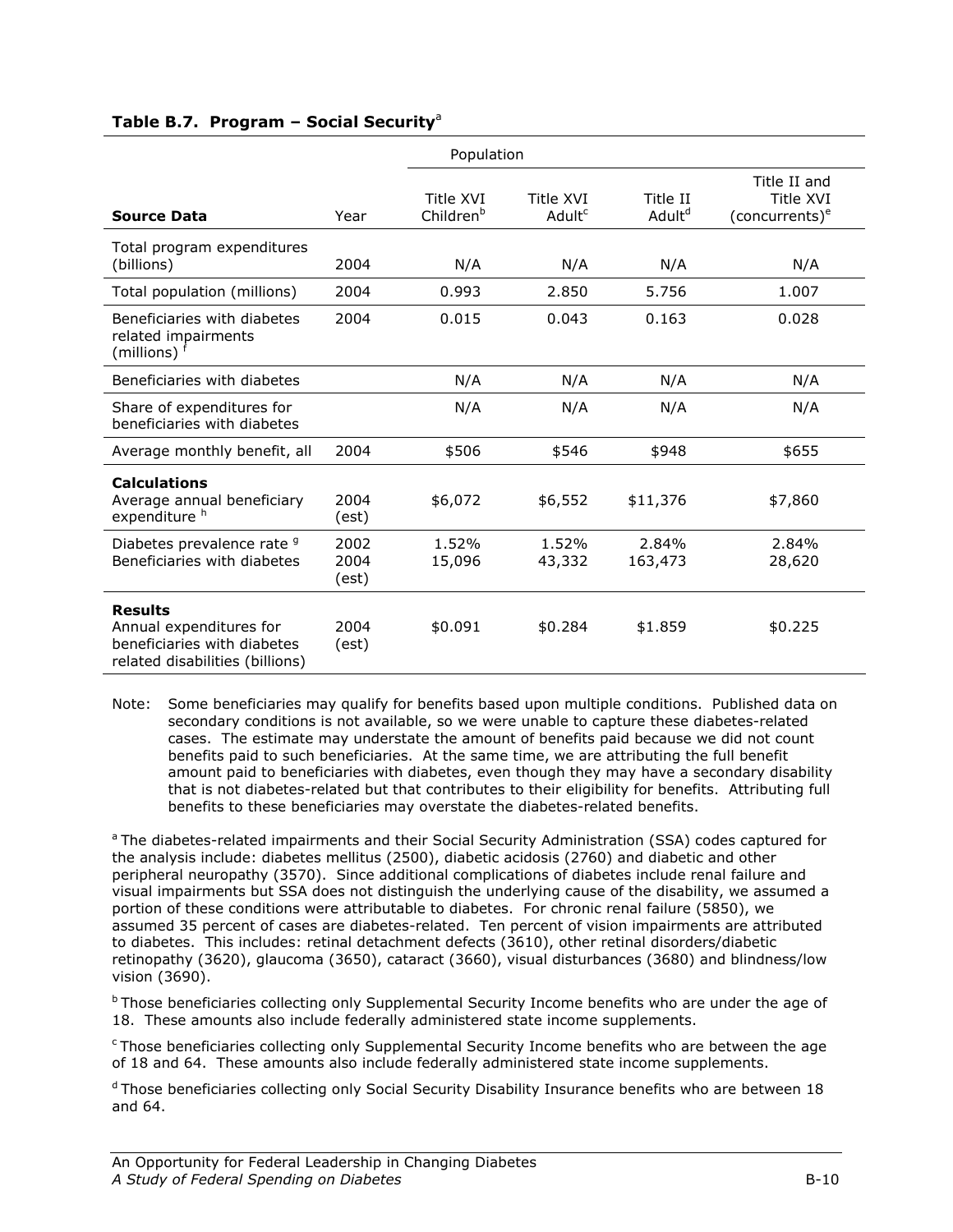#### Table B.7. Program - Social Security<sup>a</sup>

|                                                                                                             |                       | Population                         |                                 |                                |                                                         |
|-------------------------------------------------------------------------------------------------------------|-----------------------|------------------------------------|---------------------------------|--------------------------------|---------------------------------------------------------|
| <b>Source Data</b>                                                                                          | Year                  | Title XVI<br>Children <sup>b</sup> | Title XVI<br>Adult <sup>c</sup> | Title II<br>Adult <sup>d</sup> | Title II and<br>Title XVI<br>(concurrents) <sup>e</sup> |
| Total program expenditures<br>(billions)                                                                    | 2004                  | N/A                                | N/A                             | N/A                            | N/A                                                     |
| Total population (millions)                                                                                 | 2004                  | 0.993                              | 2.850                           | 5.756                          | 1.007                                                   |
| Beneficiaries with diabetes<br>related impairments<br>(millions) $^1$                                       | 2004                  | 0.015                              | 0.043                           | 0.163                          | 0.028                                                   |
| Beneficiaries with diabetes                                                                                 |                       | N/A                                | N/A                             | N/A                            | N/A                                                     |
| Share of expenditures for<br>beneficiaries with diabetes                                                    |                       | N/A                                | N/A                             | N/A                            | N/A                                                     |
| Average monthly benefit, all                                                                                | 2004                  | \$506                              | \$546                           | \$948                          | \$655                                                   |
| <b>Calculations</b><br>Average annual beneficiary<br>expenditure h                                          | 2004<br>(est)         | \$6,072                            | \$6,552                         | \$11,376                       | \$7,860                                                 |
| Diabetes prevalence rate 9<br>Beneficiaries with diabetes                                                   | 2002<br>2004<br>(est) | 1.52%<br>15,096                    | 1.52%<br>43,332                 | 2.84%<br>163,473               | 2.84%<br>28,620                                         |
| <b>Results</b><br>Annual expenditures for<br>beneficiaries with diabetes<br>related disabilities (billions) | 2004<br>(est)         | \$0.091                            | \$0.284                         | \$1.859                        | \$0.225                                                 |

Note: Some beneficiaries may qualify for benefits based upon multiple conditions. Published data on secondary conditions is not available, so we were unable to capture these diabetes-related cases. The estimate may understate the amount of benefits paid because we did not count benefits paid to such beneficiaries. At the same time, we are attributing the full benefit amount paid to beneficiaries with diabetes, even though they may have a secondary disability that is not diabetes-related but that contributes to their eligibility for benefits. Attributing full benefits to these beneficiaries may overstate the diabetes-related benefits.

<sup>a</sup> The diabetes-related impairments and their Social Security Administration (SSA) codes captured for the analysis include: diabetes mellitus (2500), diabetic acidosis (2760) and diabetic and other peripheral neuropathy (3570). Since additional complications of diabetes include renal failure and visual impairments but SSA does not distinguish the underlying cause of the disability, we assumed a portion of these conditions were attributable to diabetes. For chronic renal failure (5850), we assumed 35 percent of cases are diabetes-related. Ten percent of vision impairments are attributed to diabetes. This includes: retinal detachment defects (3610), other retinal disorders/diabetic retinopathy (3620), glaucoma (3650), cataract (3660), visual disturbances (3680) and blindness/low vision (3690).

 $<sup>b</sup>$  Those beneficiaries collecting only Supplemental Security Income benefits who are under the age of</sup> 18. These amounts also include federally administered state income supplements.

<sup>c</sup> Those beneficiaries collecting only Supplemental Security Income benefits who are between the age of 18 and 64. These amounts also include federally administered state income supplements.

 $<sup>d</sup>$ Those beneficiaries collecting only Social Security Disability Insurance benefits who are between 18</sup> and 64.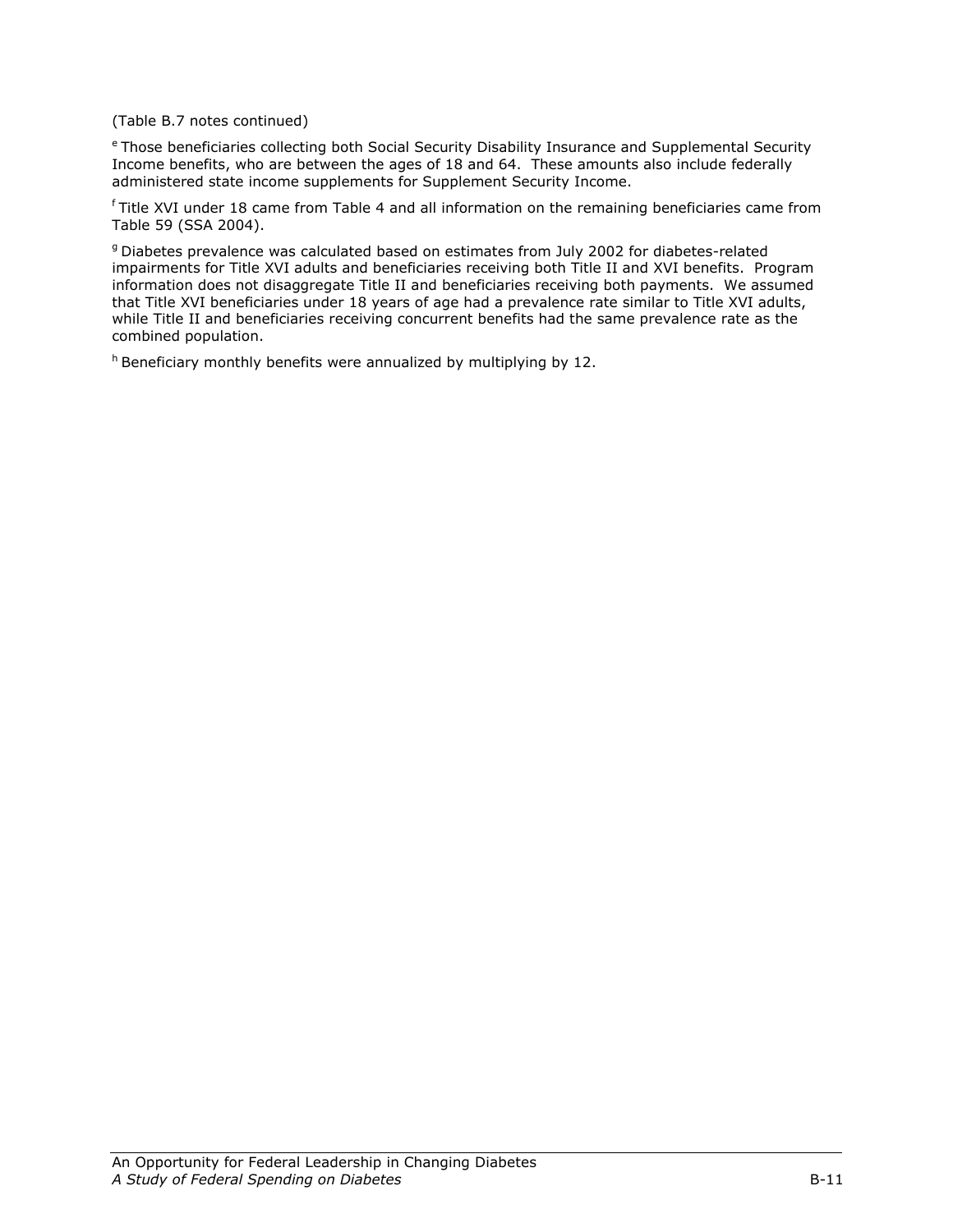(Table B.7 notes continued)

e Those beneficiaries collecting both Social Security Disability Insurance and Supplemental Security Income benefits, who are between the ages of 18 and 64. These amounts also include federally administered state income supplements for Supplement Security Income.

 $f$ Title XVI under 18 came from Table 4 and all information on the remaining beneficiaries came from Table 59 (SSA 2004).

<sup>g</sup> Diabetes prevalence was calculated based on estimates from July 2002 for diabetes-related impairments for Title XVI adults and beneficiaries receiving both Title II and XVI benefits. Program information does not disaggregate Title II and beneficiaries receiving both payments. We assumed that Title XVI beneficiaries under 18 years of age had a prevalence rate similar to Title XVI adults, while Title II and beneficiaries receiving concurrent benefits had the same prevalence rate as the combined population.

 $h$  Beneficiary monthly benefits were annualized by multiplying by 12.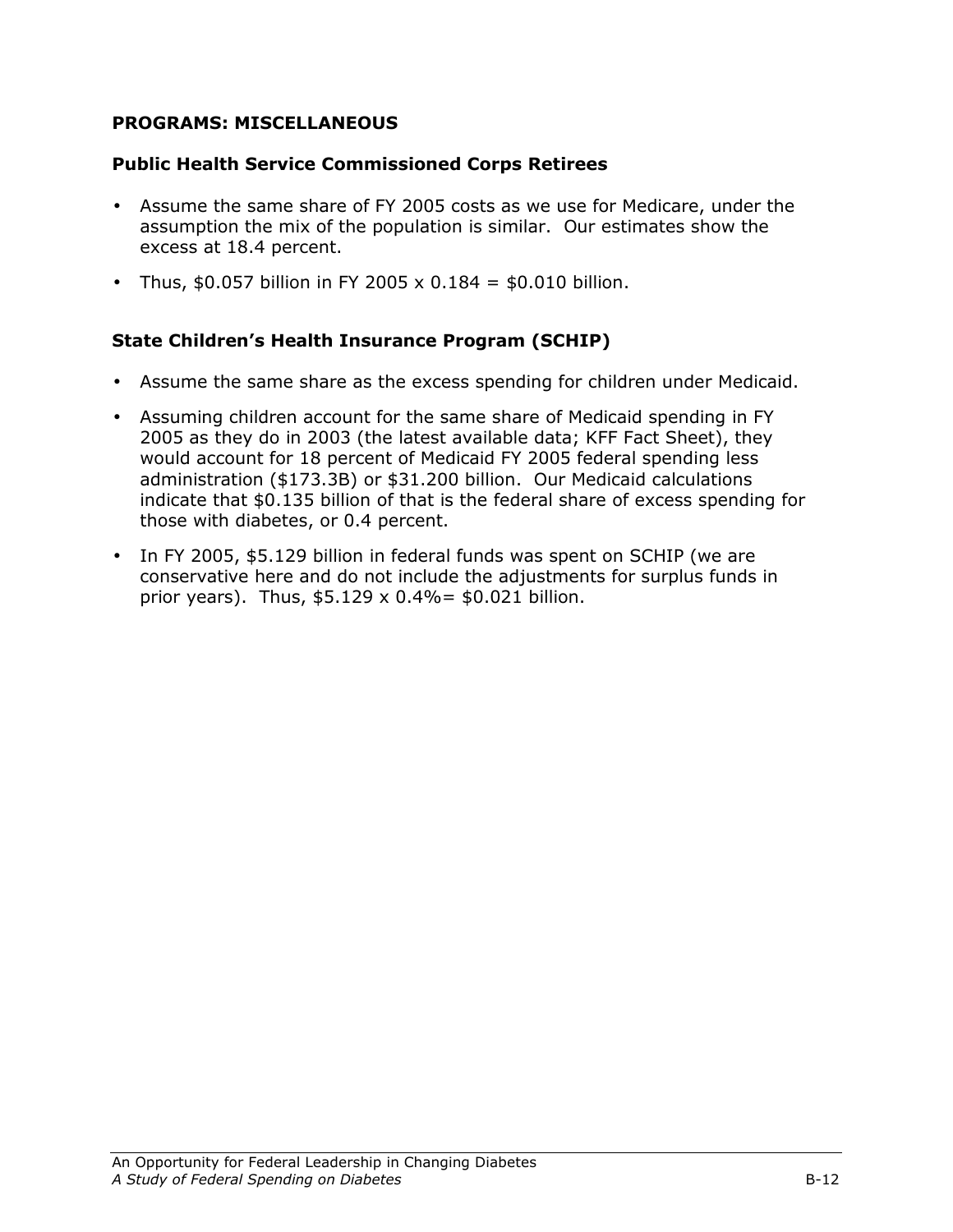## PROGRAMS: MISCELLANEOUS

## Public Health Service Commissioned Corps Retirees

- Assume the same share of FY 2005 costs as we use for Medicare, under the assumption the mix of the population is similar. Our estimates show the excess at 18.4 percent.
- Thus, \$0.057 billion in FY 2005 x 0.184 = \$0.010 billion.

## State Children's Health Insurance Program (SCHIP)

- Assume the same share as the excess spending for children under Medicaid.
- Assuming children account for the same share of Medicaid spending in FY 2005 as they do in 2003 (the latest available data; KFF Fact Sheet), they would account for 18 percent of Medicaid FY 2005 federal spending less administration (\$173.3B) or \$31.200 billion. Our Medicaid calculations indicate that \$0.135 billion of that is the federal share of excess spending for those with diabetes, or 0.4 percent.
- In FY 2005, \$5.129 billion in federal funds was spent on SCHIP (we are conservative here and do not include the adjustments for surplus funds in prior years). Thus,  $$5.129 \times 0.4\% = $0.021$  billion.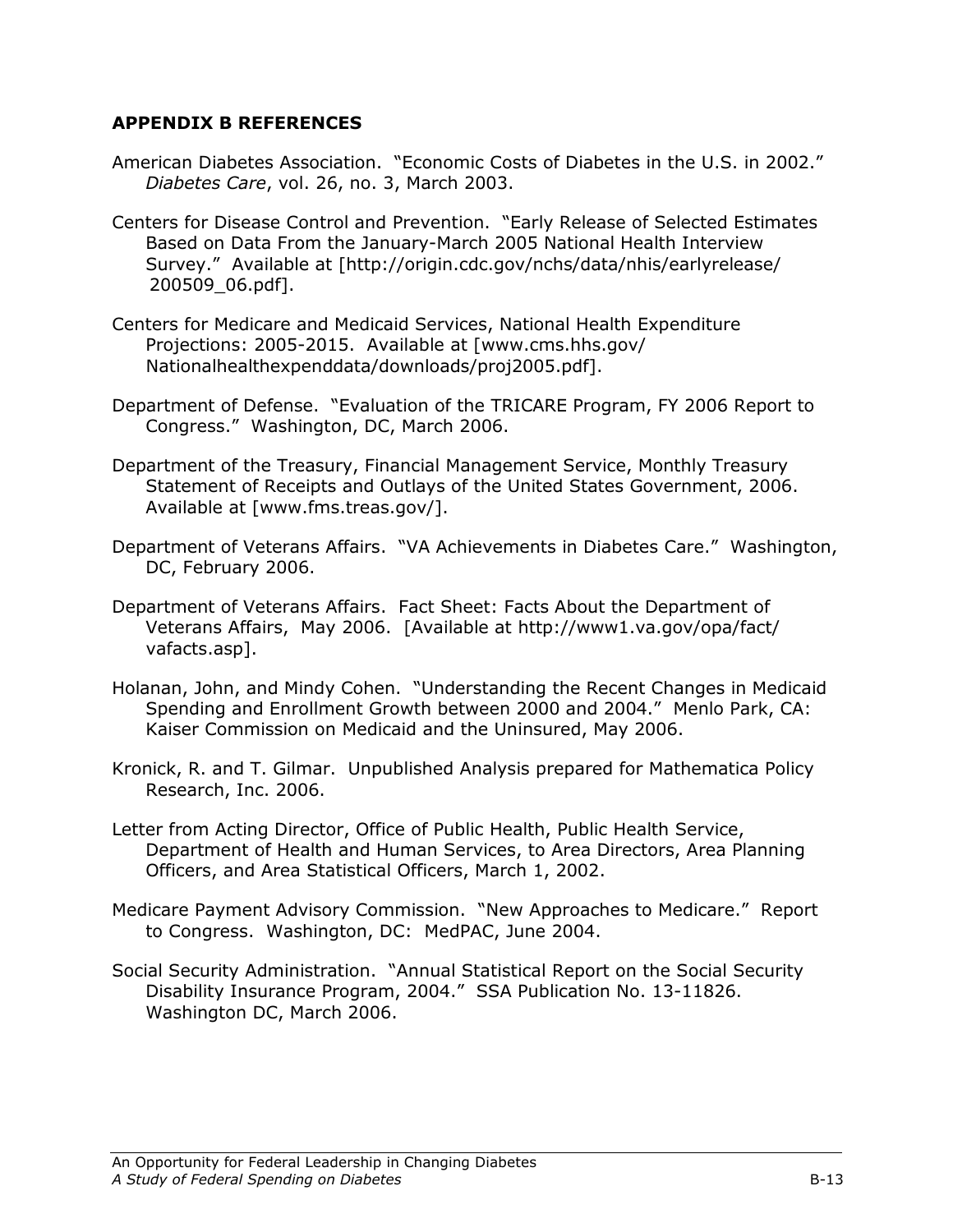## APPENDIX B REFERENCES

- American Diabetes Association. "Economic Costs of Diabetes in the U.S. in 2002." Diabetes Care, vol. 26, no. 3, March 2003.
- Centers for Disease Control and Prevention. "Early Release of Selected Estimates Based on Data From the January-March 2005 National Health Interview Survey." Available at [http://origin.cdc.gov/nchs/data/nhis/earlyrelease/ 200509\_06.pdf].
- Centers for Medicare and Medicaid Services, National Health Expenditure Projections: 2005-2015. Available at [www.cms.hhs.gov/ Nationalhealthexpenddata/downloads/proj2005.pdf].
- Department of Defense. "Evaluation of the TRICARE Program, FY 2006 Report to Congress." Washington, DC, March 2006.
- Department of the Treasury, Financial Management Service, Monthly Treasury Statement of Receipts and Outlays of the United States Government, 2006. Available at [www.fms.treas.gov/].
- Department of Veterans Affairs. "VA Achievements in Diabetes Care." Washington, DC, February 2006.
- Department of Veterans Affairs. Fact Sheet: Facts About the Department of Veterans Affairs, May 2006. [Available at http://www1.va.gov/opa/fact/ vafacts.asp].
- Holanan, John, and Mindy Cohen. "Understanding the Recent Changes in Medicaid Spending and Enrollment Growth between 2000 and 2004." Menlo Park, CA: Kaiser Commission on Medicaid and the Uninsured, May 2006.
- Kronick, R. and T. Gilmar. Unpublished Analysis prepared for Mathematica Policy Research, Inc. 2006.
- Letter from Acting Director, Office of Public Health, Public Health Service, Department of Health and Human Services, to Area Directors, Area Planning Officers, and Area Statistical Officers, March 1, 2002.
- Medicare Payment Advisory Commission. "New Approaches to Medicare." Report to Congress. Washington, DC: MedPAC, June 2004.
- Social Security Administration. "Annual Statistical Report on the Social Security Disability Insurance Program, 2004." SSA Publication No. 13-11826. Washington DC, March 2006.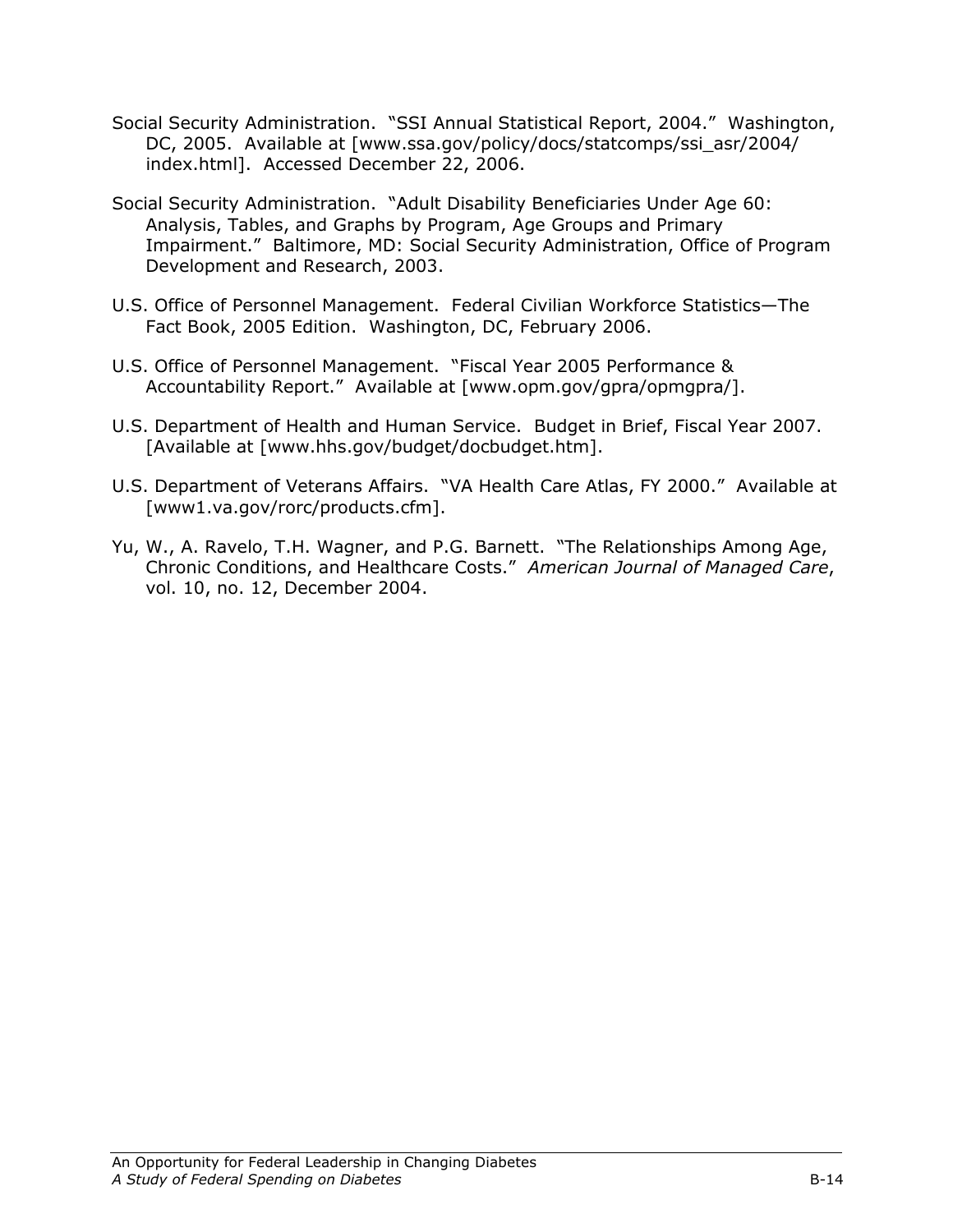- Social Security Administration. "SSI Annual Statistical Report, 2004." Washington, DC, 2005. Available at [www.ssa.gov/policy/docs/statcomps/ssi\_asr/2004/ index.html]. Accessed December 22, 2006.
- Social Security Administration. "Adult Disability Beneficiaries Under Age 60: Analysis, Tables, and Graphs by Program, Age Groups and Primary Impairment." Baltimore, MD: Social Security Administration, Office of Program Development and Research, 2003.
- U.S. Office of Personnel Management. Federal Civilian Workforce Statistics—The Fact Book, 2005 Edition. Washington, DC, February 2006.
- U.S. Office of Personnel Management. "Fiscal Year 2005 Performance & Accountability Report." Available at [www.opm.gov/gpra/opmgpra/].
- U.S. Department of Health and Human Service. Budget in Brief, Fiscal Year 2007. [Available at [www.hhs.gov/budget/docbudget.htm].
- U.S. Department of Veterans Affairs. "VA Health Care Atlas, FY 2000." Available at [www1.va.gov/rorc/products.cfm].
- Yu, W., A. Ravelo, T.H. Wagner, and P.G. Barnett. "The Relationships Among Age, Chronic Conditions, and Healthcare Costs." American Journal of Managed Care, vol. 10, no. 12, December 2004.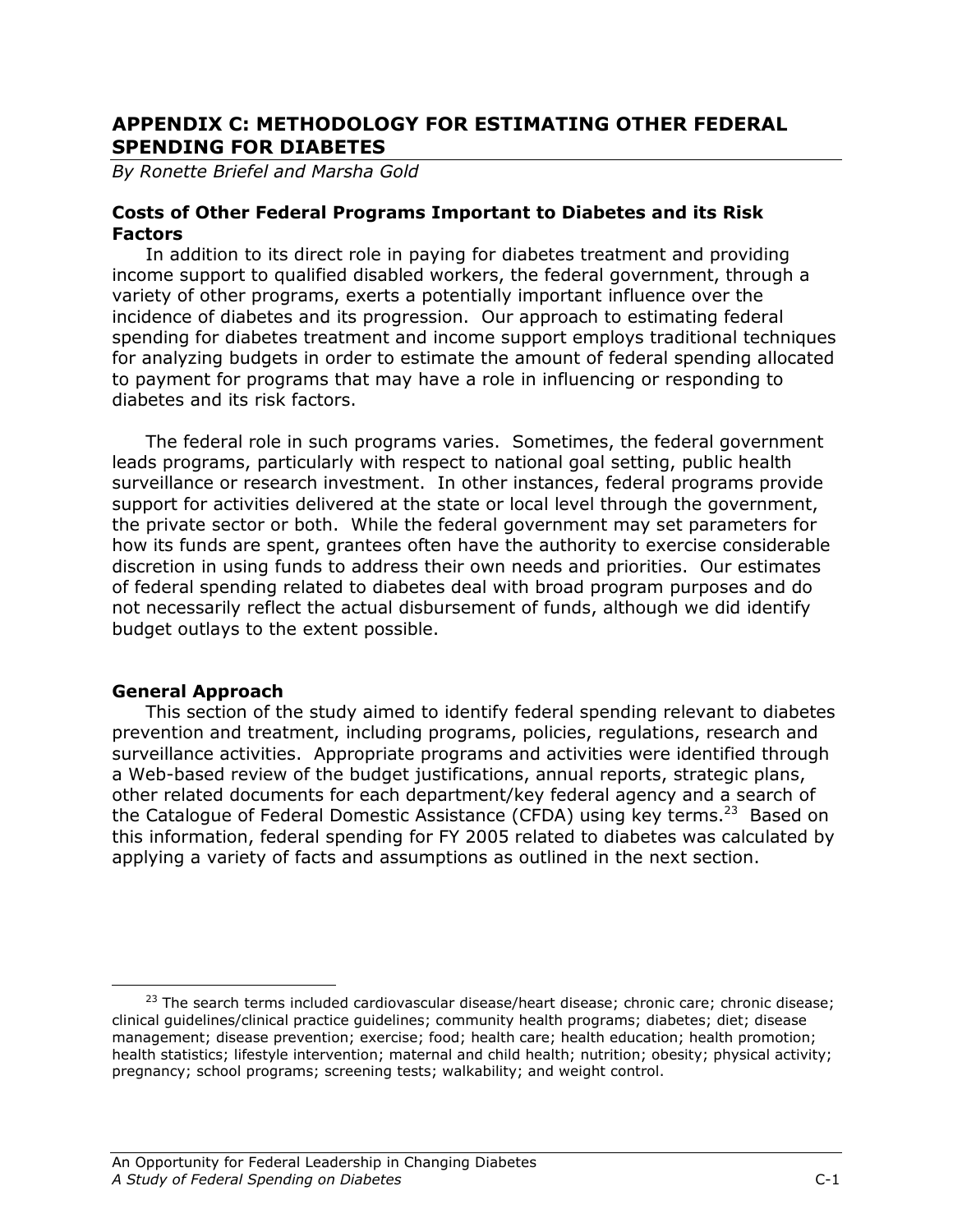# APPENDIX C: METHODOLOGY FOR ESTIMATING OTHER FEDERAL SPENDING FOR DIABETES

By Ronette Briefel and Marsha Gold

#### Costs of Other Federal Programs Important to Diabetes and its Risk Factors

 In addition to its direct role in paying for diabetes treatment and providing income support to qualified disabled workers, the federal government, through a variety of other programs, exerts a potentially important influence over the incidence of diabetes and its progression. Our approach to estimating federal spending for diabetes treatment and income support employs traditional techniques for analyzing budgets in order to estimate the amount of federal spending allocated to payment for programs that may have a role in influencing or responding to diabetes and its risk factors.

The federal role in such programs varies. Sometimes, the federal government leads programs, particularly with respect to national goal setting, public health surveillance or research investment. In other instances, federal programs provide support for activities delivered at the state or local level through the government, the private sector or both. While the federal government may set parameters for how its funds are spent, grantees often have the authority to exercise considerable discretion in using funds to address their own needs and priorities. Our estimates of federal spending related to diabetes deal with broad program purposes and do not necessarily reflect the actual disbursement of funds, although we did identify budget outlays to the extent possible.

## General Approach

 This section of the study aimed to identify federal spending relevant to diabetes prevention and treatment, including programs, policies, regulations, research and surveillance activities. Appropriate programs and activities were identified through a Web-based review of the budget justifications, annual reports, strategic plans, other related documents for each department/key federal agency and a search of the Catalogue of Federal Domestic Assistance (CFDA) using key terms.<sup>23</sup> Based on this information, federal spending for FY 2005 related to diabetes was calculated by applying a variety of facts and assumptions as outlined in the next section.

 $\overline{a}$ <sup>23</sup> The search terms included cardiovascular disease/heart disease; chronic care; chronic disease; clinical guidelines/clinical practice guidelines; community health programs; diabetes; diet; disease management; disease prevention; exercise; food; health care; health education; health promotion; health statistics; lifestyle intervention; maternal and child health; nutrition; obesity; physical activity; pregnancy; school programs; screening tests; walkability; and weight control.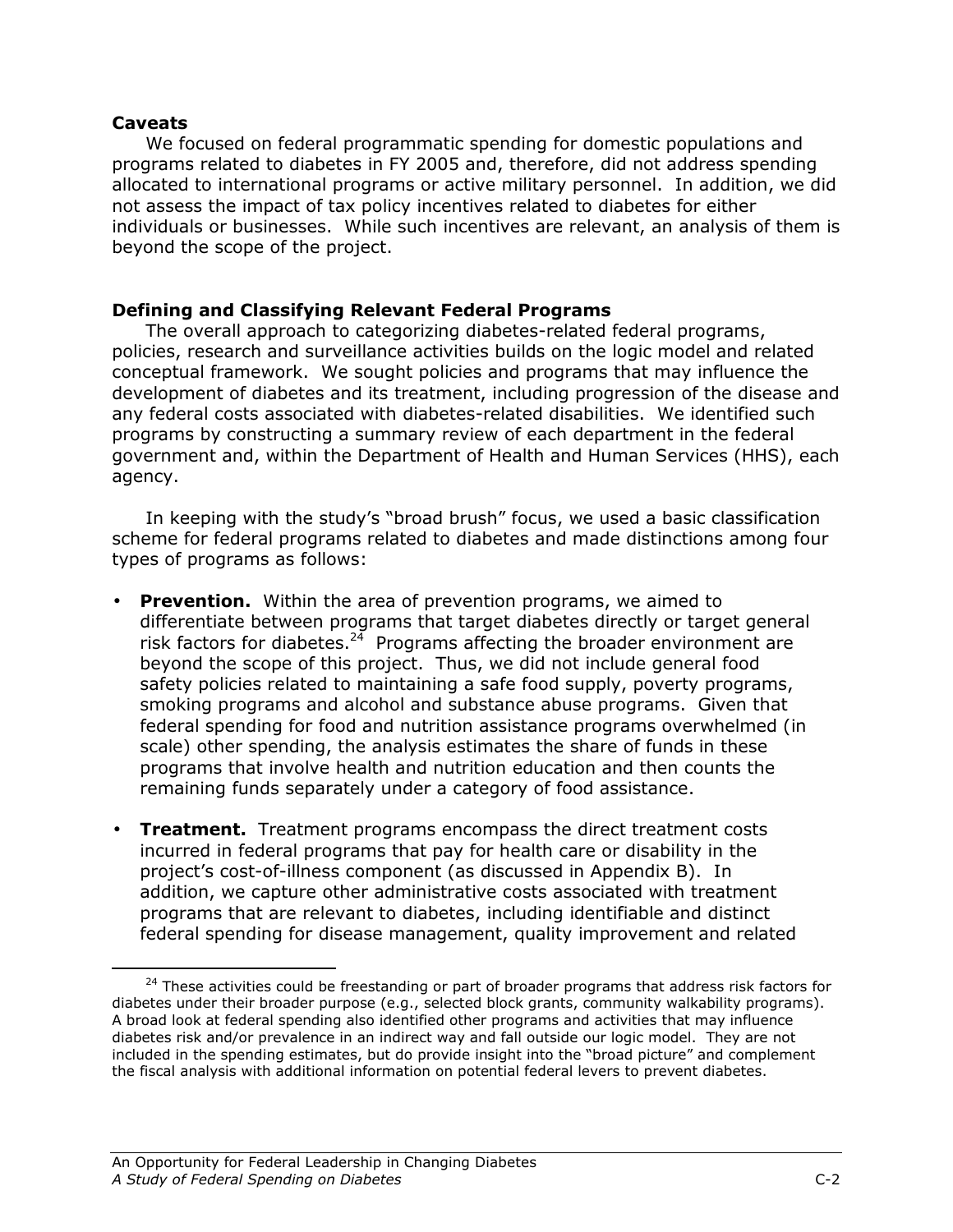#### Caveats

<u>.</u>

We focused on federal programmatic spending for domestic populations and programs related to diabetes in FY 2005 and, therefore, did not address spending allocated to international programs or active military personnel. In addition, we did not assess the impact of tax policy incentives related to diabetes for either individuals or businesses. While such incentives are relevant, an analysis of them is beyond the scope of the project.

## Defining and Classifying Relevant Federal Programs

The overall approach to categorizing diabetes-related federal programs, policies, research and surveillance activities builds on the logic model and related conceptual framework. We sought policies and programs that may influence the development of diabetes and its treatment, including progression of the disease and any federal costs associated with diabetes-related disabilities. We identified such programs by constructing a summary review of each department in the federal government and, within the Department of Health and Human Services (HHS), each agency.

In keeping with the study's "broad brush" focus, we used a basic classification scheme for federal programs related to diabetes and made distinctions among four types of programs as follows:

- Prevention. Within the area of prevention programs, we aimed to differentiate between programs that target diabetes directly or target general risk factors for diabetes. $24$  Programs affecting the broader environment are beyond the scope of this project. Thus, we did not include general food safety policies related to maintaining a safe food supply, poverty programs, smoking programs and alcohol and substance abuse programs. Given that federal spending for food and nutrition assistance programs overwhelmed (in scale) other spending, the analysis estimates the share of funds in these programs that involve health and nutrition education and then counts the remaining funds separately under a category of food assistance.
- Treatment. Treatment programs encompass the direct treatment costs incurred in federal programs that pay for health care or disability in the project's cost-of-illness component (as discussed in Appendix B). In addition, we capture other administrative costs associated with treatment programs that are relevant to diabetes, including identifiable and distinct federal spending for disease management, quality improvement and related

 $24$  These activities could be freestanding or part of broader programs that address risk factors for diabetes under their broader purpose (e.g., selected block grants, community walkability programs). A broad look at federal spending also identified other programs and activities that may influence diabetes risk and/or prevalence in an indirect way and fall outside our logic model. They are not included in the spending estimates, but do provide insight into the "broad picture" and complement the fiscal analysis with additional information on potential federal levers to prevent diabetes.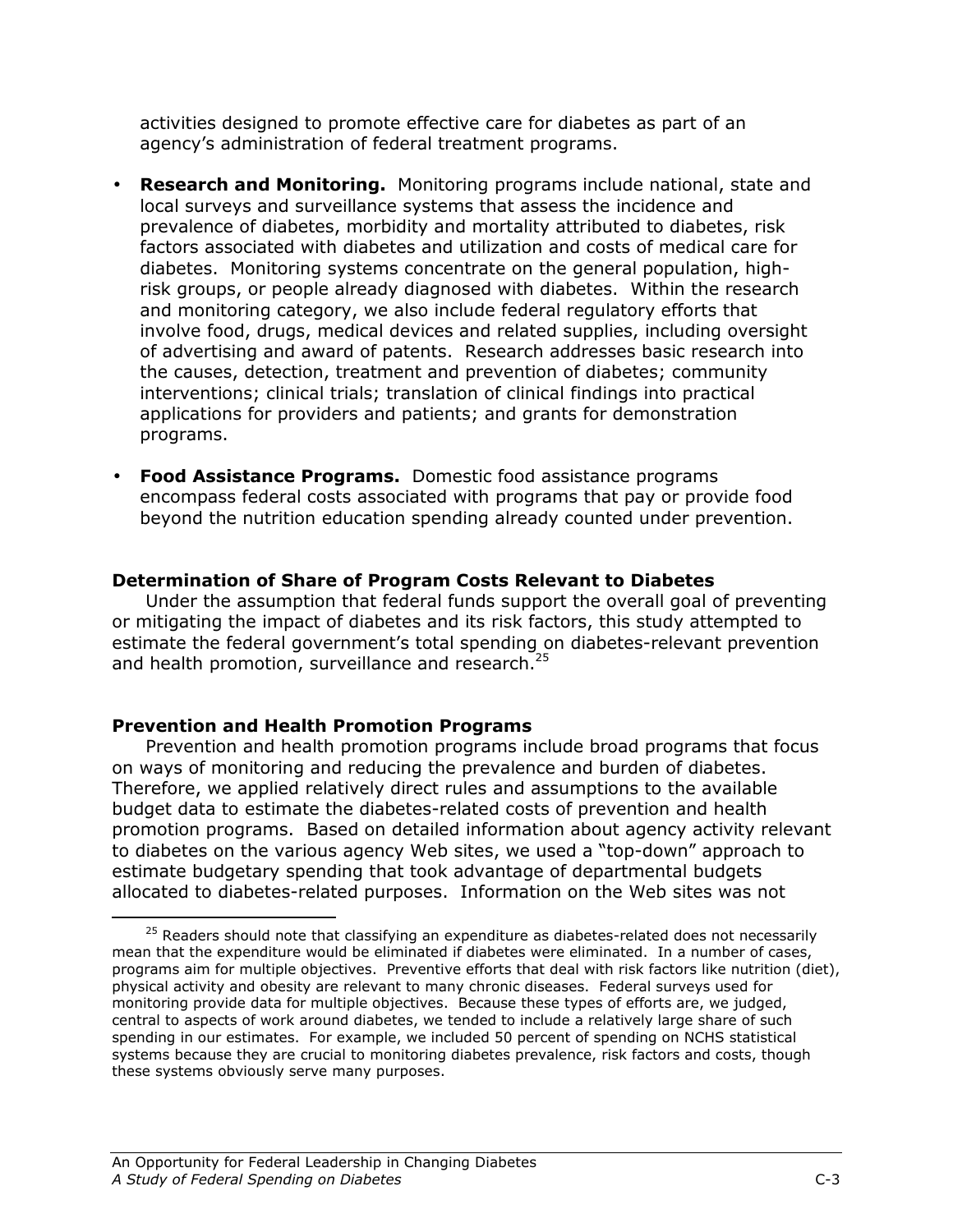activities designed to promote effective care for diabetes as part of an agency's administration of federal treatment programs.

- **Research and Monitoring.** Monitoring programs include national, state and local surveys and surveillance systems that assess the incidence and prevalence of diabetes, morbidity and mortality attributed to diabetes, risk factors associated with diabetes and utilization and costs of medical care for diabetes. Monitoring systems concentrate on the general population, highrisk groups, or people already diagnosed with diabetes. Within the research and monitoring category, we also include federal regulatory efforts that involve food, drugs, medical devices and related supplies, including oversight of advertising and award of patents. Research addresses basic research into the causes, detection, treatment and prevention of diabetes; community interventions; clinical trials; translation of clinical findings into practical applications for providers and patients; and grants for demonstration programs.
- Food Assistance Programs. Domestic food assistance programs encompass federal costs associated with programs that pay or provide food beyond the nutrition education spending already counted under prevention.

#### Determination of Share of Program Costs Relevant to Diabetes

Under the assumption that federal funds support the overall goal of preventing or mitigating the impact of diabetes and its risk factors, this study attempted to estimate the federal government's total spending on diabetes-relevant prevention and health promotion, surveillance and research. $^{25}$ 

#### Prevention and Health Promotion Programs

<u>.</u>

Prevention and health promotion programs include broad programs that focus on ways of monitoring and reducing the prevalence and burden of diabetes. Therefore, we applied relatively direct rules and assumptions to the available budget data to estimate the diabetes-related costs of prevention and health promotion programs. Based on detailed information about agency activity relevant to diabetes on the various agency Web sites, we used a "top-down" approach to estimate budgetary spending that took advantage of departmental budgets allocated to diabetes-related purposes. Information on the Web sites was not

 $25$  Readers should note that classifying an expenditure as diabetes-related does not necessarily mean that the expenditure would be eliminated if diabetes were eliminated. In a number of cases, programs aim for multiple objectives. Preventive efforts that deal with risk factors like nutrition (diet), physical activity and obesity are relevant to many chronic diseases. Federal surveys used for monitoring provide data for multiple objectives. Because these types of efforts are, we judged, central to aspects of work around diabetes, we tended to include a relatively large share of such spending in our estimates. For example, we included 50 percent of spending on NCHS statistical systems because they are crucial to monitoring diabetes prevalence, risk factors and costs, though these systems obviously serve many purposes.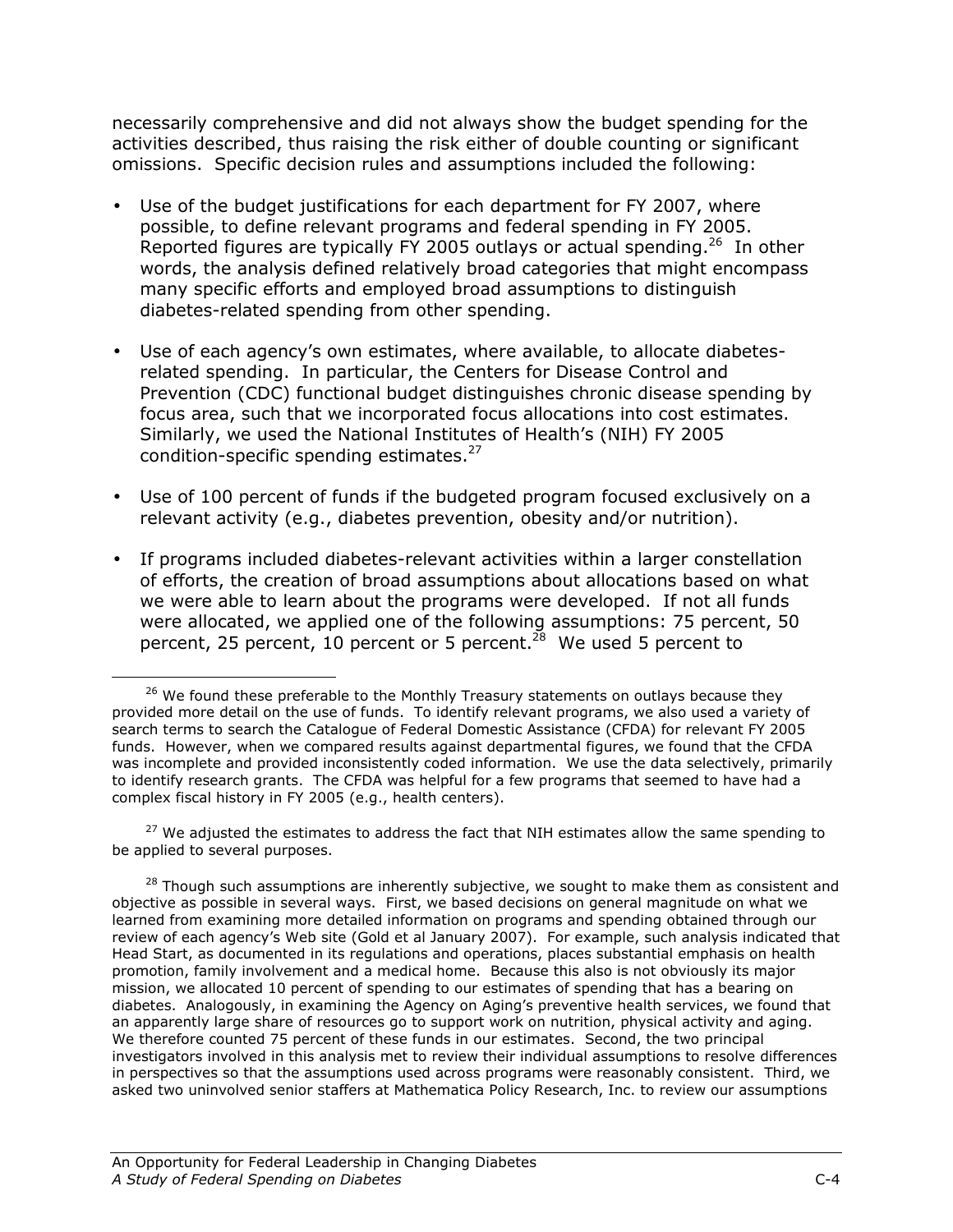necessarily comprehensive and did not always show the budget spending for the activities described, thus raising the risk either of double counting or significant omissions. Specific decision rules and assumptions included the following:

- Use of the budget justifications for each department for FY 2007, where possible, to define relevant programs and federal spending in FY 2005. Reported figures are typically FY 2005 outlays or actual spending.<sup>26</sup> In other words, the analysis defined relatively broad categories that might encompass many specific efforts and employed broad assumptions to distinguish diabetes-related spending from other spending.
- Use of each agency's own estimates, where available, to allocate diabetesrelated spending. In particular, the Centers for Disease Control and Prevention (CDC) functional budget distinguishes chronic disease spending by focus area, such that we incorporated focus allocations into cost estimates. Similarly, we used the National Institutes of Health's (NIH) FY 2005 condition-specific spending estimates.<sup>27</sup>
- Use of 100 percent of funds if the budgeted program focused exclusively on a relevant activity (e.g., diabetes prevention, obesity and/or nutrition).
- If programs included diabetes-relevant activities within a larger constellation of efforts, the creation of broad assumptions about allocations based on what we were able to learn about the programs were developed. If not all funds were allocated, we applied one of the following assumptions: 75 percent, 50 percent, 25 percent, 10 percent or 5 percent.<sup>28</sup> We used 5 percent to

<sup>27</sup> We adjusted the estimates to address the fact that NIH estimates allow the same spending to be applied to several purposes.

-

 $26$  We found these preferable to the Monthly Treasury statements on outlays because they provided more detail on the use of funds. To identify relevant programs, we also used a variety of search terms to search the Catalogue of Federal Domestic Assistance (CFDA) for relevant FY 2005 funds. However, when we compared results against departmental figures, we found that the CFDA was incomplete and provided inconsistently coded information. We use the data selectively, primarily to identify research grants. The CFDA was helpful for a few programs that seemed to have had a complex fiscal history in FY 2005 (e.g., health centers).

 $28$  Though such assumptions are inherently subjective, we sought to make them as consistent and objective as possible in several ways. First, we based decisions on general magnitude on what we learned from examining more detailed information on programs and spending obtained through our review of each agency's Web site (Gold et al January 2007). For example, such analysis indicated that Head Start, as documented in its regulations and operations, places substantial emphasis on health promotion, family involvement and a medical home. Because this also is not obviously its major mission, we allocated 10 percent of spending to our estimates of spending that has a bearing on diabetes. Analogously, in examining the Agency on Aging's preventive health services, we found that an apparently large share of resources go to support work on nutrition, physical activity and aging. We therefore counted 75 percent of these funds in our estimates. Second, the two principal investigators involved in this analysis met to review their individual assumptions to resolve differences in perspectives so that the assumptions used across programs were reasonably consistent. Third, we asked two uninvolved senior staffers at Mathematica Policy Research, Inc. to review our assumptions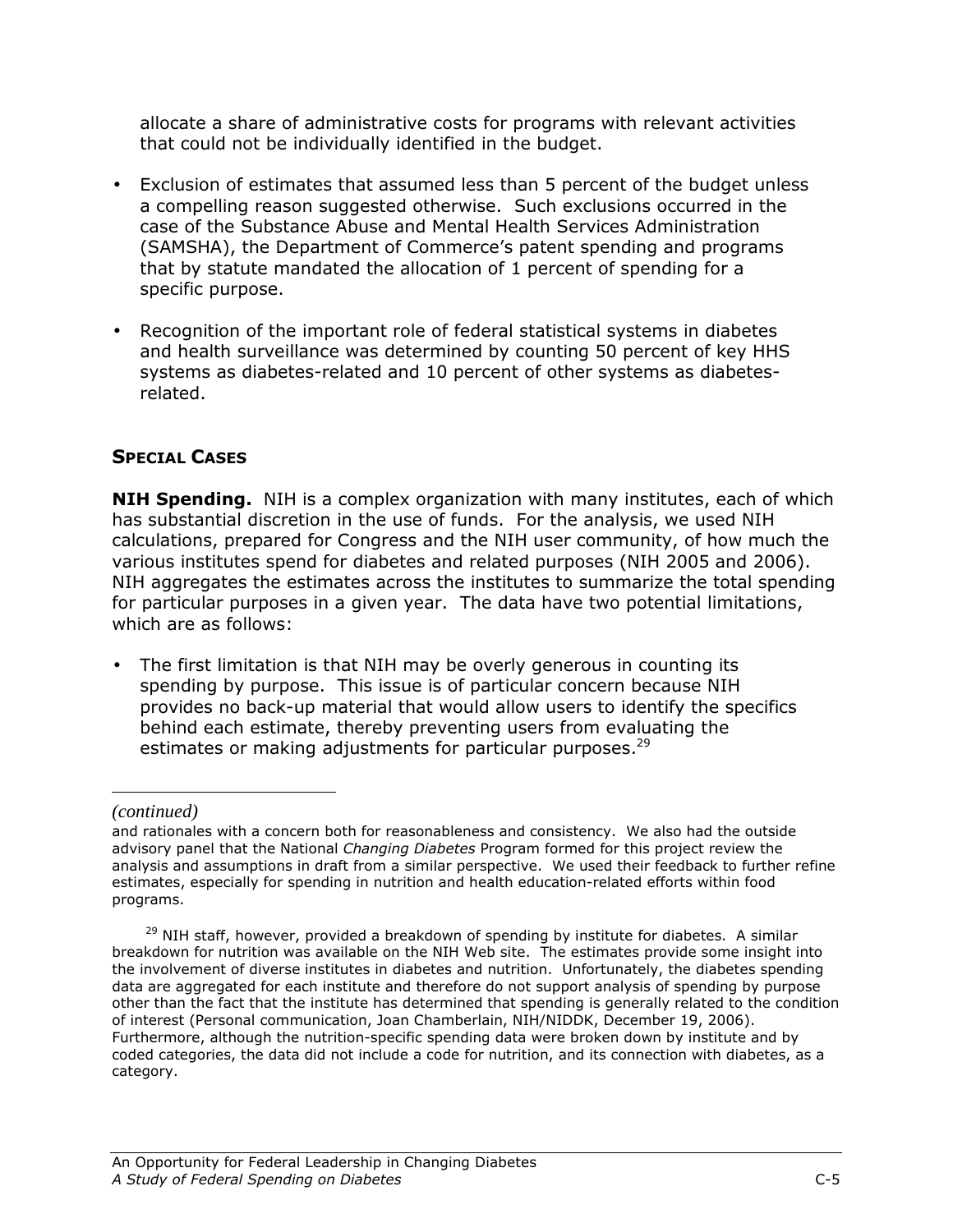allocate a share of administrative costs for programs with relevant activities that could not be individually identified in the budget.

- Exclusion of estimates that assumed less than 5 percent of the budget unless a compelling reason suggested otherwise. Such exclusions occurred in the case of the Substance Abuse and Mental Health Services Administration (SAMSHA), the Department of Commerce's patent spending and programs that by statute mandated the allocation of 1 percent of spending for a specific purpose.
- Recognition of the important role of federal statistical systems in diabetes and health surveillance was determined by counting 50 percent of key HHS systems as diabetes-related and 10 percent of other systems as diabetesrelated.

# SPECIAL CASES

**NIH Spending.** NIH is a complex organization with many institutes, each of which has substantial discretion in the use of funds. For the analysis, we used NIH calculations, prepared for Congress and the NIH user community, of how much the various institutes spend for diabetes and related purposes (NIH 2005 and 2006). NIH aggregates the estimates across the institutes to summarize the total spending for particular purposes in a given year. The data have two potential limitations, which are as follows:

• The first limitation is that NIH may be overly generous in counting its spending by purpose. This issue is of particular concern because NIH provides no back-up material that would allow users to identify the specifics behind each estimate, thereby preventing users from evaluating the estimates or making adjustments for particular purposes. $^{29}$ 

<u>.</u>

*<sup>(</sup>continued)* 

and rationales with a concern both for reasonableness and consistency. We also had the outside advisory panel that the National Changing Diabetes Program formed for this project review the analysis and assumptions in draft from a similar perspective. We used their feedback to further refine estimates, especially for spending in nutrition and health education-related efforts within food programs.

<sup>&</sup>lt;sup>29</sup> NIH staff, however, provided a breakdown of spending by institute for diabetes. A similar breakdown for nutrition was available on the NIH Web site. The estimates provide some insight into the involvement of diverse institutes in diabetes and nutrition. Unfortunately, the diabetes spending data are aggregated for each institute and therefore do not support analysis of spending by purpose other than the fact that the institute has determined that spending is generally related to the condition of interest (Personal communication, Joan Chamberlain, NIH/NIDDK, December 19, 2006). Furthermore, although the nutrition-specific spending data were broken down by institute and by coded categories, the data did not include a code for nutrition, and its connection with diabetes, as a category.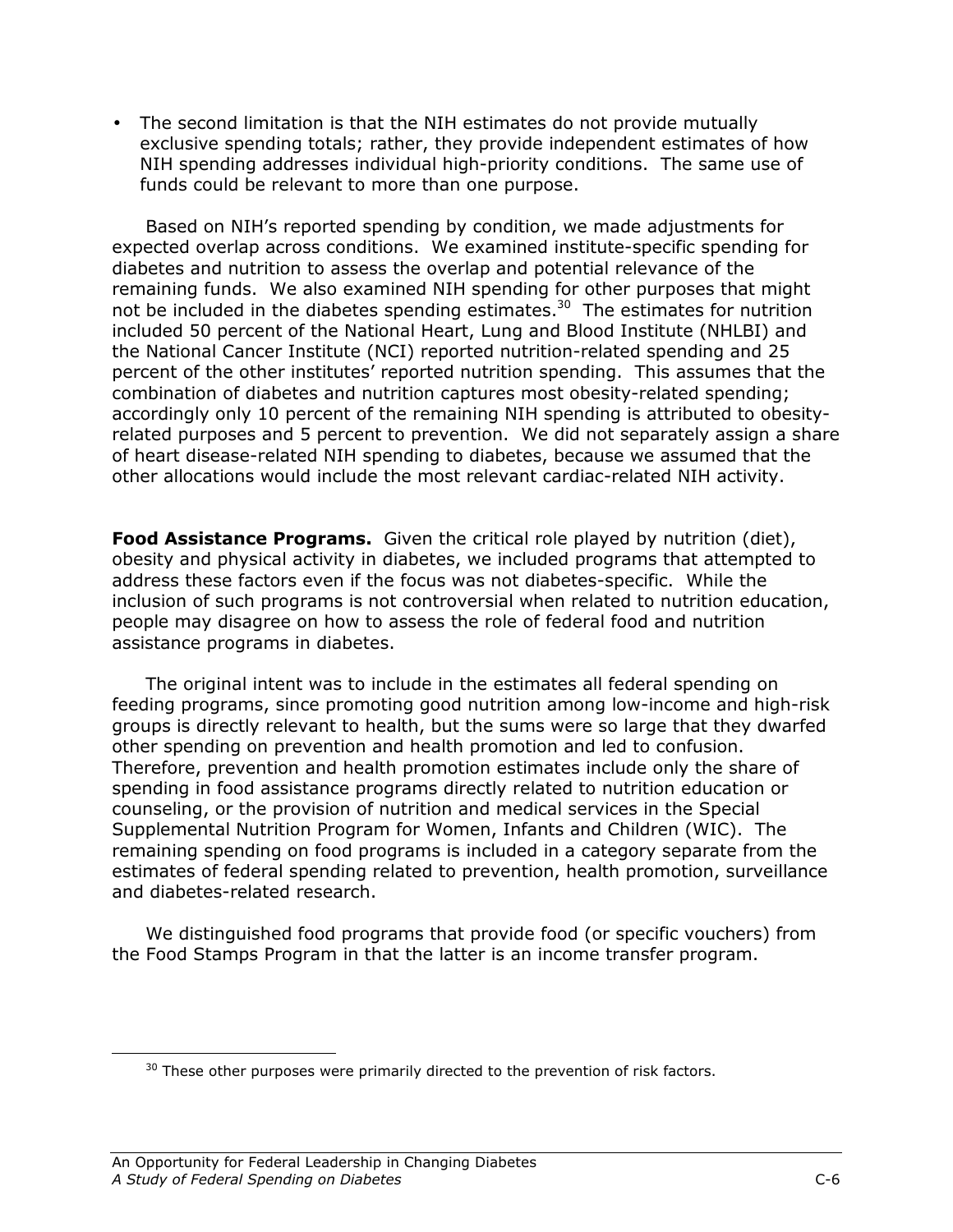• The second limitation is that the NIH estimates do not provide mutually exclusive spending totals; rather, they provide independent estimates of how NIH spending addresses individual high-priority conditions. The same use of funds could be relevant to more than one purpose.

 Based on NIH's reported spending by condition, we made adjustments for expected overlap across conditions. We examined institute-specific spending for diabetes and nutrition to assess the overlap and potential relevance of the remaining funds. We also examined NIH spending for other purposes that might not be included in the diabetes spending estimates.<sup>30</sup> The estimates for nutrition included 50 percent of the National Heart, Lung and Blood Institute (NHLBI) and the National Cancer Institute (NCI) reported nutrition-related spending and 25 percent of the other institutes' reported nutrition spending. This assumes that the combination of diabetes and nutrition captures most obesity-related spending; accordingly only 10 percent of the remaining NIH spending is attributed to obesityrelated purposes and 5 percent to prevention. We did not separately assign a share of heart disease-related NIH spending to diabetes, because we assumed that the other allocations would include the most relevant cardiac-related NIH activity.

Food Assistance Programs. Given the critical role played by nutrition (diet), obesity and physical activity in diabetes, we included programs that attempted to address these factors even if the focus was not diabetes-specific. While the inclusion of such programs is not controversial when related to nutrition education, people may disagree on how to assess the role of federal food and nutrition assistance programs in diabetes.

The original intent was to include in the estimates all federal spending on feeding programs, since promoting good nutrition among low-income and high-risk groups is directly relevant to health, but the sums were so large that they dwarfed other spending on prevention and health promotion and led to confusion. Therefore, prevention and health promotion estimates include only the share of spending in food assistance programs directly related to nutrition education or counseling, or the provision of nutrition and medical services in the Special Supplemental Nutrition Program for Women, Infants and Children (WIC). The remaining spending on food programs is included in a category separate from the estimates of federal spending related to prevention, health promotion, surveillance and diabetes-related research.

We distinguished food programs that provide food (or specific vouchers) from the Food Stamps Program in that the latter is an income transfer program.

<u>.</u>

 $30$  These other purposes were primarily directed to the prevention of risk factors.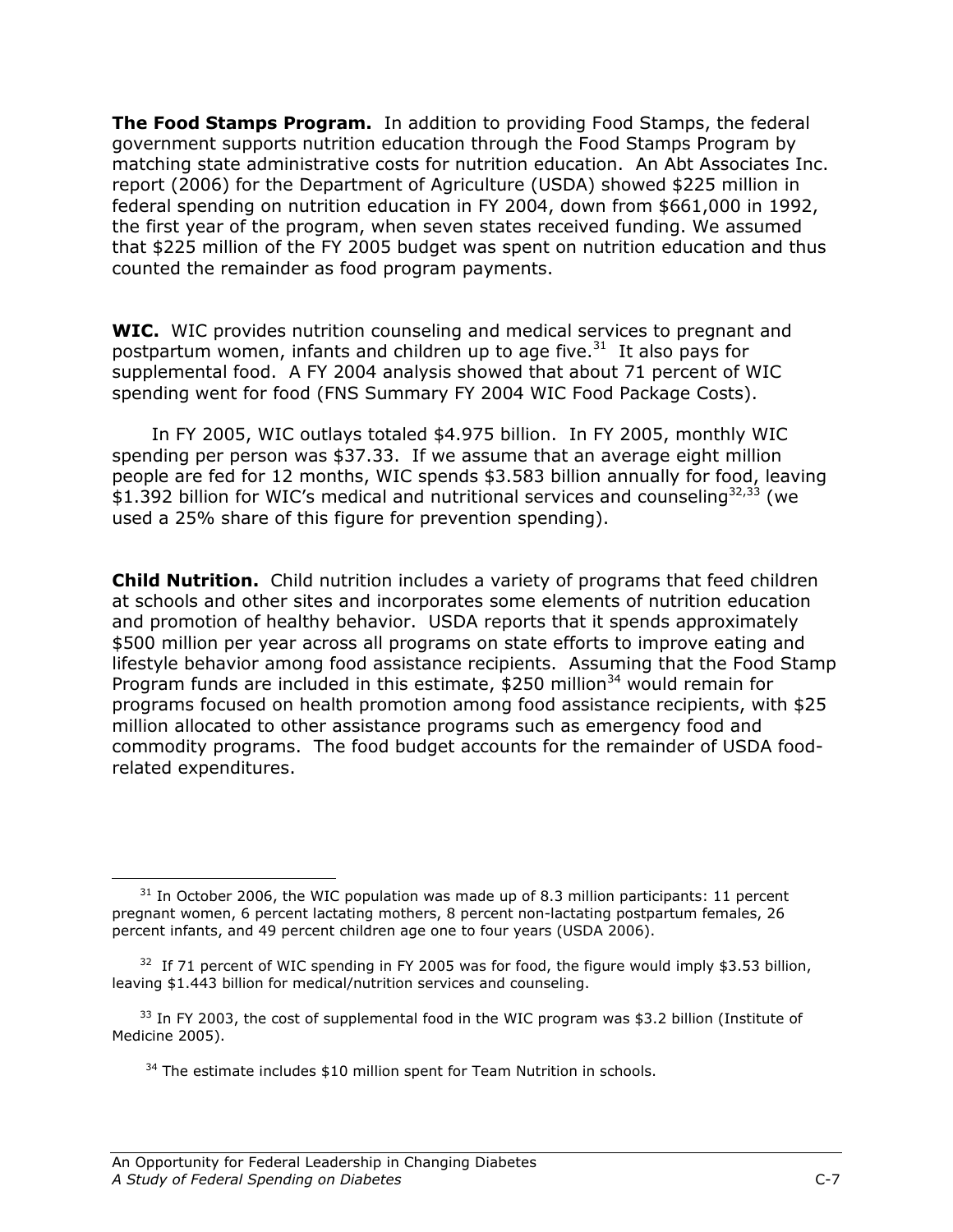**The Food Stamps Program.** In addition to providing Food Stamps, the federal government supports nutrition education through the Food Stamps Program by matching state administrative costs for nutrition education. An Abt Associates Inc. report (2006) for the Department of Agriculture (USDA) showed \$225 million in federal spending on nutrition education in FY 2004, down from \$661,000 in 1992, the first year of the program, when seven states received funding. We assumed that \$225 million of the FY 2005 budget was spent on nutrition education and thus counted the remainder as food program payments.

WIC. WIC provides nutrition counseling and medical services to pregnant and postpartum women, infants and children up to age five. $31$  It also pays for supplemental food. A FY 2004 analysis showed that about 71 percent of WIC spending went for food (FNS Summary FY 2004 WIC Food Package Costs).

 In FY 2005, WIC outlays totaled \$4.975 billion. In FY 2005, monthly WIC spending per person was \$37.33. If we assume that an average eight million people are fed for 12 months, WIC spends \$3.583 billion annually for food, leaving \$1.392 billion for WIC's medical and nutritional services and counseling<sup>32,33</sup> (we used a 25% share of this figure for prevention spending).

**Child Nutrition.** Child nutrition includes a variety of programs that feed children at schools and other sites and incorporates some elements of nutrition education and promotion of healthy behavior. USDA reports that it spends approximately \$500 million per year across all programs on state efforts to improve eating and lifestyle behavior among food assistance recipients. Assuming that the Food Stamp Program funds are included in this estimate,  $$250$  million<sup>34</sup> would remain for programs focused on health promotion among food assistance recipients, with \$25 million allocated to other assistance programs such as emergency food and commodity programs. The food budget accounts for the remainder of USDA foodrelated expenditures.

<sup>&</sup>lt;u>.</u>  $31$  In October 2006, the WIC population was made up of 8.3 million participants: 11 percent pregnant women, 6 percent lactating mothers, 8 percent non-lactating postpartum females, 26 percent infants, and 49 percent children age one to four years (USDA 2006).

 $32$  If 71 percent of WIC spending in FY 2005 was for food, the figure would imply \$3.53 billion, leaving \$1.443 billion for medical/nutrition services and counseling.

<sup>&</sup>lt;sup>33</sup> In FY 2003, the cost of supplemental food in the WIC program was \$3.2 billion (Institute of Medicine 2005).

<sup>&</sup>lt;sup>34</sup> The estimate includes \$10 million spent for Team Nutrition in schools.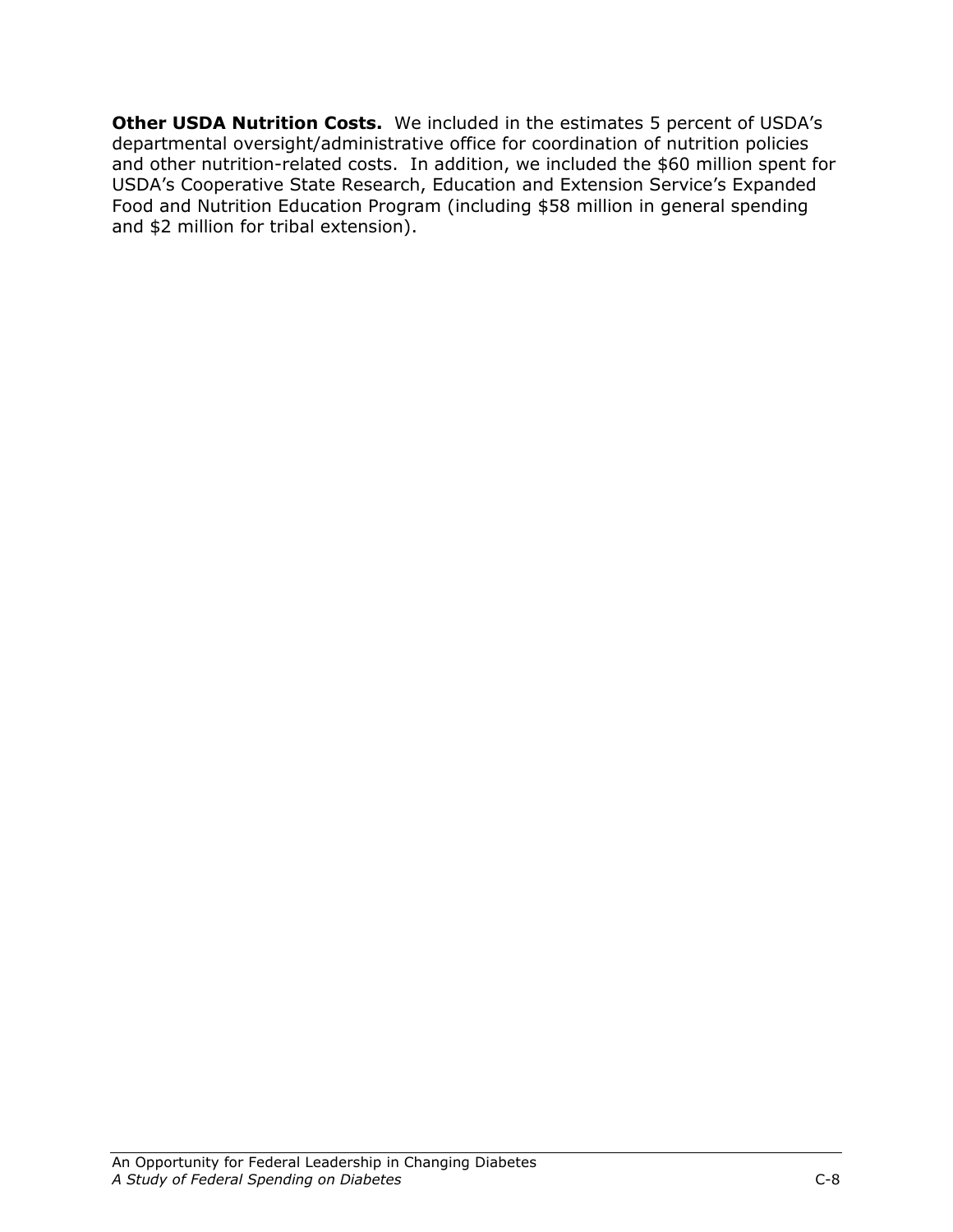Other USDA Nutrition Costs. We included in the estimates 5 percent of USDA's departmental oversight/administrative office for coordination of nutrition policies and other nutrition-related costs. In addition, we included the \$60 million spent for USDA's Cooperative State Research, Education and Extension Service's Expanded Food and Nutrition Education Program (including \$58 million in general spending and \$2 million for tribal extension).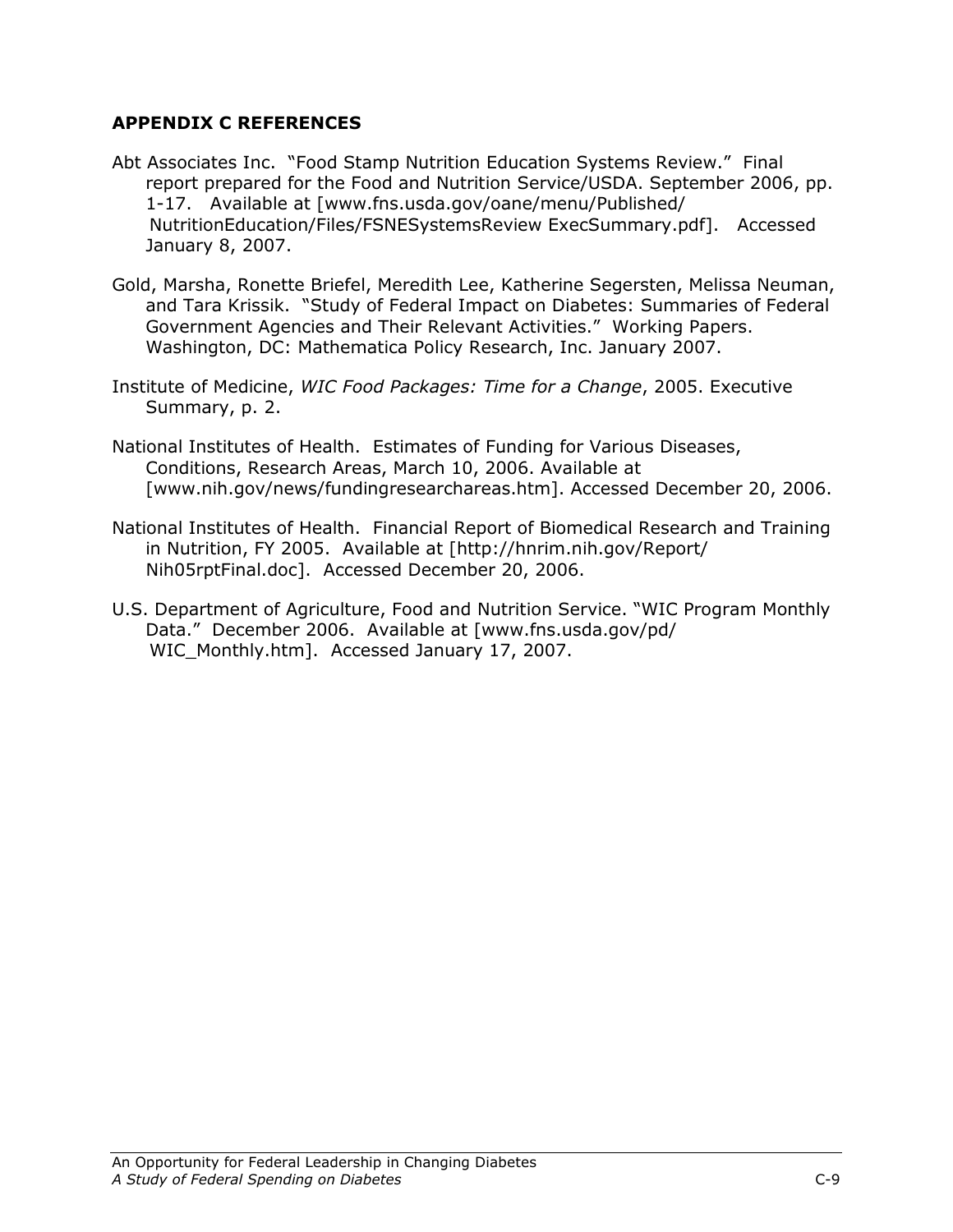# APPENDIX C REFERENCES

- Abt Associates Inc. "Food Stamp Nutrition Education Systems Review." Final report prepared for the Food and Nutrition Service/USDA. September 2006, pp. 1-17. Available at [www.fns.usda.gov/oane/menu/Published/ NutritionEducation/Files/FSNESystemsReview ExecSummary.pdf]. Accessed January 8, 2007.
- Gold, Marsha, Ronette Briefel, Meredith Lee, Katherine Segersten, Melissa Neuman, and Tara Krissik. "Study of Federal Impact on Diabetes: Summaries of Federal Government Agencies and Their Relevant Activities." Working Papers. Washington, DC: Mathematica Policy Research, Inc. January 2007.
- Institute of Medicine, WIC Food Packages: Time for a Change, 2005. Executive Summary, p. 2.
- National Institutes of Health. Estimates of Funding for Various Diseases, Conditions, Research Areas, March 10, 2006. Available at [www.nih.gov/news/fundingresearchareas.htm]. Accessed December 20, 2006.
- National Institutes of Health. Financial Report of Biomedical Research and Training in Nutrition, FY 2005. Available at [http://hnrim.nih.gov/Report/ Nih05rptFinal.doc]. Accessed December 20, 2006.
- U.S. Department of Agriculture, Food and Nutrition Service. "WIC Program Monthly Data." December 2006. Available at [www.fns.usda.gov/pd/ WIC Monthly.htm]. Accessed January 17, 2007.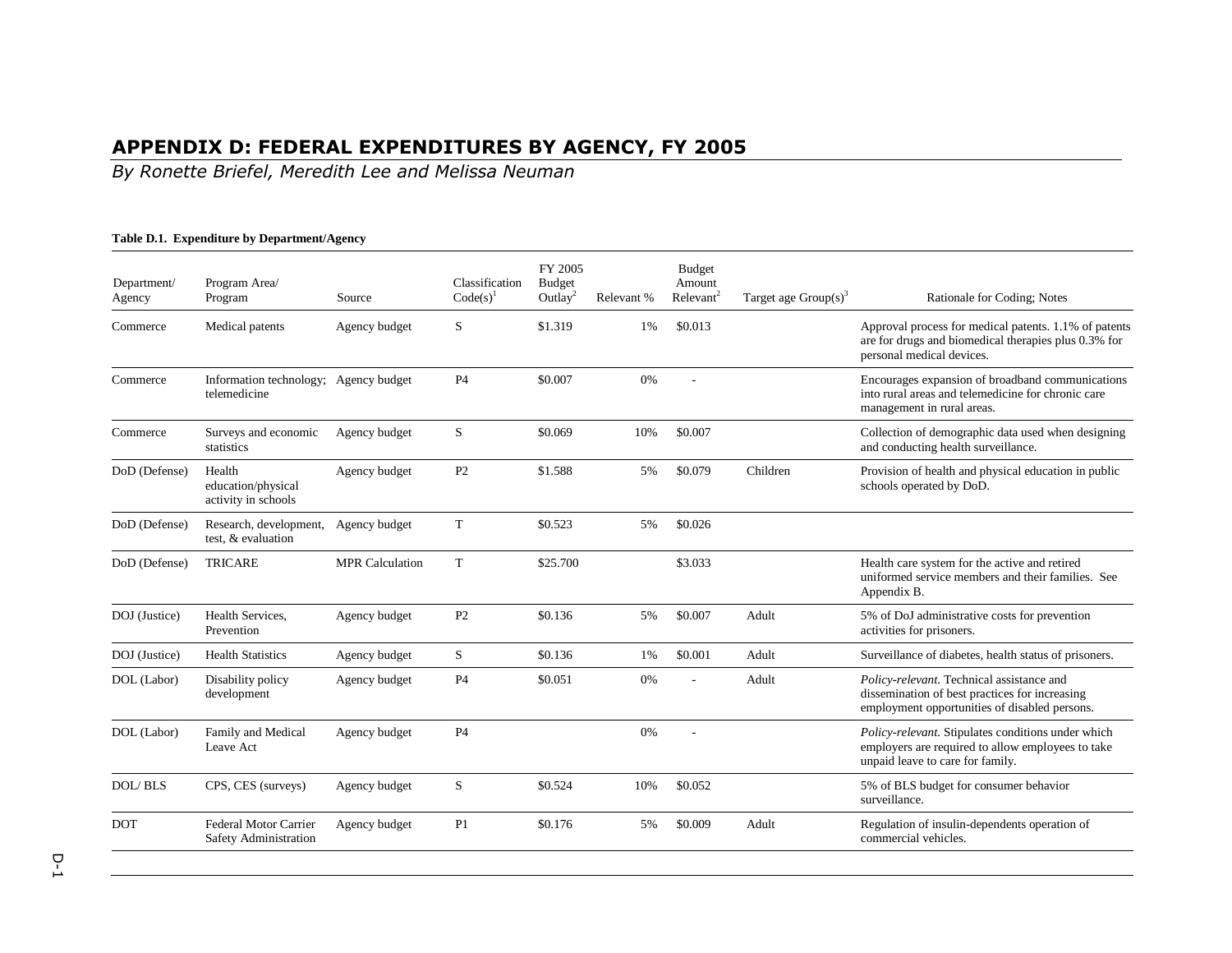# APPENDIX D: FEDERAL EXPENDITURES BY AGENCY, FY 2005 By Ronette Briefel, Meredith Lee and Melissa Neuman

#### **Table D.1. Expenditure by Department/Agency**

| Department/<br>Agency | Program Area/<br>Program                              | Source                 | Classification<br>$Code(s)^1$ | FY 2005<br>Budget<br>Outlay <sup>2</sup> | Relevant % | <b>Budget</b><br>Amount<br>Relevant <sup>2</sup> | Target age $Group(s)^3$ | Rationale for Coding; Notes                                                                                                                  |
|-----------------------|-------------------------------------------------------|------------------------|-------------------------------|------------------------------------------|------------|--------------------------------------------------|-------------------------|----------------------------------------------------------------------------------------------------------------------------------------------|
| Commerce              | Medical patents                                       | Agency budget          | S                             | \$1.319                                  | 1%         | \$0.013                                          |                         | Approval process for medical patents. 1.1% of patents<br>are for drugs and biomedical therapies plus 0.3% for<br>personal medical devices.   |
| Commerce              | Information technology; Agency budget<br>telemedicine |                        | <b>P4</b>                     | \$0.007                                  | 0%         | ÷.                                               |                         | Encourages expansion of broadband communications<br>into rural areas and telemedicine for chronic care<br>management in rural areas.         |
| Commerce              | Surveys and economic<br>statistics                    | Agency budget          | S                             | \$0.069                                  | 10%        | \$0.007                                          |                         | Collection of demographic data used when designing<br>and conducting health surveillance.                                                    |
| DoD (Defense)         | Health<br>education/physical<br>activity in schools   | Agency budget          | P <sub>2</sub>                | \$1.588                                  | 5%         | \$0.079                                          | Children                | Provision of health and physical education in public<br>schools operated by DoD.                                                             |
| DoD (Defense)         | Research, development,<br>test. & evaluation          | Agency budget          | T                             | \$0.523                                  | 5%         | \$0.026                                          |                         |                                                                                                                                              |
| DoD (Defense)         | <b>TRICARE</b>                                        | <b>MPR</b> Calculation | T                             | \$25.700                                 |            | \$3.033                                          |                         | Health care system for the active and retired<br>uniformed service members and their families. See<br>Appendix B.                            |
| DOJ (Justice)         | Health Services.<br>Prevention                        | Agency budget          | P <sub>2</sub>                | \$0.136                                  | 5%         | \$0.007                                          | Adult                   | 5% of DoJ administrative costs for prevention<br>activities for prisoners.                                                                   |
| DOJ (Justice)         | <b>Health Statistics</b>                              | Agency budget          | S                             | \$0.136                                  | 1%         | \$0.001                                          | Adult                   | Surveillance of diabetes, health status of prisoners.                                                                                        |
| DOL (Labor)           | Disability policy<br>development                      | Agency budget          | P <sub>4</sub>                | \$0.051                                  | 0%         |                                                  | Adult                   | Policy-relevant. Technical assistance and<br>dissemination of best practices for increasing<br>employment opportunities of disabled persons. |
| DOL (Labor)           | Family and Medical<br>Leave Act                       | Agency budget          | <b>P4</b>                     |                                          | 0%         | L,                                               |                         | Policy-relevant. Stipulates conditions under which<br>employers are required to allow employees to take<br>unpaid leave to care for family.  |
| <b>DOL</b> /BLS       | CPS, CES (surveys)                                    | Agency budget          | S                             | \$0.524                                  | 10%        | \$0.052                                          |                         | 5% of BLS budget for consumer behavior<br>surveillance.                                                                                      |
| <b>DOT</b>            | Federal Motor Carrier<br>Safety Administration        | Agency budget          | P <sub>1</sub>                | \$0.176                                  | 5%         | \$0.009                                          | Adult                   | Regulation of insulin-dependents operation of<br>commercial vehicles.                                                                        |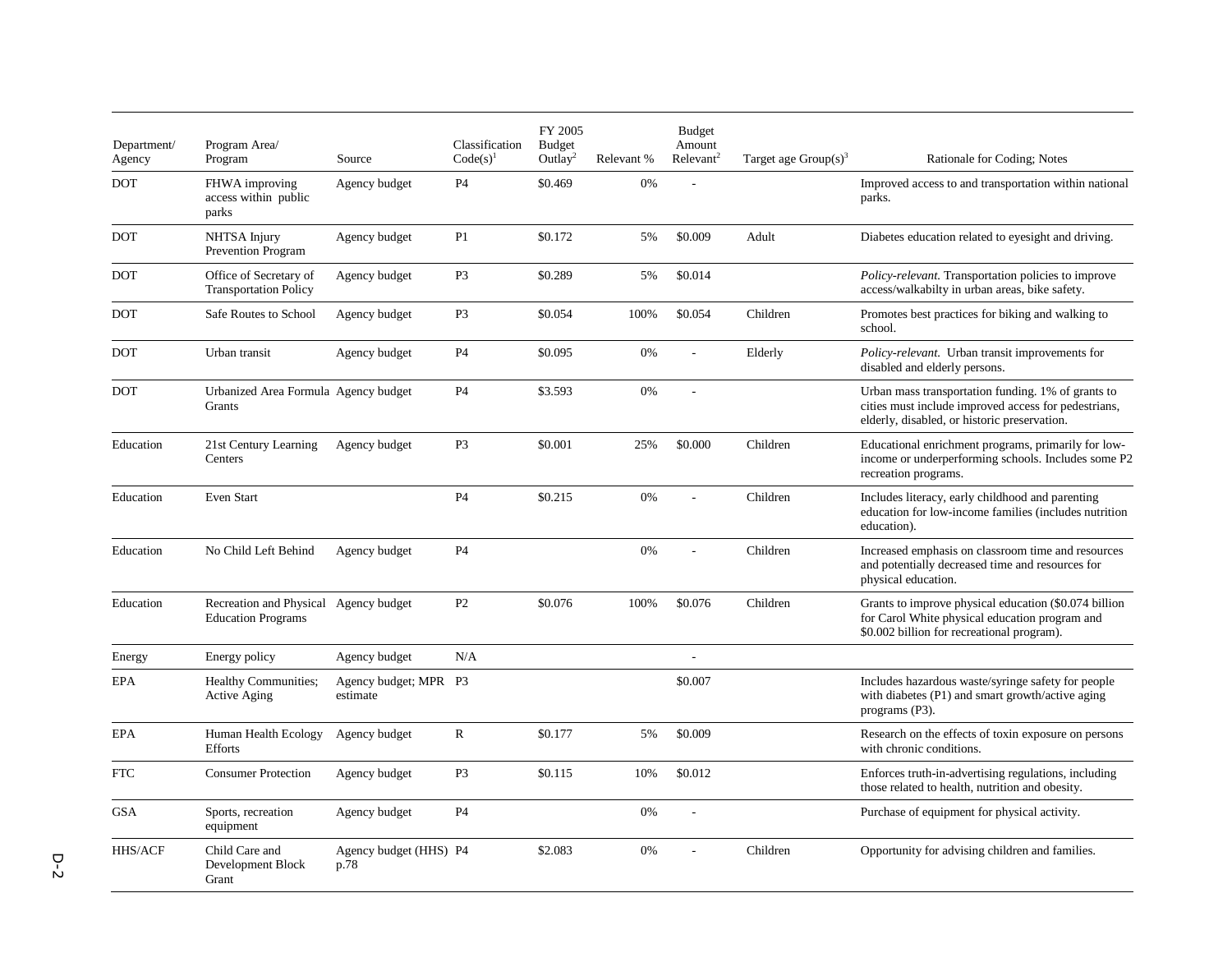| Department/<br>Agency | Program Area/<br>Program                                           | Source                            | Classification<br>$Code(s)^{1}$ | FY 2005<br><b>Budget</b><br>Outlay <sup>2</sup> | Relevant % | <b>Budget</b><br>Amount<br>Relevant <sup>2</sup> | Target age $Group(s)^3$ | Rationale for Coding; Notes                                                                                                                                |
|-----------------------|--------------------------------------------------------------------|-----------------------------------|---------------------------------|-------------------------------------------------|------------|--------------------------------------------------|-------------------------|------------------------------------------------------------------------------------------------------------------------------------------------------------|
| <b>DOT</b>            | FHWA improving<br>access within public<br>parks                    | Agency budget                     | P <sub>4</sub>                  | \$0.469                                         | 0%         | L,                                               |                         | Improved access to and transportation within national<br>parks.                                                                                            |
| <b>DOT</b>            | NHTSA Injury<br>Prevention Program                                 | Agency budget                     | P1                              | \$0.172                                         | 5%         | \$0.009                                          | Adult                   | Diabetes education related to eyesight and driving.                                                                                                        |
| <b>DOT</b>            | Office of Secretary of<br><b>Transportation Policy</b>             | Agency budget                     | P <sub>3</sub>                  | \$0.289                                         | 5%         | \$0.014                                          |                         | <i>Policy-relevant.</i> Transportation policies to improve<br>access/walkabilty in urban areas, bike safety.                                               |
| <b>DOT</b>            | Safe Routes to School                                              | Agency budget                     | P <sub>3</sub>                  | \$0.054                                         | 100%       | \$0.054                                          | Children                | Promotes best practices for biking and walking to<br>school.                                                                                               |
| <b>DOT</b>            | Urban transit                                                      | Agency budget                     | <b>P4</b>                       | \$0.095                                         | 0%         |                                                  | Elderly                 | Policy-relevant. Urban transit improvements for<br>disabled and elderly persons.                                                                           |
| DOT                   | Urbanized Area Formula Agency budget<br>Grants                     |                                   | <b>P4</b>                       | \$3.593                                         | 0%         | ÷,                                               |                         | Urban mass transportation funding. 1% of grants to<br>cities must include improved access for pedestrians,<br>elderly, disabled, or historic preservation. |
| Education             | 21st Century Learning<br>Centers                                   | Agency budget                     | P <sub>3</sub>                  | \$0.001                                         | 25%        | \$0.000                                          | Children                | Educational enrichment programs, primarily for low-<br>income or underperforming schools. Includes some P2<br>recreation programs.                         |
| Education             | <b>Even Start</b>                                                  |                                   | <b>P4</b>                       | \$0.215                                         | 0%         |                                                  | Children                | Includes literacy, early childhood and parenting<br>education for low-income families (includes nutrition<br>education).                                   |
| Education             | No Child Left Behind                                               | Agency budget                     | <b>P4</b>                       |                                                 | 0%         |                                                  | Children                | Increased emphasis on classroom time and resources<br>and potentially decreased time and resources for<br>physical education.                              |
| Education             | Recreation and Physical Agency budget<br><b>Education Programs</b> |                                   | P <sub>2</sub>                  | \$0.076                                         | 100%       | \$0.076                                          | Children                | Grants to improve physical education (\$0.074 billion<br>for Carol White physical education program and<br>\$0.002 billion for recreational program).      |
| Energy                | Energy policy                                                      | Agency budget                     | N/A                             |                                                 |            | $\sim$                                           |                         |                                                                                                                                                            |
| EPA                   | <b>Healthy Communities;</b><br><b>Active Aging</b>                 | Agency budget; MPR P3<br>estimate |                                 |                                                 |            | \$0.007                                          |                         | Includes hazardous waste/syringe safety for people<br>with diabetes (P1) and smart growth/active aging<br>programs (P3).                                   |
| <b>EPA</b>            | Human Health Ecology<br>Efforts                                    | Agency budget                     | $\mathbb{R}$                    | \$0.177                                         | 5%         | \$0.009                                          |                         | Research on the effects of toxin exposure on persons<br>with chronic conditions.                                                                           |
| <b>FTC</b>            | <b>Consumer Protection</b>                                         | Agency budget                     | P <sub>3</sub>                  | \$0.115                                         | 10%        | \$0.012                                          |                         | Enforces truth-in-advertising regulations, including<br>those related to health, nutrition and obesity.                                                    |
| <b>GSA</b>            | Sports, recreation<br>equipment                                    | Agency budget                     | P <sub>4</sub>                  |                                                 | 0%         |                                                  |                         | Purchase of equipment for physical activity.                                                                                                               |
| <b>HHS/ACF</b>        | Child Care and<br>Development Block<br>Grant                       | Agency budget (HHS) P4<br>p.78    |                                 | \$2.083                                         | 0%         |                                                  | Children                | Opportunity for advising children and families.                                                                                                            |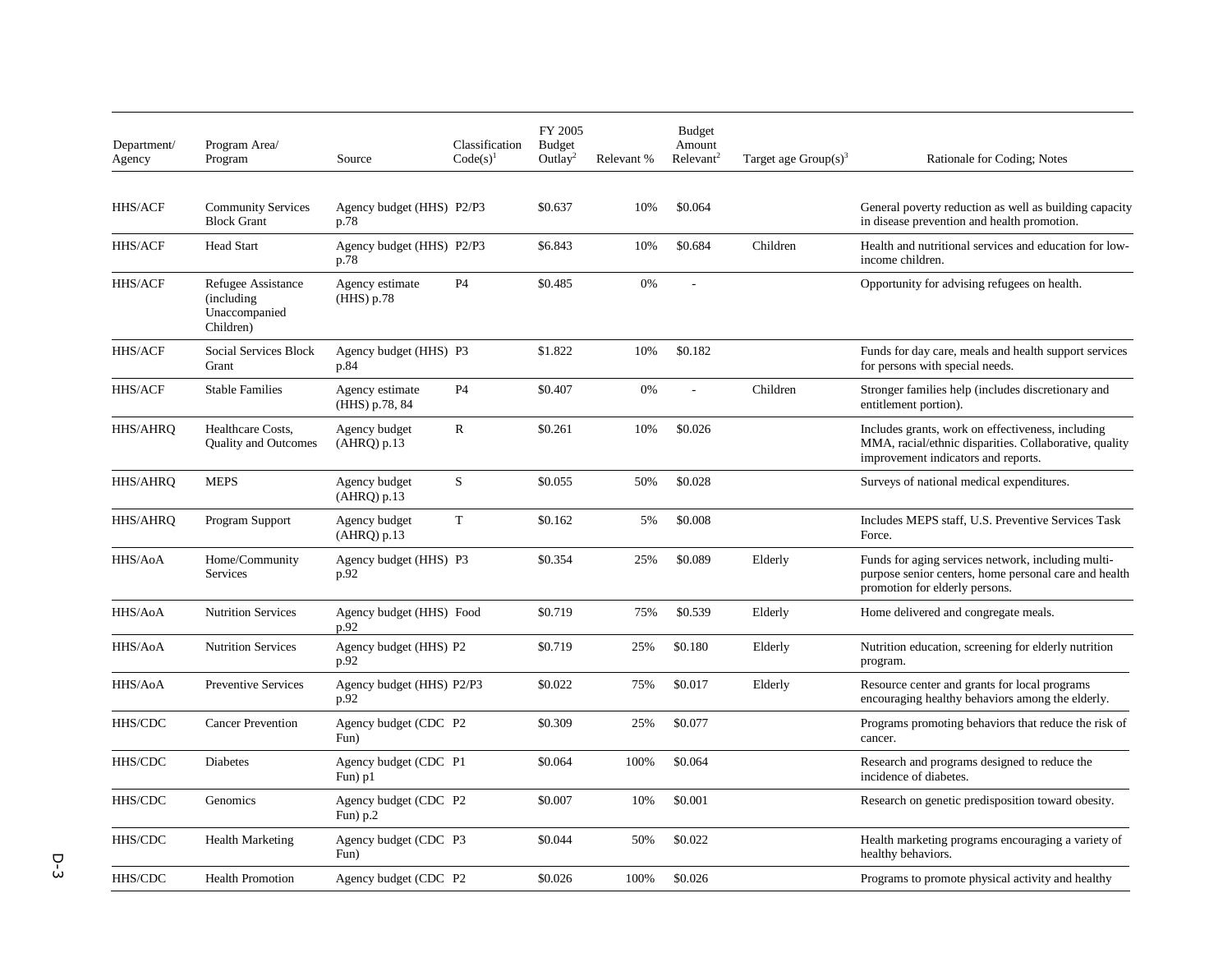| Department/<br>Agency | Program Area/<br>Program                                        | Source                              | Classification<br>$Code(s)^{1}$ | FY 2005<br><b>Budget</b><br>Outlay <sup>2</sup> | Relevant % | <b>Budget</b><br>Amount<br>Relevant <sup>2</sup> | Target age $Group(s)^3$ | Rationale for Coding; Notes                                                                                                                        |
|-----------------------|-----------------------------------------------------------------|-------------------------------------|---------------------------------|-------------------------------------------------|------------|--------------------------------------------------|-------------------------|----------------------------------------------------------------------------------------------------------------------------------------------------|
|                       |                                                                 |                                     |                                 |                                                 |            |                                                  |                         |                                                                                                                                                    |
| <b>HHS/ACF</b>        | <b>Community Services</b><br><b>Block Grant</b>                 | Agency budget (HHS) P2/P3<br>p.78   |                                 | \$0.637                                         | 10%        | \$0.064                                          |                         | General poverty reduction as well as building capacity<br>in disease prevention and health promotion.                                              |
| HHS/ACF               | <b>Head Start</b>                                               | Agency budget (HHS) P2/P3<br>p.78   |                                 | \$6.843                                         | 10%        | \$0.684                                          | Children                | Health and nutritional services and education for low-<br>income children.                                                                         |
| <b>HHS/ACF</b>        | Refugee Assistance<br>(including)<br>Unaccompanied<br>Children) | Agency estimate<br>(HHS) p.78       | <b>P4</b>                       | \$0.485                                         | 0%         | ÷,                                               |                         | Opportunity for advising refugees on health.                                                                                                       |
| <b>HHS/ACF</b>        | Social Services Block<br>Grant                                  | Agency budget (HHS) P3<br>p.84      |                                 | \$1.822                                         | 10%        | \$0.182                                          |                         | Funds for day care, meals and health support services<br>for persons with special needs.                                                           |
| HHS/ACF               | <b>Stable Families</b>                                          | Agency estimate<br>(HHS) p.78, 84   | P <sub>4</sub>                  | \$0.407                                         | 0%         | L.                                               | Children                | Stronger families help (includes discretionary and<br>entitlement portion).                                                                        |
| <b>HHS/AHRQ</b>       | Healthcare Costs,<br><b>Ouality and Outcomes</b>                | Agency budget<br>$(AHRQ)$ p.13      | $\mathbb{R}$                    | \$0.261                                         | 10%        | \$0.026                                          |                         | Includes grants, work on effectiveness, including<br>MMA, racial/ethnic disparities. Collaborative, quality<br>improvement indicators and reports. |
| HHS/AHRQ              | <b>MEPS</b>                                                     | Agency budget<br>(AHRQ) p.13        | S                               | \$0.055                                         | 50%        | \$0.028                                          |                         | Surveys of national medical expenditures.                                                                                                          |
| HHS/AHRQ              | Program Support                                                 | Agency budget<br>(AHRQ) p.13        | T                               | \$0.162                                         | 5%         | \$0.008                                          |                         | Includes MEPS staff, U.S. Preventive Services Task<br>Force.                                                                                       |
| <b>HHS/AoA</b>        | Home/Community<br><b>Services</b>                               | Agency budget (HHS) P3<br>p.92      |                                 | \$0.354                                         | 25%        | \$0.089                                          | Elderly                 | Funds for aging services network, including multi-<br>purpose senior centers, home personal care and health<br>promotion for elderly persons.      |
| HHS/AoA               | <b>Nutrition Services</b>                                       | Agency budget (HHS) Food<br>p.92    |                                 | \$0.719                                         | 75%        | \$0.539                                          | Elderly                 | Home delivered and congregate meals.                                                                                                               |
| HHS/AoA               | <b>Nutrition Services</b>                                       | Agency budget (HHS) P2<br>p.92      |                                 | \$0.719                                         | 25%        | \$0.180                                          | Elderly                 | Nutrition education, screening for elderly nutrition<br>program.                                                                                   |
| HHS/AoA               | <b>Preventive Services</b>                                      | Agency budget (HHS) P2/P3<br>p.92   |                                 | \$0.022                                         | 75%        | \$0.017                                          | Elderly                 | Resource center and grants for local programs<br>encouraging healthy behaviors among the elderly.                                                  |
| HHS/CDC               | <b>Cancer Prevention</b>                                        | Agency budget (CDC P2<br>Fun        |                                 | \$0.309                                         | 25%        | \$0.077                                          |                         | Programs promoting behaviors that reduce the risk of<br>cancer.                                                                                    |
| HHS/CDC               | Diabetes                                                        | Agency budget (CDC P1<br>Fun) p1    |                                 | \$0.064                                         | 100%       | \$0.064                                          |                         | Research and programs designed to reduce the<br>incidence of diabetes.                                                                             |
| HHS/CDC               | Genomics                                                        | Agency budget (CDC P2<br>Fun) $p.2$ |                                 | \$0.007                                         | 10%        | \$0.001                                          |                         | Research on genetic predisposition toward obesity.                                                                                                 |
| HHS/CDC               | <b>Health Marketing</b>                                         | Agency budget (CDC P3<br>Fun)       |                                 | \$0.044                                         | 50%        | \$0.022                                          |                         | Health marketing programs encouraging a variety of<br>healthy behaviors.                                                                           |
| $\rm HHS/CDC$         | <b>Health Promotion</b>                                         | Agency budget (CDC P2               |                                 | \$0.026                                         | 100%       | \$0.026                                          |                         | Programs to promote physical activity and healthy                                                                                                  |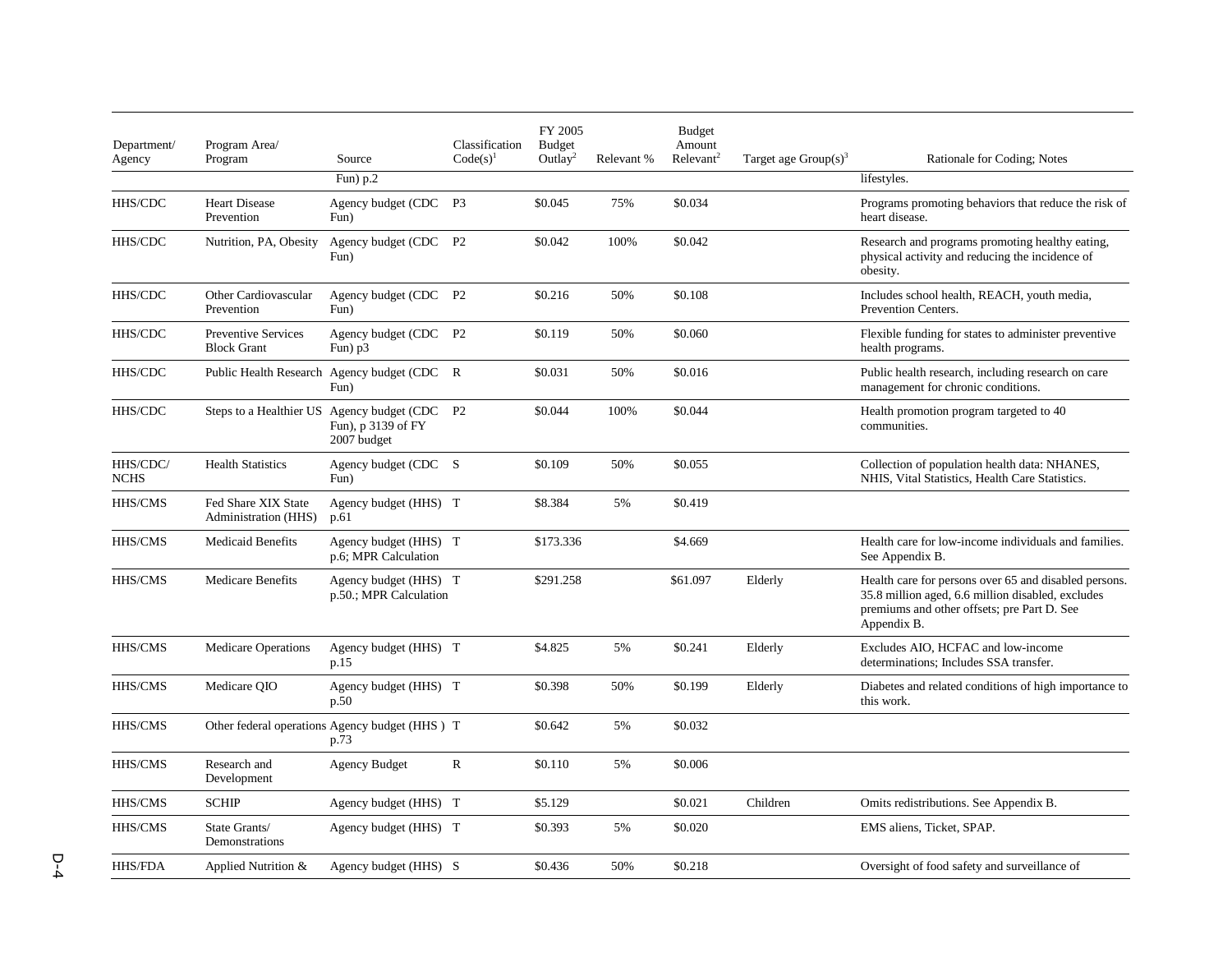| Department/<br>Agency   | Program Area/<br>Program                         | Source                                                                             | Classification<br>$Code(s)^1$ | FY 2005<br><b>Budget</b><br>Outlay <sup>2</sup> | Relevant % | <b>Budget</b><br>Amount<br>Relevant <sup>2</sup> | Target age $Group(s)^3$ | Rationale for Coding; Notes                                                                                                                                              |
|-------------------------|--------------------------------------------------|------------------------------------------------------------------------------------|-------------------------------|-------------------------------------------------|------------|--------------------------------------------------|-------------------------|--------------------------------------------------------------------------------------------------------------------------------------------------------------------------|
|                         |                                                  | Fun) $p.2$                                                                         |                               |                                                 |            |                                                  |                         | lifestyles.                                                                                                                                                              |
| HHS/CDC                 | <b>Heart Disease</b><br>Prevention               | Agency budget (CDC<br>Fun)                                                         | P <sub>3</sub>                | \$0.045                                         | 75%        | \$0.034                                          |                         | Programs promoting behaviors that reduce the risk of<br>heart disease.                                                                                                   |
| HHS/CDC                 | Nutrition, PA, Obesity                           | Agency budget (CDC P2<br>Fun)                                                      |                               | \$0.042                                         | 100%       | \$0.042                                          |                         | Research and programs promoting healthy eating,<br>physical activity and reducing the incidence of<br>obesity.                                                           |
| HHS/CDC                 | Other Cardiovascular<br>Prevention               | Agency budget (CDC P2<br>Fun)                                                      |                               | \$0.216                                         | 50%        | \$0.108                                          |                         | Includes school health, REACH, youth media,<br>Prevention Centers.                                                                                                       |
| HHS/CDC                 | <b>Preventive Services</b><br><b>Block Grant</b> | Agency budget (CDC P2<br>Fun) $p3$                                                 |                               | \$0.119                                         | 50%        | \$0.060                                          |                         | Flexible funding for states to administer preventive<br>health programs.                                                                                                 |
| HHS/CDC                 |                                                  | Public Health Research Agency budget (CDC R<br>Fun)                                |                               | \$0.031                                         | 50%        | \$0.016                                          |                         | Public health research, including research on care<br>management for chronic conditions.                                                                                 |
| HHS/CDC                 |                                                  | Steps to a Healthier US Agency budget (CDC P2<br>Fun), p 3139 of FY<br>2007 budget |                               | \$0.044                                         | 100%       | \$0.044                                          |                         | Health promotion program targeted to 40<br>communities.                                                                                                                  |
| HHS/CDC/<br><b>NCHS</b> | <b>Health Statistics</b>                         | Agency budget (CDC S<br>Fun)                                                       |                               | \$0.109                                         | 50%        | \$0.055                                          |                         | Collection of population health data: NHANES,<br>NHIS, Vital Statistics, Health Care Statistics.                                                                         |
| HHS/CMS                 | Fed Share XIX State<br>Administration (HHS)      | Agency budget (HHS) T<br>p.61                                                      |                               | \$8.384                                         | 5%         | \$0.419                                          |                         |                                                                                                                                                                          |
| HHS/CMS                 | <b>Medicaid Benefits</b>                         | Agency budget (HHS) T<br>p.6; MPR Calculation                                      |                               | \$173.336                                       |            | \$4.669                                          |                         | Health care for low-income individuals and families.<br>See Appendix B.                                                                                                  |
| HHS/CMS                 | <b>Medicare Benefits</b>                         | Agency budget (HHS) T<br>p.50.; MPR Calculation                                    |                               | \$291.258                                       |            | \$61.097                                         | Elderly                 | Health care for persons over 65 and disabled persons.<br>35.8 million aged, 6.6 million disabled, excludes<br>premiums and other offsets; pre Part D. See<br>Appendix B. |
| HHS/CMS                 | <b>Medicare Operations</b>                       | Agency budget (HHS) T<br>p.15                                                      |                               | \$4.825                                         | 5%         | \$0.241                                          | Elderly                 | Excludes AIO, HCFAC and low-income<br>determinations: Includes SSA transfer.                                                                                             |
| HHS/CMS                 | Medicare QIO                                     | Agency budget (HHS) T<br>p.50                                                      |                               | \$0.398                                         | 50%        | \$0.199                                          | Elderly                 | Diabetes and related conditions of high importance to<br>this work.                                                                                                      |
| HHS/CMS                 |                                                  | Other federal operations Agency budget (HHS) T<br>p.73                             |                               | \$0.642                                         | 5%         | \$0.032                                          |                         |                                                                                                                                                                          |
| HHS/CMS                 | Research and<br>Development                      | <b>Agency Budget</b>                                                               | $\mathbb{R}$                  | \$0.110                                         | 5%         | \$0.006                                          |                         |                                                                                                                                                                          |
| HHS/CMS                 | <b>SCHIP</b>                                     | Agency budget (HHS) T                                                              |                               | \$5.129                                         |            | \$0.021                                          | Children                | Omits redistributions. See Appendix B.                                                                                                                                   |
| HHS/CMS                 | State Grants/<br>Demonstrations                  | Agency budget (HHS) T                                                              |                               | \$0.393                                         | 5%         | \$0.020                                          |                         | EMS aliens, Ticket, SPAP.                                                                                                                                                |
| <b>HHS/FDA</b>          | Applied Nutrition &                              | Agency budget (HHS) S                                                              |                               | \$0.436                                         | 50%        | \$0.218                                          |                         | Oversight of food safety and surveillance of                                                                                                                             |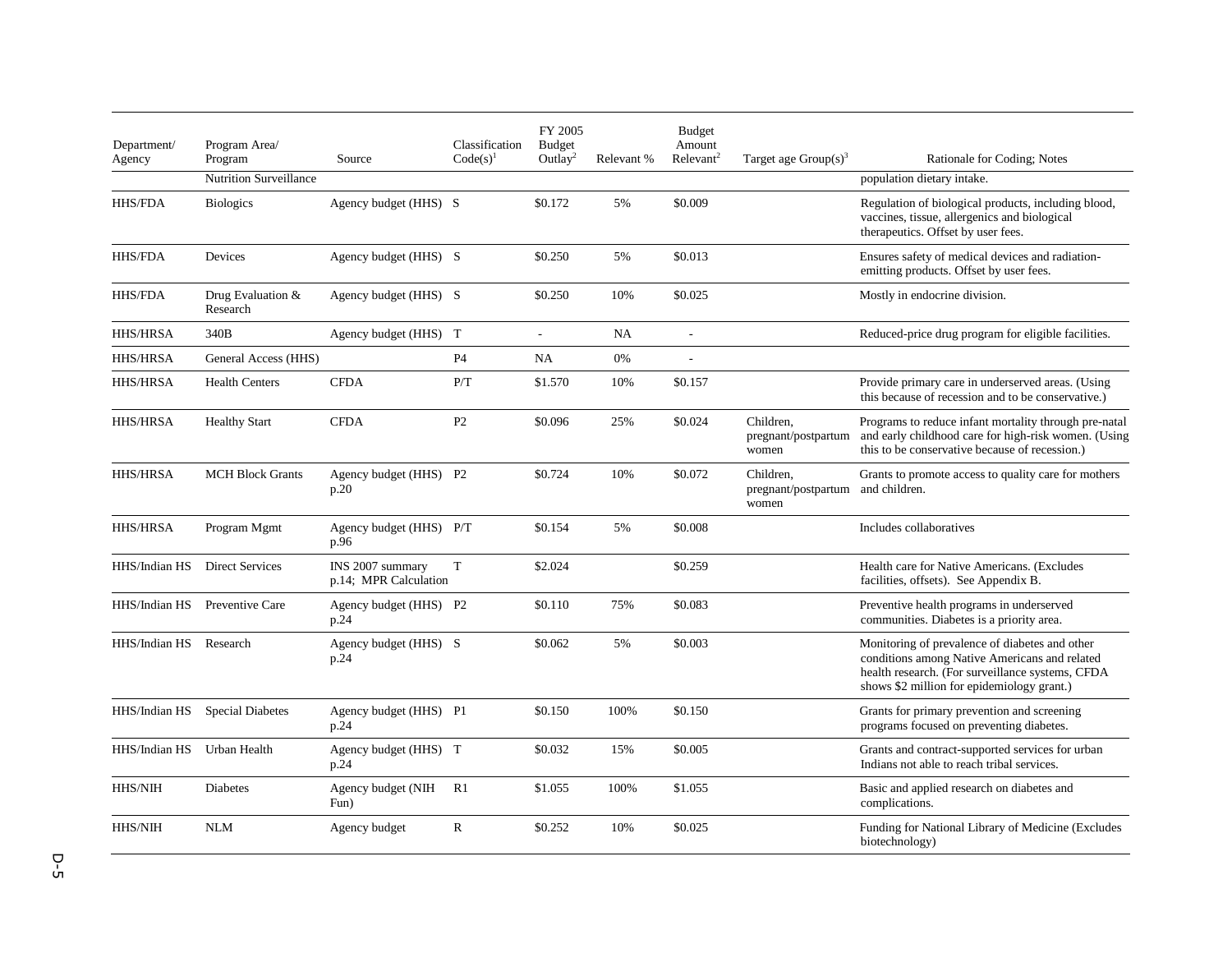| Department/<br>Agency | Program Area/<br>Program      | Source                                    | Classification<br>$Code(s)^{1}$ | FY 2005<br><b>Budget</b><br>Outlay <sup>2</sup> | Relevant % | <b>Budget</b><br>Amount<br>Relevant <sup>2</sup> | Target age $Group(s)^3$                   | Rationale for Coding; Notes                                                                                                                                                                       |
|-----------------------|-------------------------------|-------------------------------------------|---------------------------------|-------------------------------------------------|------------|--------------------------------------------------|-------------------------------------------|---------------------------------------------------------------------------------------------------------------------------------------------------------------------------------------------------|
|                       | <b>Nutrition Surveillance</b> |                                           |                                 |                                                 |            |                                                  |                                           | population dietary intake.                                                                                                                                                                        |
| <b>HHS/FDA</b>        | <b>Biologics</b>              | Agency budget (HHS) S                     |                                 | \$0.172                                         | 5%         | \$0.009                                          |                                           | Regulation of biological products, including blood,<br>vaccines, tissue, allergenics and biological<br>therapeutics. Offset by user fees.                                                         |
| HHS/FDA               | Devices                       | Agency budget (HHS) S                     |                                 | \$0.250                                         | 5%         | \$0.013                                          |                                           | Ensures safety of medical devices and radiation-<br>emitting products. Offset by user fees.                                                                                                       |
| <b>HHS/FDA</b>        | Drug Evaluation &<br>Research | Agency budget (HHS) S                     |                                 | \$0.250                                         | 10%        | \$0.025                                          |                                           | Mostly in endocrine division.                                                                                                                                                                     |
| HHS/HRSA              | 340B                          | Agency budget (HHS) T                     |                                 | $\overline{\phantom{a}}$                        | NA         | $\overline{\phantom{a}}$                         |                                           | Reduced-price drug program for eligible facilities.                                                                                                                                               |
| <b>HHS/HRSA</b>       | General Access (HHS)          |                                           | <b>P4</b>                       | NA                                              | 0%         |                                                  |                                           |                                                                                                                                                                                                   |
| <b>HHS/HRSA</b>       | <b>Health Centers</b>         | <b>CFDA</b>                               | P/T                             | \$1.570                                         | 10%        | \$0.157                                          |                                           | Provide primary care in underserved areas. (Using<br>this because of recession and to be conservative.)                                                                                           |
| <b>HHS/HRSA</b>       | <b>Healthy Start</b>          | <b>CFDA</b>                               | P <sub>2</sub>                  | \$0.096                                         | 25%        | \$0.024                                          | Children.<br>pregnant/postpartum<br>women | Programs to reduce infant mortality through pre-natal<br>and early childhood care for high-risk women. (Using<br>this to be conservative because of recession.)                                   |
| <b>HHS/HRSA</b>       | <b>MCH Block Grants</b>       | Agency budget (HHS) P2<br>p.20            |                                 | \$0.724                                         | 10%        | \$0.072                                          | Children.<br>pregnant/postpartum<br>women | Grants to promote access to quality care for mothers<br>and children.                                                                                                                             |
| <b>HHS/HRSA</b>       | Program Mgmt                  | Agency budget (HHS) P/T<br>p.96           |                                 | \$0.154                                         | 5%         | \$0.008                                          |                                           | Includes collaboratives                                                                                                                                                                           |
| HHS/Indian HS         | <b>Direct Services</b>        | INS 2007 summary<br>p.14; MPR Calculation | T                               | \$2.024                                         |            | \$0.259                                          |                                           | Health care for Native Americans. (Excludes<br>facilities, offsets). See Appendix B.                                                                                                              |
| HHS/Indian HS         | Preventive Care               | Agency budget (HHS) P2<br>p.24            |                                 | \$0.110                                         | 75%        | \$0.083                                          |                                           | Preventive health programs in underserved<br>communities. Diabetes is a priority area.                                                                                                            |
| HHS/Indian HS         | Research                      | Agency budget (HHS) S<br>p.24             |                                 | \$0.062                                         | 5%         | \$0.003                                          |                                           | Monitoring of prevalence of diabetes and other<br>conditions among Native Americans and related<br>health research. (For surveillance systems, CFDA<br>shows \$2 million for epidemiology grant.) |
| HHS/Indian HS         | <b>Special Diabetes</b>       | Agency budget (HHS) P1<br>p.24            |                                 | \$0.150                                         | 100%       | \$0.150                                          |                                           | Grants for primary prevention and screening<br>programs focused on preventing diabetes.                                                                                                           |
| HHS/Indian HS         | Urban Health                  | Agency budget (HHS) T<br>p.24             |                                 | \$0.032                                         | 15%        | \$0.005                                          |                                           | Grants and contract-supported services for urban<br>Indians not able to reach tribal services.                                                                                                    |
| HHS/NIH               | <b>Diabetes</b>               | Agency budget (NIH<br>Fun)                | R <sub>1</sub>                  | \$1.055                                         | 100%       | \$1.055                                          |                                           | Basic and applied research on diabetes and<br>complications.                                                                                                                                      |
| <b>HHS/NIH</b>        | <b>NLM</b>                    | Agency budget                             | $\mathbf R$                     | \$0.252                                         | 10%        | \$0.025                                          |                                           | Funding for National Library of Medicine (Excludes<br>biotechnology)                                                                                                                              |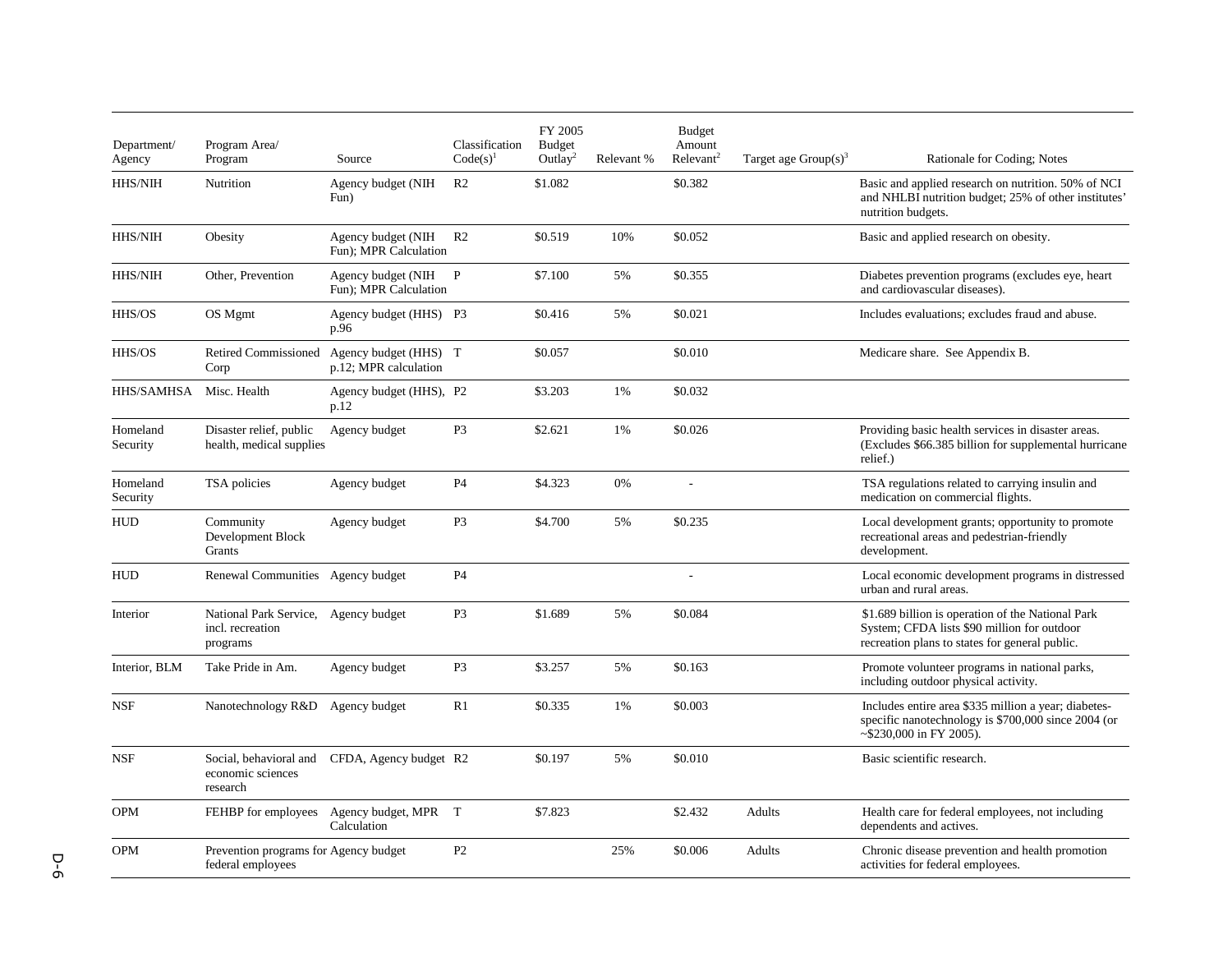| Department/<br>Agency | Program Area/<br>Program                                             | Source                                                              | Classification<br>$Code(s)^1$ | FY 2005<br><b>Budget</b><br>Outlay <sup>2</sup> | Relevant % | <b>Budget</b><br>Amount<br>Relevant <sup>2</sup> | Target age $Group(s)^3$ | Rationale for Coding; Notes                                                                                                                        |
|-----------------------|----------------------------------------------------------------------|---------------------------------------------------------------------|-------------------------------|-------------------------------------------------|------------|--------------------------------------------------|-------------------------|----------------------------------------------------------------------------------------------------------------------------------------------------|
| HHS/NIH               | Nutrition                                                            | Agency budget (NIH<br>Fun)                                          | R <sub>2</sub>                | \$1.082                                         |            | \$0.382                                          |                         | Basic and applied research on nutrition. 50% of NCI<br>and NHLBI nutrition budget; 25% of other institutes'<br>nutrition budgets.                  |
| HHS/NIH               | Obesity                                                              | Agency budget (NIH<br>Fun); MPR Calculation                         | R <sub>2</sub>                | \$0.519                                         | 10%        | \$0.052                                          |                         | Basic and applied research on obesity.                                                                                                             |
| HHS/NIH               | Other, Prevention                                                    | Agency budget (NIH<br>Fun); MPR Calculation                         | P                             | \$7.100                                         | 5%         | \$0.355                                          |                         | Diabetes prevention programs (excludes eye, heart<br>and cardiovascular diseases).                                                                 |
| HHS/OS                | OS Mgmt                                                              | Agency budget (HHS) P3<br>p.96                                      |                               | \$0.416                                         | 5%         | \$0.021                                          |                         | Includes evaluations; excludes fraud and abuse.                                                                                                    |
| HHS/OS                | Corp                                                                 | Retired Commissioned Agency budget (HHS) T<br>p.12; MPR calculation |                               | \$0.057                                         |            | \$0.010                                          |                         | Medicare share. See Appendix B.                                                                                                                    |
| HHS/SAMHSA            | Misc. Health                                                         | Agency budget (HHS), P2<br>p.12                                     |                               | \$3.203                                         | 1%         | \$0.032                                          |                         |                                                                                                                                                    |
| Homeland<br>Security  | Disaster relief, public<br>health, medical supplies                  | Agency budget                                                       | P <sub>3</sub>                | \$2.621                                         | 1%         | \$0.026                                          |                         | Providing basic health services in disaster areas.<br>(Excludes \$66.385 billion for supplemental hurricane<br>relief.)                            |
| Homeland<br>Security  | TSA policies                                                         | Agency budget                                                       | P <sub>4</sub>                | \$4.323                                         | 0%         | $\sim$                                           |                         | TSA regulations related to carrying insulin and<br>medication on commercial flights.                                                               |
| <b>HUD</b>            | Community<br>Development Block<br>Grants                             | Agency budget                                                       | P <sub>3</sub>                | \$4.700                                         | 5%         | \$0.235                                          |                         | Local development grants; opportunity to promote<br>recreational areas and pedestrian-friendly<br>development.                                     |
| <b>HUD</b>            | Renewal Communities Agency budget                                    |                                                                     | P <sub>4</sub>                |                                                 |            |                                                  |                         | Local economic development programs in distressed<br>urban and rural areas.                                                                        |
| Interior              | National Park Service, Agency budget<br>incl. recreation<br>programs |                                                                     | P <sub>3</sub>                | \$1.689                                         | 5%         | \$0.084                                          |                         | \$1.689 billion is operation of the National Park<br>System; CFDA lists \$90 million for outdoor<br>recreation plans to states for general public. |
| Interior, BLM         | Take Pride in Am.                                                    | Agency budget                                                       | P <sub>3</sub>                | \$3.257                                         | 5%         | \$0.163                                          |                         | Promote volunteer programs in national parks,<br>including outdoor physical activity.                                                              |
| <b>NSF</b>            | Nanotechnology R&D                                                   | Agency budget                                                       | R1                            | \$0.335                                         | 1%         | \$0.003                                          |                         | Includes entire area \$335 million a year; diabetes-<br>specific nanotechnology is \$700,000 since 2004 (or<br>~\$230,000 in FY 2005).             |
| <b>NSF</b>            | economic sciences<br>research                                        | Social, behavioral and CFDA, Agency budget R2                       |                               | \$0.197                                         | 5%         | \$0.010                                          |                         | Basic scientific research.                                                                                                                         |
| <b>OPM</b>            |                                                                      | FEHBP for employees Agency budget, MPR T<br>Calculation             |                               | \$7.823                                         |            | \$2.432                                          | Adults                  | Health care for federal employees, not including<br>dependents and actives.                                                                        |
| <b>OPM</b>            | Prevention programs for Agency budget<br>federal employees           |                                                                     | P <sub>2</sub>                |                                                 | 25%        | \$0.006                                          | Adults                  | Chronic disease prevention and health promotion<br>activities for federal employees.                                                               |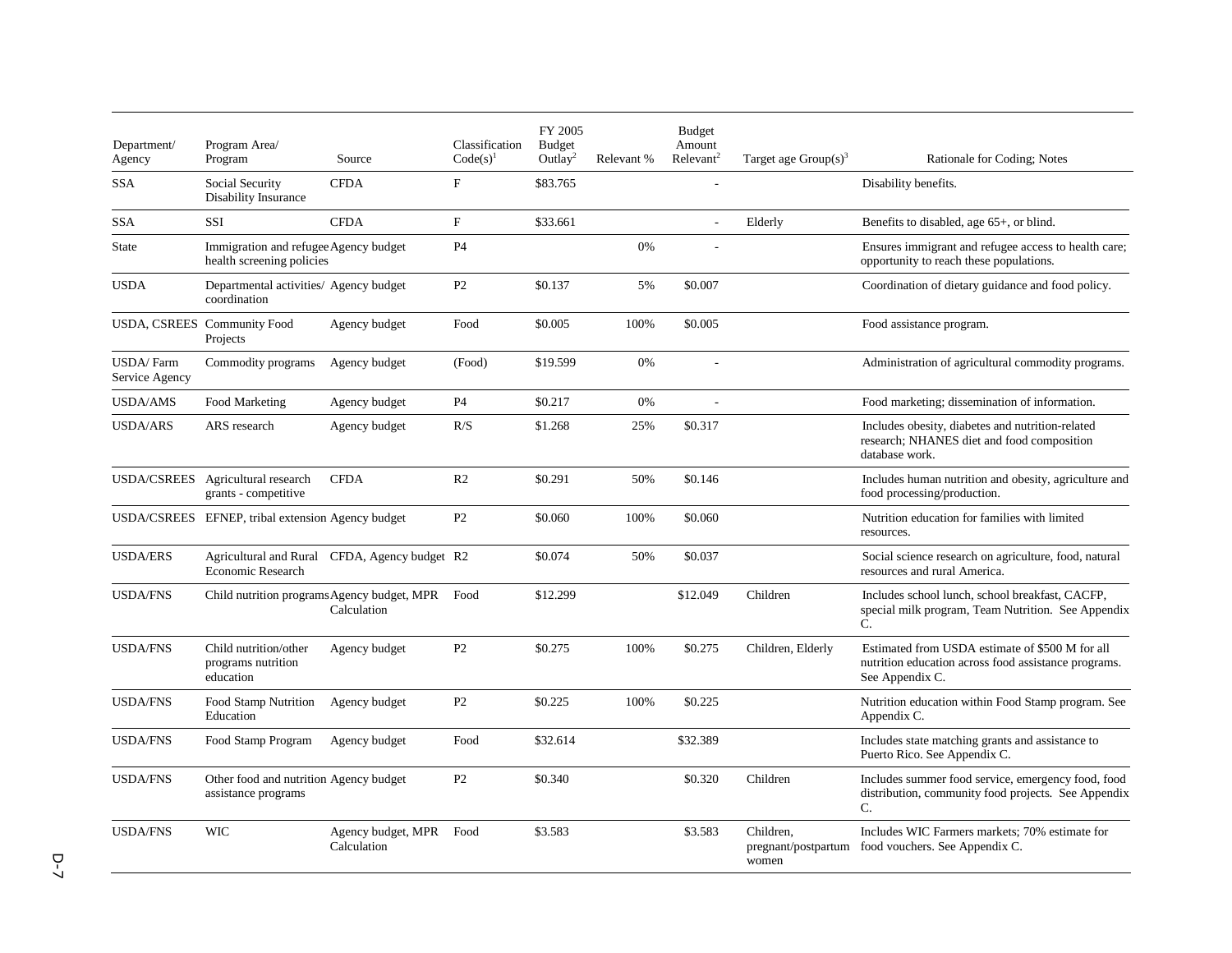| Department/<br>Agency               | Program Area/<br>Program                                           | Source                                        | Classification<br>$Code(s)^{1}$ | FY 2005<br><b>Budget</b><br>Outlay <sup>2</sup> | Relevant % | <b>Budget</b><br>Amount<br>Relevant <sup>2</sup> | Target age $Group(s)^3$                   | Rationale for Coding; Notes                                                                                                |
|-------------------------------------|--------------------------------------------------------------------|-----------------------------------------------|---------------------------------|-------------------------------------------------|------------|--------------------------------------------------|-------------------------------------------|----------------------------------------------------------------------------------------------------------------------------|
| <b>SSA</b>                          | Social Security<br><b>Disability Insurance</b>                     | <b>CFDA</b>                                   | F                               | \$83.765                                        |            | ÷.                                               |                                           | Disability benefits.                                                                                                       |
| <b>SSA</b>                          | SSI                                                                | <b>CFDA</b>                                   | $\mathbf{F}$                    | \$33.661                                        |            | ÷.                                               | Elderly                                   | Benefits to disabled, age 65+, or blind.                                                                                   |
| State                               | Immigration and refugee Agency budget<br>health screening policies |                                               | P <sub>4</sub>                  |                                                 | 0%         |                                                  |                                           | Ensures immigrant and refugee access to health care;<br>opportunity to reach these populations.                            |
| <b>USDA</b>                         | Departmental activities/ Agency budget<br>coordination             |                                               | P2                              | \$0.137                                         | 5%         | \$0.007                                          |                                           | Coordination of dietary guidance and food policy.                                                                          |
|                                     | USDA, CSREES Community Food<br>Projects                            | Agency budget                                 | Food                            | \$0.005                                         | 100%       | \$0.005                                          |                                           | Food assistance program.                                                                                                   |
| <b>USDA</b> /Farm<br>Service Agency | Commodity programs                                                 | Agency budget                                 | (Food)                          | \$19.599                                        | 0%         |                                                  |                                           | Administration of agricultural commodity programs.                                                                         |
| <b>USDA/AMS</b>                     | Food Marketing                                                     | Agency budget                                 | P <sub>4</sub>                  | \$0.217                                         | 0%         |                                                  |                                           | Food marketing; dissemination of information.                                                                              |
| <b>USDA/ARS</b>                     | ARS research                                                       | Agency budget                                 | R/S                             | \$1.268                                         | 25%        | \$0.317                                          |                                           | Includes obesity, diabetes and nutrition-related<br>research; NHANES diet and food composition<br>database work.           |
|                                     | USDA/CSREES Agricultural research<br>grants - competitive          | <b>CFDA</b>                                   | R <sub>2</sub>                  | \$0.291                                         | 50%        | \$0.146                                          |                                           | Includes human nutrition and obesity, agriculture and<br>food processing/production.                                       |
|                                     | USDA/CSREES EFNEP, tribal extension Agency budget                  |                                               | P <sub>2</sub>                  | \$0.060                                         | 100%       | \$0.060                                          |                                           | Nutrition education for families with limited<br>resources.                                                                |
| <b>USDA/ERS</b>                     | <b>Economic Research</b>                                           | Agricultural and Rural CFDA, Agency budget R2 |                                 | \$0.074                                         | 50%        | \$0.037                                          |                                           | Social science research on agriculture, food, natural<br>resources and rural America.                                      |
| <b>USDA/FNS</b>                     | Child nutrition programs Agency budget, MPR                        | Calculation                                   | Food                            | \$12.299                                        |            | \$12.049                                         | Children                                  | Includes school lunch, school breakfast, CACFP.<br>special milk program, Team Nutrition. See Appendix<br>C.                |
| <b>USDA/FNS</b>                     | Child nutrition/other<br>programs nutrition<br>education           | Agency budget                                 | P <sub>2</sub>                  | \$0.275                                         | 100%       | \$0.275                                          | Children, Elderly                         | Estimated from USDA estimate of \$500 M for all<br>nutrition education across food assistance programs.<br>See Appendix C. |
| <b>USDA/FNS</b>                     | Food Stamp Nutrition<br>Education                                  | Agency budget                                 | P <sub>2</sub>                  | \$0.225                                         | 100%       | \$0.225                                          |                                           | Nutrition education within Food Stamp program. See<br>Appendix C.                                                          |
| <b>USDA/FNS</b>                     | Food Stamp Program                                                 | Agency budget                                 | Food                            | \$32.614                                        |            | \$32.389                                         |                                           | Includes state matching grants and assistance to<br>Puerto Rico. See Appendix C.                                           |
| <b>USDA/FNS</b>                     | Other food and nutrition Agency budget<br>assistance programs      |                                               | P <sub>2</sub>                  | \$0.340                                         |            | \$0.320                                          | Children                                  | Includes summer food service, emergency food, food<br>distribution, community food projects. See Appendix<br>C.            |
| <b>USDA/FNS</b>                     | <b>WIC</b>                                                         | Agency budget, MPR<br>Calculation             | Food                            | \$3.583                                         |            | \$3.583                                          | Children.<br>pregnant/postpartum<br>women | Includes WIC Farmers markets: 70% estimate for<br>food vouchers. See Appendix C.                                           |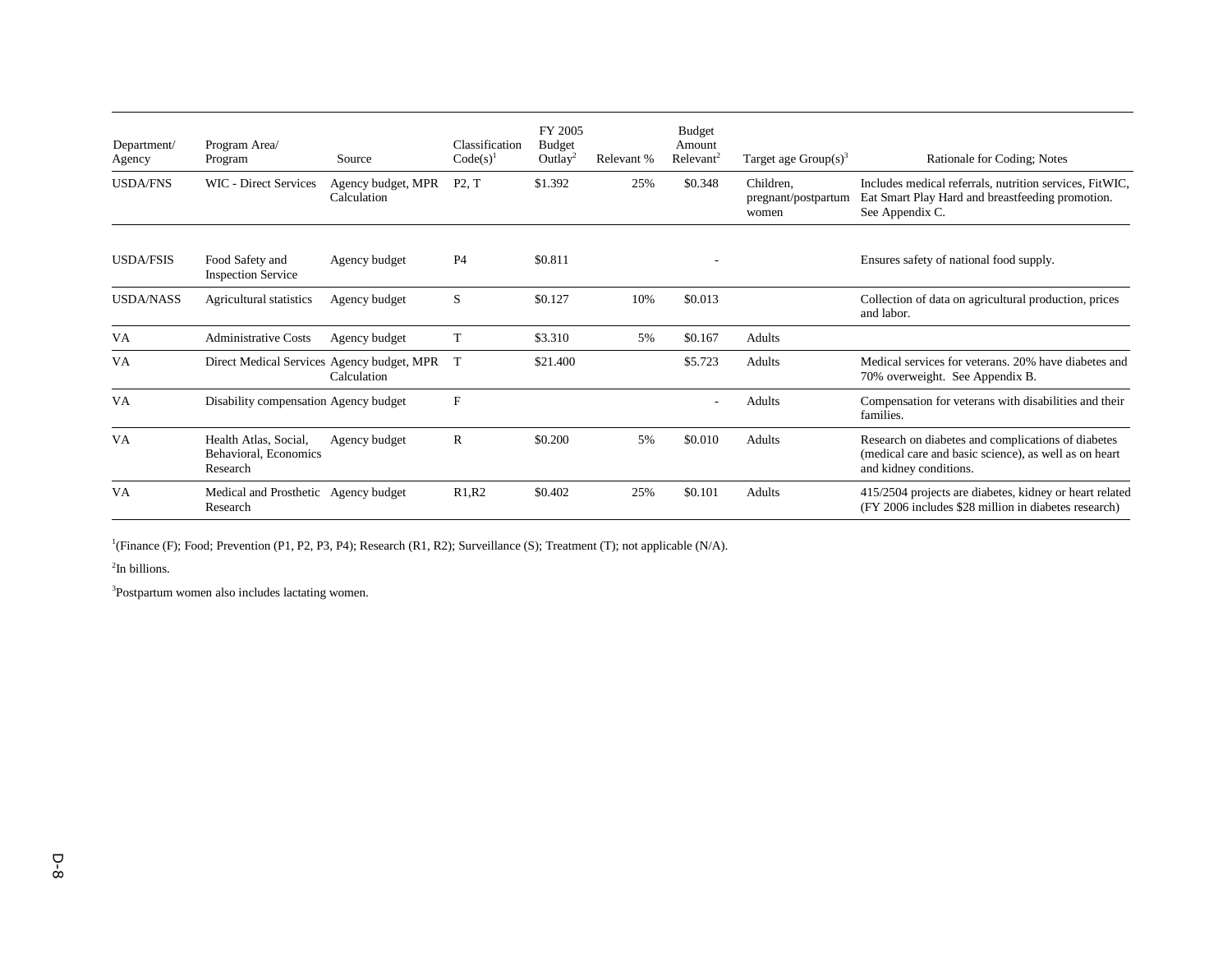| Department/<br>Agency | Program Area/<br>Program                                   | Source                            | Classification<br>$Code(s)^{1}$ | FY 2005<br><b>Budget</b><br>Outlay <sup>2</sup> | Relevant % | <b>Budget</b><br>Amount<br>Relevant <sup>2</sup> | Target age $Group(s)^3$                   | Rationale for Coding; Notes                                                                                                           |
|-----------------------|------------------------------------------------------------|-----------------------------------|---------------------------------|-------------------------------------------------|------------|--------------------------------------------------|-------------------------------------------|---------------------------------------------------------------------------------------------------------------------------------------|
| <b>USDA/FNS</b>       | <b>WIC</b> - Direct Services                               | Agency budget, MPR<br>Calculation | P2, T                           | \$1.392                                         | 25%        | \$0.348                                          | Children.<br>pregnant/postpartum<br>women | Includes medical referrals, nutrition services, FitWIC,<br>Eat Smart Play Hard and breastfeeding promotion.<br>See Appendix C.        |
| <b>USDA/FSIS</b>      | Food Safety and<br><b>Inspection Service</b>               | Agency budget                     | <b>P4</b>                       | \$0.811                                         |            |                                                  |                                           | Ensures safety of national food supply.                                                                                               |
| <b>USDA/NASS</b>      | Agricultural statistics                                    | Agency budget                     | S                               | \$0.127                                         | 10%        | \$0.013                                          |                                           | Collection of data on agricultural production, prices<br>and labor.                                                                   |
| <b>VA</b>             | <b>Administrative Costs</b>                                | Agency budget                     | T                               | \$3.310                                         | 5%         | \$0.167                                          | Adults                                    |                                                                                                                                       |
| <b>VA</b>             | Direct Medical Services Agency budget, MPR                 | Calculation                       | T                               | \$21.400                                        |            | \$5.723                                          | Adults                                    | Medical services for veterans, 20% have diabetes and<br>70% overweight. See Appendix B.                                               |
| <b>VA</b>             | Disability compensation Agency budget                      |                                   | F                               |                                                 |            |                                                  | <b>Adults</b>                             | Compensation for veterans with disabilities and their<br>families.                                                                    |
| <b>VA</b>             | Health Atlas, Social,<br>Behavioral, Economics<br>Research | Agency budget                     | $\mathbb{R}$                    | \$0.200                                         | 5%         | \$0.010                                          | <b>Adults</b>                             | Research on diabetes and complications of diabetes<br>(medical care and basic science), as well as on heart<br>and kidney conditions. |
| VA                    | Medical and Prosthetic Agency budget<br>Research           |                                   | R1, R2                          | \$0.402                                         | 25%        | \$0.101                                          | Adults                                    | 415/2504 projects are diabetes, kidney or heart related<br>(FY 2006 includes \$28 million in diabetes research)                       |

<sup>1</sup>(Finance (F); Food; Prevention (P1, P2, P3, P4); Research (R1, R2); Surveillance (S); Treatment (T); not applicable (N/A).

 $2$ In billions.

<sup>3</sup>Postpartum women also includes lactating women.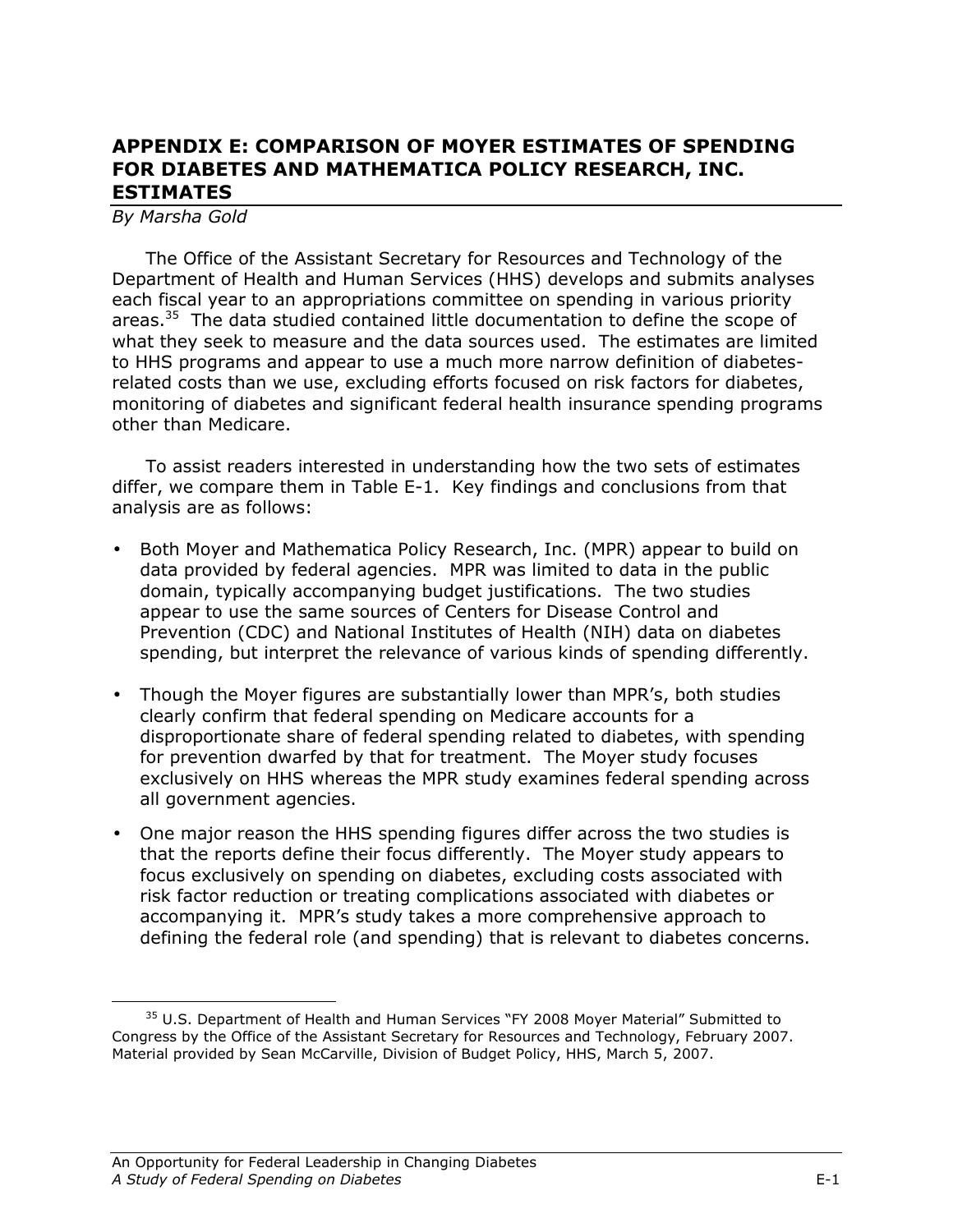# APPENDIX E: COMPARISON OF MOYER ESTIMATES OF SPENDING FOR DIABETES AND MATHEMATICA POLICY RESEARCH, INC. ESTIMATES

#### By Marsha Gold

<u>.</u>

The Office of the Assistant Secretary for Resources and Technology of the Department of Health and Human Services (HHS) develops and submits analyses each fiscal year to an appropriations committee on spending in various priority areas.<sup>35</sup> The data studied contained little documentation to define the scope of what they seek to measure and the data sources used. The estimates are limited to HHS programs and appear to use a much more narrow definition of diabetesrelated costs than we use, excluding efforts focused on risk factors for diabetes, monitoring of diabetes and significant federal health insurance spending programs other than Medicare.

To assist readers interested in understanding how the two sets of estimates differ, we compare them in Table E-1. Key findings and conclusions from that analysis are as follows:

- Both Moyer and Mathematica Policy Research, Inc. (MPR) appear to build on data provided by federal agencies. MPR was limited to data in the public domain, typically accompanying budget justifications. The two studies appear to use the same sources of Centers for Disease Control and Prevention (CDC) and National Institutes of Health (NIH) data on diabetes spending, but interpret the relevance of various kinds of spending differently.
- Though the Moyer figures are substantially lower than MPR's, both studies clearly confirm that federal spending on Medicare accounts for a disproportionate share of federal spending related to diabetes, with spending for prevention dwarfed by that for treatment. The Moyer study focuses exclusively on HHS whereas the MPR study examines federal spending across all government agencies.
- One major reason the HHS spending figures differ across the two studies is that the reports define their focus differently. The Moyer study appears to focus exclusively on spending on diabetes, excluding costs associated with risk factor reduction or treating complications associated with diabetes or accompanying it. MPR's study takes a more comprehensive approach to defining the federal role (and spending) that is relevant to diabetes concerns.

<sup>&</sup>lt;sup>35</sup> U.S. Department of Health and Human Services "FY 2008 Moyer Material" Submitted to Congress by the Office of the Assistant Secretary for Resources and Technology, February 2007. Material provided by Sean McCarville, Division of Budget Policy, HHS, March 5, 2007.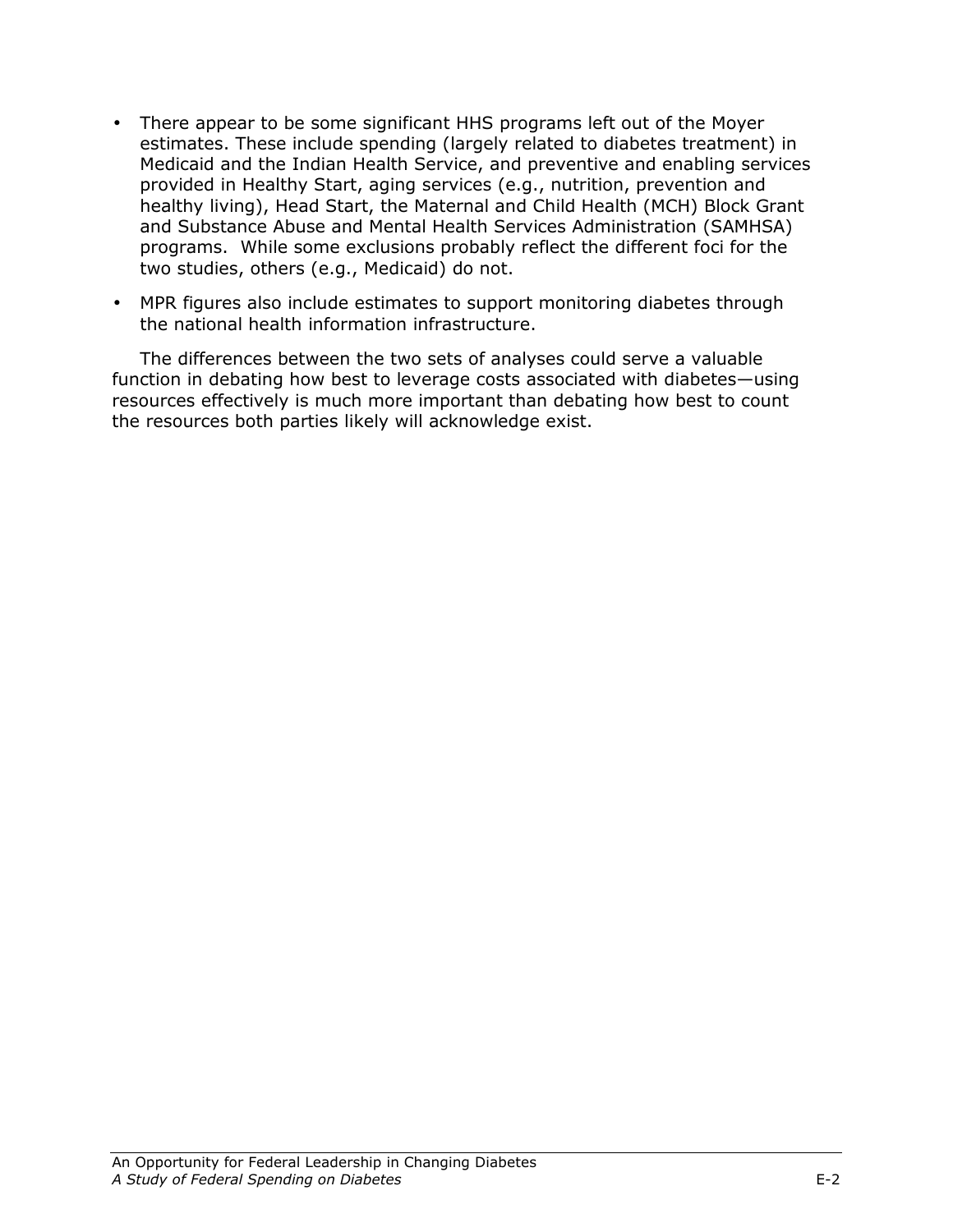- There appear to be some significant HHS programs left out of the Moyer estimates. These include spending (largely related to diabetes treatment) in Medicaid and the Indian Health Service, and preventive and enabling services provided in Healthy Start, aging services (e.g., nutrition, prevention and healthy living), Head Start, the Maternal and Child Health (MCH) Block Grant and Substance Abuse and Mental Health Services Administration (SAMHSA) programs. While some exclusions probably reflect the different foci for the two studies, others (e.g., Medicaid) do not.
- MPR figures also include estimates to support monitoring diabetes through the national health information infrastructure.

The differences between the two sets of analyses could serve a valuable function in debating how best to leverage costs associated with diabetes—using resources effectively is much more important than debating how best to count the resources both parties likely will acknowledge exist.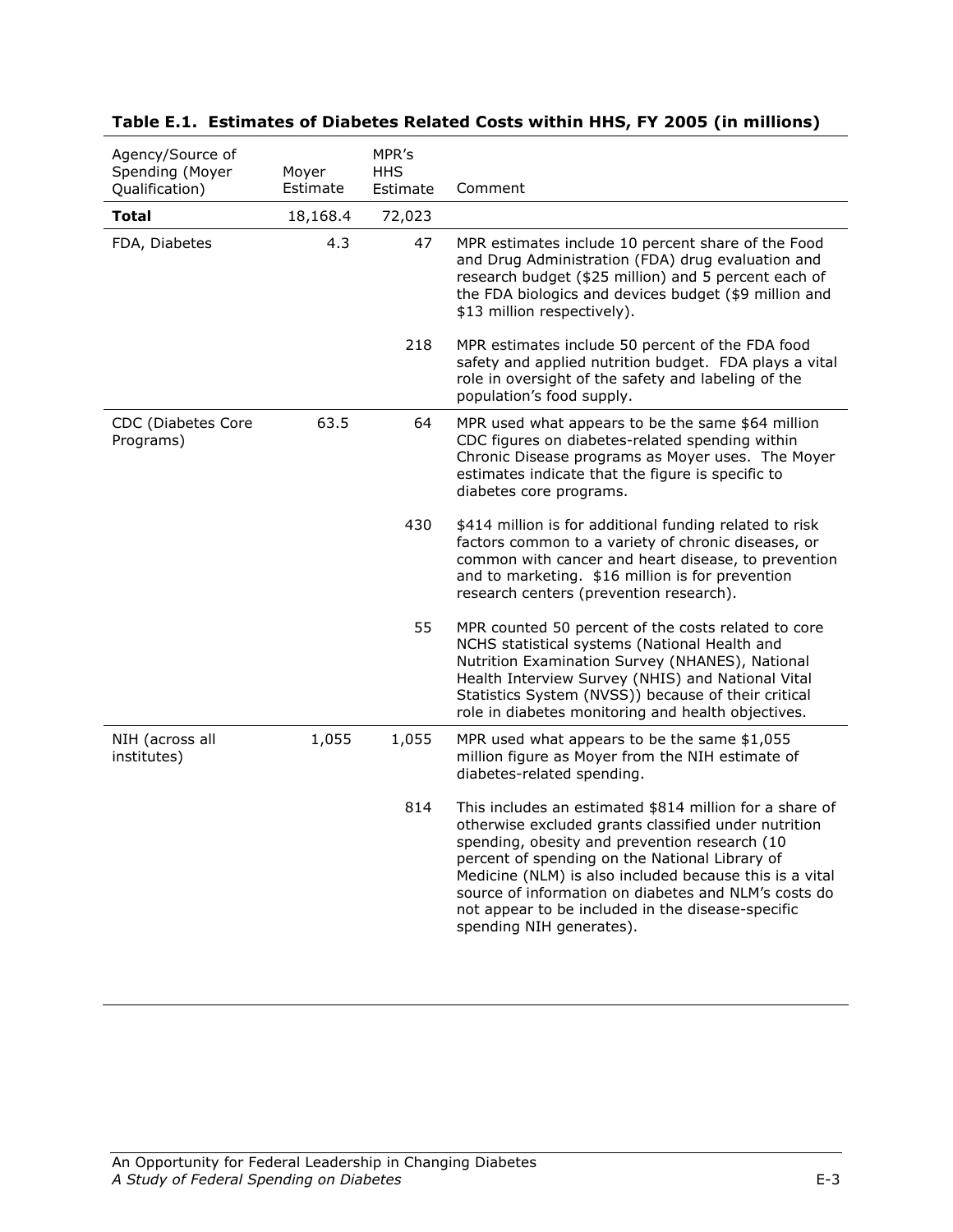| Agency/Source of<br>Spending (Moyer<br>Qualification) | MPR's<br><b>HHS</b><br>Moyer<br>Estimate<br>Estimate |        | Comment                                                                                                                                                                                                                                                                                                                                                                                                                |
|-------------------------------------------------------|------------------------------------------------------|--------|------------------------------------------------------------------------------------------------------------------------------------------------------------------------------------------------------------------------------------------------------------------------------------------------------------------------------------------------------------------------------------------------------------------------|
| <b>Total</b>                                          | 18,168.4                                             | 72,023 |                                                                                                                                                                                                                                                                                                                                                                                                                        |
| FDA, Diabetes                                         | 4.3                                                  | 47     | MPR estimates include 10 percent share of the Food<br>and Drug Administration (FDA) drug evaluation and<br>research budget (\$25 million) and 5 percent each of<br>the FDA biologics and devices budget (\$9 million and<br>\$13 million respectively).                                                                                                                                                                |
|                                                       |                                                      | 218    | MPR estimates include 50 percent of the FDA food<br>safety and applied nutrition budget. FDA plays a vital<br>role in oversight of the safety and labeling of the<br>population's food supply.                                                                                                                                                                                                                         |
| CDC (Diabetes Core<br>Programs)                       | 63.5                                                 | 64     | MPR used what appears to be the same \$64 million<br>CDC figures on diabetes-related spending within<br>Chronic Disease programs as Moyer uses. The Moyer<br>estimates indicate that the figure is specific to<br>diabetes core programs.                                                                                                                                                                              |
|                                                       |                                                      | 430    | \$414 million is for additional funding related to risk<br>factors common to a variety of chronic diseases, or<br>common with cancer and heart disease, to prevention<br>and to marketing. \$16 million is for prevention<br>research centers (prevention research).                                                                                                                                                   |
|                                                       |                                                      | 55     | MPR counted 50 percent of the costs related to core<br>NCHS statistical systems (National Health and<br>Nutrition Examination Survey (NHANES), National<br>Health Interview Survey (NHIS) and National Vital<br>Statistics System (NVSS)) because of their critical<br>role in diabetes monitoring and health objectives.                                                                                              |
| NIH (across all<br>institutes)                        | 1,055                                                | 1,055  | MPR used what appears to be the same \$1,055<br>million figure as Moyer from the NIH estimate of<br>diabetes-related spending.                                                                                                                                                                                                                                                                                         |
|                                                       |                                                      | 814    | This includes an estimated \$814 million for a share of<br>otherwise excluded grants classified under nutrition<br>spending, obesity and prevention research (10<br>percent of spending on the National Library of<br>Medicine (NLM) is also included because this is a vital<br>source of information on diabetes and NLM's costs do<br>not appear to be included in the disease-specific<br>spending NIH generates). |

### Table E.1. Estimates of Diabetes Related Costs within HHS, FY 2005 (in millions)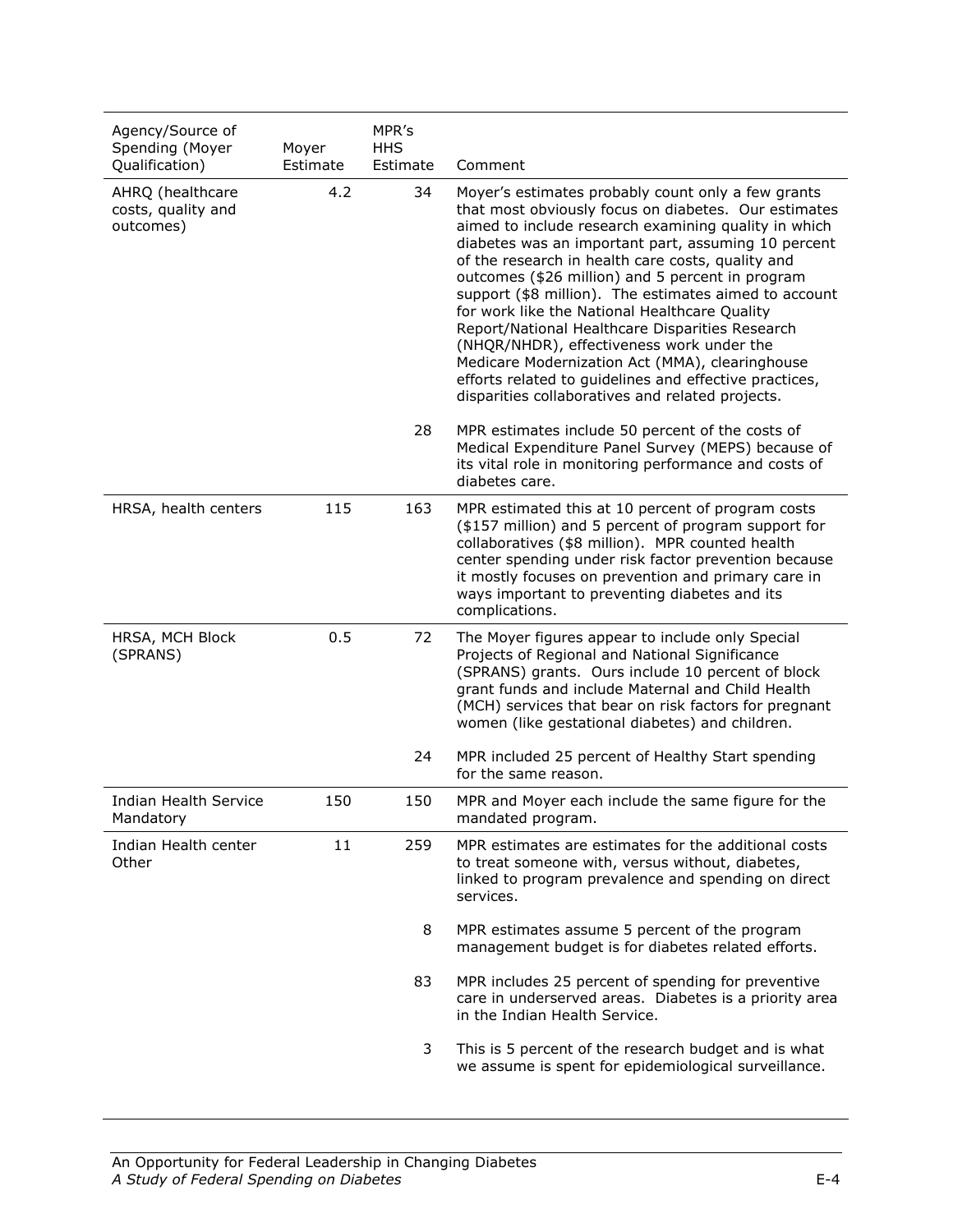| Agency/Source of<br>Spending (Moyer<br>Qualification) | Moyer<br>Estimate | MPR's<br><b>HHS</b><br>Estimate | Comment                                                                                                                                                                                                                                                                                                                                                                                                                                                                                                                                                                                                                                                                                                       |
|-------------------------------------------------------|-------------------|---------------------------------|---------------------------------------------------------------------------------------------------------------------------------------------------------------------------------------------------------------------------------------------------------------------------------------------------------------------------------------------------------------------------------------------------------------------------------------------------------------------------------------------------------------------------------------------------------------------------------------------------------------------------------------------------------------------------------------------------------------|
| AHRQ (healthcare<br>costs, quality and<br>outcomes)   | 4.2               | 34                              | Moyer's estimates probably count only a few grants<br>that most obviously focus on diabetes. Our estimates<br>aimed to include research examining quality in which<br>diabetes was an important part, assuming 10 percent<br>of the research in health care costs, quality and<br>outcomes (\$26 million) and 5 percent in program<br>support (\$8 million). The estimates aimed to account<br>for work like the National Healthcare Quality<br>Report/National Healthcare Disparities Research<br>(NHQR/NHDR), effectiveness work under the<br>Medicare Modernization Act (MMA), clearinghouse<br>efforts related to guidelines and effective practices,<br>disparities collaboratives and related projects. |
|                                                       |                   | 28                              | MPR estimates include 50 percent of the costs of<br>Medical Expenditure Panel Survey (MEPS) because of<br>its vital role in monitoring performance and costs of<br>diabetes care.                                                                                                                                                                                                                                                                                                                                                                                                                                                                                                                             |
| HRSA, health centers                                  | 115               | 163                             | MPR estimated this at 10 percent of program costs<br>(\$157 million) and 5 percent of program support for<br>collaboratives (\$8 million). MPR counted health<br>center spending under risk factor prevention because<br>it mostly focuses on prevention and primary care in<br>ways important to preventing diabetes and its<br>complications.                                                                                                                                                                                                                                                                                                                                                               |
| HRSA, MCH Block<br>(SPRANS)                           | 0.5               | 72                              | The Moyer figures appear to include only Special<br>Projects of Regional and National Significance<br>(SPRANS) grants. Ours include 10 percent of block<br>grant funds and include Maternal and Child Health<br>(MCH) services that bear on risk factors for pregnant<br>women (like gestational diabetes) and children.                                                                                                                                                                                                                                                                                                                                                                                      |
|                                                       |                   | 24                              | MPR included 25 percent of Healthy Start spending<br>for the same reason.                                                                                                                                                                                                                                                                                                                                                                                                                                                                                                                                                                                                                                     |
| Indian Health Service<br>Mandatory                    | 150               | 150                             | MPR and Moyer each include the same figure for the<br>mandated program.                                                                                                                                                                                                                                                                                                                                                                                                                                                                                                                                                                                                                                       |
| Indian Health center<br>Other                         | 11                | 259                             | MPR estimates are estimates for the additional costs<br>to treat someone with, versus without, diabetes,<br>linked to program prevalence and spending on direct<br>services.                                                                                                                                                                                                                                                                                                                                                                                                                                                                                                                                  |
|                                                       |                   | 8                               | MPR estimates assume 5 percent of the program<br>management budget is for diabetes related efforts.                                                                                                                                                                                                                                                                                                                                                                                                                                                                                                                                                                                                           |
|                                                       |                   | 83                              | MPR includes 25 percent of spending for preventive<br>care in underserved areas. Diabetes is a priority area<br>in the Indian Health Service.                                                                                                                                                                                                                                                                                                                                                                                                                                                                                                                                                                 |
|                                                       |                   | 3                               | This is 5 percent of the research budget and is what<br>we assume is spent for epidemiological surveillance.                                                                                                                                                                                                                                                                                                                                                                                                                                                                                                                                                                                                  |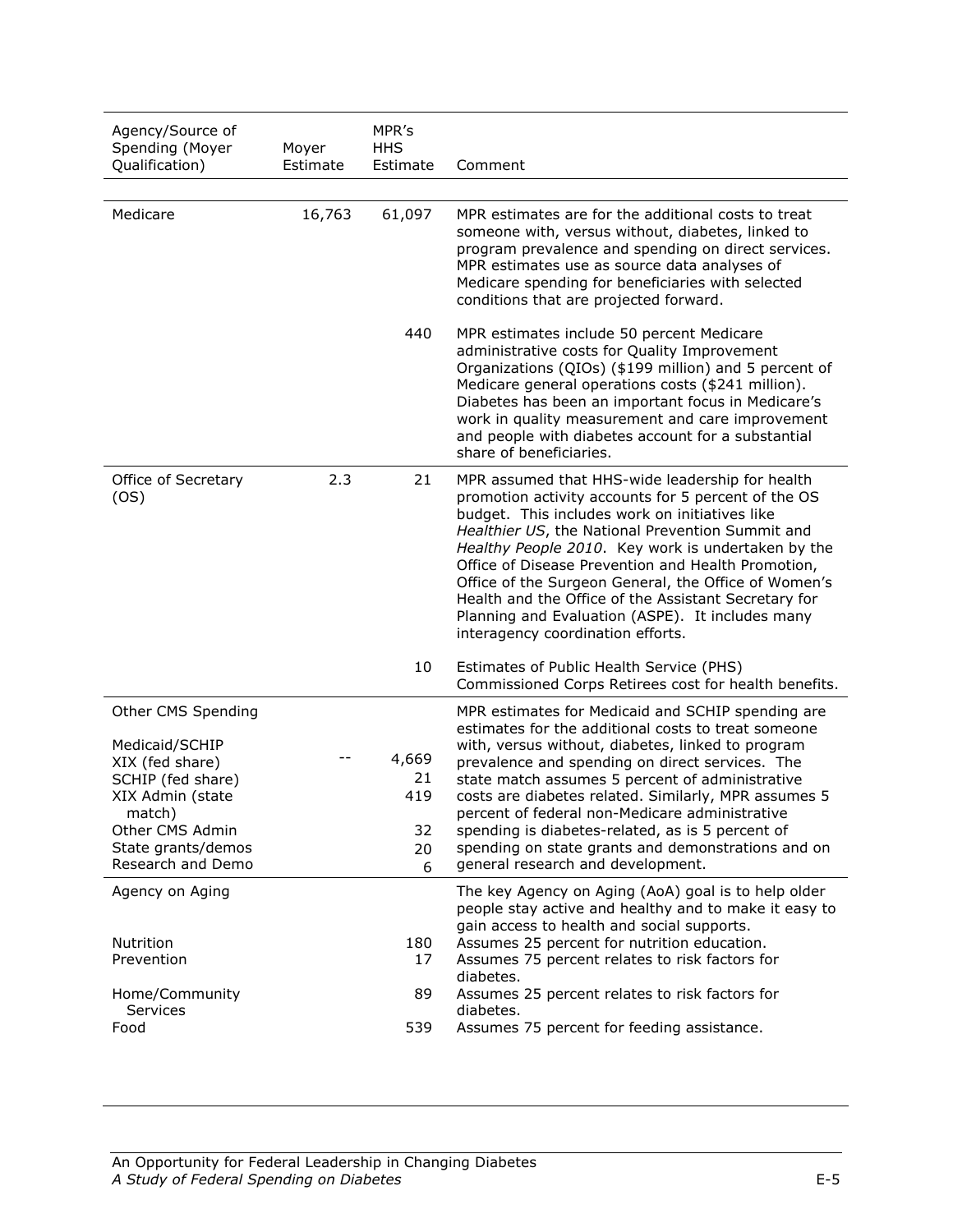| Agency/Source of<br>Spending (Moyer<br>Qualification)                                                                                                                    | Moyer<br>Estimate | MPR's<br><b>HHS</b><br>Estimate     | Comment                                                                                                                                                                                                                                                                                                                                                                                                                                                                                                                           |
|--------------------------------------------------------------------------------------------------------------------------------------------------------------------------|-------------------|-------------------------------------|-----------------------------------------------------------------------------------------------------------------------------------------------------------------------------------------------------------------------------------------------------------------------------------------------------------------------------------------------------------------------------------------------------------------------------------------------------------------------------------------------------------------------------------|
|                                                                                                                                                                          |                   |                                     |                                                                                                                                                                                                                                                                                                                                                                                                                                                                                                                                   |
| Medicare                                                                                                                                                                 | 16,763            | 61,097                              | MPR estimates are for the additional costs to treat<br>someone with, versus without, diabetes, linked to<br>program prevalence and spending on direct services.<br>MPR estimates use as source data analyses of<br>Medicare spending for beneficiaries with selected<br>conditions that are projected forward.                                                                                                                                                                                                                    |
|                                                                                                                                                                          |                   | 440                                 | MPR estimates include 50 percent Medicare<br>administrative costs for Quality Improvement<br>Organizations (QIOs) (\$199 million) and 5 percent of<br>Medicare general operations costs (\$241 million).<br>Diabetes has been an important focus in Medicare's<br>work in quality measurement and care improvement<br>and people with diabetes account for a substantial<br>share of beneficiaries.                                                                                                                               |
| Office of Secretary<br>(OS)                                                                                                                                              | 2.3               | 21                                  | MPR assumed that HHS-wide leadership for health<br>promotion activity accounts for 5 percent of the OS<br>budget. This includes work on initiatives like<br>Healthier US, the National Prevention Summit and<br>Healthy People 2010. Key work is undertaken by the<br>Office of Disease Prevention and Health Promotion,<br>Office of the Surgeon General, the Office of Women's<br>Health and the Office of the Assistant Secretary for<br>Planning and Evaluation (ASPE). It includes many<br>interagency coordination efforts. |
|                                                                                                                                                                          |                   | 10                                  | Estimates of Public Health Service (PHS)<br>Commissioned Corps Retirees cost for health benefits.                                                                                                                                                                                                                                                                                                                                                                                                                                 |
| Other CMS Spending<br>Medicaid/SCHIP<br>XIX (fed share)<br>SCHIP (fed share)<br>XIX Admin (state<br>match)<br>Other CMS Admin<br>State grants/demos<br>Research and Demo |                   | 4,669<br>21<br>419<br>32<br>20<br>6 | MPR estimates for Medicaid and SCHIP spending are<br>estimates for the additional costs to treat someone<br>with, versus without, diabetes, linked to program<br>prevalence and spending on direct services. The<br>state match assumes 5 percent of administrative<br>costs are diabetes related. Similarly, MPR assumes 5<br>percent of federal non-Medicare administrative<br>spending is diabetes-related, as is 5 percent of<br>spending on state grants and demonstrations and on<br>general research and development.      |
| Agency on Aging<br>Nutrition<br>Prevention                                                                                                                               |                   | 180<br>17                           | The key Agency on Aging (AoA) goal is to help older<br>people stay active and healthy and to make it easy to<br>gain access to health and social supports.<br>Assumes 25 percent for nutrition education.<br>Assumes 75 percent relates to risk factors for<br>diabetes.                                                                                                                                                                                                                                                          |
| Home/Community<br>Services<br>Food                                                                                                                                       |                   | 89<br>539                           | Assumes 25 percent relates to risk factors for<br>diabetes.<br>Assumes 75 percent for feeding assistance.                                                                                                                                                                                                                                                                                                                                                                                                                         |